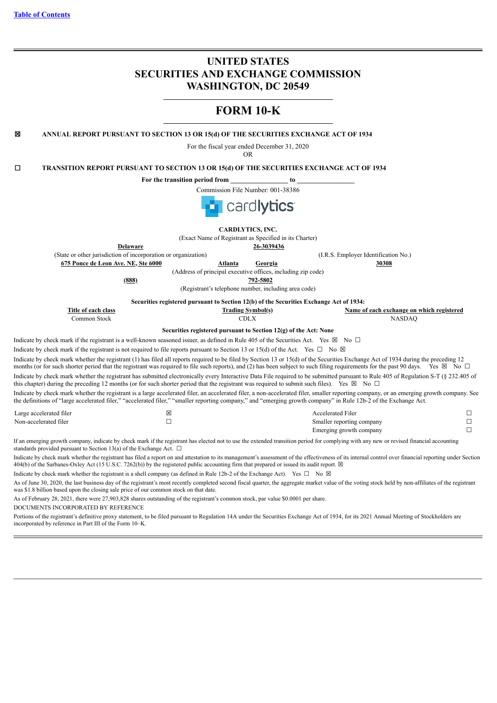# **UNITED STATES SECURITIES AND EXCHANGE COMMISSION WASHINGTON, DC 20549 FORM 10-K** ☒ **ANNUAL REPORT PURSUANT TO SECTION 13 OR 15(d) OF THE SECURITIES EXCHANGE ACT OF 1934** For the fiscal year ended December 31, 2020 OR ☐ **TRANSITION REPORT PURSUANT TO SECTION 13 OR 15(d) OF THE SECURITIES EXCHANGE ACT OF 1934** For the transition period from **the state of the transition of the state of the state of the state of the state of the state of the state of the state of the state of the state of the state of the state of the state of the** Commission File Number: 001-38386 cardivtics **CARDLYTICS, INC.** (Exact Name of Registrant as Specified in its Charter) **Delaware 26-3039436** (State or other jurisdiction of incorporation or organization) (I.R.S. Employer Identification No.) **675 Ponce de Leon Ave. NE, Ste 6000 Atlanta Georgia 30308** (Address of principal executive offices, including zip code) **(888) 792-5802** (Registrant's telephone number, including area code) **Securities registered pursuant to Section 12(b) of the Securities Exchange Act of 1934: Title of each class Trading Symbol(s) Name of each exchange on which registered** Common Stock CDLX NASDAQ **Securities registered pursuant to Section 12(g) of the Act: None** Indicate by check mark if the registrant is a well-known seasoned issuer, as defined in Rule 405 of the Securities Act. Yes  $\boxtimes$  No  $\Box$ Indicate by check mark if the registrant is not required to file reports pursuant to Section 13 or 15(d) of the Act. Yes  $\Box$  No  $\boxtimes$ Indicate by check mark whether the registrant (1) has filed all reports required to be filed by Section 13 or 15(d) of the Securities Exchange Act of 1934 during the preceding 12 months (or for such shorter period that the registrant was required to file such reports), and (2) has been subject to such filing requirements for the past 90 days. Yes  $\boxtimes$  No  $\Box$ Indicate by check mark whether the registrant has submitted electronically every Interactive Data File required to be submitted pursuant to Rule 405 of Regulation S-T (§ 232.405 of this chapter) during the preceding 12 months (or for such shorter period that the registrant was required to submit such files). Yes ⊠ No  $\square$ Indicate by check mark whether the registrant is a large accelerated filer, an accelerated filer, a non-accelerated filer, smaller reporting company, or an emerging growth company. See the definitions of "large accelerated filer," "accelerated filer," "smaller reporting company," and "emerging growth company" in Rule 12b-2 of the Exchange Act. Large accelerated filer □ Accelerated Filer □ Non-accelerated filer □ Smaller reporting company □ Emerging growth company **□** If an emerging growth company, indicate by check mark if the registrant has elected not to use the extended transition period for complying with any new or revised financial accounting standards provided pursuant to Section 13(a) of the Exchange Act.  $\Box$ Indicate by check mark whether the registrant has filed a report on and attestation to its management's assessment of the effectiveness of its internal control over financial reporting under Section 404(b) of the Sarbanes-Oxley Act (15 U.S.C. 7262(b)) by the registered public accounting firm that prepared or issued its audit report. ☒ Indicate by check mark whether the registrant is a shell company (as defined in Rule 12b-2 of the Exchange Act). Yes  $\Box$  No  $\boxtimes$ As of June 30, 2020, the last business day of the registrant's most recently completed second fiscal quarter, the aggregate market value of the voting stock held by non-affiliates of the registrant was \$1.8 billion based upon the closing sale price of our common stock on that date. As of February 28, 2021, there were 27,903,828 shares outstanding of the registrant's common stock, par value \$0.0001 per share. DOCUMENTS INCORPORATED BY REFERENCE

<span id="page-0-0"></span>Portions of the registrant's definitive proxy statement, to be filed pursuant to Regulation 14A under the Securities Exchange Act of 1934, for its 2021 Annual Meeting of Stockholders are incorporated by reference in Part III of the Form 10–K.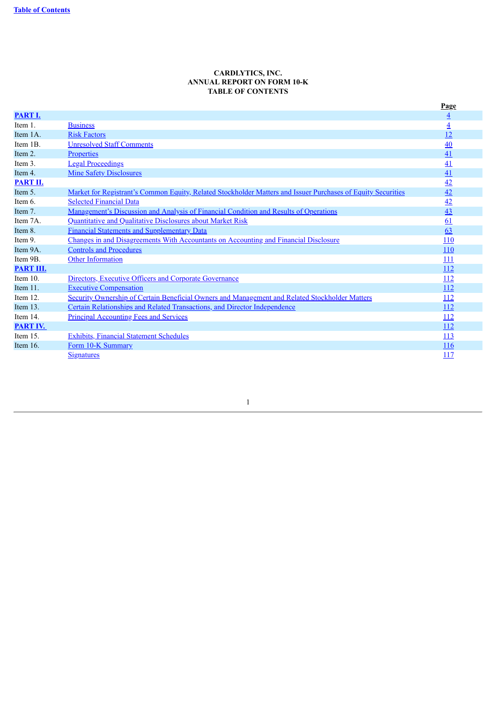## **CARDLYTICS, INC. ANNUAL REPORT ON FORM 10-K TABLE OF CONTENTS**

|                |                                                                                                              | Page           |
|----------------|--------------------------------------------------------------------------------------------------------------|----------------|
| <b>PART I.</b> |                                                                                                              | $\overline{4}$ |
| Item 1.        | <b>Business</b>                                                                                              | $\overline{4}$ |
| Item 1A.       | <b>Risk Factors</b>                                                                                          | 12             |
| Item 1B.       | <b>Unresolved Staff Comments</b>                                                                             | 40             |
| Item 2.        | Properties                                                                                                   | 41             |
| Item 3.        | <b>Legal Proceedings</b>                                                                                     | 41             |
| Item 4.        | <b>Mine Safety Disclosures</b>                                                                               | 41             |
| PART II.       |                                                                                                              | 42             |
| Item 5.        | Market for Registrant's Common Equity, Related Stockholder Matters and Issuer Purchases of Equity Securities | 42             |
| Item 6.        | <b>Selected Financial Data</b>                                                                               | 42             |
| Item 7.        | Management's Discussion and Analysis of Financial Condition and Results of Operations                        | 43             |
| Item 7A.       | Quantitative and Qualitative Disclosures about Market Risk                                                   | 61             |
| Item 8.        | <b>Financial Statements and Supplementary Data</b>                                                           | 63             |
| Item 9.        | Changes in and Disagreements With Accountants on Accounting and Financial Disclosure                         | <u>110</u>     |
| Item 9A.       | <b>Controls and Procedures</b>                                                                               | <b>110</b>     |
| Item 9B.       | <b>Other Information</b>                                                                                     | 111            |
| PART III.      |                                                                                                              | <u>112</u>     |
| Item $10$ .    | Directors, Executive Officers and Corporate Governance                                                       | 112            |
| Item $11$ .    | <b>Executive Compensation</b>                                                                                | <u>112</u>     |
| Item $12$ .    | Security Ownership of Certain Beneficial Owners and Management and Related Stockholder Matters               | <u>112</u>     |
| Item $13$ .    | Certain Relationships and Related Transactions, and Director Independence                                    | 112            |
| Item 14.       | <b>Principal Accounting Fees and Services</b>                                                                | 112            |
| PART IV.       |                                                                                                              | 112            |
| Item $15$ .    | <b>Exhibits, Financial Statement Schedules</b>                                                               | <u>113</u>     |
| Item $16$ .    | Form 10-K Summary                                                                                            | <u>116</u>     |
|                | <b>Signatures</b>                                                                                            | 117            |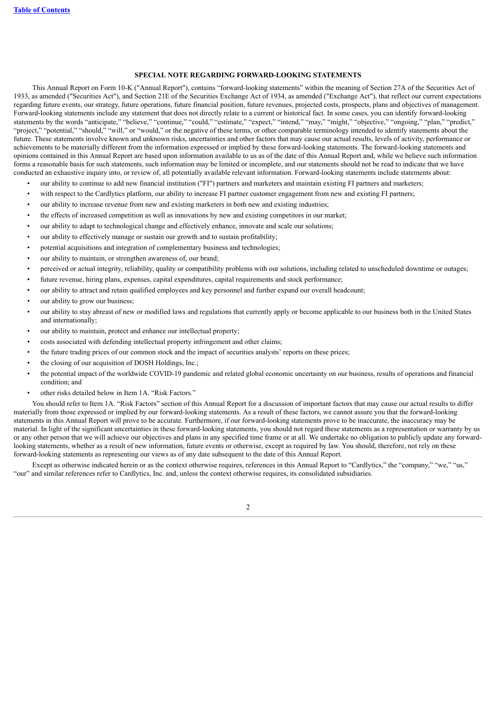#### **SPECIAL NOTE REGARDING FORWARD-LOOKING STATEMENTS**

This Annual Report on Form 10-K ("Annual Report"), contains "forward-looking statements" within the meaning of Section 27A of the Securities Act of 1933, as amended ("Securities Act"), and Section 21E of the Securities Exchange Act of 1934, as amended ("Exchange Act"), that reflect our current expectations regarding future events, our strategy, future operations, future financial position, future revenues, projected costs, prospects, plans and objectives of management. Forward-looking statements include any statement that does not directly relate to a current or historical fact. In some cases, you can identify forward-looking statements by the words "anticipate," "believe," "continue," "could," "estimate," "expect," "intend," "may," "might," "objective," "ongoing," "plan," "predict," "project," "potential," "should," "will," or "would," or the negative of these terms, or other comparable terminology intended to identify statements about the future. These statements involve known and unknown risks, uncertainties and other factors that may cause our actual results, levels of activity, performance or achievements to be materially different from the information expressed or implied by these forward-looking statements. The forward-looking statements and opinions contained in this Annual Report are based upon information available to us as of the date of this Annual Report and, while we believe such information forms a reasonable basis for such statements, such information may be limited or incomplete, and our statements should not be read to indicate that we have conducted an exhaustive inquiry into, or review of, all potentially available relevant information. Forward-looking statements include statements about:

- our ability to continue to add new financial institution ("FI") partners and marketers and maintain existing FI partners and marketers;
- with respect to the Cardlytics platform, our ability to increase FI partner customer engagement from new and existing FI partners;
- our ability to increase revenue from new and existing marketers in both new and existing industries;
- the effects of increased competition as well as innovations by new and existing competitors in our market;
- our ability to adapt to technological change and effectively enhance, innovate and scale our solutions;
- our ability to effectively manage or sustain our growth and to sustain profitability;
- potential acquisitions and integration of complementary business and technologies;
- our ability to maintain, or strengthen awareness of, our brand;
- perceived or actual integrity, reliability, quality or compatibility problems with our solutions, including related to unscheduled downtime or outages;
- future revenue, hiring plans, expenses, capital expenditures, capital requirements and stock performance;
- our ability to attract and retain qualified employees and key personnel and further expand our overall headcount;
- our ability to grow our business;
- our ability to stay abreast of new or modified laws and regulations that currently apply or become applicable to our business both in the United States and internationally;
- our ability to maintain, protect and enhance our intellectual property;
- costs associated with defending intellectual property infringement and other claims;
- the future trading prices of our common stock and the impact of securities analysts' reports on these prices;
- the closing of our acquisition of DOSH Holdings, Inc.;
- the potential impact of the worldwide COVID-19 pandemic and related global economic uncertainty on our business, results of operations and financial condition; and
- other risks detailed below in Item 1A. "Risk Factors."

You should refer to Item 1A. "Risk Factors" section of this Annual Report for a discussion of important factors that may cause our actual results to differ materially from those expressed or implied by our forward-looking statements. As a result of these factors, we cannot assure you that the forward-looking statements in this Annual Report will prove to be accurate. Furthermore, if our forward-looking statements prove to be inaccurate, the inaccuracy may be material. In light of the significant uncertainties in these forward-looking statements, you should not regard these statements as a representation or warranty by us or any other person that we will achieve our objectives and plans in any specified time frame or at all. We undertake no obligation to publicly update any forwardlooking statements, whether as a result of new information, future events or otherwise, except as required by law. You should, therefore, not rely on these forward-looking statements as representing our views as of any date subsequent to the date of this Annual Report.

Except as otherwise indicated herein or as the context otherwise requires, references in this Annual Report to "Cardlytics," the "company," "we," "us," "our" and similar references refer to Cardlytics, Inc. and, unless the context otherwise requires, its consolidated subsidiaries.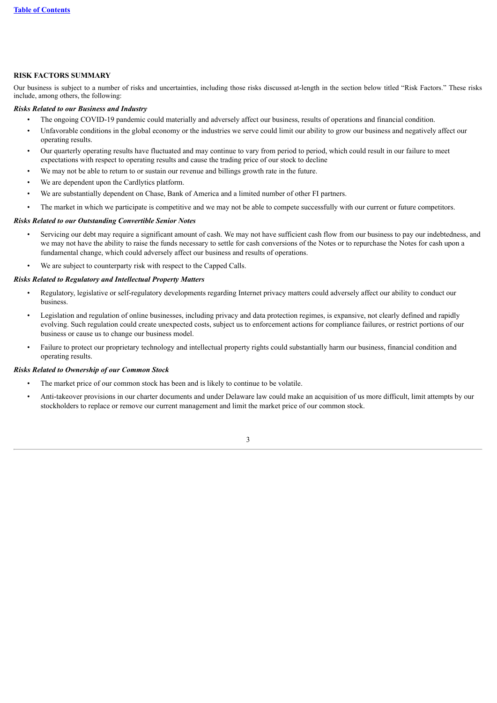## **RISK FACTORS SUMMARY**

Our business is subject to a number of risks and uncertainties, including those risks discussed at-length in the section below titled "Risk Factors." These risks include, among others, the following:

#### *Risks Related to our Business and Industry*

- The ongoing COVID-19 pandemic could materially and adversely affect our business, results of operations and financial condition.
- Unfavorable conditions in the global economy or the industries we serve could limit our ability to grow our business and negatively affect our operating results.
- Our quarterly operating results have fluctuated and may continue to vary from period to period, which could result in our failure to meet expectations with respect to operating results and cause the trading price of our stock to decline
- We may not be able to return to or sustain our revenue and billings growth rate in the future.
- We are dependent upon the Cardlytics platform.
- We are substantially dependent on Chase, Bank of America and a limited number of other FI partners.
- The market in which we participate is competitive and we may not be able to compete successfully with our current or future competitors.

#### *Risks Related to our Outstanding Convertible Senior Notes*

- Servicing our debt may require a significant amount of cash. We may not have sufficient cash flow from our business to pay our indebtedness, and we may not have the ability to raise the funds necessary to settle for cash conversions of the Notes or to repurchase the Notes for cash upon a fundamental change, which could adversely affect our business and results of operations.
- We are subject to counterparty risk with respect to the Capped Calls.

## *Risks Related to Regulatory and Intellectual Property Matters*

- Regulatory, legislative or self-regulatory developments regarding Internet privacy matters could adversely affect our ability to conduct our business.
- Legislation and regulation of online businesses, including privacy and data protection regimes, is expansive, not clearly defined and rapidly evolving. Such regulation could create unexpected costs, subject us to enforcement actions for compliance failures, or restrict portions of our business or cause us to change our business model.
- Failure to protect our proprietary technology and intellectual property rights could substantially harm our business, financial condition and operating results.

#### *Risks Related to Ownership of our Common Stock*

- The market price of our common stock has been and is likely to continue to be volatile.
- <span id="page-3-0"></span>• Anti-takeover provisions in our charter documents and under Delaware law could make an acquisition of us more difficult, limit attempts by our stockholders to replace or remove our current management and limit the market price of our common stock.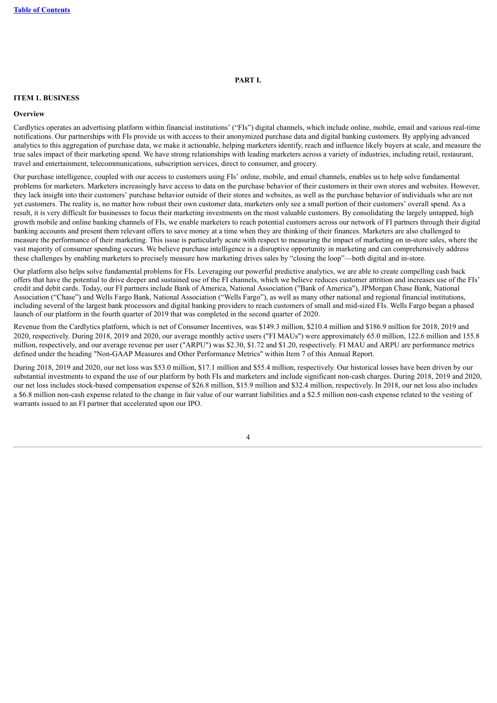## **PART I.**

#### <span id="page-4-0"></span>**ITEM 1. BUSINESS**

#### **Overview**

Cardlytics operates an advertising platform within financial institutions' ("FIs") digital channels, which include online, mobile, email and various real-time notifications. Our partnerships with FIs provide us with access to their anonymized purchase data and digital banking customers. By applying advanced analytics to this aggregation of purchase data, we make it actionable, helping marketers identify, reach and influence likely buyers at scale, and measure the true sales impact of their marketing spend. We have strong relationships with leading marketers across a variety of industries, including retail, restaurant, travel and entertainment, telecommunications, subscription services, direct to consumer, and grocery.

Our purchase intelligence, coupled with our access to customers using FIs' online, mobile, and email channels, enables us to help solve fundamental problems for marketers. Marketers increasingly have access to data on the purchase behavior of their customers in their own stores and websites. However, they lack insight into their customers' purchase behavior outside of their stores and websites, as well as the purchase behavior of individuals who are not yet customers. The reality is, no matter how robust their own customer data, marketers only see a small portion of their customers' overall spend. As a result, it is very difficult for businesses to focus their marketing investments on the most valuable customers. By consolidating the largely untapped, high growth mobile and online banking channels of FIs, we enable marketers to reach potential customers across our network of FI partners through their digital banking accounts and present them relevant offers to save money at a time when they are thinking of their finances. Marketers are also challenged to measure the performance of their marketing. This issue is particularly acute with respect to measuring the impact of marketing on in-store sales, where the vast majority of consumer spending occurs. We believe purchase intelligence is a disruptive opportunity in marketing and can comprehensively address these challenges by enabling marketers to precisely measure how marketing drives sales by "closing the loop"—both digital and in-store.

Our platform also helps solve fundamental problems for FIs. Leveraging our powerful predictive analytics, we are able to create compelling cash back offers that have the potential to drive deeper and sustained use of the FI channels, which we believe reduces customer attrition and increases use of the FIs' credit and debit cards. Today, our FI partners include Bank of America, National Association ("Bank of America"), JPMorgan Chase Bank, National Association ("Chase") and Wells Fargo Bank, National Association ("Wells Fargo"), as well as many other national and regional financial institutions, including several of the largest bank processors and digital banking providers to reach customers of small and mid-sized FIs. Wells Fargo began a phased launch of our platform in the fourth quarter of 2019 that was completed in the second quarter of 2020.

Revenue from the Cardlytics platform, which is net of Consumer Incentives, was \$149.3 million, \$210.4 million and \$186.9 million for 2018, 2019 and 2020, respectively. During 2018, 2019 and 2020, our average monthly active users ("FI MAUs") were approximately 65.0 million, 122.6 million and 155.8 million, respectively, and our average revenue per user ("ARPU") was \$2.30, \$1.72 and \$1.20, respectively. FI MAU and ARPU are performance metrics defined under the heading "Non-GAAP Measures and Other Performance Metrics" within Item 7 of this Annual Report.

During 2018, 2019 and 2020, our net loss was \$53.0 million, \$17.1 million and \$55.4 million, respectively. Our historical losses have been driven by our substantial investments to expand the use of our platform by both FIs and marketers and include significant non-cash charges. During 2018, 2019 and 2020, our net loss includes stock-based compensation expense of \$26.8 million, \$15.9 million and \$32.4 million, respectively. In 2018, our net loss also includes a \$6.8 million non-cash expense related to the change in fair value of our warrant liabilities and a \$2.5 million non-cash expense related to the vesting of warrants issued to an FI partner that accelerated upon our IPO.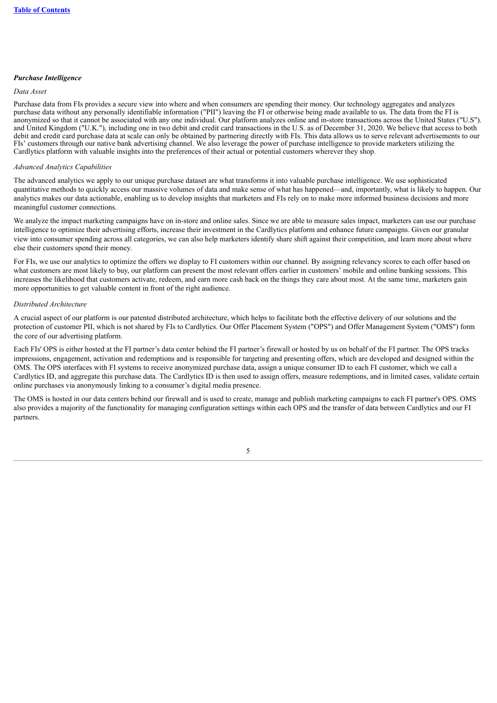## *Purchase Intelligence*

#### *Data Asset*

Purchase data from FIs provides a secure view into where and when consumers are spending their money. Our technology aggregates and analyzes purchase data without any personally identifiable information ("PII") leaving the FI or otherwise being made available to us. The data from the FI is anonymized so that it cannot be associated with any one individual. Our platform analyzes online and in-store transactions across the United States ("U.S"). and United Kingdom ("U.K."), including one in two debit and credit card transactions in the U.S. as of December 31, 2020. We believe that access to both debit and credit card purchase data at scale can only be obtained by partnering directly with FIs. This data allows us to serve relevant advertisements to our FIs' customers through our native bank advertising channel. We also leverage the power of purchase intelligence to provide marketers utilizing the Cardlytics platform with valuable insights into the preferences of their actual or potential customers wherever they shop.

#### *Advanced Analytics Capabilities*

The advanced analytics we apply to our unique purchase dataset are what transforms it into valuable purchase intelligence. We use sophisticated quantitative methods to quickly access our massive volumes of data and make sense of what has happened—and, importantly, what is likely to happen. Our analytics makes our data actionable, enabling us to develop insights that marketers and FIs rely on to make more informed business decisions and more meaningful customer connections.

We analyze the impact marketing campaigns have on in-store and online sales. Since we are able to measure sales impact, marketers can use our purchase intelligence to optimize their advertising efforts, increase their investment in the Cardlytics platform and enhance future campaigns. Given our granular view into consumer spending across all categories, we can also help marketers identify share shift against their competition, and learn more about where else their customers spend their money.

For FIs, we use our analytics to optimize the offers we display to FI customers within our channel. By assigning relevancy scores to each offer based on what customers are most likely to buy, our platform can present the most relevant offers earlier in customers' mobile and online banking sessions. This increases the likelihood that customers activate, redeem, and earn more cash back on the things they care about most. At the same time, marketers gain more opportunities to get valuable content in front of the right audience.

#### *Distributed Architecture*

A crucial aspect of our platform is our patented distributed architecture, which helps to facilitate both the effective delivery of our solutions and the protection of customer PII, which is not shared by FIs to Cardlytics. Our Offer Placement System ("OPS") and Offer Management System ("OMS") form the core of our advertising platform.

Each FIs' OPS is either hosted at the FI partner's data center behind the FI partner's firewall or hosted by us on behalf of the FI partner. The OPS tracks impressions, engagement, activation and redemptions and is responsible for targeting and presenting offers, which are developed and designed within the OMS. The OPS interfaces with FI systems to receive anonymized purchase data, assign a unique consumer ID to each FI customer, which we call a Cardlytics ID, and aggregate this purchase data. The Cardlytics ID is then used to assign offers, measure redemptions, and in limited cases, validate certain online purchases via anonymously linking to a consumer's digital media presence.

The OMS is hosted in our data centers behind our firewall and is used to create, manage and publish marketing campaigns to each FI partner's OPS. OMS also provides a majority of the functionality for managing configuration settings within each OPS and the transfer of data between Cardlytics and our FI partners.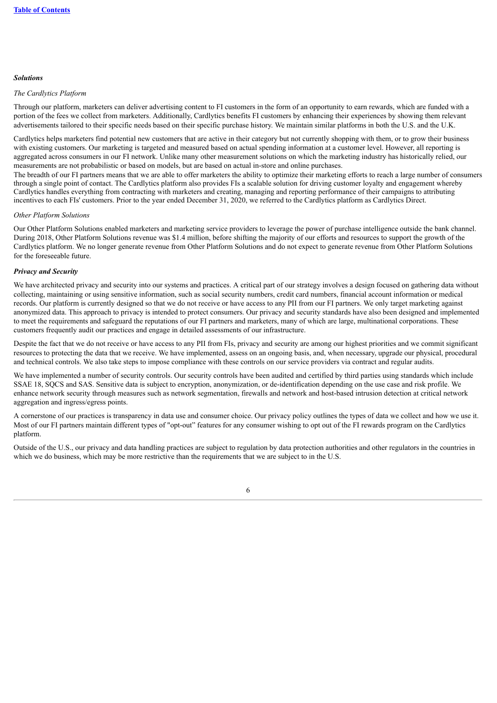#### *Solutions*

### *The Cardlytics Platform*

Through our platform, marketers can deliver advertising content to FI customers in the form of an opportunity to earn rewards, which are funded with a portion of the fees we collect from marketers. Additionally, Cardlytics benefits FI customers by enhancing their experiences by showing them relevant advertisements tailored to their specific needs based on their specific purchase history. We maintain similar platforms in both the U.S. and the U.K.

Cardlytics helps marketers find potential new customers that are active in their category but not currently shopping with them, or to grow their business with existing customers. Our marketing is targeted and measured based on actual spending information at a customer level. However, all reporting is aggregated across consumers in our FI network. Unlike many other measurement solutions on which the marketing industry has historically relied, our measurements are not probabilistic or based on models, but are based on actual in-store and online purchases.

The breadth of our FI partners means that we are able to offer marketers the ability to optimize their marketing efforts to reach a large number of consumers through a single point of contact. The Cardlytics platform also provides FIs a scalable solution for driving customer loyalty and engagement whereby Cardlytics handles everything from contracting with marketers and creating, managing and reporting performance of their campaigns to attributing incentives to each FIs' customers. Prior to the year ended December 31, 2020, we referred to the Cardlytics platform as Cardlytics Direct.

#### *Other Platform Solutions*

Our Other Platform Solutions enabled marketers and marketing service providers to leverage the power of purchase intelligence outside the bank channel. During 2018, Other Platform Solutions revenue was \$1.4 million, before shifting the majority of our efforts and resources to support the growth of the Cardlytics platform. We no longer generate revenue from Other Platform Solutions and do not expect to generate revenue from Other Platform Solutions for the foreseeable future.

### *Privacy and Security*

We have architected privacy and security into our systems and practices. A critical part of our strategy involves a design focused on gathering data without collecting, maintaining or using sensitive information, such as social security numbers, credit card numbers, financial account information or medical records. Our platform is currently designed so that we do not receive or have access to any PII from our FI partners. We only target marketing against anonymized data. This approach to privacy is intended to protect consumers. Our privacy and security standards have also been designed and implemented to meet the requirements and safeguard the reputations of our FI partners and marketers, many of which are large, multinational corporations. These customers frequently audit our practices and engage in detailed assessments of our infrastructure.

Despite the fact that we do not receive or have access to any PII from FIs, privacy and security are among our highest priorities and we commit significant resources to protecting the data that we receive. We have implemented, assess on an ongoing basis, and, when necessary, upgrade our physical, procedural and technical controls. We also take steps to impose compliance with these controls on our service providers via contract and regular audits.

We have implemented a number of security controls. Our security controls have been audited and certified by third parties using standards which include SSAE 18, SQCS and SAS. Sensitive data is subject to encryption, anonymization, or de-identification depending on the use case and risk profile. We enhance network security through measures such as network segmentation, firewalls and network and host-based intrusion detection at critical network aggregation and ingress/egress points.

A cornerstone of our practices is transparency in data use and consumer choice. Our privacy policy outlines the types of data we collect and how we use it. Most of our FI partners maintain different types of "opt-out" features for any consumer wishing to opt out of the FI rewards program on the Cardlytics platform.

Outside of the U.S., our privacy and data handling practices are subject to regulation by data protection authorities and other regulators in the countries in which we do business, which may be more restrictive than the requirements that we are subject to in the U.S.

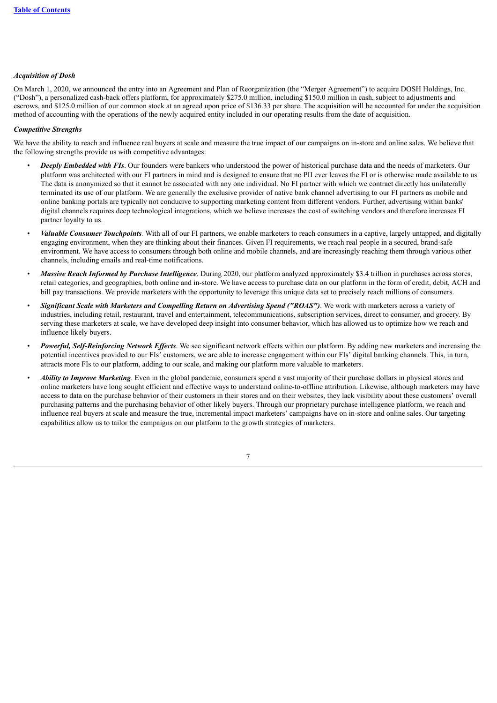### *Acquisition of Dosh*

On March 1, 2020, we announced the entry into an Agreement and Plan of Reorganization (the "Merger Agreement") to acquire DOSH Holdings, Inc. ("Dosh"), a personalized cash-back offers platform, for approximately \$275.0 million, including \$150.0 million in cash, subject to adjustments and escrows, and \$125.0 million of our common stock at an agreed upon price of \$136.33 per share. The acquisition will be accounted for under the acquisition method of accounting with the operations of the newly acquired entity included in our operating results from the date of acquisition.

### *Competitive Strengths*

We have the ability to reach and influence real buyers at scale and measure the true impact of our campaigns on in-store and online sales. We believe that the following strengths provide us with competitive advantages:

- *Deeply Embedded with FIs*. Our founders were bankers who understood the power of historical purchase data and the needs of marketers. Our platform was architected with our FI partners in mind and is designed to ensure that no PII ever leaves the FI or is otherwise made available to us. The data is anonymized so that it cannot be associated with any one individual. No FI partner with which we contract directly has unilaterally terminated its use of our platform. We are generally the exclusive provider of native bank channel advertising to our FI partners as mobile and online banking portals are typically not conducive to supporting marketing content from different vendors. Further, advertising within banks' digital channels requires deep technological integrations, which we believe increases the cost of switching vendors and therefore increases FI partner loyalty to us.
- *Valuable Consumer Touchpoints.* With all of our FI partners, we enable marketers to reach consumers in a captive, largely untapped, and digitally engaging environment, when they are thinking about their finances. Given FI requirements, we reach real people in a secured, brand-safe environment. We have access to consumers through both online and mobile channels, and are increasingly reaching them through various other channels, including emails and real-time notifications.
- *Massive Reach Informed by Purchase Intelligence*. During 2020, our platform analyzed approximately \$3.4 trillion in purchases across stores, retail categories, and geographies, both online and in-store. We have access to purchase data on our platform in the form of credit, debit, ACH and bill pay transactions. We provide marketers with the opportunity to leverage this unique data set to precisely reach millions of consumers.
- *Significant Scale with Marketers and Compelling Return on Advertising Spend ("ROAS")*. We work with marketers across a variety of industries, including retail, restaurant, travel and entertainment, telecommunications, subscription services, direct to consumer, and grocery. By serving these marketers at scale, we have developed deep insight into consumer behavior, which has allowed us to optimize how we reach and influence likely buyers.
- *Powerful, Self-Reinforcing Network Effects.* We see significant network effects within our platform. By adding new marketers and increasing the potential incentives provided to our FIs' customers, we are able to increase engagement within our FIs' digital banking channels. This, in turn, attracts more FIs to our platform, adding to our scale, and making our platform more valuable to marketers.
- *Ability to Improve Marketing*. Even in the global pandemic, consumers spend a vast majority of their purchase dollars in physical stores and online marketers have long sought efficient and effective ways to understand online-to-offline attribution. Likewise, although marketers may have access to data on the purchase behavior of their customers in their stores and on their websites, they lack visibility about these customers' overall purchasing patterns and the purchasing behavior of other likely buyers. Through our proprietary purchase intelligence platform, we reach and influence real buyers at scale and measure the true, incremental impact marketers' campaigns have on in-store and online sales. Our targeting capabilities allow us to tailor the campaigns on our platform to the growth strategies of marketers.

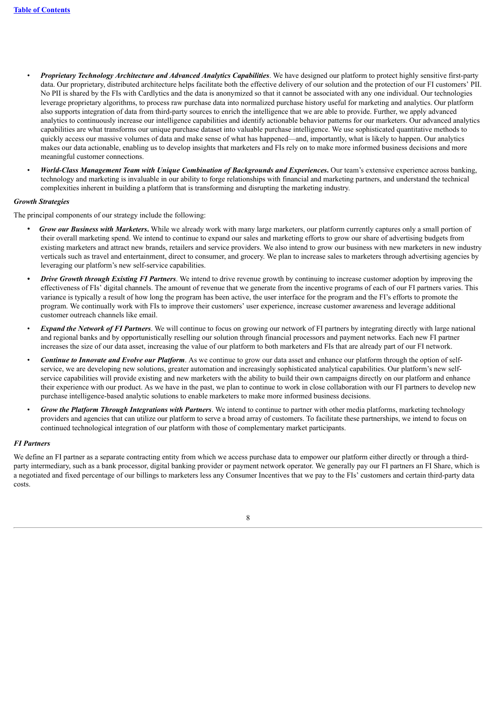- *Proprietary Technology Architecture and Advanced Analytics Capabilities*. We have designed our platform to protect highly sensitive first-party data. Our proprietary, distributed architecture helps facilitate both the effective delivery of our solution and the protection of our FI customers' PII. No PII is shared by the FIs with Cardlytics and the data is anonymized so that it cannot be associated with any one individual. Our technologies leverage proprietary algorithms, to process raw purchase data into normalized purchase history useful for marketing and analytics. Our platform also supports integration of data from third-party sources to enrich the intelligence that we are able to provide. Further, we apply advanced analytics to continuously increase our intelligence capabilities and identify actionable behavior patterns for our marketers. Our advanced analytics capabilities are what transforms our unique purchase dataset into valuable purchase intelligence. We use sophisticated quantitative methods to quickly access our massive volumes of data and make sense of what has happened—and, importantly, what is likely to happen. Our analytics makes our data actionable, enabling us to develop insights that marketers and FIs rely on to make more informed business decisions and more meaningful customer connections.
- *World-Class Management Team with Unique Combination of Backgrounds and Experiences***.** Our team's extensive experience across banking, technology and marketing is invaluable in our ability to forge relationships with financial and marketing partners, and understand the technical complexities inherent in building a platform that is transforming and disrupting the marketing industry.

### *Growth Strategies*

The principal components of our strategy include the following:

- *Grow our Business with Marketers***.** While we already work with many large marketers, our platform currently captures only a small portion of their overall marketing spend. We intend to continue to expand our sales and marketing efforts to grow our share of advertising budgets from existing marketers and attract new brands, retailers and service providers. We also intend to grow our business with new marketers in new industry verticals such as travel and entertainment, direct to consumer, and grocery. We plan to increase sales to marketers through advertising agencies by leveraging our platform's new self-service capabilities.
- *• Drive Growth through Existing FI Partners*. We intend to drive revenue growth by continuing to increase customer adoption by improving the effectiveness of FIs' digital channels. The amount of revenue that we generate from the incentive programs of each of our FI partners varies. This variance is typically a result of how long the program has been active, the user interface for the program and the FI's efforts to promote the program. We continually work with FIs to improve their customers' user experience, increase customer awareness and leverage additional customer outreach channels like email.
- *Expand the Network of FI Partners*. We will continue to focus on growing our network of FI partners by integrating directly with large national and regional banks and by opportunistically reselling our solution through financial processors and payment networks. Each new FI partner increases the size of our data asset, increasing the value of our platform to both marketers and FIs that are already part of our FI network.
- *Continue to Innovate and Evolve our Platform*. As we continue to grow our data asset and enhance our platform through the option of selfservice, we are developing new solutions, greater automation and increasingly sophisticated analytical capabilities. Our platform's new selfservice capabilities will provide existing and new marketers with the ability to build their own campaigns directly on our platform and enhance their experience with our product. As we have in the past, we plan to continue to work in close collaboration with our FI partners to develop new purchase intelligence-based analytic solutions to enable marketers to make more informed business decisions.
- *Grow the Platform Through Integrations with Partners*. We intend to continue to partner with other media platforms, marketing technology providers and agencies that can utilize our platform to serve a broad array of customers. To facilitate these partnerships, we intend to focus on continued technological integration of our platform with those of complementary market participants.

### *FI Partners*

We define an FI partner as a separate contracting entity from which we access purchase data to empower our platform either directly or through a thirdparty intermediary, such as a bank processor, digital banking provider or payment network operator. We generally pay our FI partners an FI Share, which is a negotiated and fixed percentage of our billings to marketers less any Consumer Incentives that we pay to the FIs' customers and certain third-party data costs.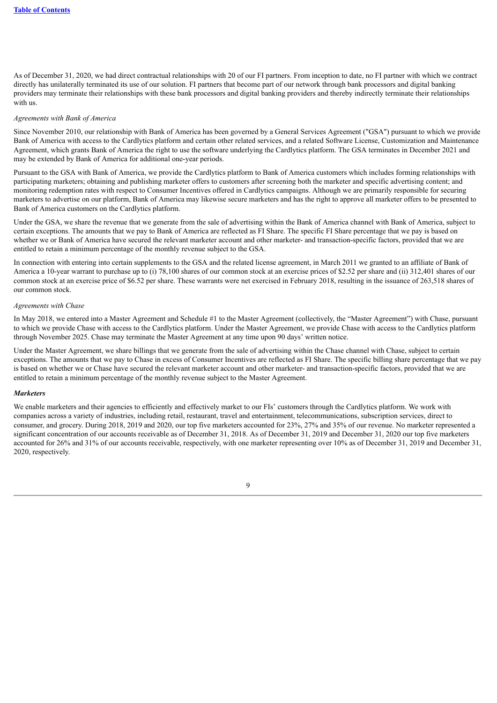As of December 31, 2020, we had direct contractual relationships with 20 of our FI partners. From inception to date, no FI partner with which we contract directly has unilaterally terminated its use of our solution. FI partners that become part of our network through bank processors and digital banking providers may terminate their relationships with these bank processors and digital banking providers and thereby indirectly terminate their relationships with us.

## *Agreements with Bank of America*

Since November 2010, our relationship with Bank of America has been governed by a General Services Agreement ("GSA") pursuant to which we provide Bank of America with access to the Cardlytics platform and certain other related services, and a related Software License, Customization and Maintenance Agreement, which grants Bank of America the right to use the software underlying the Cardlytics platform. The GSA terminates in December 2021 and may be extended by Bank of America for additional one-year periods.

Pursuant to the GSA with Bank of America, we provide the Cardlytics platform to Bank of America customers which includes forming relationships with participating marketers; obtaining and publishing marketer offers to customers after screening both the marketer and specific advertising content; and monitoring redemption rates with respect to Consumer Incentives offered in Cardlytics campaigns. Although we are primarily responsible for securing marketers to advertise on our platform, Bank of America may likewise secure marketers and has the right to approve all marketer offers to be presented to Bank of America customers on the Cardlytics platform.

Under the GSA, we share the revenue that we generate from the sale of advertising within the Bank of America channel with Bank of America, subject to certain exceptions. The amounts that we pay to Bank of America are reflected as FI Share. The specific FI Share percentage that we pay is based on whether we or Bank of America have secured the relevant marketer account and other marketer- and transaction-specific factors, provided that we are entitled to retain a minimum percentage of the monthly revenue subject to the GSA.

In connection with entering into certain supplements to the GSA and the related license agreement, in March 2011 we granted to an affiliate of Bank of America a 10-year warrant to purchase up to (i) 78,100 shares of our common stock at an exercise prices of \$2.52 per share and (ii) 312,401 shares of our common stock at an exercise price of \$6.52 per share. These warrants were net exercised in February 2018, resulting in the issuance of 263,518 shares of our common stock.

#### *Agreements with Chase*

In May 2018, we entered into a Master Agreement and Schedule #1 to the Master Agreement (collectively, the "Master Agreement") with Chase, pursuant to which we provide Chase with access to the Cardlytics platform. Under the Master Agreement, we provide Chase with access to the Cardlytics platform through November 2025. Chase may terminate the Master Agreement at any time upon 90 days' written notice.

Under the Master Agreement, we share billings that we generate from the sale of advertising within the Chase channel with Chase, subject to certain exceptions. The amounts that we pay to Chase in excess of Consumer Incentives are reflected as FI Share. The specific billing share percentage that we pay is based on whether we or Chase have secured the relevant marketer account and other marketer- and transaction-specific factors, provided that we are entitled to retain a minimum percentage of the monthly revenue subject to the Master Agreement.

#### *Marketers*

We enable marketers and their agencies to efficiently and effectively market to our FIs' customers through the Cardlytics platform. We work with companies across a variety of industries, including retail, restaurant, travel and entertainment, telecommunications, subscription services, direct to consumer, and grocery. During 2018, 2019 and 2020, our top five marketers accounted for 23%, 27% and 35% of our revenue. No marketer represented a significant concentration of our accounts receivable as of December 31, 2018. As of December 31, 2019 and December 31, 2020 our top five marketers accounted for 26% and 31% of our accounts receivable, respectively, with one marketer representing over 10% as of December 31, 2019 and December 31, 2020, respectively.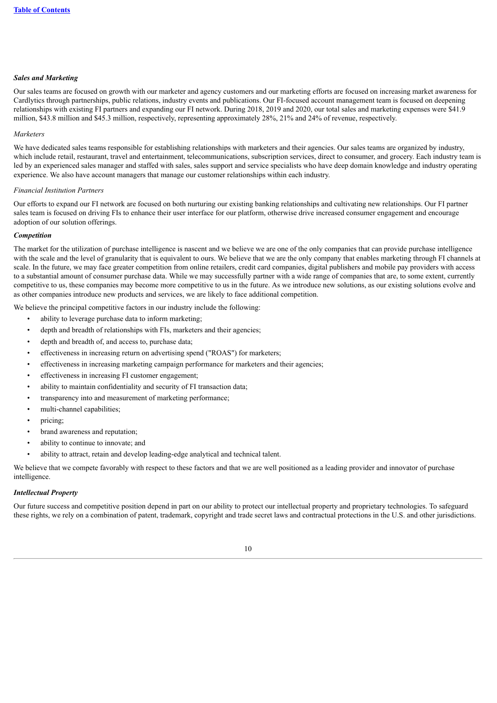#### *Sales and Marketing*

Our sales teams are focused on growth with our marketer and agency customers and our marketing efforts are focused on increasing market awareness for Cardlytics through partnerships, public relations, industry events and publications. Our FI-focused account management team is focused on deepening relationships with existing FI partners and expanding our FI network. During 2018, 2019 and 2020, our total sales and marketing expenses were \$41.9 million, \$43.8 million and \$45.3 million, respectively, representing approximately 28%, 21% and 24% of revenue, respectively.

#### *Marketers*

We have dedicated sales teams responsible for establishing relationships with marketers and their agencies. Our sales teams are organized by industry, which include retail, restaurant, travel and entertainment, telecommunications, subscription services, direct to consumer, and grocery. Each industry team is led by an experienced sales manager and staffed with sales, sales support and service specialists who have deep domain knowledge and industry operating experience. We also have account managers that manage our customer relationships within each industry.

#### *Financial Institution Partners*

Our efforts to expand our FI network are focused on both nurturing our existing banking relationships and cultivating new relationships. Our FI partner sales team is focused on driving FIs to enhance their user interface for our platform, otherwise drive increased consumer engagement and encourage adoption of our solution offerings.

## *Competition*

The market for the utilization of purchase intelligence is nascent and we believe we are one of the only companies that can provide purchase intelligence with the scale and the level of granularity that is equivalent to ours. We believe that we are the only company that enables marketing through FI channels at scale. In the future, we may face greater competition from online retailers, credit card companies, digital publishers and mobile pay providers with access to a substantial amount of consumer purchase data. While we may successfully partner with a wide range of companies that are, to some extent, currently competitive to us, these companies may become more competitive to us in the future. As we introduce new solutions, as our existing solutions evolve and as other companies introduce new products and services, we are likely to face additional competition.

We believe the principal competitive factors in our industry include the following:

- ability to leverage purchase data to inform marketing;
- depth and breadth of relationships with FIs, marketers and their agencies;
- depth and breadth of, and access to, purchase data;
- effectiveness in increasing return on advertising spend ("ROAS") for marketers;
- effectiveness in increasing marketing campaign performance for marketers and their agencies;
- effectiveness in increasing FI customer engagement;
- ability to maintain confidentiality and security of FI transaction data;
- transparency into and measurement of marketing performance;
- multi-channel capabilities;
- pricing;
- brand awareness and reputation;
- ability to continue to innovate; and
- ability to attract, retain and develop leading-edge analytical and technical talent.

We believe that we compete favorably with respect to these factors and that we are well positioned as a leading provider and innovator of purchase intelligence.

### *Intellectual Property*

Our future success and competitive position depend in part on our ability to protect our intellectual property and proprietary technologies. To safeguard these rights, we rely on a combination of patent, trademark, copyright and trade secret laws and contractual protections in the U.S. and other jurisdictions.

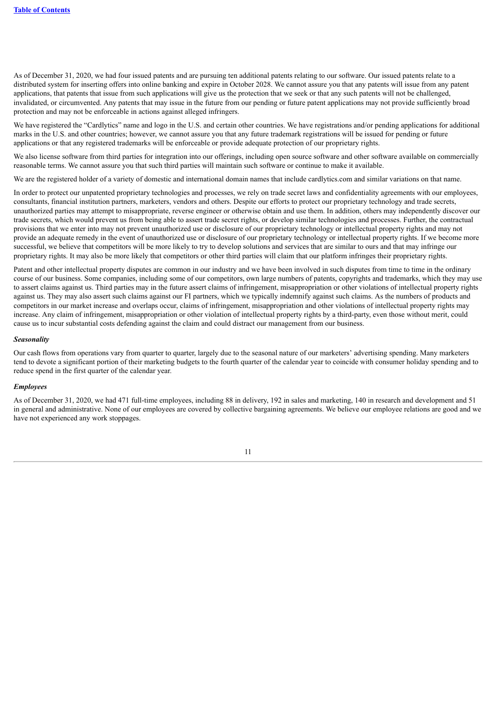As of December 31, 2020, we had four issued patents and are pursuing ten additional patents relating to our software. Our issued patents relate to a distributed system for inserting offers into online banking and expire in October 2028. We cannot assure you that any patents will issue from any patent applications, that patents that issue from such applications will give us the protection that we seek or that any such patents will not be challenged, invalidated, or circumvented. Any patents that may issue in the future from our pending or future patent applications may not provide sufficiently broad protection and may not be enforceable in actions against alleged infringers.

We have registered the "Cardlytics" name and logo in the U.S. and certain other countries. We have registrations and/or pending applications for additional marks in the U.S. and other countries; however, we cannot assure you that any future trademark registrations will be issued for pending or future applications or that any registered trademarks will be enforceable or provide adequate protection of our proprietary rights.

We also license software from third parties for integration into our offerings, including open source software and other software available on commercially reasonable terms. We cannot assure you that such third parties will maintain such software or continue to make it available.

We are the registered holder of a variety of domestic and international domain names that include cardlytics.com and similar variations on that name.

In order to protect our unpatented proprietary technologies and processes, we rely on trade secret laws and confidentiality agreements with our employees, consultants, financial institution partners, marketers, vendors and others. Despite our efforts to protect our proprietary technology and trade secrets, unauthorized parties may attempt to misappropriate, reverse engineer or otherwise obtain and use them. In addition, others may independently discover our trade secrets, which would prevent us from being able to assert trade secret rights, or develop similar technologies and processes. Further, the contractual provisions that we enter into may not prevent unauthorized use or disclosure of our proprietary technology or intellectual property rights and may not provide an adequate remedy in the event of unauthorized use or disclosure of our proprietary technology or intellectual property rights. If we become more successful, we believe that competitors will be more likely to try to develop solutions and services that are similar to ours and that may infringe our proprietary rights. It may also be more likely that competitors or other third parties will claim that our platform infringes their proprietary rights.

Patent and other intellectual property disputes are common in our industry and we have been involved in such disputes from time to time in the ordinary course of our business. Some companies, including some of our competitors, own large numbers of patents, copyrights and trademarks, which they may use to assert claims against us. Third parties may in the future assert claims of infringement, misappropriation or other violations of intellectual property rights against us. They may also assert such claims against our FI partners, which we typically indemnify against such claims. As the numbers of products and competitors in our market increase and overlaps occur, claims of infringement, misappropriation and other violations of intellectual property rights may increase. Any claim of infringement, misappropriation or other violation of intellectual property rights by a third-party, even those without merit, could cause us to incur substantial costs defending against the claim and could distract our management from our business.

#### *Seasonality*

Our cash flows from operations vary from quarter to quarter, largely due to the seasonal nature of our marketers' advertising spending. Many marketers tend to devote a significant portion of their marketing budgets to the fourth quarter of the calendar year to coincide with consumer holiday spending and to reduce spend in the first quarter of the calendar year.

### *Employees*

As of December 31, 2020, we had 471 full-time employees, including 88 in delivery, 192 in sales and marketing, 140 in research and development and 51 in general and administrative. None of our employees are covered by collective bargaining agreements. We believe our employee relations are good and we have not experienced any work stoppages.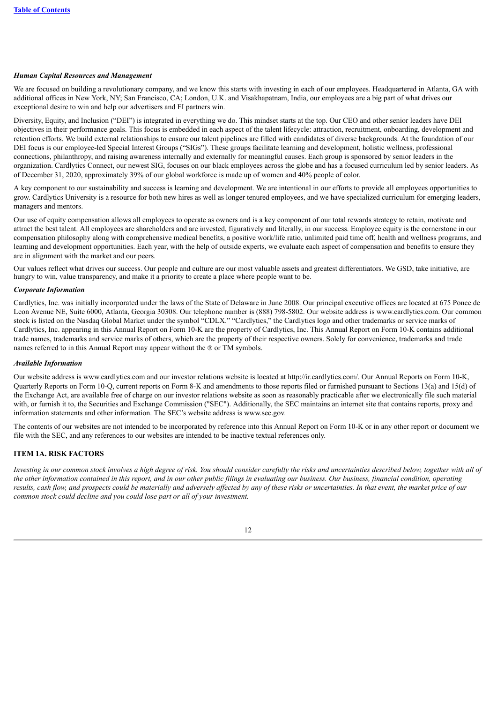#### *Human Capital Resources and Management*

We are focused on building a revolutionary company, and we know this starts with investing in each of our employees. Headquartered in Atlanta, GA with additional offices in New York, NY; San Francisco, CA; London, U.K. and Visakhapatnam, India, our employees are a big part of what drives our exceptional desire to win and help our advertisers and FI partners win.

Diversity, Equity, and Inclusion ("DEI") is integrated in everything we do. This mindset starts at the top. Our CEO and other senior leaders have DEI objectives in their performance goals. This focus is embedded in each aspect of the talent lifecycle: attraction, recruitment, onboarding, development and retention efforts. We build external relationships to ensure our talent pipelines are filled with candidates of diverse backgrounds. At the foundation of our DEI focus is our employee-led Special Interest Groups ("SIGs"). These groups facilitate learning and development, holistic wellness, professional connections, philanthropy, and raising awareness internally and externally for meaningful causes. Each group is sponsored by senior leaders in the organization. Cardlytics Connect, our newest SIG, focuses on our black employees across the globe and has a focused curriculum led by senior leaders. As of December 31, 2020, approximately 39% of our global workforce is made up of women and 40% people of color.

A key component to our sustainability and success is learning and development. We are intentional in our efforts to provide all employees opportunities to grow. Cardlytics University is a resource for both new hires as well as longer tenured employees, and we have specialized curriculum for emerging leaders, managers and mentors.

Our use of equity compensation allows all employees to operate as owners and is a key component of our total rewards strategy to retain, motivate and attract the best talent. All employees are shareholders and are invested, figuratively and literally, in our success. Employee equity is the cornerstone in our compensation philosophy along with comprehensive medical benefits, a positive work/life ratio, unlimited paid time off, health and wellness programs, and learning and development opportunities. Each year, with the help of outside experts, we evaluate each aspect of compensation and benefits to ensure they are in alignment with the market and our peers.

Our values reflect what drives our success. Our people and culture are our most valuable assets and greatest differentiators. We GSD, take initiative, are hungry to win, value transparency, and make it a priority to create a place where people want to be.

#### *Corporate Information*

Cardlytics, Inc. was initially incorporated under the laws of the State of Delaware in June 2008. Our principal executive offices are located at 675 Ponce de Leon Avenue NE, Suite 6000, Atlanta, Georgia 30308. Our telephone number is (888) 798-5802. Our website address is www.cardlytics.com. Our common stock is listed on the Nasdaq Global Market under the symbol "CDLX." "Cardlytics," the Cardlytics logo and other trademarks or service marks of Cardlytics, Inc. appearing in this Annual Report on Form 10-K are the property of Cardlytics, Inc. This Annual Report on Form 10-K contains additional trade names, trademarks and service marks of others, which are the property of their respective owners. Solely for convenience, trademarks and trade names referred to in this Annual Report may appear without the ® or TM symbols.

### *Available Information*

Our website address is www.cardlytics.com and our investor relations website is located at http://ir.cardlytics.com/. Our Annual Reports on Form 10-K, Quarterly Reports on Form 10-Q, current reports on Form 8-K and amendments to those reports filed or furnished pursuant to Sections 13(a) and 15(d) of the Exchange Act, are available free of charge on our investor relations website as soon as reasonably practicable after we electronically file such material with, or furnish it to, the Securities and Exchange Commission ("SEC"). Additionally, the SEC maintains an internet site that contains reports, proxy and information statements and other information. The SEC's website address is www.sec.gov.

The contents of our websites are not intended to be incorporated by reference into this Annual Report on Form 10-K or in any other report or document we file with the SEC, and any references to our websites are intended to be inactive textual references only.

### <span id="page-12-0"></span>**ITEM 1A. RISK FACTORS**

Investing in our common stock involves a high degree of risk. You should consider carefully the risks and uncertainties described below, together with all of the other information contained in this report, and in our other public filings in evaluating our business. Our business, financial condition, operating results, cash flow, and prospects could be materially and adversely affected by any of these risks or uncertainties. In that event, the market price of our *common stock could decline and you could lose part or all of your investment.*

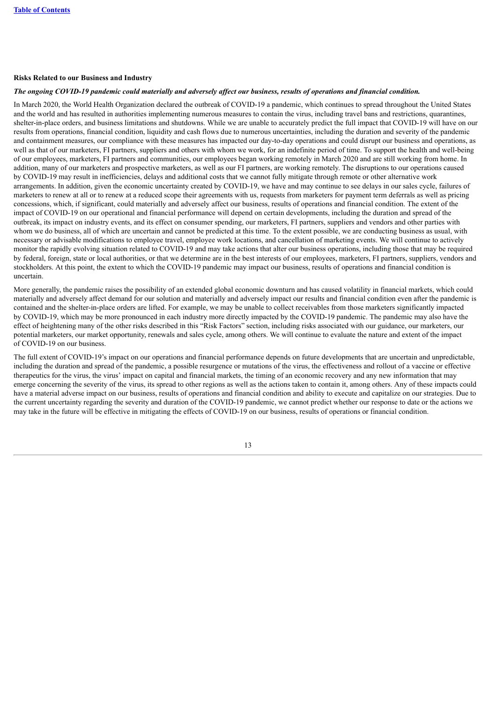## **Risks Related to our Business and Industry**

#### The ongoing COVID-19 pandemic could materially and adversely affect our business, results of operations and financial condition.

In March 2020, the World Health Organization declared the outbreak of COVID-19 a pandemic, which continues to spread throughout the United States and the world and has resulted in authorities implementing numerous measures to contain the virus, including travel bans and restrictions, quarantines, shelter-in-place orders, and business limitations and shutdowns. While we are unable to accurately predict the full impact that COVID-19 will have on our results from operations, financial condition, liquidity and cash flows due to numerous uncertainties, including the duration and severity of the pandemic and containment measures, our compliance with these measures has impacted our day-to-day operations and could disrupt our business and operations, as well as that of our marketers, FI partners, suppliers and others with whom we work, for an indefinite period of time. To support the health and well-being of our employees, marketers, FI partners and communities, our employees began working remotely in March 2020 and are still working from home. In addition, many of our marketers and prospective marketers, as well as our FI partners, are working remotely. The disruptions to our operations caused by COVID-19 may result in inefficiencies, delays and additional costs that we cannot fully mitigate through remote or other alternative work arrangements. In addition, given the economic uncertainty created by COVID-19, we have and may continue to see delays in our sales cycle, failures of marketers to renew at all or to renew at a reduced scope their agreements with us, requests from marketers for payment term deferrals as well as pricing concessions, which, if significant, could materially and adversely affect our business, results of operations and financial condition. The extent of the impact of COVID-19 on our operational and financial performance will depend on certain developments, including the duration and spread of the outbreak, its impact on industry events, and its effect on consumer spending, our marketers, FI partners, suppliers and vendors and other parties with whom we do business, all of which are uncertain and cannot be predicted at this time. To the extent possible, we are conducting business as usual, with necessary or advisable modifications to employee travel, employee work locations, and cancellation of marketing events. We will continue to actively monitor the rapidly evolving situation related to COVID-19 and may take actions that alter our business operations, including those that may be required by federal, foreign, state or local authorities, or that we determine are in the best interests of our employees, marketers, FI partners, suppliers, vendors and stockholders. At this point, the extent to which the COVID-19 pandemic may impact our business, results of operations and financial condition is uncertain.

More generally, the pandemic raises the possibility of an extended global economic downturn and has caused volatility in financial markets, which could materially and adversely affect demand for our solution and materially and adversely impact our results and financial condition even after the pandemic is contained and the shelter-in-place orders are lifted. For example, we may be unable to collect receivables from those marketers significantly impacted by COVID-19, which may be more pronounced in each industry more directly impacted by the COVID-19 pandemic. The pandemic may also have the effect of heightening many of the other risks described in this "Risk Factors" section, including risks associated with our guidance, our marketers, our potential marketers, our market opportunity, renewals and sales cycle, among others. We will continue to evaluate the nature and extent of the impact of COVID-19 on our business.

The full extent of COVID-19's impact on our operations and financial performance depends on future developments that are uncertain and unpredictable, including the duration and spread of the pandemic, a possible resurgence or mutations of the virus, the effectiveness and rollout of a vaccine or effective therapeutics for the virus, the virus' impact on capital and financial markets, the timing of an economic recovery and any new information that may emerge concerning the severity of the virus, its spread to other regions as well as the actions taken to contain it, among others. Any of these impacts could have a material adverse impact on our business, results of operations and financial condition and ability to execute and capitalize on our strategies. Due to the current uncertainty regarding the severity and duration of the COVID-19 pandemic, we cannot predict whether our response to date or the actions we may take in the future will be effective in mitigating the effects of COVID-19 on our business, results of operations or financial condition.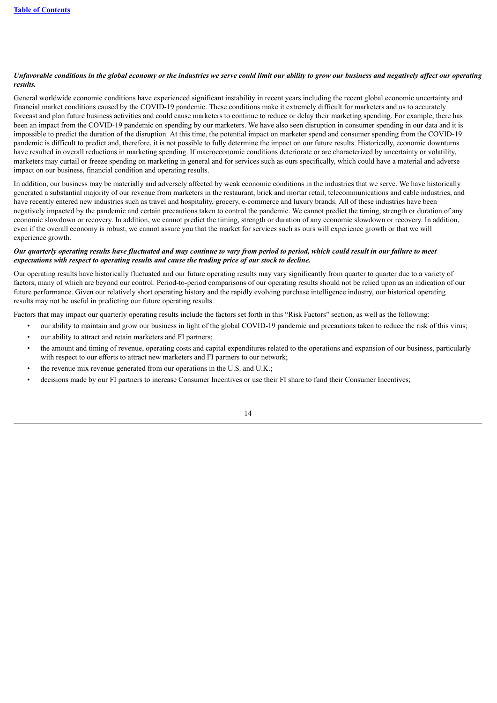#### Unfavorable conditions in the global economy or the industries we serve could limit our ability to grow our business and negatively affect our operating *results.*

General worldwide economic conditions have experienced significant instability in recent years including the recent global economic uncertainty and financial market conditions caused by the COVID-19 pandemic. These conditions make it extremely difficult for marketers and us to accurately forecast and plan future business activities and could cause marketers to continue to reduce or delay their marketing spending. For example, there has been an impact from the COVID-19 pandemic on spending by our marketers. We have also seen disruption in consumer spending in our data and it is impossible to predict the duration of the disruption. At this time, the potential impact on marketer spend and consumer spending from the COVID-19 pandemic is difficult to predict and, therefore, it is not possible to fully determine the impact on our future results. Historically, economic downturns have resulted in overall reductions in marketing spending. If macroeconomic conditions deteriorate or are characterized by uncertainty or volatility, marketers may curtail or freeze spending on marketing in general and for services such as ours specifically, which could have a material and adverse impact on our business, financial condition and operating results.

In addition, our business may be materially and adversely affected by weak economic conditions in the industries that we serve. We have historically generated a substantial majority of our revenue from marketers in the restaurant, brick and mortar retail, telecommunications and cable industries, and have recently entered new industries such as travel and hospitality, grocery, e-commerce and luxury brands. All of these industries have been negatively impacted by the pandemic and certain precautions taken to control the pandemic. We cannot predict the timing, strength or duration of any economic slowdown or recovery. In addition, we cannot predict the timing, strength or duration of any economic slowdown or recovery. In addition, even if the overall economy is robust, we cannot assure you that the market for services such as ours will experience growth or that we will experience growth.

## Our quarterly operating results have fluctuated and may continue to vary from period to period, which could result in our failure to meet *expectations with respect to operating results and cause the trading price of our stock to decline.*

Our operating results have historically fluctuated and our future operating results may vary significantly from quarter to quarter due to a variety of factors, many of which are beyond our control. Period-to-period comparisons of our operating results should not be relied upon as an indication of our future performance. Given our relatively short operating history and the rapidly evolving purchase intelligence industry, our historical operating results may not be useful in predicting our future operating results.

Factors that may impact our quarterly operating results include the factors set forth in this "Risk Factors" section, as well as the following:

- our ability to maintain and grow our business in light of the global COVID-19 pandemic and precautions taken to reduce the risk of this virus;
- our ability to attract and retain marketers and FI partners;
- the amount and timing of revenue, operating costs and capital expenditures related to the operations and expansion of our business, particularly with respect to our efforts to attract new marketers and FI partners to our network;
- the revenue mix revenue generated from our operations in the U.S. and U.K.;
- decisions made by our FI partners to increase Consumer Incentives or use their FI share to fund their Consumer Incentives;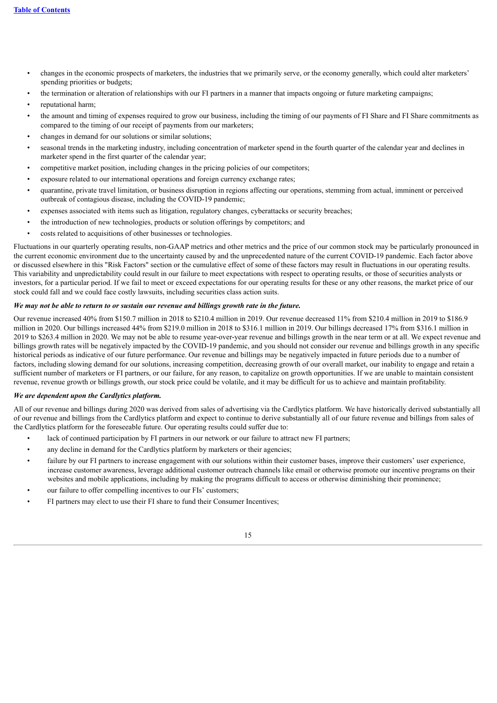- changes in the economic prospects of marketers, the industries that we primarily serve, or the economy generally, which could alter marketers' spending priorities or budgets:
- the termination or alteration of relationships with our FI partners in a manner that impacts ongoing or future marketing campaigns;
- reputational harm;
- the amount and timing of expenses required to grow our business, including the timing of our payments of FI Share and FI Share commitments as compared to the timing of our receipt of payments from our marketers;
- changes in demand for our solutions or similar solutions;
- seasonal trends in the marketing industry, including concentration of marketer spend in the fourth quarter of the calendar year and declines in marketer spend in the first quarter of the calendar year;
- competitive market position, including changes in the pricing policies of our competitors;
- exposure related to our international operations and foreign currency exchange rates;
- quarantine, private travel limitation, or business disruption in regions affecting our operations, stemming from actual, imminent or perceived outbreak of contagious disease, including the COVID-19 pandemic;
- expenses associated with items such as litigation, regulatory changes, cyberattacks or security breaches;
- the introduction of new technologies, products or solution offerings by competitors; and
- costs related to acquisitions of other businesses or technologies.

Fluctuations in our quarterly operating results, non-GAAP metrics and other metrics and the price of our common stock may be particularly pronounced in the current economic environment due to the uncertainty caused by and the unprecedented nature of the current COVID-19 pandemic. Each factor above or discussed elsewhere in this "Risk Factors" section or the cumulative effect of some of these factors may result in fluctuations in our operating results. This variability and unpredictability could result in our failure to meet expectations with respect to operating results, or those of securities analysts or investors, for a particular period. If we fail to meet or exceed expectations for our operating results for these or any other reasons, the market price of our stock could fall and we could face costly lawsuits, including securities class action suits.

## We may not be able to return to or sustain our revenue and billings growth rate in the future.

Our revenue increased 40% from \$150.7 million in 2018 to \$210.4 million in 2019. Our revenue decreased 11% from \$210.4 million in 2019 to \$186.9 million in 2020. Our billings increased 44% from \$219.0 million in 2018 to \$316.1 million in 2019. Our billings decreased 17% from \$316.1 million in 2019 to \$263.4 million in 2020. We may not be able to resume year-over-year revenue and billings growth in the near term or at all. We expect revenue and billings growth rates will be negatively impacted by the COVID-19 pandemic, and you should not consider our revenue and billings growth in any specific historical periods as indicative of our future performance. Our revenue and billings may be negatively impacted in future periods due to a number of factors, including slowing demand for our solutions, increasing competition, decreasing growth of our overall market, our inability to engage and retain a sufficient number of marketers or FI partners, or our failure, for any reason, to capitalize on growth opportunities. If we are unable to maintain consistent revenue, revenue growth or billings growth, our stock price could be volatile, and it may be difficult for us to achieve and maintain profitability.

## *We are dependent upon the Cardlytics platform.*

All of our revenue and billings during 2020 was derived from sales of advertising via the Cardlytics platform. We have historically derived substantially all of our revenue and billings from the Cardlytics platform and expect to continue to derive substantially all of our future revenue and billings from sales of the Cardlytics platform for the foreseeable future. Our operating results could suffer due to:

- lack of continued participation by FI partners in our network or our failure to attract new FI partners;
- any decline in demand for the Cardlytics platform by marketers or their agencies;
- failure by our FI partners to increase engagement with our solutions within their customer bases, improve their customers' user experience, increase customer awareness, leverage additional customer outreach channels like email or otherwise promote our incentive programs on their websites and mobile applications, including by making the programs difficult to access or otherwise diminishing their prominence;
- our failure to offer compelling incentives to our FIs' customers:
- FI partners may elect to use their FI share to fund their Consumer Incentives;

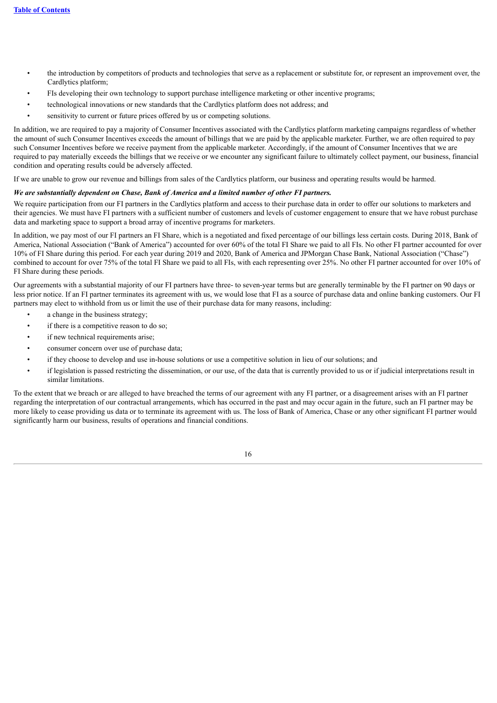- the introduction by competitors of products and technologies that serve as a replacement or substitute for, or represent an improvement over, the Cardlytics platform;
- FIs developing their own technology to support purchase intelligence marketing or other incentive programs;
- technological innovations or new standards that the Cardlytics platform does not address; and
- sensitivity to current or future prices offered by us or competing solutions.

In addition, we are required to pay a majority of Consumer Incentives associated with the Cardlytics platform marketing campaigns regardless of whether the amount of such Consumer Incentives exceeds the amount of billings that we are paid by the applicable marketer. Further, we are often required to pay such Consumer Incentives before we receive payment from the applicable marketer. Accordingly, if the amount of Consumer Incentives that we are required to pay materially exceeds the billings that we receive or we encounter any significant failure to ultimately collect payment, our business, financial condition and operating results could be adversely affected.

If we are unable to grow our revenue and billings from sales of the Cardlytics platform, our business and operating results would be harmed.

#### *We are substantially dependent on Chase, Bank of America and a limited number of other FI partners.*

We require participation from our FI partners in the Cardlytics platform and access to their purchase data in order to offer our solutions to marketers and their agencies. We must have FI partners with a sufficient number of customers and levels of customer engagement to ensure that we have robust purchase data and marketing space to support a broad array of incentive programs for marketers.

In addition, we pay most of our FI partners an FI Share, which is a negotiated and fixed percentage of our billings less certain costs. During 2018, Bank of America, National Association ("Bank of America") accounted for over 60% of the total FI Share we paid to all FIs. No other FI partner accounted for over 10% of FI Share during this period. For each year during 2019 and 2020, Bank of America and JPMorgan Chase Bank, National Association ("Chase") combined to account for over 75% of the total FI Share we paid to all FIs, with each representing over 25%. No other FI partner accounted for over 10% of FI Share during these periods.

Our agreements with a substantial majority of our FI partners have three- to seven-year terms but are generally terminable by the FI partner on 90 days or less prior notice. If an FI partner terminates its agreement with us, we would lose that FI as a source of purchase data and online banking customers. Our FI partners may elect to withhold from us or limit the use of their purchase data for many reasons, including:

- a change in the business strategy:
- if there is a competitive reason to do so:
- if new technical requirements arise;
- consumer concern over use of purchase data;
- if they choose to develop and use in-house solutions or use a competitive solution in lieu of our solutions; and
- if legislation is passed restricting the dissemination, or our use, of the data that is currently provided to us or if judicial interpretations result in similar limitations.

To the extent that we breach or are alleged to have breached the terms of our agreement with any FI partner, or a disagreement arises with an FI partner regarding the interpretation of our contractual arrangements, which has occurred in the past and may occur again in the future, such an FI partner may be more likely to cease providing us data or to terminate its agreement with us. The loss of Bank of America, Chase or any other significant FI partner would significantly harm our business, results of operations and financial conditions.

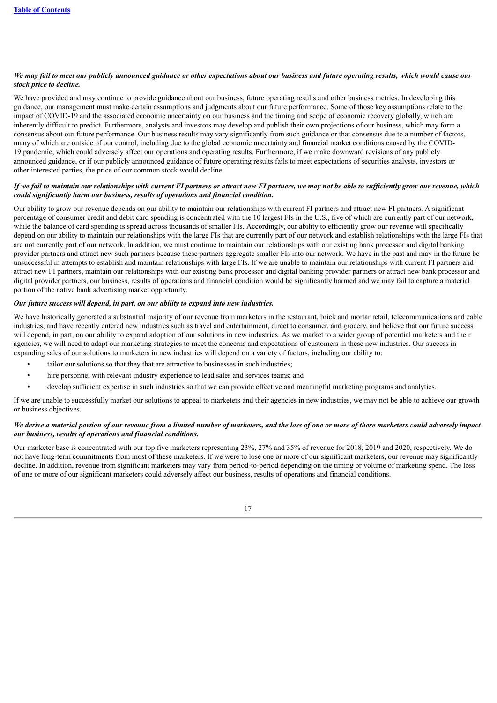### We may fail to meet our publicly announced guidance or other expectations about our business and future operating results, which would cause our *stock price to decline.*

We have provided and may continue to provide guidance about our business, future operating results and other business metrics. In developing this guidance, our management must make certain assumptions and judgments about our future performance. Some of those key assumptions relate to the impact of COVID-19 and the associated economic uncertainty on our business and the timing and scope of economic recovery globally, which are inherently difficult to predict. Furthermore, analysts and investors may develop and publish their own projections of our business, which may form a consensus about our future performance. Our business results may vary significantly from such guidance or that consensus due to a number of factors, many of which are outside of our control, including due to the global economic uncertainty and financial market conditions caused by the COVID-19 pandemic, which could adversely affect our operations and operating results. Furthermore, if we make downward revisions of any publicly announced guidance, or if our publicly announced guidance of future operating results fails to meet expectations of securities analysts, investors or other interested parties, the price of our common stock would decline.

### If we fail to maintain our relationships with current FI partners or attract new FI partners, we may not be able to sufficiently grow our revenue, which *could significantly harm our business, results of operations and financial condition.*

Our ability to grow our revenue depends on our ability to maintain our relationships with current FI partners and attract new FI partners. A significant percentage of consumer credit and debit card spending is concentrated with the 10 largest FIs in the U.S., five of which are currently part of our network, while the balance of card spending is spread across thousands of smaller FIs. Accordingly, our ability to efficiently grow our revenue will specifically depend on our ability to maintain our relationships with the large FIs that are currently part of our network and establish relationships with the large FIs that are not currently part of our network. In addition, we must continue to maintain our relationships with our existing bank processor and digital banking provider partners and attract new such partners because these partners aggregate smaller FIs into our network. We have in the past and may in the future be unsuccessful in attempts to establish and maintain relationships with large FIs. If we are unable to maintain our relationships with current FI partners and attract new FI partners, maintain our relationships with our existing bank processor and digital banking provider partners or attract new bank processor and digital provider partners, our business, results of operations and financial condition would be significantly harmed and we may fail to capture a material portion of the native bank advertising market opportunity.

#### *Our future success will depend, in part, on our ability to expand into new industries.*

We have historically generated a substantial majority of our revenue from marketers in the restaurant, brick and mortar retail, telecommunications and cable industries, and have recently entered new industries such as travel and entertainment, direct to consumer, and grocery, and believe that our future success will depend, in part, on our ability to expand adoption of our solutions in new industries. As we market to a wider group of potential marketers and their agencies, we will need to adapt our marketing strategies to meet the concerns and expectations of customers in these new industries. Our success in expanding sales of our solutions to marketers in new industries will depend on a variety of factors, including our ability to:

tailor our solutions so that they that are attractive to businesses in such industries;

- hire personnel with relevant industry experience to lead sales and services teams; and
- develop sufficient expertise in such industries so that we can provide effective and meaningful marketing programs and analytics.

If we are unable to successfully market our solutions to appeal to marketers and their agencies in new industries, we may not be able to achieve our growth or business objectives.

## We derive a material portion of our revenue from a limited number of marketers, and the loss of one or more of these marketers could adversely impact *our business, results of operations and financial conditions.*

Our marketer base is concentrated with our top five marketers representing 23%, 27% and 35% of revenue for 2018, 2019 and 2020, respectively. We do not have long-term commitments from most of these marketers. If we were to lose one or more of our significant marketers, our revenue may significantly decline. In addition, revenue from significant marketers may vary from period-to-period depending on the timing or volume of marketing spend. The loss of one or more of our significant marketers could adversely affect our business, results of operations and financial conditions.

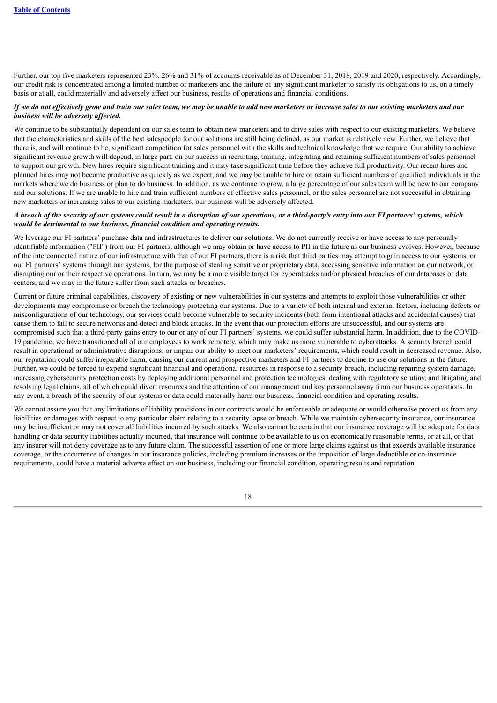Further, our top five marketers represented 23%, 26% and 31% of accounts receivable as of December 31, 2018, 2019 and 2020, respectively. Accordingly, our credit risk is concentrated among a limited number of marketers and the failure of any significant marketer to satisfy its obligations to us, on a timely basis or at all, could materially and adversely affect our business, results of operations and financial conditions.

### If we do not effectively grow and train our sales team, we may be unable to add new marketers or increase sales to our existing marketers and our *business will be adversely af ected.*

We continue to be substantially dependent on our sales team to obtain new marketers and to drive sales with respect to our existing marketers. We believe that the characteristics and skills of the best salespeople for our solutions are still being defined, as our market is relatively new. Further, we believe that there is, and will continue to be, significant competition for sales personnel with the skills and technical knowledge that we require. Our ability to achieve significant revenue growth will depend, in large part, on our success in recruiting, training, integrating and retaining sufficient numbers of sales personnel to support our growth. New hires require significant training and it may take significant time before they achieve full productivity. Our recent hires and planned hires may not become productive as quickly as we expect, and we may be unable to hire or retain sufficient numbers of qualified individuals in the markets where we do business or plan to do business. In addition, as we continue to grow, a large percentage of our sales team will be new to our company and our solutions. If we are unable to hire and train sufficient numbers of effective sales personnel, or the sales personnel are not successful in obtaining new marketers or increasing sales to our existing marketers, our business will be adversely affected.

### A breach of the security of our systems could result in a disruption of our operations, or a third-party's entry into our FI partners' systems, which *would be detrimental to our business, financial condition and operating results.*

We leverage our FI partners' purchase data and infrastructures to deliver our solutions. We do not currently receive or have access to any personally identifiable information ("PII") from our FI partners, although we may obtain or have access to PII in the future as our business evolves. However, because of the interconnected nature of our infrastructure with that of our FI partners, there is a risk that third parties may attempt to gain access to our systems, or our FI partners' systems through our systems, for the purpose of stealing sensitive or proprietary data, accessing sensitive information on our network, or disrupting our or their respective operations. In turn, we may be a more visible target for cyberattacks and/or physical breaches of our databases or data centers, and we may in the future suffer from such attacks or breaches.

Current or future criminal capabilities, discovery of existing or new vulnerabilities in our systems and attempts to exploit those vulnerabilities or other developments may compromise or breach the technology protecting our systems. Due to a variety of both internal and external factors, including defects or misconfigurations of our technology, our services could become vulnerable to security incidents (both from intentional attacks and accidental causes) that cause them to fail to secure networks and detect and block attacks. In the event that our protection efforts are unsuccessful, and our systems are compromised such that a third-party gains entry to our or any of our FI partners' systems, we could suffer substantial harm. In addition, due to the COVID-19 pandemic, we have transitioned all of our employees to work remotely, which may make us more vulnerable to cyberattacks. A security breach could result in operational or administrative disruptions, or impair our ability to meet our marketers' requirements, which could result in decreased revenue. Also, our reputation could suffer irreparable harm, causing our current and prospective marketers and FI partners to decline to use our solutions in the future. Further, we could be forced to expend significant financial and operational resources in response to a security breach, including repairing system damage, increasing cybersecurity protection costs by deploying additional personnel and protection technologies, dealing with regulatory scrutiny, and litigating and resolving legal claims, all of which could divert resources and the attention of our management and key personnel away from our business operations. In any event, a breach of the security of our systems or data could materially harm our business, financial condition and operating results.

We cannot assure you that any limitations of liability provisions in our contracts would be enforceable or adequate or would otherwise protect us from any liabilities or damages with respect to any particular claim relating to a security lapse or breach. While we maintain cybersecurity insurance, our insurance may be insufficient or may not cover all liabilities incurred by such attacks. We also cannot be certain that our insurance coverage will be adequate for data handling or data security liabilities actually incurred, that insurance will continue to be available to us on economically reasonable terms, or at all, or that any insurer will not deny coverage as to any future claim. The successful assertion of one or more large claims against us that exceeds available insurance coverage, or the occurrence of changes in our insurance policies, including premium increases or the imposition of large deductible or co-insurance requirements, could have a material adverse effect on our business, including our financial condition, operating results and reputation.

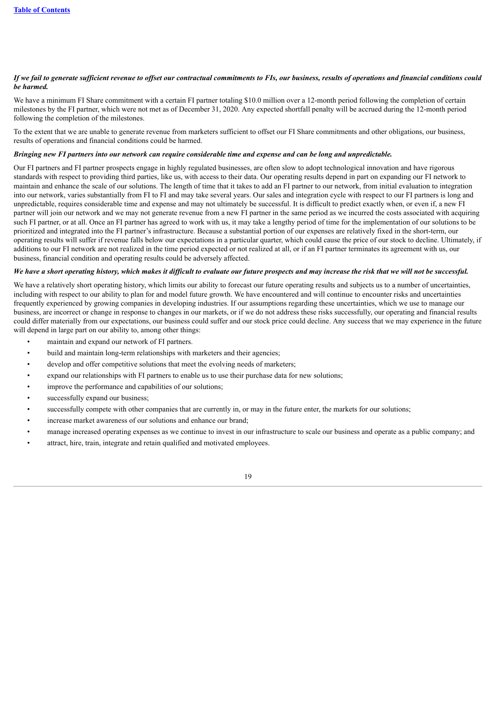## If we fail to generate sufficient revenue to offset our contractual commitments to FIs, our business, results of operations and financial conditions could *be harmed.*

We have a minimum FI Share commitment with a certain FI partner totaling \$10.0 million over a 12-month period following the completion of certain milestones by the FI partner, which were not met as of December 31, 2020. Any expected shortfall penalty will be accrued during the 12-month period following the completion of the milestones.

To the extent that we are unable to generate revenue from marketers sufficient to offset our FI Share commitments and other obligations, our business, results of operations and financial conditions could be harmed.

### Bringing new FI partners into our network can require considerable time and expense and can be long and unpredictable.

Our FI partners and FI partner prospects engage in highly regulated businesses, are often slow to adopt technological innovation and have rigorous standards with respect to providing third parties, like us, with access to their data. Our operating results depend in part on expanding our FI network to maintain and enhance the scale of our solutions. The length of time that it takes to add an FI partner to our network, from initial evaluation to integration into our network, varies substantially from FI to FI and may take several years. Our sales and integration cycle with respect to our FI partners is long and unpredictable, requires considerable time and expense and may not ultimately be successful. It is difficult to predict exactly when, or even if, a new FI partner will join our network and we may not generate revenue from a new FI partner in the same period as we incurred the costs associated with acquiring such FI partner, or at all. Once an FI partner has agreed to work with us, it may take a lengthy period of time for the implementation of our solutions to be prioritized and integrated into the FI partner's infrastructure. Because a substantial portion of our expenses are relatively fixed in the short-term, our operating results will suffer if revenue falls below our expectations in a particular quarter, which could cause the price of our stock to decline. Ultimately, if additions to our FI network are not realized in the time period expected or not realized at all, or if an FI partner terminates its agreement with us, our business, financial condition and operating results could be adversely affected.

#### We have a short operating history, which makes it difficult to evaluate our future prospects and may increase the risk that we will not be successful.

We have a relatively short operating history, which limits our ability to forecast our future operating results and subjects us to a number of uncertainties, including with respect to our ability to plan for and model future growth. We have encountered and will continue to encounter risks and uncertainties frequently experienced by growing companies in developing industries. If our assumptions regarding these uncertainties, which we use to manage our business, are incorrect or change in response to changes in our markets, or if we do not address these risks successfully, our operating and financial results could differ materially from our expectations, our business could suffer and our stock price could decline. Any success that we may experience in the future will depend in large part on our ability to, among other things:

- maintain and expand our network of FI partners.
- build and maintain long-term relationships with marketers and their agencies;
- develop and offer competitive solutions that meet the evolving needs of marketers;
- expand our relationships with FI partners to enable us to use their purchase data for new solutions;
- improve the performance and capabilities of our solutions;
- successfully expand our business;
- successfully compete with other companies that are currently in, or may in the future enter, the markets for our solutions;
- increase market awareness of our solutions and enhance our brand;
- manage increased operating expenses as we continue to invest in our infrastructure to scale our business and operate as a public company; and
- attract, hire, train, integrate and retain qualified and motivated employees.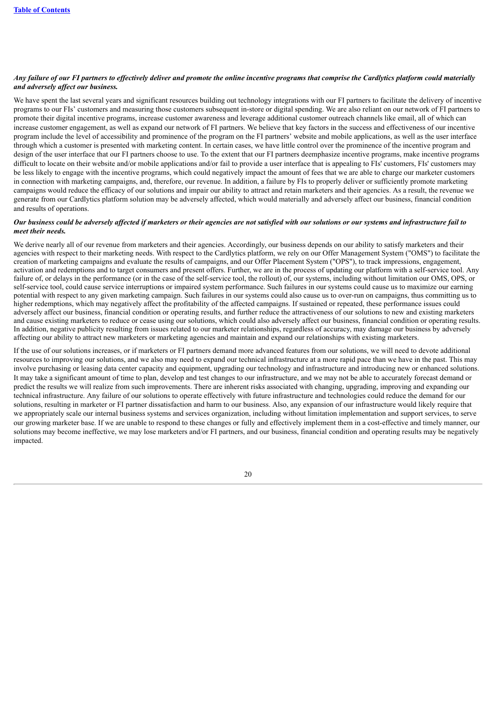## Any failure of our FI partners to effectively deliver and promote the online incentive programs that comprise the Cardlytics platform could materially *and adversely af ect our business.*

We have spent the last several years and significant resources building out technology integrations with our FI partners to facilitate the delivery of incentive programs to our FIs' customers and measuring those customers subsequent in-store or digital spending. We are also reliant on our network of FI partners to promote their digital incentive programs, increase customer awareness and leverage additional customer outreach channels like email, all of which can increase customer engagement, as well as expand our network of FI partners. We believe that key factors in the success and effectiveness of our incentive program include the level of accessibility and prominence of the program on the FI partners' website and mobile applications, as well as the user interface through which a customer is presented with marketing content. In certain cases, we have little control over the prominence of the incentive program and design of the user interface that our FI partners choose to use. To the extent that our FI partners deemphasize incentive programs, make incentive programs difficult to locate on their website and/or mobile applications and/or fail to provide a user interface that is appealing to FIs' customers, FIs' customers may be less likely to engage with the incentive programs, which could negatively impact the amount of fees that we are able to charge our marketer customers in connection with marketing campaigns, and, therefore, our revenue. In addition, a failure by FIs to properly deliver or sufficiently promote marketing campaigns would reduce the efficacy of our solutions and impair our ability to attract and retain marketers and their agencies. As a result, the revenue we generate from our Cardlytics platform solution may be adversely affected, which would materially and adversely affect our business, financial condition and results of operations.

#### Our business could be adversely affected if marketers or their agencies are not satisfied with our solutions or our systems and infrastructure fail to *meet their needs.*

We derive nearly all of our revenue from marketers and their agencies. Accordingly, our business depends on our ability to satisfy marketers and their agencies with respect to their marketing needs. With respect to the Cardlytics platform, we rely on our Offer Management System ("OMS") to facilitate the creation of marketing campaigns and evaluate the results of campaigns, and our Offer Placement System ("OPS"), to track impressions, engagement, activation and redemptions and to target consumers and present offers. Further, we are in the process of updating our platform with a self-service tool. Any failure of, or delays in the performance (or in the case of the self-service tool, the rollout) of, our systems, including without limitation our OMS, OPS, or self-service tool, could cause service interruptions or impaired system performance. Such failures in our systems could cause us to maximize our earning potential with respect to any given marketing campaign. Such failures in our systems could also cause us to over-run on campaigns, thus committing us to higher redemptions, which may negatively affect the profitability of the affected campaigns. If sustained or repeated, these performance issues could adversely affect our business, financial condition or operating results, and further reduce the attractiveness of our solutions to new and existing marketers and cause existing marketers to reduce or cease using our solutions, which could also adversely affect our business, financial condition or operating results. In addition, negative publicity resulting from issues related to our marketer relationships, regardless of accuracy, may damage our business by adversely affecting our ability to attract new marketers or marketing agencies and maintain and expand our relationships with existing marketers.

If the use of our solutions increases, or if marketers or FI partners demand more advanced features from our solutions, we will need to devote additional resources to improving our solutions, and we also may need to expand our technical infrastructure at a more rapid pace than we have in the past. This may involve purchasing or leasing data center capacity and equipment, upgrading our technology and infrastructure and introducing new or enhanced solutions. It may take a significant amount of time to plan, develop and test changes to our infrastructure, and we may not be able to accurately forecast demand or predict the results we will realize from such improvements. There are inherent risks associated with changing, upgrading, improving and expanding our technical infrastructure. Any failure of our solutions to operate effectively with future infrastructure and technologies could reduce the demand for our solutions, resulting in marketer or FI partner dissatisfaction and harm to our business. Also, any expansion of our infrastructure would likely require that we appropriately scale our internal business systems and services organization, including without limitation implementation and support services, to serve our growing marketer base. If we are unable to respond to these changes or fully and effectively implement them in a cost-effective and timely manner, our solutions may become ineffective, we may lose marketers and/or FI partners, and our business, financial condition and operating results may be negatively impacted.

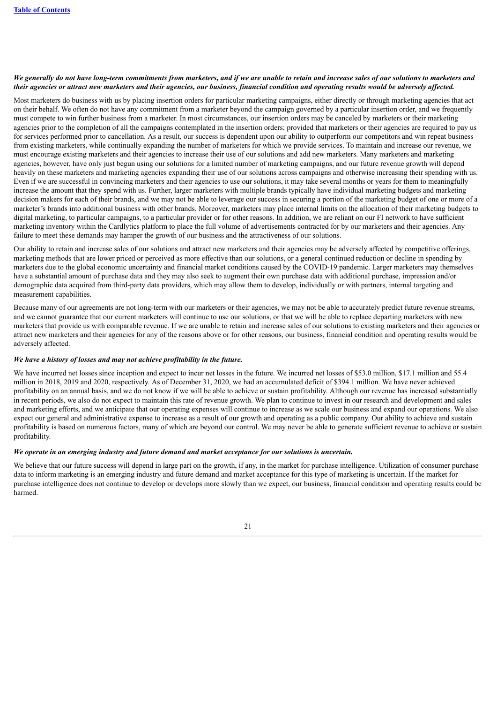## We generally do not have long-term commitments from marketers, and if we are unable to retain and increase sales of our solutions to marketers and their agencies or attract new marketers and their agencies, our business, financial condition and operating results would be adversely affected.

Most marketers do business with us by placing insertion orders for particular marketing campaigns, either directly or through marketing agencies that act on their behalf. We often do not have any commitment from a marketer beyond the campaign governed by a particular insertion order, and we frequently must compete to win further business from a marketer. In most circumstances, our insertion orders may be canceled by marketers or their marketing agencies prior to the completion of all the campaigns contemplated in the insertion orders; provided that marketers or their agencies are required to pay us for services performed prior to cancellation. As a result, our success is dependent upon our ability to outperform our competitors and win repeat business from existing marketers, while continually expanding the number of marketers for which we provide services. To maintain and increase our revenue, we must encourage existing marketers and their agencies to increase their use of our solutions and add new marketers. Many marketers and marketing agencies, however, have only just begun using our solutions for a limited number of marketing campaigns, and our future revenue growth will depend heavily on these marketers and marketing agencies expanding their use of our solutions across campaigns and otherwise increasing their spending with us. Even if we are successful in convincing marketers and their agencies to use our solutions, it may take several months or years for them to meaningfully increase the amount that they spend with us. Further, larger marketers with multiple brands typically have individual marketing budgets and marketing decision makers for each of their brands, and we may not be able to leverage our success in securing a portion of the marketing budget of one or more of a marketer's brands into additional business with other brands. Moreover, marketers may place internal limits on the allocation of their marketing budgets to digital marketing, to particular campaigns, to a particular provider or for other reasons. In addition, we are reliant on our FI network to have sufficient marketing inventory within the Cardlytics platform to place the full volume of advertisements contracted for by our marketers and their agencies. Any failure to meet these demands may hamper the growth of our business and the attractiveness of our solutions.

Our ability to retain and increase sales of our solutions and attract new marketers and their agencies may be adversely affected by competitive offerings, marketing methods that are lower priced or perceived as more effective than our solutions, or a general continued reduction or decline in spending by marketers due to the global economic uncertainty and financial market conditions caused by the COVID-19 pandemic. Larger marketers may themselves have a substantial amount of purchase data and they may also seek to augment their own purchase data with additional purchase, impression and/or demographic data acquired from third-party data providers, which may allow them to develop, individually or with partners, internal targeting and measurement capabilities.

Because many of our agreements are not long-term with our marketers or their agencies, we may not be able to accurately predict future revenue streams, and we cannot guarantee that our current marketers will continue to use our solutions, or that we will be able to replace departing marketers with new marketers that provide us with comparable revenue. If we are unable to retain and increase sales of our solutions to existing marketers and their agencies or attract new marketers and their agencies for any of the reasons above or for other reasons, our business, financial condition and operating results would be adversely affected.

### *We have a history of losses and may not achieve profitability in the future.*

We have incurred net losses since inception and expect to incur net losses in the future. We incurred net losses of \$53.0 million, \$17.1 million and 55.4 million in 2018, 2019 and 2020, respectively. As of December 31, 2020, we had an accumulated deficit of \$394.1 million. We have never achieved profitability on an annual basis, and we do not know if we will be able to achieve or sustain profitability. Although our revenue has increased substantially in recent periods, we also do not expect to maintain this rate of revenue growth. We plan to continue to invest in our research and development and sales and marketing efforts, and we anticipate that our operating expenses will continue to increase as we scale our business and expand our operations. We also expect our general and administrative expense to increase as a result of our growth and operating as a public company. Our ability to achieve and sustain profitability is based on numerous factors, many of which are beyond our control. We may never be able to generate sufficient revenue to achieve or sustain profitability.

### We operate in an emerging industry and future demand and market acceptance for our solutions is uncertain.

We believe that our future success will depend in large part on the growth, if any, in the market for purchase intelligence. Utilization of consumer purchase data to inform marketing is an emerging industry and future demand and market acceptance for this type of marketing is uncertain. If the market for purchase intelligence does not continue to develop or develops more slowly than we expect, our business, financial condition and operating results could be harmed.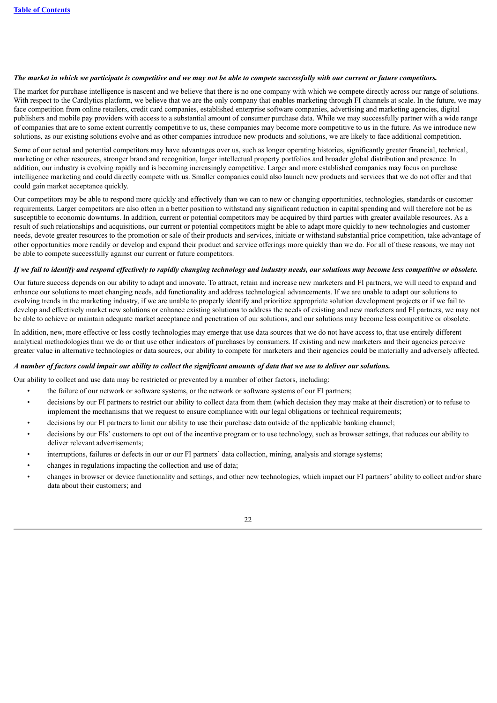#### The market in which we participate is competitive and we may not be able to compete successfully with our current or future competitors.

The market for purchase intelligence is nascent and we believe that there is no one company with which we compete directly across our range of solutions. With respect to the Cardlytics platform, we believe that we are the only company that enables marketing through FI channels at scale. In the future, we may face competition from online retailers, credit card companies, established enterprise software companies, advertising and marketing agencies, digital publishers and mobile pay providers with access to a substantial amount of consumer purchase data. While we may successfully partner with a wide range of companies that are to some extent currently competitive to us, these companies may become more competitive to us in the future. As we introduce new solutions, as our existing solutions evolve and as other companies introduce new products and solutions, we are likely to face additional competition.

Some of our actual and potential competitors may have advantages over us, such as longer operating histories, significantly greater financial, technical, marketing or other resources, stronger brand and recognition, larger intellectual property portfolios and broader global distribution and presence. In addition, our industry is evolving rapidly and is becoming increasingly competitive. Larger and more established companies may focus on purchase intelligence marketing and could directly compete with us. Smaller companies could also launch new products and services that we do not offer and that could gain market acceptance quickly.

Our competitors may be able to respond more quickly and effectively than we can to new or changing opportunities, technologies, standards or customer requirements. Larger competitors are also often in a better position to withstand any significant reduction in capital spending and will therefore not be as susceptible to economic downturns. In addition, current or potential competitors may be acquired by third parties with greater available resources. As a result of such relationships and acquisitions, our current or potential competitors might be able to adapt more quickly to new technologies and customer needs, devote greater resources to the promotion or sale of their products and services, initiate or withstand substantial price competition, take advantage of other opportunities more readily or develop and expand their product and service offerings more quickly than we do. For all of these reasons, we may not be able to compete successfully against our current or future competitors.

## If we fail to identify and respond effectively to rapidly changing technology and industry needs, our solutions may become less competitive or obsolete.

Our future success depends on our ability to adapt and innovate. To attract, retain and increase new marketers and FI partners, we will need to expand and enhance our solutions to meet changing needs, add functionality and address technological advancements. If we are unable to adapt our solutions to evolving trends in the marketing industry, if we are unable to properly identify and prioritize appropriate solution development projects or if we fail to develop and effectively market new solutions or enhance existing solutions to address the needs of existing and new marketers and FI partners, we may not be able to achieve or maintain adequate market acceptance and penetration of our solutions, and our solutions may become less competitive or obsolete.

In addition, new, more effective or less costly technologies may emerge that use data sources that we do not have access to, that use entirely different analytical methodologies than we do or that use other indicators of purchases by consumers. If existing and new marketers and their agencies perceive greater value in alternative technologies or data sources, our ability to compete for marketers and their agencies could be materially and adversely affected.

#### A number of factors could impair our ability to collect the significant amounts of data that we use to deliver our solutions.

Our ability to collect and use data may be restricted or prevented by a number of other factors, including:

- the failure of our network or software systems, or the network or software systems of our FI partners;
- decisions by our FI partners to restrict our ability to collect data from them (which decision they may make at their discretion) or to refuse to implement the mechanisms that we request to ensure compliance with our legal obligations or technical requirements;
- decisions by our FI partners to limit our ability to use their purchase data outside of the applicable banking channel;
- decisions by our FIs' customers to opt out of the incentive program or to use technology, such as browser settings, that reduces our ability to deliver relevant advertisements;
- interruptions, failures or defects in our or our FI partners' data collection, mining, analysis and storage systems;
- changes in regulations impacting the collection and use of data;
- changes in browser or device functionality and settings, and other new technologies, which impact our FI partners' ability to collect and/or share data about their customers; and

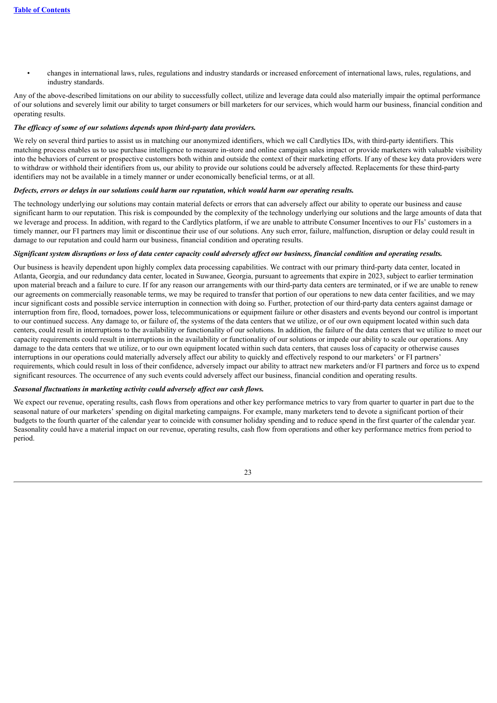• changes in international laws, rules, regulations and industry standards or increased enforcement of international laws, rules, regulations, and industry standards.

Any of the above-described limitations on our ability to successfully collect, utilize and leverage data could also materially impair the optimal performance of our solutions and severely limit our ability to target consumers or bill marketers for our services, which would harm our business, financial condition and operating results.

#### *The ef icacy of some of our solutions depends upon third-party data providers.*

We rely on several third parties to assist us in matching our anonymized identifiers, which we call Cardlytics IDs, with third-party identifiers. This matching process enables us to use purchase intelligence to measure in-store and online campaign sales impact or provide marketers with valuable visibility into the behaviors of current or prospective customers both within and outside the context of their marketing efforts. If any of these key data providers were to withdraw or withhold their identifiers from us, our ability to provide our solutions could be adversely affected. Replacements for these third-party identifiers may not be available in a timely manner or under economically beneficial terms, or at all.

## Defects, errors or delays in our solutions could harm our reputation, which would harm our operating results.

The technology underlying our solutions may contain material defects or errors that can adversely affect our ability to operate our business and cause significant harm to our reputation. This risk is compounded by the complexity of the technology underlying our solutions and the large amounts of data that we leverage and process. In addition, with regard to the Cardlytics platform, if we are unable to attribute Consumer Incentives to our FIs' customers in a timely manner, our FI partners may limit or discontinue their use of our solutions. Any such error, failure, malfunction, disruption or delay could result in damage to our reputation and could harm our business, financial condition and operating results.

## Significant system disruptions or loss of data center capacity could adversely affect our business, financial condition and operating results.

Our business is heavily dependent upon highly complex data processing capabilities. We contract with our primary third-party data center, located in Atlanta, Georgia, and our redundancy data center, located in Suwanee, Georgia, pursuant to agreements that expire in 2023, subject to earlier termination upon material breach and a failure to cure. If for any reason our arrangements with our third-party data centers are terminated, or if we are unable to renew our agreements on commercially reasonable terms, we may be required to transfer that portion of our operations to new data center facilities, and we may incur significant costs and possible service interruption in connection with doing so. Further, protection of our third-party data centers against damage or interruption from fire, flood, tornadoes, power loss, telecommunications or equipment failure or other disasters and events beyond our control is important to our continued success. Any damage to, or failure of, the systems of the data centers that we utilize, or of our own equipment located within such data centers, could result in interruptions to the availability or functionality of our solutions. In addition, the failure of the data centers that we utilize to meet our capacity requirements could result in interruptions in the availability or functionality of our solutions or impede our ability to scale our operations. Any damage to the data centers that we utilize, or to our own equipment located within such data centers, that causes loss of capacity or otherwise causes interruptions in our operations could materially adversely affect our ability to quickly and effectively respond to our marketers' or FI partners' requirements, which could result in loss of their confidence, adversely impact our ability to attract new marketers and/or FI partners and force us to expend significant resources. The occurrence of any such events could adversely affect our business, financial condition and operating results.

#### *Seasonal fluctuations in marketing activity could adversely af ect our cash flows.*

We expect our revenue, operating results, cash flows from operations and other key performance metrics to vary from quarter to quarter in part due to the seasonal nature of our marketers' spending on digital marketing campaigns. For example, many marketers tend to devote a significant portion of their budgets to the fourth quarter of the calendar year to coincide with consumer holiday spending and to reduce spend in the first quarter of the calendar year. Seasonality could have a material impact on our revenue, operating results, cash flow from operations and other key performance metrics from period to period.

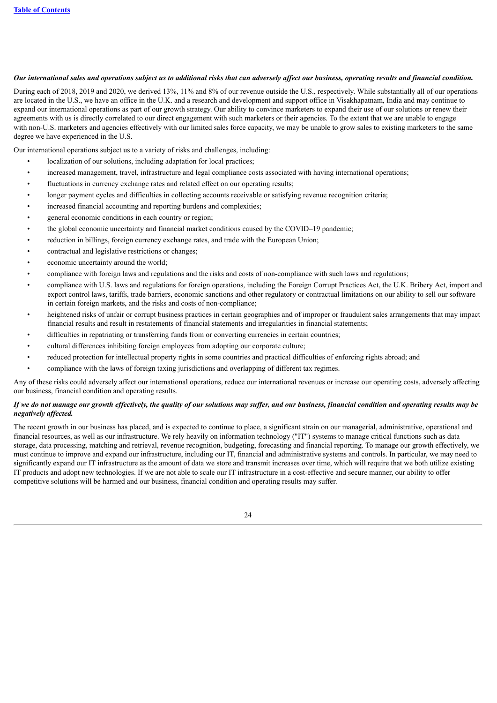### Our international sales and operations subject us to additional risks that can adversely affect our business, operating results and financial condition.

During each of 2018, 2019 and 2020, we derived 13%, 11% and 8% of our revenue outside the U.S., respectively. While substantially all of our operations are located in the U.S., we have an office in the U.K. and a research and development and support office in Visakhapatnam, India and may continue to expand our international operations as part of our growth strategy. Our ability to convince marketers to expand their use of our solutions or renew their agreements with us is directly correlated to our direct engagement with such marketers or their agencies. To the extent that we are unable to engage with non-U.S. marketers and agencies effectively with our limited sales force capacity, we may be unable to grow sales to existing marketers to the same degree we have experienced in the U.S.

Our international operations subject us to a variety of risks and challenges, including:

- localization of our solutions, including adaptation for local practices;
- increased management, travel, infrastructure and legal compliance costs associated with having international operations;
- fluctuations in currency exchange rates and related effect on our operating results;
- longer payment cycles and difficulties in collecting accounts receivable or satisfying revenue recognition criteria;
- increased financial accounting and reporting burdens and complexities;
- general economic conditions in each country or region;
- the global economic uncertainty and financial market conditions caused by the COVID–19 pandemic;
- reduction in billings, foreign currency exchange rates, and trade with the European Union;
- contractual and legislative restrictions or changes;
- economic uncertainty around the world:
- compliance with foreign laws and regulations and the risks and costs of non-compliance with such laws and regulations;
- compliance with U.S. laws and regulations for foreign operations, including the Foreign Corrupt Practices Act, the U.K. Bribery Act, import and export control laws, tariffs, trade barriers, economic sanctions and other regulatory or contractual limitations on our ability to sell our software in certain foreign markets, and the risks and costs of non-compliance;
- heightened risks of unfair or corrupt business practices in certain geographies and of improper or fraudulent sales arrangements that may impact financial results and result in restatements of financial statements and irregularities in financial statements;
- difficulties in repatriating or transferring funds from or converting currencies in certain countries;
- cultural differences inhibiting foreign employees from adopting our corporate culture;
- reduced protection for intellectual property rights in some countries and practical difficulties of enforcing rights abroad; and
- compliance with the laws of foreign taxing jurisdictions and overlapping of different tax regimes.

Any of these risks could adversely affect our international operations, reduce our international revenues or increase our operating costs, adversely affecting our business, financial condition and operating results.

## If we do not manage our growth effectively, the quality of our solutions may suffer, and our business, financial condition and operating results may be *negatively af ected.*

The recent growth in our business has placed, and is expected to continue to place, a significant strain on our managerial, administrative, operational and financial resources, as well as our infrastructure. We rely heavily on information technology ("IT") systems to manage critical functions such as data storage, data processing, matching and retrieval, revenue recognition, budgeting, forecasting and financial reporting. To manage our growth effectively, we must continue to improve and expand our infrastructure, including our IT, financial and administrative systems and controls. In particular, we may need to significantly expand our IT infrastructure as the amount of data we store and transmit increases over time, which will require that we both utilize existing IT products and adopt new technologies. If we are not able to scale our IT infrastructure in a cost-effective and secure manner, our ability to offer competitive solutions will be harmed and our business, financial condition and operating results may suffer.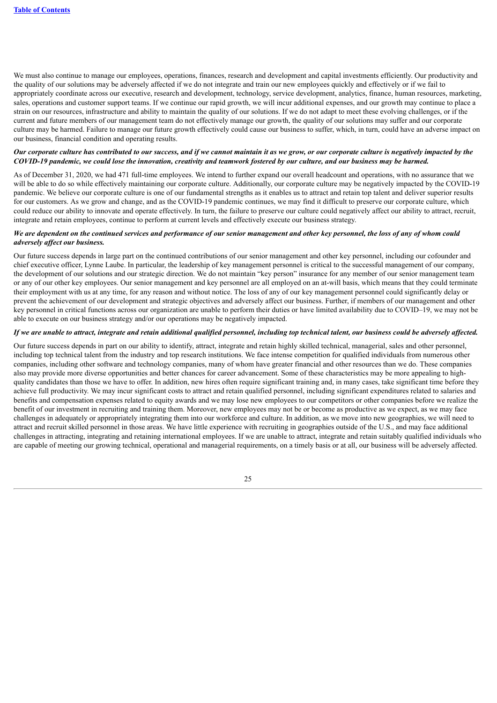We must also continue to manage our employees, operations, finances, research and development and capital investments efficiently. Our productivity and the quality of our solutions may be adversely affected if we do not integrate and train our new employees quickly and effectively or if we fail to appropriately coordinate across our executive, research and development, technology, service development, analytics, finance, human resources, marketing, sales, operations and customer support teams. If we continue our rapid growth, we will incur additional expenses, and our growth may continue to place a strain on our resources, infrastructure and ability to maintain the quality of our solutions. If we do not adapt to meet these evolving challenges, or if the current and future members of our management team do not effectively manage our growth, the quality of our solutions may suffer and our corporate culture may be harmed. Failure to manage our future growth effectively could cause our business to suffer, which, in turn, could have an adverse impact on our business, financial condition and operating results.

## Our corporate culture has contributed to our success, and if we cannot maintain it as we grow, or our corporate culture is negatively impacted by the COVID-19 pandemic, we could lose the innovation, creativity and teamwork fostered by our culture, and our business may be harmed.

As of December 31, 2020, we had 471 full-time employees. We intend to further expand our overall headcount and operations, with no assurance that we will be able to do so while effectively maintaining our corporate culture. Additionally, our corporate culture may be negatively impacted by the COVID-19 pandemic. We believe our corporate culture is one of our fundamental strengths as it enables us to attract and retain top talent and deliver superior results for our customers. As we grow and change, and as the COVID-19 pandemic continues, we may find it difficult to preserve our corporate culture, which could reduce our ability to innovate and operate effectively. In turn, the failure to preserve our culture could negatively affect our ability to attract, recruit, integrate and retain employees, continue to perform at current levels and effectively execute our business strategy.

### We are dependent on the continued services and performance of our senior management and other key personnel, the loss of any of whom could *adversely af ect our business.*

Our future success depends in large part on the continued contributions of our senior management and other key personnel, including our cofounder and chief executive officer, Lynne Laube. In particular, the leadership of key management personnel is critical to the successful management of our company, the development of our solutions and our strategic direction. We do not maintain "key person" insurance for any member of our senior management team or any of our other key employees. Our senior management and key personnel are all employed on an at-will basis, which means that they could terminate their employment with us at any time, for any reason and without notice. The loss of any of our key management personnel could significantly delay or prevent the achievement of our development and strategic objectives and adversely affect our business. Further, if members of our management and other key personnel in critical functions across our organization are unable to perform their duties or have limited availability due to COVID–19, we may not be able to execute on our business strategy and/or our operations may be negatively impacted.

### If we are unable to attract, integrate and retain additional qualified personnel, including top technical talent, our business could be adversely affected.

Our future success depends in part on our ability to identify, attract, integrate and retain highly skilled technical, managerial, sales and other personnel, including top technical talent from the industry and top research institutions. We face intense competition for qualified individuals from numerous other companies, including other software and technology companies, many of whom have greater financial and other resources than we do. These companies also may provide more diverse opportunities and better chances for career advancement. Some of these characteristics may be more appealing to highquality candidates than those we have to offer. In addition, new hires often require significant training and, in many cases, take significant time before they achieve full productivity. We may incur significant costs to attract and retain qualified personnel, including significant expenditures related to salaries and benefits and compensation expenses related to equity awards and we may lose new employees to our competitors or other companies before we realize the benefit of our investment in recruiting and training them. Moreover, new employees may not be or become as productive as we expect, as we may face challenges in adequately or appropriately integrating them into our workforce and culture. In addition, as we move into new geographies, we will need to attract and recruit skilled personnel in those areas. We have little experience with recruiting in geographies outside of the U.S., and may face additional challenges in attracting, integrating and retaining international employees. If we are unable to attract, integrate and retain suitably qualified individuals who are capable of meeting our growing technical, operational and managerial requirements, on a timely basis or at all, our business will be adversely affected.

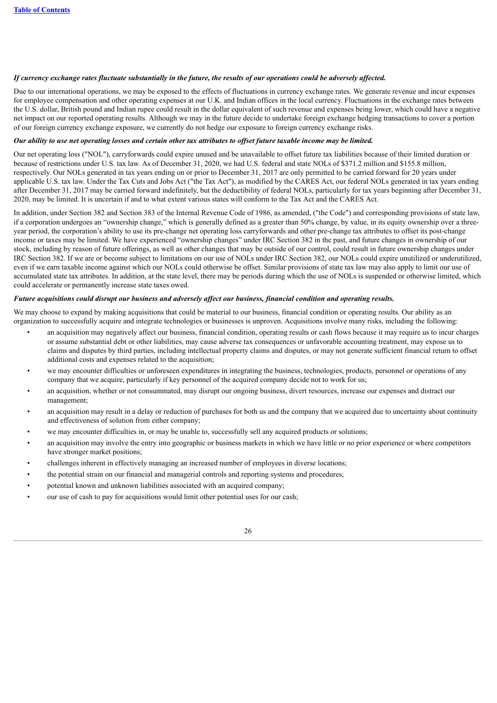### If currency exchange rates fluctuate substantially in the future, the results of our operations could be adversely affected.

Due to our international operations, we may be exposed to the effects of fluctuations in currency exchange rates. We generate revenue and incur expenses for employee compensation and other operating expenses at our U.K. and Indian offices in the local currency. Fluctuations in the exchange rates between the U.S. dollar, British pound and Indian rupee could result in the dollar equivalent of such revenue and expenses being lower, which could have a negative net impact on our reported operating results. Although we may in the future decide to undertake foreign exchange hedging transactions to cover a portion of our foreign currency exchange exposure, we currently do not hedge our exposure to foreign currency exchange risks.

## Our ability to use net operating losses and certain other tax attributes to offset future taxable income may be limited.

Our net operating loss ("NOL"), carryforwards could expire unused and be unavailable to offset future tax liabilities because of their limited duration or because of restrictions under U.S. tax law. As of December 31, 2020, we had U.S. federal and state NOLs of \$371.2 million and \$155.8 million, respectively. Our NOLs generated in tax years ending on or prior to December 31, 2017 are only permitted to be carried forward for 20 years under applicable U.S. tax law. Under the Tax Cuts and Jobs Act ("the Tax Act"), as modified by the CARES Act, our federal NOLs generated in tax years ending after December 31, 2017 may be carried forward indefinitely, but the deductibility of federal NOLs, particularly for tax years beginning after December 31, 2020, may be limited. It is uncertain if and to what extent various states will conform to the Tax Act and the CARES Act.

In addition, under Section 382 and Section 383 of the Internal Revenue Code of 1986, as amended, ("the Code") and corresponding provisions of state law, if a corporation undergoes an "ownership change," which is generally defined as a greater than 50% change, by value, in its equity ownership over a threeyear period, the corporation's ability to use its pre-change net operating loss carryforwards and other pre-change tax attributes to offset its post-change income or taxes may be limited. We have experienced "ownership changes" under IRC Section 382 in the past, and future changes in ownership of our stock, including by reason of future offerings, as well as other changes that may be outside of our control, could result in future ownership changes under IRC Section 382. If we are or become subject to limitations on our use of NOLs under IRC Section 382, our NOLs could expire unutilized or underutilized, even if we earn taxable income against which our NOLs could otherwise be offset. Similar provisions of state tax law may also apply to limit our use of accumulated state tax attributes. In addition, at the state level, there may be periods during which the use of NOLs is suspended or otherwise limited, which could accelerate or permanently increase state taxes owed.

#### Future acquisitions could disrupt our business and adversely affect our business, financial condition and operating results.

We may choose to expand by making acquisitions that could be material to our business, financial condition or operating results. Our ability as an organization to successfully acquire and integrate technologies or businesses is unproven. Acquisitions involve many risks, including the following:

- an acquisition may negatively affect our business, financial condition, operating results or cash flows because it may require us to incur charges or assume substantial debt or other liabilities, may cause adverse tax consequences or unfavorable accounting treatment, may expose us to claims and disputes by third parties, including intellectual property claims and disputes, or may not generate sufficient financial return to offset additional costs and expenses related to the acquisition;
- we may encounter difficulties or unforeseen expenditures in integrating the business, technologies, products, personnel or operations of any company that we acquire, particularly if key personnel of the acquired company decide not to work for us;
- an acquisition, whether or not consummated, may disrupt our ongoing business, divert resources, increase our expenses and distract our management;
- an acquisition may result in a delay or reduction of purchases for both us and the company that we acquired due to uncertainty about continuity and effectiveness of solution from either company;
- we may encounter difficulties in, or may be unable to, successfully sell any acquired products or solutions;
- an acquisition may involve the entry into geographic or business markets in which we have little or no prior experience or where competitors have stronger market positions;
- challenges inherent in effectively managing an increased number of employees in diverse locations;
- the potential strain on our financial and managerial controls and reporting systems and procedures;
- potential known and unknown liabilities associated with an acquired company;
- our use of cash to pay for acquisitions would limit other potential uses for our cash;

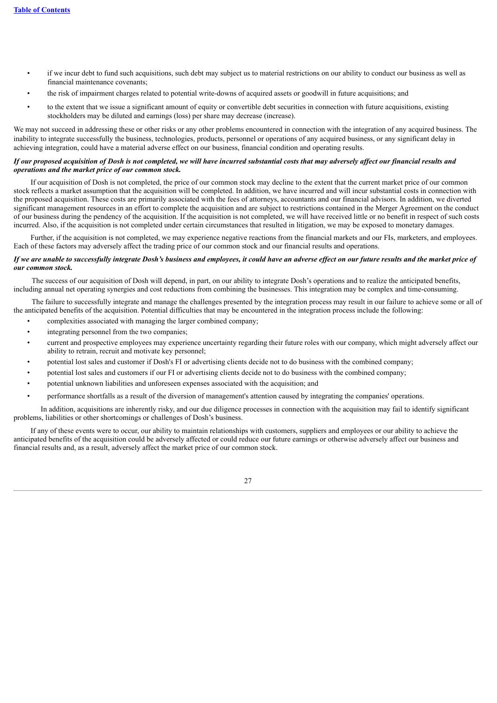- if we incur debt to fund such acquisitions, such debt may subject us to material restrictions on our ability to conduct our business as well as financial maintenance covenants;
- the risk of impairment charges related to potential write-downs of acquired assets or goodwill in future acquisitions; and
- to the extent that we issue a significant amount of equity or convertible debt securities in connection with future acquisitions, existing stockholders may be diluted and earnings (loss) per share may decrease (increase).

We may not succeed in addressing these or other risks or any other problems encountered in connection with the integration of any acquired business. The inability to integrate successfully the business, technologies, products, personnel or operations of any acquired business, or any significant delay in achieving integration, could have a material adverse effect on our business, financial condition and operating results.

### If our proposed acquisition of Dosh is not completed, we will have incurred substantial costs that may adversely affect our financial results and *operations and the market price of our common stock.*

If our acquisition of Dosh is not completed, the price of our common stock may decline to the extent that the current market price of our common stock reflects a market assumption that the acquisition will be completed. In addition, we have incurred and will incur substantial costs in connection with the proposed acquisition. These costs are primarily associated with the fees of attorneys, accountants and our financial advisors. In addition, we diverted significant management resources in an effort to complete the acquisition and are subject to restrictions contained in the Merger Agreement on the conduct of our business during the pendency of the acquisition. If the acquisition is not completed, we will have received little or no benefit in respect of such costs incurred. Also, if the acquisition is not completed under certain circumstances that resulted in litigation, we may be exposed to monetary damages.

Further, if the acquisition is not completed, we may experience negative reactions from the financial markets and our FIs, marketers, and employees. Each of these factors may adversely affect the trading price of our common stock and our financial results and operations.

### If we are unable to successfully integrate Dosh's business and employees, it could have an adverse effect on our future results and the market price of *our common stock.*

The success of our acquisition of Dosh will depend, in part, on our ability to integrate Dosh's operations and to realize the anticipated benefits, including annual net operating synergies and cost reductions from combining the businesses. This integration may be complex and time-consuming.

The failure to successfully integrate and manage the challenges presented by the integration process may result in our failure to achieve some or all of the anticipated benefits of the acquisition. Potential difficulties that may be encountered in the integration process include the following:

- complexities associated with managing the larger combined company;
- integrating personnel from the two companies;
- current and prospective employees may experience uncertainty regarding their future roles with our company, which might adversely affect our ability to retrain, recruit and motivate key personnel;
- potential lost sales and customer if Dosh's FI or advertising clients decide not to do business with the combined company;
- potential lost sales and customers if our FI or advertising clients decide not to do business with the combined company;
- potential unknown liabilities and unforeseen expenses associated with the acquisition; and
- performance shortfalls as a result of the diversion of management's attention caused by integrating the companies' operations.

In addition, acquisitions are inherently risky, and our due diligence processes in connection with the acquisition may fail to identify significant problems, liabilities or other shortcomings or challenges of Dosh's business.

If any of these events were to occur, our ability to maintain relationships with customers, suppliers and employees or our ability to achieve the anticipated benefits of the acquisition could be adversely affected or could reduce our future earnings or otherwise adversely affect our business and financial results and, as a result, adversely affect the market price of our common stock.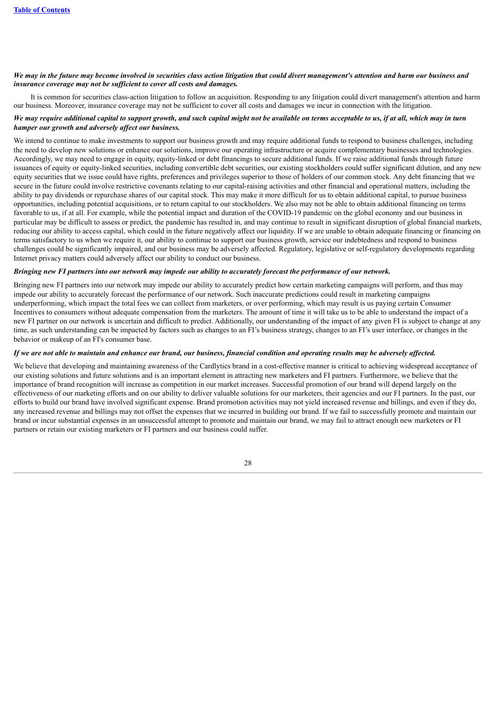#### We may in the future may become involved in securities class action litigation that could divert management's attention and harm our business and *insurance coverage may not be suf icient to cover all costs and damages.*

It is common for securities class-action litigation to follow an acquisition. Responding to any litigation could divert management's attention and harm our business. Moreover, insurance coverage may not be sufficient to cover all costs and damages we incur in connection with the litigation.

## We may require additional capital to support growth, and such capital might not be available on terms acceptable to us, if at all, which may in turn *hamper our growth and adversely af ect our business.*

We intend to continue to make investments to support our business growth and may require additional funds to respond to business challenges, including the need to develop new solutions or enhance our solutions, improve our operating infrastructure or acquire complementary businesses and technologies. Accordingly, we may need to engage in equity, equity-linked or debt financings to secure additional funds. If we raise additional funds through future issuances of equity or equity-linked securities, including convertible debt securities, our existing stockholders could suffer significant dilution, and any new equity securities that we issue could have rights, preferences and privileges superior to those of holders of our common stock. Any debt financing that we secure in the future could involve restrictive covenants relating to our capital-raising activities and other financial and operational matters, including the ability to pay dividends or repurchase shares of our capital stock. This may make it more difficult for us to obtain additional capital, to pursue business opportunities, including potential acquisitions, or to return capital to our stockholders. We also may not be able to obtain additional financing on terms favorable to us, if at all. For example, while the potential impact and duration of the COVID-19 pandemic on the global economy and our business in particular may be difficult to assess or predict, the pandemic has resulted in, and may continue to result in significant disruption of global financial markets, reducing our ability to access capital, which could in the future negatively affect our liquidity. If we are unable to obtain adequate financing or financing on terms satisfactory to us when we require it, our ability to continue to support our business growth, service our indebtedness and respond to business challenges could be significantly impaired, and our business may be adversely affected. Regulatory, legislative or self-regulatory developments regarding Internet privacy matters could adversely affect our ability to conduct our business.

#### Bringing new FI partners into our network may impede our ability to accurately forecast the performance of our network.

Bringing new FI partners into our network may impede our ability to accurately predict how certain marketing campaigns will perform, and thus may impede our ability to accurately forecast the performance of our network. Such inaccurate predictions could result in marketing campaigns underperforming, which impact the total fees we can collect from marketers, or over performing, which may result is us paying certain Consumer Incentives to consumers without adequate compensation from the marketers. The amount of time it will take us to be able to understand the impact of a new FI partner on our network is uncertain and difficult to predict. Additionally, our understanding of the impact of any given FI is subject to change at any time, as such understanding can be impacted by factors such as changes to an FI's business strategy, changes to an FI's user interface, or changes in the behavior or makeup of an FI's consumer base.

#### If we are not able to maintain and enhance our brand, our business, financial condition and operating results may be adversely affected.

We believe that developing and maintaining awareness of the Cardlytics brand in a cost-effective manner is critical to achieving widespread acceptance of our existing solutions and future solutions and is an important element in attracting new marketers and FI partners. Furthermore, we believe that the importance of brand recognition will increase as competition in our market increases. Successful promotion of our brand will depend largely on the effectiveness of our marketing efforts and on our ability to deliver valuable solutions for our marketers, their agencies and our FI partners. In the past, our efforts to build our brand have involved significant expense. Brand promotion activities may not yield increased revenue and billings, and even if they do, any increased revenue and billings may not offset the expenses that we incurred in building our brand. If we fail to successfully promote and maintain our brand or incur substantial expenses in an unsuccessful attempt to promote and maintain our brand, we may fail to attract enough new marketers or FI partners or retain our existing marketers or FI partners and our business could suffer.

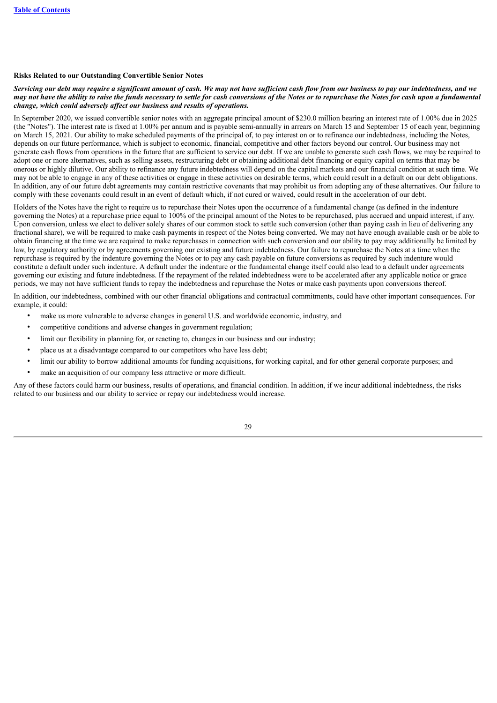#### **Risks Related to our Outstanding Convertible Senior Notes**

#### Servicing our debt may require a significant amount of cash. We may not have sufficient cash flow from our business to pay our indebtedness, and we may not have the ability to raise the funds necessary to settle for cash conversions of the Notes or to repurchase the Notes for cash upon a fundamental *change, which could adversely af ect our business and results of operations.*

In September 2020, we issued convertible senior notes with an aggregate principal amount of \$230.0 million bearing an interest rate of 1.00% due in 2025 (the "Notes"). The interest rate is fixed at 1.00% per annum and is payable semi-annually in arrears on March 15 and September 15 of each year, beginning on March 15, 2021. Our ability to make scheduled payments of the principal of, to pay interest on or to refinance our indebtedness, including the Notes, depends on our future performance, which is subject to economic, financial, competitive and other factors beyond our control. Our business may not generate cash flows from operations in the future that are sufficient to service our debt. If we are unable to generate such cash flows, we may be required to adopt one or more alternatives, such as selling assets, restructuring debt or obtaining additional debt financing or equity capital on terms that may be onerous or highly dilutive. Our ability to refinance any future indebtedness will depend on the capital markets and our financial condition at such time. We may not be able to engage in any of these activities or engage in these activities on desirable terms, which could result in a default on our debt obligations. In addition, any of our future debt agreements may contain restrictive covenants that may prohibit us from adopting any of these alternatives. Our failure to comply with these covenants could result in an event of default which, if not cured or waived, could result in the acceleration of our debt.

Holders of the Notes have the right to require us to repurchase their Notes upon the occurrence of a fundamental change (as defined in the indenture governing the Notes) at a repurchase price equal to 100% of the principal amount of the Notes to be repurchased, plus accrued and unpaid interest, if any. Upon conversion, unless we elect to deliver solely shares of our common stock to settle such conversion (other than paying cash in lieu of delivering any fractional share), we will be required to make cash payments in respect of the Notes being converted. We may not have enough available cash or be able to obtain financing at the time we are required to make repurchases in connection with such conversion and our ability to pay may additionally be limited by law, by regulatory authority or by agreements governing our existing and future indebtedness. Our failure to repurchase the Notes at a time when the repurchase is required by the indenture governing the Notes or to pay any cash payable on future conversions as required by such indenture would constitute a default under such indenture. A default under the indenture or the fundamental change itself could also lead to a default under agreements governing our existing and future indebtedness. If the repayment of the related indebtedness were to be accelerated after any applicable notice or grace periods, we may not have sufficient funds to repay the indebtedness and repurchase the Notes or make cash payments upon conversions thereof.

In addition, our indebtedness, combined with our other financial obligations and contractual commitments, could have other important consequences. For example, it could:

- make us more vulnerable to adverse changes in general U.S. and worldwide economic, industry, and
- competitive conditions and adverse changes in government regulation;
- limit our flexibility in planning for, or reacting to, changes in our business and our industry;
- place us at a disadvantage compared to our competitors who have less debt;
- limit our ability to borrow additional amounts for funding acquisitions, for working capital, and for other general corporate purposes; and
- make an acquisition of our company less attractive or more difficult.

Any of these factors could harm our business, results of operations, and financial condition. In addition, if we incur additional indebtedness, the risks related to our business and our ability to service or repay our indebtedness would increase.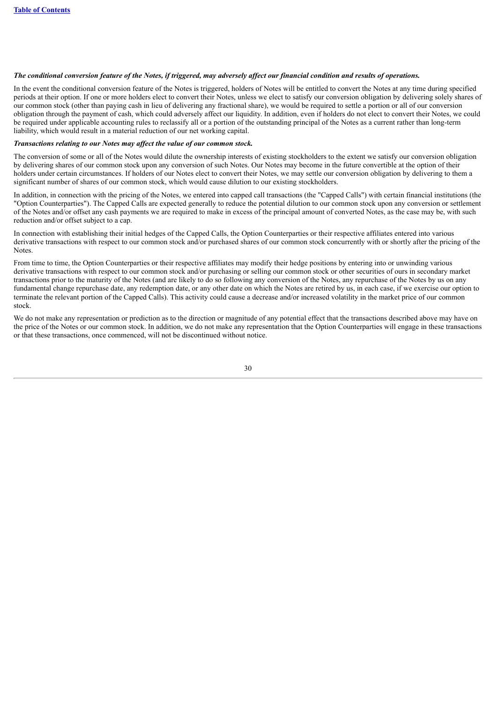#### The conditional conversion feature of the Notes, if triggered, may adversely affect our financial condition and results of operations.

In the event the conditional conversion feature of the Notes is triggered, holders of Notes will be entitled to convert the Notes at any time during specified periods at their option. If one or more holders elect to convert their Notes, unless we elect to satisfy our conversion obligation by delivering solely shares of our common stock (other than paying cash in lieu of delivering any fractional share), we would be required to settle a portion or all of our conversion obligation through the payment of cash, which could adversely affect our liquidity. In addition, even if holders do not elect to convert their Notes, we could be required under applicable accounting rules to reclassify all or a portion of the outstanding principal of the Notes as a current rather than long-term liability, which would result in a material reduction of our net working capital.

#### *Transactions relating to our Notes may af ect the value of our common stock.*

The conversion of some or all of the Notes would dilute the ownership interests of existing stockholders to the extent we satisfy our conversion obligation by delivering shares of our common stock upon any conversion of such Notes. Our Notes may become in the future convertible at the option of their holders under certain circumstances. If holders of our Notes elect to convert their Notes, we may settle our conversion obligation by delivering to them a significant number of shares of our common stock, which would cause dilution to our existing stockholders.

In addition, in connection with the pricing of the Notes, we entered into capped call transactions (the "Capped Calls") with certain financial institutions (the "Option Counterparties"). The Capped Calls are expected generally to reduce the potential dilution to our common stock upon any conversion or settlement of the Notes and/or offset any cash payments we are required to make in excess of the principal amount of converted Notes, as the case may be, with such reduction and/or offset subject to a cap.

In connection with establishing their initial hedges of the Capped Calls, the Option Counterparties or their respective affiliates entered into various derivative transactions with respect to our common stock and/or purchased shares of our common stock concurrently with or shortly after the pricing of the Notes.

From time to time, the Option Counterparties or their respective affiliates may modify their hedge positions by entering into or unwinding various derivative transactions with respect to our common stock and/or purchasing or selling our common stock or other securities of ours in secondary market transactions prior to the maturity of the Notes (and are likely to do so following any conversion of the Notes, any repurchase of the Notes by us on any fundamental change repurchase date, any redemption date, or any other date on which the Notes are retired by us, in each case, if we exercise our option to terminate the relevant portion of the Capped Calls). This activity could cause a decrease and/or increased volatility in the market price of our common stock.

We do not make any representation or prediction as to the direction or magnitude of any potential effect that the transactions described above may have on the price of the Notes or our common stock. In addition, we do not make any representation that the Option Counterparties will engage in these transactions or that these transactions, once commenced, will not be discontinued without notice.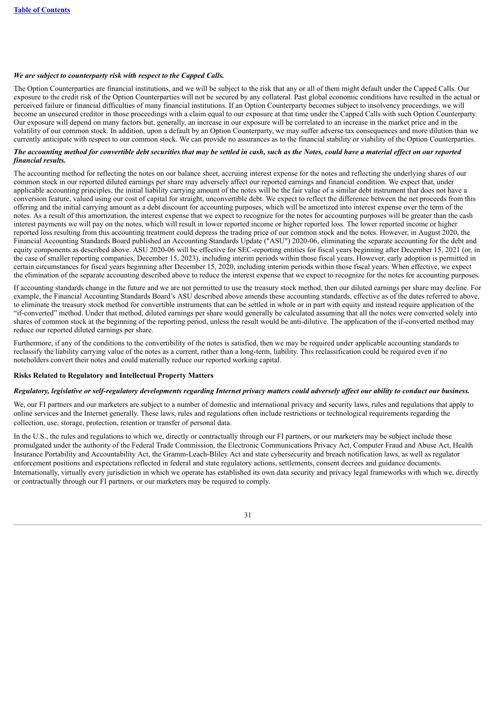## *We are subject to counterparty risk with respect to the Capped Calls.*

The Option Counterparties are financial institutions, and we will be subject to the risk that any or all of them might default under the Capped Calls. Our exposure to the credit risk of the Option Counterparties will not be secured by any collateral. Past global economic conditions have resulted in the actual or perceived failure or financial difficulties of many financial institutions. If an Option Counterparty becomes subject to insolvency proceedings, we will become an unsecured creditor in those proceedings with a claim equal to our exposure at that time under the Capped Calls with such Option Counterparty. Our exposure will depend on many factors but, generally, an increase in our exposure will be correlated to an increase in the market price and in the volatility of our common stock. In addition, upon a default by an Option Counterparty, we may suffer adverse tax consequences and more dilution than we currently anticipate with respect to our common stock. We can provide no assurances as to the financial stability or viability of the Option Counterparties.

### The accounting method for convertible debt securities that may be settled in cash, such as the Notes, could have a material effect on our reported *financial results.*

The accounting method for reflecting the notes on our balance sheet, accruing interest expense for the notes and reflecting the underlying shares of our common stock in our reported diluted earnings per share may adversely affect our reported earnings and financial condition. We expect that, under applicable accounting principles, the initial liability carrying amount of the notes will be the fair value of a similar debt instrument that does not have a conversion feature, valued using our cost of capital for straight, unconvertible debt. We expect to reflect the difference between the net proceeds from this offering and the initial carrying amount as a debt discount for accounting purposes, which will be amortized into interest expense over the term of the notes. As a result of this amortization, the interest expense that we expect to recognize for the notes for accounting purposes will be greater than the cash interest payments we will pay on the notes, which will result in lower reported income or higher reported loss. The lower reported income or higher reported loss resulting from this accounting treatment could depress the trading price of our common stock and the notes. However, in August 2020, the Financial Accounting Standards Board published an Accounting Standards Update ("ASU") 2020-06, eliminating the separate accounting for the debt and equity components as described above. ASU 2020-06 will be effective for SEC-reporting entities for fiscal years beginning after December 15, 2021 (or, in the case of smaller reporting companies, December 15, 2023), including interim periods within those fiscal years. However, early adoption is permitted in certain circumstances for fiscal years beginning after December 15, 2020, including interim periods within those fiscal years. When effective, we expect the elimination of the separate accounting described above to reduce the interest expense that we expect to recognize for the notes for accounting purposes.

If accounting standards change in the future and we are not permitted to use the treasury stock method, then our diluted earnings per share may decline. For example, the Financial Accounting Standards Board's ASU described above amends these accounting standards, effective as of the dates referred to above, to eliminate the treasury stock method for convertible instruments that can be settled in whole or in part with equity and instead require application of the "if-converted" method. Under that method, diluted earnings per share would generally be calculated assuming that all the notes were converted solely into shares of common stock at the beginning of the reporting period, unless the result would be anti-dilutive. The application of the if-converted method may reduce our reported diluted earnings per share.

Furthermore, if any of the conditions to the convertibility of the notes is satisfied, then we may be required under applicable accounting standards to reclassify the liability carrying value of the notes as a current, rather than a long-term, liability. This reclassification could be required even if no noteholders convert their notes and could materially reduce our reported working capital.

#### **Risks Related to Regulatory and Intellectual Property Matters**

#### Regulatory, legislative or self-regulatory developments regarding Internet privacy matters could adversely affect our ability to conduct our business.

We, our FI partners and our marketers are subject to a number of domestic and international privacy and security laws, rules and regulations that apply to online services and the Internet generally. These laws, rules and regulations often include restrictions or technological requirements regarding the collection, use, storage, protection, retention or transfer of personal data.

In the U.S., the rules and regulations to which we, directly or contractually through our FI partners, or our marketers may be subject include those promulgated under the authority of the Federal Trade Commission, the Electronic Communications Privacy Act, Computer Fraud and Abuse Act, Health Insurance Portability and Accountability Act, the Gramm-Leach-Bliley Act and state cybersecurity and breach notification laws, as well as regulator enforcement positions and expectations reflected in federal and state regulatory actions, settlements, consent decrees and guidance documents. Internationally, virtually every jurisdiction in which we operate has established its own data security and privacy legal frameworks with which we, directly or contractually through our FI partners, or our marketers may be required to comply.

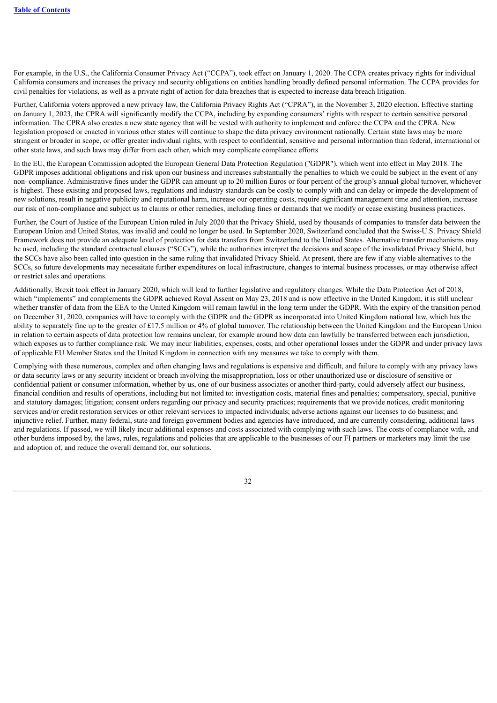For example, in the U.S., the California Consumer Privacy Act ("CCPA"), took effect on January 1, 2020. The CCPA creates privacy rights for individual California consumers and increases the privacy and security obligations on entities handling broadly defined personal information. The CCPA provides for civil penalties for violations, as well as a private right of action for data breaches that is expected to increase data breach litigation.

Further, California voters approved a new privacy law, the California Privacy Rights Act ("CPRA"), in the November 3, 2020 election. Effective starting on January 1, 2023, the CPRA will significantly modify the CCPA, including by expanding consumers' rights with respect to certain sensitive personal information. The CPRA also creates a new state agency that will be vested with authority to implement and enforce the CCPA and the CPRA. New legislation proposed or enacted in various other states will continue to shape the data privacy environment nationally. Certain state laws may be more stringent or broader in scope, or offer greater individual rights, with respect to confidential, sensitive and personal information than federal, international or other state laws, and such laws may differ from each other, which may complicate compliance efforts

In the EU, the European Commission adopted the European General Data Protection Regulation ("GDPR"), which went into effect in May 2018. The GDPR imposes additional obligations and risk upon our business and increases substantially the penalties to which we could be subject in the event of any non–compliance. Administrative fines under the GDPR can amount up to 20 million Euros or four percent of the group's annual global turnover, whichever is highest. These existing and proposed laws, regulations and industry standards can be costly to comply with and can delay or impede the development of new solutions, result in negative publicity and reputational harm, increase our operating costs, require significant management time and attention, increase our risk of non-compliance and subject us to claims or other remedies, including fines or demands that we modify or cease existing business practices.

Further, the Court of Justice of the European Union ruled in July 2020 that the Privacy Shield, used by thousands of companies to transfer data between the European Union and United States, was invalid and could no longer be used. In September 2020, Switzerland concluded that the Swiss-U.S. Privacy Shield Framework does not provide an adequate level of protection for data transfers from Switzerland to the United States. Alternative transfer mechanisms may be used, including the standard contractual clauses ("SCCs"), while the authorities interpret the decisions and scope of the invalidated Privacy Shield, but the SCCs have also been called into question in the same ruling that invalidated Privacy Shield. At present, there are few if any viable alternatives to the SCCs, so future developments may necessitate further expenditures on local infrastructure, changes to internal business processes, or may otherwise affect or restrict sales and operations.

Additionally, Brexit took effect in January 2020, which will lead to further legislative and regulatory changes. While the Data Protection Act of 2018, which "implements" and complements the GDPR achieved Royal Assent on May 23, 2018 and is now effective in the United Kingdom, it is still unclear whether transfer of data from the EEA to the United Kingdom will remain lawful in the long term under the GDPR. With the expiry of the transition period on December 31, 2020, companies will have to comply with the GDPR and the GDPR as incorporated into United Kingdom national law, which has the ability to separately fine up to the greater of £17.5 million or 4% of global turnover. The relationship between the United Kingdom and the European Union in relation to certain aspects of data protection law remains unclear, for example around how data can lawfully be transferred between each jurisdiction, which exposes us to further compliance risk. We may incur liabilities, expenses, costs, and other operational losses under the GDPR and under privacy laws of applicable EU Member States and the United Kingdom in connection with any measures we take to comply with them.

Complying with these numerous, complex and often changing laws and regulations is expensive and difficult, and failure to comply with any privacy laws or data security laws or any security incident or breach involving the misappropriation, loss or other unauthorized use or disclosure of sensitive or confidential patient or consumer information, whether by us, one of our business associates or another third-party, could adversely affect our business, financial condition and results of operations, including but not limited to: investigation costs, material fines and penalties; compensatory, special, punitive and statutory damages; litigation; consent orders regarding our privacy and security practices; requirements that we provide notices, credit monitoring services and/or credit restoration services or other relevant services to impacted individuals; adverse actions against our licenses to do business; and injunctive relief. Further, many federal, state and foreign government bodies and agencies have introduced, and are currently considering, additional laws and regulations. If passed, we will likely incur additional expenses and costs associated with complying with such laws. The costs of compliance with, and other burdens imposed by, the laws, rules, regulations and policies that are applicable to the businesses of our FI partners or marketers may limit the use and adoption of, and reduce the overall demand for, our solutions.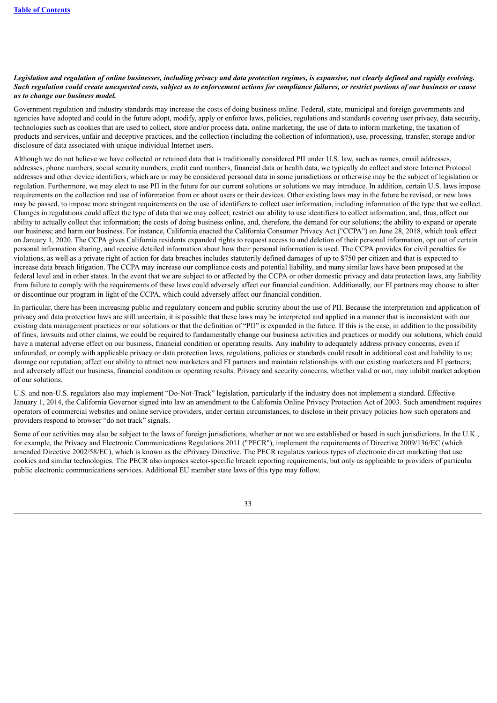### Legislation and regulation of online businesses, including privacy and data protection regimes, is expansive, not clearly defined and rapidly evolving. Such regulation could create unexpected costs, subject us to enforcement actions for compliance failures, or restrict portions of our business or cause *us to change our business model.*

Government regulation and industry standards may increase the costs of doing business online. Federal, state, municipal and foreign governments and agencies have adopted and could in the future adopt, modify, apply or enforce laws, policies, regulations and standards covering user privacy, data security, technologies such as cookies that are used to collect, store and/or process data, online marketing, the use of data to inform marketing, the taxation of products and services, unfair and deceptive practices, and the collection (including the collection of information), use, processing, transfer, storage and/or disclosure of data associated with unique individual Internet users.

Although we do not believe we have collected or retained data that is traditionally considered PII under U.S. law, such as names, email addresses, addresses, phone numbers, social security numbers, credit card numbers, financial data or health data, we typically do collect and store Internet Protocol addresses and other device identifiers, which are or may be considered personal data in some jurisdictions or otherwise may be the subject of legislation or regulation. Furthermore, we may elect to use PII in the future for our current solutions or solutions we may introduce. In addition, certain U.S. laws impose requirements on the collection and use of information from or about users or their devices. Other existing laws may in the future be revised, or new laws may be passed, to impose more stringent requirements on the use of identifiers to collect user information, including information of the type that we collect. Changes in regulations could affect the type of data that we may collect; restrict our ability to use identifiers to collect information, and, thus, affect our ability to actually collect that information; the costs of doing business online, and, therefore, the demand for our solutions; the ability to expand or operate our business; and harm our business. For instance, California enacted the California Consumer Privacy Act ("CCPA") on June 28, 2018, which took effect on January 1, 2020. The CCPA gives California residents expanded rights to request access to and deletion of their personal information, opt out of certain personal information sharing, and receive detailed information about how their personal information is used. The CCPA provides for civil penalties for violations, as well as a private right of action for data breaches includes statutorily defined damages of up to \$750 per citizen and that is expected to increase data breach litigation. The CCPA may increase our compliance costs and potential liability, and many similar laws have been proposed at the federal level and in other states. In the event that we are subject to or affected by the CCPA or other domestic privacy and data protection laws, any liability from failure to comply with the requirements of these laws could adversely affect our financial condition. Additionally, our FI partners may choose to alter or discontinue our program in light of the CCPA, which could adversely affect our financial condition.

In particular, there has been increasing public and regulatory concern and public scrutiny about the use of PII. Because the interpretation and application of privacy and data protection laws are still uncertain, it is possible that these laws may be interpreted and applied in a manner that is inconsistent with our existing data management practices or our solutions or that the definition of "PII" is expanded in the future. If this is the case, in addition to the possibility of fines, lawsuits and other claims, we could be required to fundamentally change our business activities and practices or modify our solutions, which could have a material adverse effect on our business, financial condition or operating results. Any inability to adequately address privacy concerns, even if unfounded, or comply with applicable privacy or data protection laws, regulations, policies or standards could result in additional cost and liability to us; damage our reputation; affect our ability to attract new marketers and FI partners and maintain relationships with our existing marketers and FI partners; and adversely affect our business, financial condition or operating results. Privacy and security concerns, whether valid or not, may inhibit market adoption of our solutions.

U.S. and non-U.S. regulators also may implement "Do-Not-Track" legislation, particularly if the industry does not implement a standard. Effective January 1, 2014, the California Governor signed into law an amendment to the California Online Privacy Protection Act of 2003. Such amendment requires operators of commercial websites and online service providers, under certain circumstances, to disclose in their privacy policies how such operators and providers respond to browser "do not track" signals.

Some of our activities may also be subject to the laws of foreign jurisdictions, whether or not we are established or based in such jurisdictions. In the U.K., for example, the Privacy and Electronic Communications Regulations 2011 ("PECR"), implement the requirements of Directive 2009/136/EC (which amended Directive 2002/58/EC), which is known as the ePrivacy Directive. The PECR regulates various types of electronic direct marketing that use cookies and similar technologies. The PECR also imposes sector-specific breach reporting requirements, but only as applicable to providers of particular public electronic communications services. Additional EU member state laws of this type may follow.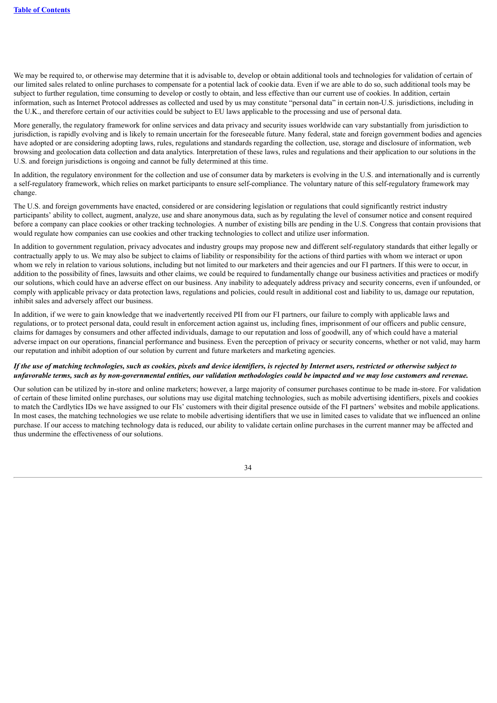We may be required to, or otherwise may determine that it is advisable to, develop or obtain additional tools and technologies for validation of certain of our limited sales related to online purchases to compensate for a potential lack of cookie data. Even if we are able to do so, such additional tools may be subject to further regulation, time consuming to develop or costly to obtain, and less effective than our current use of cookies. In addition, certain information, such as Internet Protocol addresses as collected and used by us may constitute "personal data" in certain non-U.S. jurisdictions, including in the U.K., and therefore certain of our activities could be subject to EU laws applicable to the processing and use of personal data.

More generally, the regulatory framework for online services and data privacy and security issues worldwide can vary substantially from jurisdiction to jurisdiction, is rapidly evolving and is likely to remain uncertain for the foreseeable future. Many federal, state and foreign government bodies and agencies have adopted or are considering adopting laws, rules, regulations and standards regarding the collection, use, storage and disclosure of information, web browsing and geolocation data collection and data analytics. Interpretation of these laws, rules and regulations and their application to our solutions in the U.S. and foreign jurisdictions is ongoing and cannot be fully determined at this time.

In addition, the regulatory environment for the collection and use of consumer data by marketers is evolving in the U.S. and internationally and is currently a self-regulatory framework, which relies on market participants to ensure self-compliance. The voluntary nature of this self-regulatory framework may change.

The U.S. and foreign governments have enacted, considered or are considering legislation or regulations that could significantly restrict industry participants' ability to collect, augment, analyze, use and share anonymous data, such as by regulating the level of consumer notice and consent required before a company can place cookies or other tracking technologies. A number of existing bills are pending in the U.S. Congress that contain provisions that would regulate how companies can use cookies and other tracking technologies to collect and utilize user information.

In addition to government regulation, privacy advocates and industry groups may propose new and different self-regulatory standards that either legally or contractually apply to us. We may also be subject to claims of liability or responsibility for the actions of third parties with whom we interact or upon whom we rely in relation to various solutions, including but not limited to our marketers and their agencies and our FI partners. If this were to occur, in addition to the possibility of fines, lawsuits and other claims, we could be required to fundamentally change our business activities and practices or modify our solutions, which could have an adverse effect on our business. Any inability to adequately address privacy and security concerns, even if unfounded, or comply with applicable privacy or data protection laws, regulations and policies, could result in additional cost and liability to us, damage our reputation, inhibit sales and adversely affect our business.

In addition, if we were to gain knowledge that we inadvertently received PII from our FI partners, our failure to comply with applicable laws and regulations, or to protect personal data, could result in enforcement action against us, including fines, imprisonment of our officers and public censure, claims for damages by consumers and other affected individuals, damage to our reputation and loss of goodwill, any of which could have a material adverse impact on our operations, financial performance and business. Even the perception of privacy or security concerns, whether or not valid, may harm our reputation and inhibit adoption of our solution by current and future marketers and marketing agencies.

### If the use of matching technologies, such as cookies, pixels and device identifiers, is rejected by Internet users, restricted or otherwise subject to unfavorable terms, such as by non-governmental entities, our validation methodologies could be impacted and we may lose customers and revenue.

Our solution can be utilized by in-store and online marketers; however, a large majority of consumer purchases continue to be made in-store. For validation of certain of these limited online purchases, our solutions may use digital matching technologies, such as mobile advertising identifiers, pixels and cookies to match the Cardlytics IDs we have assigned to our FIs' customers with their digital presence outside of the FI partners' websites and mobile applications. In most cases, the matching technologies we use relate to mobile advertising identifiers that we use in limited cases to validate that we influenced an online purchase. If our access to matching technology data is reduced, our ability to validate certain online purchases in the current manner may be affected and thus undermine the effectiveness of our solutions.

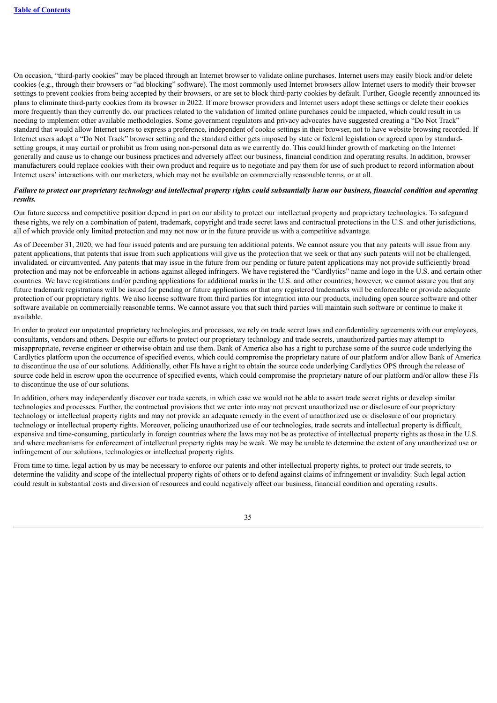On occasion, "third-party cookies" may be placed through an Internet browser to validate online purchases. Internet users may easily block and/or delete cookies (e.g., through their browsers or "ad blocking" software). The most commonly used Internet browsers allow Internet users to modify their browser settings to prevent cookies from being accepted by their browsers, or are set to block third-party cookies by default. Further, Google recently announced its plans to eliminate third-party cookies from its browser in 2022. If more browser providers and Internet users adopt these settings or delete their cookies more frequently than they currently do, our practices related to the validation of limited online purchases could be impacted, which could result in us needing to implement other available methodologies. Some government regulators and privacy advocates have suggested creating a "Do Not Track" standard that would allow Internet users to express a preference, independent of cookie settings in their browser, not to have website browsing recorded. If Internet users adopt a "Do Not Track" browser setting and the standard either gets imposed by state or federal legislation or agreed upon by standardsetting groups, it may curtail or prohibit us from using non-personal data as we currently do. This could hinder growth of marketing on the Internet generally and cause us to change our business practices and adversely affect our business, financial condition and operating results. In addition, browser manufacturers could replace cookies with their own product and require us to negotiate and pay them for use of such product to record information about Internet users' interactions with our marketers, which may not be available on commercially reasonable terms, or at all.

## Failure to protect our proprietary technology and intellectual property rights could substantially harm our business, financial condition and operating *results.*

Our future success and competitive position depend in part on our ability to protect our intellectual property and proprietary technologies. To safeguard these rights, we rely on a combination of patent, trademark, copyright and trade secret laws and contractual protections in the U.S. and other jurisdictions, all of which provide only limited protection and may not now or in the future provide us with a competitive advantage.

As of December 31, 2020, we had four issued patents and are pursuing ten additional patents. We cannot assure you that any patents will issue from any patent applications, that patents that issue from such applications will give us the protection that we seek or that any such patents will not be challenged, invalidated, or circumvented. Any patents that may issue in the future from our pending or future patent applications may not provide sufficiently broad protection and may not be enforceable in actions against alleged infringers. We have registered the "Cardlytics" name and logo in the U.S. and certain other countries. We have registrations and/or pending applications for additional marks in the U.S. and other countries; however, we cannot assure you that any future trademark registrations will be issued for pending or future applications or that any registered trademarks will be enforceable or provide adequate protection of our proprietary rights. We also license software from third parties for integration into our products, including open source software and other software available on commercially reasonable terms. We cannot assure you that such third parties will maintain such software or continue to make it available.

In order to protect our unpatented proprietary technologies and processes, we rely on trade secret laws and confidentiality agreements with our employees, consultants, vendors and others. Despite our efforts to protect our proprietary technology and trade secrets, unauthorized parties may attempt to misappropriate, reverse engineer or otherwise obtain and use them. Bank of America also has a right to purchase some of the source code underlying the Cardlytics platform upon the occurrence of specified events, which could compromise the proprietary nature of our platform and/or allow Bank of America to discontinue the use of our solutions. Additionally, other FIs have a right to obtain the source code underlying Cardlytics OPS through the release of source code held in escrow upon the occurrence of specified events, which could compromise the proprietary nature of our platform and/or allow these FIs to discontinue the use of our solutions.

In addition, others may independently discover our trade secrets, in which case we would not be able to assert trade secret rights or develop similar technologies and processes. Further, the contractual provisions that we enter into may not prevent unauthorized use or disclosure of our proprietary technology or intellectual property rights and may not provide an adequate remedy in the event of unauthorized use or disclosure of our proprietary technology or intellectual property rights. Moreover, policing unauthorized use of our technologies, trade secrets and intellectual property is difficult, expensive and time-consuming, particularly in foreign countries where the laws may not be as protective of intellectual property rights as those in the U.S. and where mechanisms for enforcement of intellectual property rights may be weak. We may be unable to determine the extent of any unauthorized use or infringement of our solutions, technologies or intellectual property rights.

From time to time, legal action by us may be necessary to enforce our patents and other intellectual property rights, to protect our trade secrets, to determine the validity and scope of the intellectual property rights of others or to defend against claims of infringement or invalidity. Such legal action could result in substantial costs and diversion of resources and could negatively affect our business, financial condition and operating results.

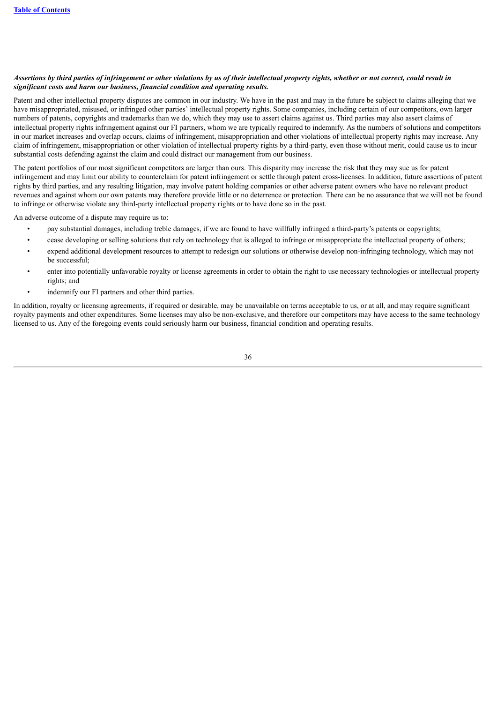# Assertions by third parties of infringement or other violations by us of their intellectual property rights, whether or not correct, could result in *significant costs and harm our business, financial condition and operating results.*

Patent and other intellectual property disputes are common in our industry. We have in the past and may in the future be subject to claims alleging that we have misappropriated, misused, or infringed other parties' intellectual property rights. Some companies, including certain of our competitors, own larger numbers of patents, copyrights and trademarks than we do, which they may use to assert claims against us. Third parties may also assert claims of intellectual property rights infringement against our FI partners, whom we are typically required to indemnify. As the numbers of solutions and competitors in our market increases and overlap occurs, claims of infringement, misappropriation and other violations of intellectual property rights may increase. Any claim of infringement, misappropriation or other violation of intellectual property rights by a third-party, even those without merit, could cause us to incur substantial costs defending against the claim and could distract our management from our business.

The patent portfolios of our most significant competitors are larger than ours. This disparity may increase the risk that they may sue us for patent infringement and may limit our ability to counterclaim for patent infringement or settle through patent cross-licenses. In addition, future assertions of patent rights by third parties, and any resulting litigation, may involve patent holding companies or other adverse patent owners who have no relevant product revenues and against whom our own patents may therefore provide little or no deterrence or protection. There can be no assurance that we will not be found to infringe or otherwise violate any third-party intellectual property rights or to have done so in the past.

An adverse outcome of a dispute may require us to:

- pay substantial damages, including treble damages, if we are found to have willfully infringed a third-party's patents or copyrights;
- cease developing or selling solutions that rely on technology that is alleged to infringe or misappropriate the intellectual property of others;
- expend additional development resources to attempt to redesign our solutions or otherwise develop non-infringing technology, which may not be successful;
- enter into potentially unfavorable royalty or license agreements in order to obtain the right to use necessary technologies or intellectual property rights; and
- indemnify our FI partners and other third parties.

In addition, royalty or licensing agreements, if required or desirable, may be unavailable on terms acceptable to us, or at all, and may require significant royalty payments and other expenditures. Some licenses may also be non-exclusive, and therefore our competitors may have access to the same technology licensed to us. Any of the foregoing events could seriously harm our business, financial condition and operating results.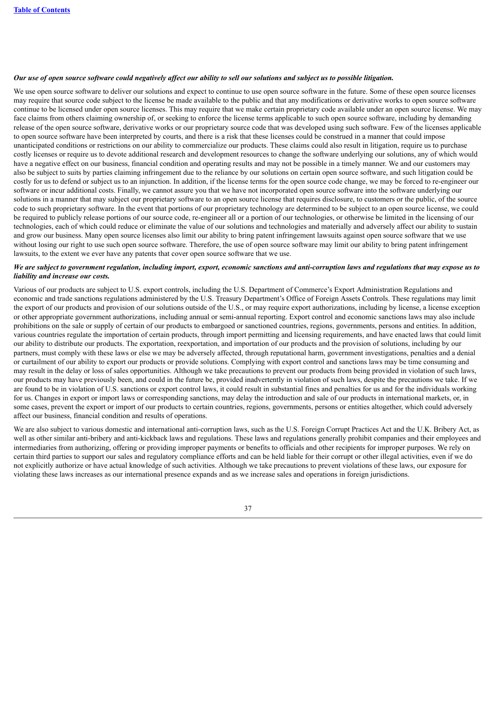## Our use of open source software could negatively affect our ability to sell our solutions and subject us to possible litigation.

We use open source software to deliver our solutions and expect to continue to use open source software in the future. Some of these open source licenses may require that source code subject to the license be made available to the public and that any modifications or derivative works to open source software continue to be licensed under open source licenses. This may require that we make certain proprietary code available under an open source license. We may face claims from others claiming ownership of, or seeking to enforce the license terms applicable to such open source software, including by demanding release of the open source software, derivative works or our proprietary source code that was developed using such software. Few of the licenses applicable to open source software have been interpreted by courts, and there is a risk that these licenses could be construed in a manner that could impose unanticipated conditions or restrictions on our ability to commercialize our products. These claims could also result in litigation, require us to purchase costly licenses or require us to devote additional research and development resources to change the software underlying our solutions, any of which would have a negative effect on our business, financial condition and operating results and may not be possible in a timely manner. We and our customers may also be subject to suits by parties claiming infringement due to the reliance by our solutions on certain open source software, and such litigation could be costly for us to defend or subject us to an injunction. In addition, if the license terms for the open source code change, we may be forced to re-engineer our software or incur additional costs. Finally, we cannot assure you that we have not incorporated open source software into the software underlying our solutions in a manner that may subject our proprietary software to an open source license that requires disclosure, to customers or the public, of the source code to such proprietary software. In the event that portions of our proprietary technology are determined to be subject to an open source license, we could be required to publicly release portions of our source code, re-engineer all or a portion of our technologies, or otherwise be limited in the licensing of our technologies, each of which could reduce or eliminate the value of our solutions and technologies and materially and adversely affect our ability to sustain and grow our business. Many open source licenses also limit our ability to bring patent infringement lawsuits against open source software that we use without losing our right to use such open source software. Therefore, the use of open source software may limit our ability to bring patent infringement lawsuits, to the extent we ever have any patents that cover open source software that we use.

# We are subject to government regulation, including import, export, economic sanctions and anti-corruption laws and regulations that may expose us to *liability and increase our costs.*

Various of our products are subject to U.S. export controls, including the U.S. Department of Commerce's Export Administration Regulations and economic and trade sanctions regulations administered by the U.S. Treasury Department's Office of Foreign Assets Controls. These regulations may limit the export of our products and provision of our solutions outside of the U.S., or may require export authorizations, including by license, a license exception or other appropriate government authorizations, including annual or semi-annual reporting. Export control and economic sanctions laws may also include prohibitions on the sale or supply of certain of our products to embargoed or sanctioned countries, regions, governments, persons and entities. In addition, various countries regulate the importation of certain products, through import permitting and licensing requirements, and have enacted laws that could limit our ability to distribute our products. The exportation, reexportation, and importation of our products and the provision of solutions, including by our partners, must comply with these laws or else we may be adversely affected, through reputational harm, government investigations, penalties and a denial or curtailment of our ability to export our products or provide solutions. Complying with export control and sanctions laws may be time consuming and may result in the delay or loss of sales opportunities. Although we take precautions to prevent our products from being provided in violation of such laws, our products may have previously been, and could in the future be, provided inadvertently in violation of such laws, despite the precautions we take. If we are found to be in violation of U.S. sanctions or export control laws, it could result in substantial fines and penalties for us and for the individuals working for us. Changes in export or import laws or corresponding sanctions, may delay the introduction and sale of our products in international markets, or, in some cases, prevent the export or import of our products to certain countries, regions, governments, persons or entities altogether, which could adversely affect our business, financial condition and results of operations.

We are also subject to various domestic and international anti-corruption laws, such as the U.S. Foreign Corrupt Practices Act and the U.K. Bribery Act, as well as other similar anti-bribery and anti-kickback laws and regulations. These laws and regulations generally prohibit companies and their employees and intermediaries from authorizing, offering or providing improper payments or benefits to officials and other recipients for improper purposes. We rely on certain third parties to support our sales and regulatory compliance efforts and can be held liable for their corrupt or other illegal activities, even if we do not explicitly authorize or have actual knowledge of such activities. Although we take precautions to prevent violations of these laws, our exposure for violating these laws increases as our international presence expands and as we increase sales and operations in foreign jurisdictions.

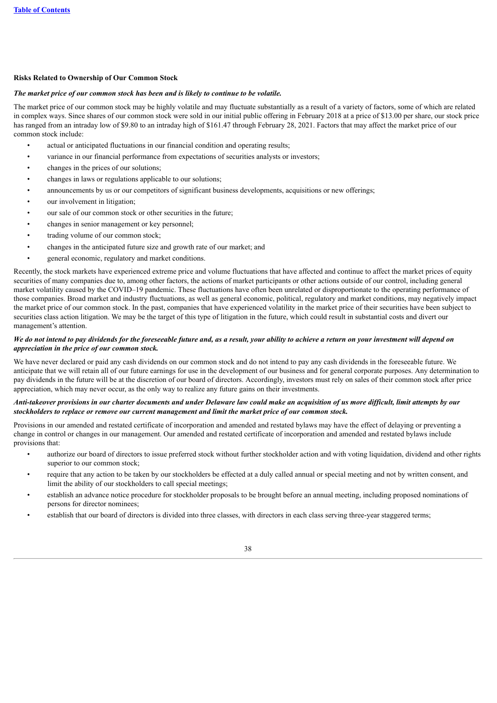# **Risks Related to Ownership of Our Common Stock**

### *The market price of our common stock has been and is likely to continue to be volatile.*

The market price of our common stock may be highly volatile and may fluctuate substantially as a result of a variety of factors, some of which are related in complex ways. Since shares of our common stock were sold in our initial public offering in February 2018 at a price of \$13.00 per share, our stock price has ranged from an intraday low of \$9.80 to an intraday high of \$161.47 through February 28, 2021. Factors that may affect the market price of our common stock include:

- actual or anticipated fluctuations in our financial condition and operating results;
- variance in our financial performance from expectations of securities analysts or investors;
- changes in the prices of our solutions;
- changes in laws or regulations applicable to our solutions;
- announcements by us or our competitors of significant business developments, acquisitions or new offerings;
- our involvement in litigation:
- our sale of our common stock or other securities in the future;
- changes in senior management or key personnel;
- trading volume of our common stock:
- changes in the anticipated future size and growth rate of our market; and
- general economic, regulatory and market conditions.

Recently, the stock markets have experienced extreme price and volume fluctuations that have affected and continue to affect the market prices of equity securities of many companies due to, among other factors, the actions of market participants or other actions outside of our control, including general market volatility caused by the COVID–19 pandemic. These fluctuations have often been unrelated or disproportionate to the operating performance of those companies. Broad market and industry fluctuations, as well as general economic, political, regulatory and market conditions, may negatively impact the market price of our common stock. In the past, companies that have experienced volatility in the market price of their securities have been subject to securities class action litigation. We may be the target of this type of litigation in the future, which could result in substantial costs and divert our management's attention.

### We do not intend to pay dividends for the foreseeable future and, as a result, your ability to achieve a return on your investment will depend on *appreciation in the price of our common stock.*

We have never declared or paid any cash dividends on our common stock and do not intend to pay any cash dividends in the foreseeable future. We anticipate that we will retain all of our future earnings for use in the development of our business and for general corporate purposes. Any determination to pay dividends in the future will be at the discretion of our board of directors. Accordingly, investors must rely on sales of their common stock after price appreciation, which may never occur, as the only way to realize any future gains on their investments.

### Anti-takeover provisions in our charter documents and under Delaware law could make an acquisition of us more difficult, limit attempts by our *stockholders to replace or remove our current management and limit the market price of our common stock.*

Provisions in our amended and restated certificate of incorporation and amended and restated bylaws may have the effect of delaying or preventing a change in control or changes in our management. Our amended and restated certificate of incorporation and amended and restated bylaws include provisions that:

- authorize our board of directors to issue preferred stock without further stockholder action and with voting liquidation, dividend and other rights superior to our common stock;
- require that any action to be taken by our stockholders be effected at a duly called annual or special meeting and not by written consent, and limit the ability of our stockholders to call special meetings;
- establish an advance notice procedure for stockholder proposals to be brought before an annual meeting, including proposed nominations of persons for director nominees;
- establish that our board of directors is divided into three classes, with directors in each class serving three-year staggered terms;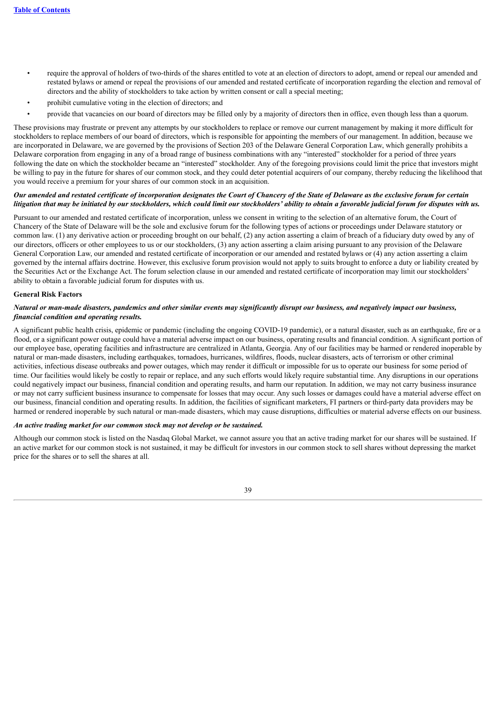- require the approval of holders of two-thirds of the shares entitled to vote at an election of directors to adopt, amend or repeal our amended and restated bylaws or amend or repeal the provisions of our amended and restated certificate of incorporation regarding the election and removal of directors and the ability of stockholders to take action by written consent or call a special meeting;
- prohibit cumulative voting in the election of directors; and
- provide that vacancies on our board of directors may be filled only by a majority of directors then in office, even though less than a quorum.

These provisions may frustrate or prevent any attempts by our stockholders to replace or remove our current management by making it more difficult for stockholders to replace members of our board of directors, which is responsible for appointing the members of our management. In addition, because we are incorporated in Delaware, we are governed by the provisions of Section 203 of the Delaware General Corporation Law, which generally prohibits a Delaware corporation from engaging in any of a broad range of business combinations with any "interested" stockholder for a period of three years following the date on which the stockholder became an "interested" stockholder. Any of the foregoing provisions could limit the price that investors might be willing to pay in the future for shares of our common stock, and they could deter potential acquirers of our company, thereby reducing the likelihood that you would receive a premium for your shares of our common stock in an acquisition.

# Our amended and restated certificate of incorporation designates the Court of Chancery of the State of Delaware as the exclusive forum for certain litigation that may be initiated by our stockholders, which could limit our stockholders' ability to obtain a favorable judicial forum for disputes with us.

Pursuant to our amended and restated certificate of incorporation, unless we consent in writing to the selection of an alternative forum, the Court of Chancery of the State of Delaware will be the sole and exclusive forum for the following types of actions or proceedings under Delaware statutory or common law. (1) any derivative action or proceeding brought on our behalf, (2) any action asserting a claim of breach of a fiduciary duty owed by any of our directors, officers or other employees to us or our stockholders, (3) any action asserting a claim arising pursuant to any provision of the Delaware General Corporation Law, our amended and restated certificate of incorporation or our amended and restated bylaws or (4) any action asserting a claim governed by the internal affairs doctrine. However, this exclusive forum provision would not apply to suits brought to enforce a duty or liability created by the Securities Act or the Exchange Act. The forum selection clause in our amended and restated certificate of incorporation may limit our stockholders' ability to obtain a favorable judicial forum for disputes with us.

### **General Risk Factors**

## Natural or man-made disasters, pandemics and other similar events may significantly disrupt our business, and negatively impact our business, *financial condition and operating results.*

A significant public health crisis, epidemic or pandemic (including the ongoing COVID-19 pandemic), or a natural disaster, such as an earthquake, fire or a flood, or a significant power outage could have a material adverse impact on our business, operating results and financial condition. A significant portion of our employee base, operating facilities and infrastructure are centralized in Atlanta, Georgia. Any of our facilities may be harmed or rendered inoperable by natural or man-made disasters, including earthquakes, tornadoes, hurricanes, wildfires, floods, nuclear disasters, acts of terrorism or other criminal activities, infectious disease outbreaks and power outages, which may render it difficult or impossible for us to operate our business for some period of time. Our facilities would likely be costly to repair or replace, and any such efforts would likely require substantial time. Any disruptions in our operations could negatively impact our business, financial condition and operating results, and harm our reputation. In addition, we may not carry business insurance or may not carry sufficient business insurance to compensate for losses that may occur. Any such losses or damages could have a material adverse effect on our business, financial condition and operating results. In addition, the facilities of significant marketers, FI partners or third-party data providers may be harmed or rendered inoperable by such natural or man-made disasters, which may cause disruptions, difficulties or material adverse effects on our business.

### *An active trading market for our common stock may not develop or be sustained.*

Although our common stock is listed on the Nasdaq Global Market, we cannot assure you that an active trading market for our shares will be sustained. If an active market for our common stock is not sustained, it may be difficult for investors in our common stock to sell shares without depressing the market price for the shares or to sell the shares at all.

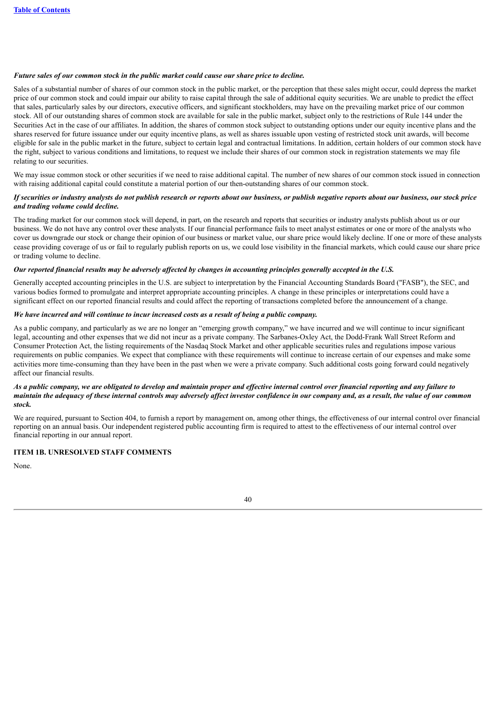### *Future sales of our common stock in the public market could cause our share price to decline.*

Sales of a substantial number of shares of our common stock in the public market, or the perception that these sales might occur, could depress the market price of our common stock and could impair our ability to raise capital through the sale of additional equity securities. We are unable to predict the effect that sales, particularly sales by our directors, executive officers, and significant stockholders, may have on the prevailing market price of our common stock. All of our outstanding shares of common stock are available for sale in the public market, subject only to the restrictions of Rule 144 under the Securities Act in the case of our affiliates. In addition, the shares of common stock subject to outstanding options under our equity incentive plans and the shares reserved for future issuance under our equity incentive plans, as well as shares issuable upon vesting of restricted stock unit awards, will become eligible for sale in the public market in the future, subject to certain legal and contractual limitations. In addition, certain holders of our common stock have the right, subject to various conditions and limitations, to request we include their shares of our common stock in registration statements we may file relating to our securities.

We may issue common stock or other securities if we need to raise additional capital. The number of new shares of our common stock issued in connection with raising additional capital could constitute a material portion of our then-outstanding shares of our common stock.

# If securities or industry analysts do not publish research or reports about our business, or publish negative reports about our business, our stock price *and trading volume could decline.*

The trading market for our common stock will depend, in part, on the research and reports that securities or industry analysts publish about us or our business. We do not have any control over these analysts. If our financial performance fails to meet analyst estimates or one or more of the analysts who cover us downgrade our stock or change their opinion of our business or market value, our share price would likely decline. If one or more of these analysts cease providing coverage of us or fail to regularly publish reports on us, we could lose visibility in the financial markets, which could cause our share price or trading volume to decline.

### Our reported financial results may be adversely affected by changes in accounting principles generally accepted in the U.S.

Generally accepted accounting principles in the U.S. are subject to interpretation by the Financial Accounting Standards Board ("FASB"), the SEC, and various bodies formed to promulgate and interpret appropriate accounting principles. A change in these principles or interpretations could have a significant effect on our reported financial results and could affect the reporting of transactions completed before the announcement of a change.

# *We have incurred and will continue to incur increased costs as a result of being a public company.*

As a public company, and particularly as we are no longer an "emerging growth company," we have incurred and we will continue to incur significant legal, accounting and other expenses that we did not incur as a private company. The Sarbanes-Oxley Act, the Dodd-Frank Wall Street Reform and Consumer Protection Act, the listing requirements of the Nasdaq Stock Market and other applicable securities rules and regulations impose various requirements on public companies. We expect that compliance with these requirements will continue to increase certain of our expenses and make some activities more time-consuming than they have been in the past when we were a private company. Such additional costs going forward could negatively affect our financial results.

### As a public company, we are obligated to develop and maintain proper and effective internal control over financial reporting and any failure to maintain the adequacy of these internal controls may adversely affect investor confidence in our company and, as a result, the value of our common *stock.*

We are required, pursuant to Section 404, to furnish a report by management on, among other things, the effectiveness of our internal control over financial reporting on an annual basis. Our independent registered public accounting firm is required to attest to the effectiveness of our internal control over financial reporting in our annual report.

# **ITEM 1B. UNRESOLVED STAFF COMMENTS**

None.

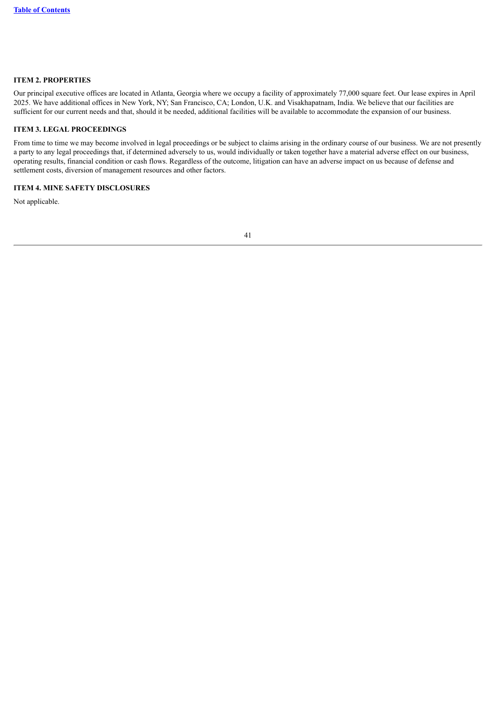# **ITEM 2. PROPERTIES**

Our principal executive offices are located in Atlanta, Georgia where we occupy a facility of approximately 77,000 square feet. Our lease expires in April 2025. We have additional offices in New York, NY; San Francisco, CA; London, U.K. and Visakhapatnam, India. We believe that our facilities are sufficient for our current needs and that, should it be needed, additional facilities will be available to accommodate the expansion of our business.

# **ITEM 3. LEGAL PROCEEDINGS**

From time to time we may become involved in legal proceedings or be subject to claims arising in the ordinary course of our business. We are not presently a party to any legal proceedings that, if determined adversely to us, would individually or taken together have a material adverse effect on our business, operating results, financial condition or cash flows. Regardless of the outcome, litigation can have an adverse impact on us because of defense and settlement costs, diversion of management resources and other factors.

# **ITEM 4. MINE SAFETY DISCLOSURES**

Not applicable.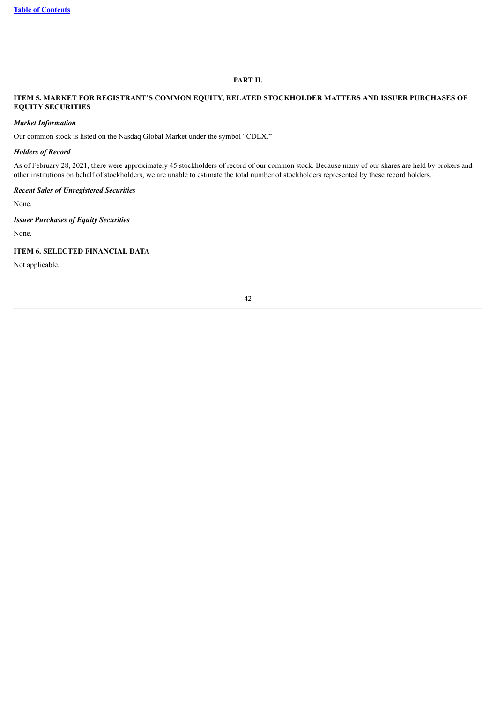### **PART II.**

# **ITEM 5. MARKET FOR REGISTRANT'S COMMON EQUITY, RELATED STOCKHOLDER MATTERS AND ISSUER PURCHASES OF EQUITY SECURITIES**

# *Market Information*

Our common stock is listed on the Nasdaq Global Market under the symbol "CDLX."

### *Holders of Record*

As of February 28, 2021, there were approximately 45 stockholders of record of our common stock. Because many of our shares are held by brokers and other institutions on behalf of stockholders, we are unable to estimate the total number of stockholders represented by these record holders.

# *Recent Sales of Unregistered Securities*

None.

### *Issuer Purchases of Equity Securities*

None.

# **ITEM 6. SELECTED FINANCIAL DATA**

Not applicable.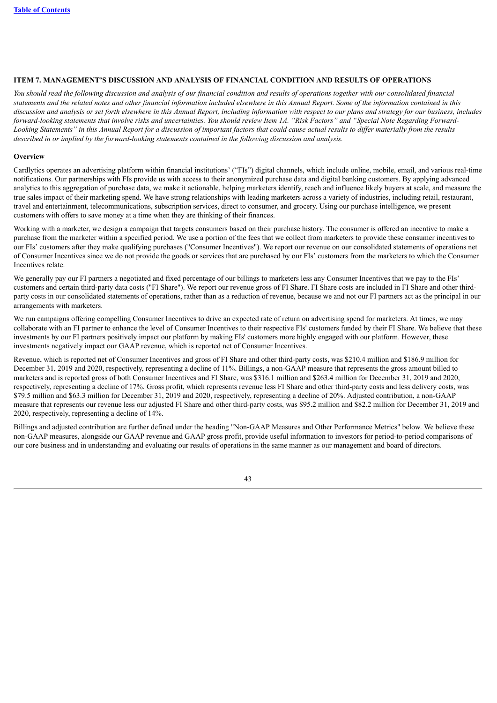# **ITEM 7. MANAGEMENT'S DISCUSSION AND ANALYSIS OF FINANCIAL CONDITION AND RESULTS OF OPERATIONS**

You should read the following discussion and analysis of our financial condition and results of operations together with our consolidated financial statements and the related notes and other financial information included elsewhere in this Annual Report. Some of the information contained in this discussion and analysis or set forth elsewhere in this Annual Report, including information with respect to our plans and strategy for our business, includes forward-looking statements that involve risks and uncertainties. You should review Item 1A. "Risk Factors" and "Special Note Regarding Forward-Looking Statements" in this Annual Report for a discussion of important factors that could cause actual results to differ materially from the results *described in or implied by the forward-looking statements contained in the following discussion and analysis.*

### **Overview**

Cardlytics operates an advertising platform within financial institutions' ("FIs") digital channels, which include online, mobile, email, and various real-time notifications. Our partnerships with FIs provide us with access to their anonymized purchase data and digital banking customers. By applying advanced analytics to this aggregation of purchase data, we make it actionable, helping marketers identify, reach and influence likely buyers at scale, and measure the true sales impact of their marketing spend. We have strong relationships with leading marketers across a variety of industries, including retail, restaurant, travel and entertainment, telecommunications, subscription services, direct to consumer, and grocery. Using our purchase intelligence, we present customers with offers to save money at a time when they are thinking of their finances.

Working with a marketer, we design a campaign that targets consumers based on their purchase history. The consumer is offered an incentive to make a purchase from the marketer within a specified period. We use a portion of the fees that we collect from marketers to provide these consumer incentives to our FIs' customers after they make qualifying purchases ("Consumer Incentives"). We report our revenue on our consolidated statements of operations net of Consumer Incentives since we do not provide the goods or services that are purchased by our FIs' customers from the marketers to which the Consumer Incentives relate.

We generally pay our FI partners a negotiated and fixed percentage of our billings to marketers less any Consumer Incentives that we pay to the FIs' customers and certain third-party data costs ("FI Share"). We report our revenue gross of FI Share. FI Share costs are included in FI Share and other thirdparty costs in our consolidated statements of operations, rather than as a reduction of revenue, because we and not our FI partners act as the principal in our arrangements with marketers.

We run campaigns offering compelling Consumer Incentives to drive an expected rate of return on advertising spend for marketers. At times, we may collaborate with an FI partner to enhance the level of Consumer Incentives to their respective FIs' customers funded by their FI Share. We believe that these investments by our FI partners positively impact our platform by making FIs' customers more highly engaged with our platform. However, these investments negatively impact our GAAP revenue, which is reported net of Consumer Incentives.

Revenue, which is reported net of Consumer Incentives and gross of FI Share and other third-party costs, was \$210.4 million and \$186.9 million for December 31, 2019 and 2020, respectively, representing a decline of 11%. Billings, a non-GAAP measure that represents the gross amount billed to marketers and is reported gross of both Consumer Incentives and FI Share, was \$316.1 million and \$263.4 million for December 31, 2019 and 2020, respectively, representing a decline of 17%. Gross profit, which represents revenue less FI Share and other third-party costs and less delivery costs, was \$79.5 million and \$63.3 million for December 31, 2019 and 2020, respectively, representing a decline of 20%. Adjusted contribution, a non-GAAP measure that represents our revenue less our adjusted FI Share and other third-party costs, was \$95.2 million and \$82.2 million for December 31, 2019 and 2020, respectively, representing a decline of 14%.

Billings and adjusted contribution are further defined under the heading "Non-GAAP Measures and Other Performance Metrics" below. We believe these non-GAAP measures, alongside our GAAP revenue and GAAP gross profit, provide useful information to investors for period-to-period comparisons of our core business and in understanding and evaluating our results of operations in the same manner as our management and board of directors.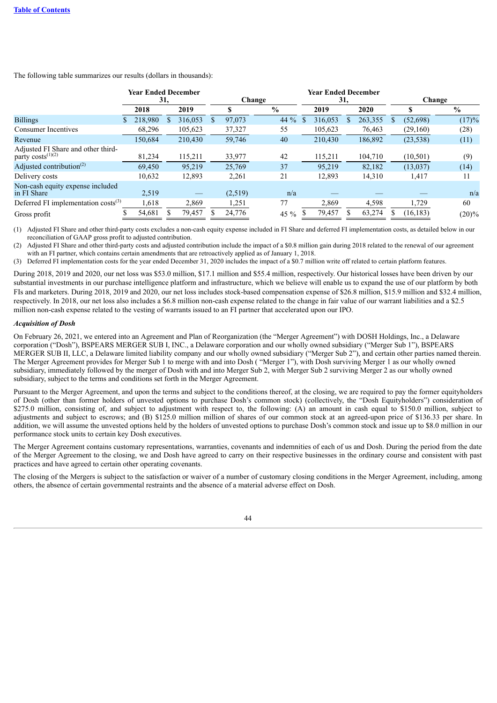|                                                              | <b>Year Ended December</b> | 31, |         | <b>Year Ended December</b><br>Change<br>31. |         |  |               |         | Change |         |  |           |               |
|--------------------------------------------------------------|----------------------------|-----|---------|---------------------------------------------|---------|--|---------------|---------|--------|---------|--|-----------|---------------|
|                                                              | 2018                       |     | 2019    |                                             | э       |  | $\frac{0}{0}$ | 2019    |        | 2020    |  |           | $\frac{6}{9}$ |
| <b>Billings</b>                                              | 218,980                    |     | 316,053 |                                             | 97,073  |  | 44 $\%$       | 316,053 |        | 263,355 |  | (52, 698) | (17)%         |
| <b>Consumer Incentives</b>                                   | 68,296                     |     | 105,623 |                                             | 37,327  |  | 55            | 105,623 |        | 76,463  |  | (29,160)  | (28)          |
| Revenue                                                      | 150,684                    |     | 210,430 |                                             | 59,746  |  | 40            | 210,430 |        | 186,892 |  | (23, 538) | (11)          |
| Adjusted FI Share and other third-<br>party $costs^{(1)(2)}$ | 81,234                     |     | 115,211 |                                             | 33,977  |  | 42            | 115,211 |        | 104,710 |  | (10, 501) | (9)           |
| Adjusted contribution <sup>(2)</sup>                         | 69.450                     |     | 95,219  |                                             | 25,769  |  | 37            | 95.219  |        | 82,182  |  | (13,037)  | (14)          |
| Delivery costs                                               | 10,632                     |     | 12,893  |                                             | 2,261   |  | 21            | 12,893  |        | 14,310  |  | 1,417     | 11            |
| Non-cash equity expense included<br>in FI Share              | 2.519                      |     |         |                                             | (2,519) |  | n/a           |         |        |         |  |           | n/a           |
| Deferred FI implementation $costs^{(3)}$                     | 1,618                      |     | 2,869   |                                             | 1,251   |  | 77            | 2,869   |        | 4,598   |  | 1,729     | 60            |
| Gross profit                                                 | 54,681                     |     | 79,457  |                                             | 24,776  |  | 45 $%$        | 79,457  |        | 63,274  |  | (16, 183) | $(20)\%$      |

The following table summarizes our results (dollars in thousands):

(1) Adjusted FI Share and other third-party costs excludes a non-cash equity expense included in FI Share and deferred FI implementation costs, as detailed below in our reconciliation of GAAP gross profit to adjusted contribution.

(2) Adjusted FI Share and other third-party costs and adjusted contribution include the impact of a \$0.8 million gain during 2018 related to the renewal of our agreement with an FI partner, which contains certain amendments that are retroactively applied as of January 1, 2018.

(3) Deferred FI implementation costs for the year ended December 31, 2020 includes the impact of a \$0.7 million write off related to certain platform features.

During 2018, 2019 and 2020, our net loss was \$53.0 million, \$17.1 million and \$55.4 million, respectively. Our historical losses have been driven by our substantial investments in our purchase intelligence platform and infrastructure, which we believe will enable us to expand the use of our platform by both FIs and marketers. During 2018, 2019 and 2020, our net loss includes stock-based compensation expense of \$26.8 million, \$15.9 million and \$32.4 million, respectively. In 2018, our net loss also includes a \$6.8 million non-cash expense related to the change in fair value of our warrant liabilities and a \$2.5 million non-cash expense related to the vesting of warrants issued to an FI partner that accelerated upon our IPO.

### *Acquisition of Dosh*

On February 26, 2021, we entered into an Agreement and Plan of Reorganization (the "Merger Agreement") with DOSH Holdings, Inc., a Delaware corporation ("Dosh"), BSPEARS MERGER SUB I, INC., a Delaware corporation and our wholly owned subsidiary ("Merger Sub 1"), BSPEARS MERGER SUB II, LLC, a Delaware limited liability company and our wholly owned subsidiary ("Merger Sub 2"), and certain other parties named therein. The Merger Agreement provides for Merger Sub 1 to merge with and into Dosh ( "Merger 1"), with Dosh surviving Merger 1 as our wholly owned subsidiary, immediately followed by the merger of Dosh with and into Merger Sub 2, with Merger Sub 2 surviving Merger 2 as our wholly owned subsidiary, subject to the terms and conditions set forth in the Merger Agreement.

Pursuant to the Merger Agreement, and upon the terms and subject to the conditions thereof, at the closing, we are required to pay the former equityholders of Dosh (other than former holders of unvested options to purchase Dosh's common stock) (collectively, the "Dosh Equityholders") consideration of \$275.0 million, consisting of, and subject to adjustment with respect to, the following: (A) an amount in cash equal to \$150.0 million, subject to adjustments and subject to escrows; and (B) \$125.0 million million of shares of our common stock at an agreed-upon price of \$136.33 per share. In addition, we will assume the unvested options held by the holders of unvested options to purchase Dosh's common stock and issue up to \$8.0 million in our performance stock units to certain key Dosh executives.

The Merger Agreement contains customary representations, warranties, covenants and indemnities of each of us and Dosh. During the period from the date of the Merger Agreement to the closing, we and Dosh have agreed to carry on their respective businesses in the ordinary course and consistent with past practices and have agreed to certain other operating covenants.

The closing of the Mergers is subject to the satisfaction or waiver of a number of customary closing conditions in the Merger Agreement, including, among others, the absence of certain governmental restraints and the absence of a material adverse effect on Dosh.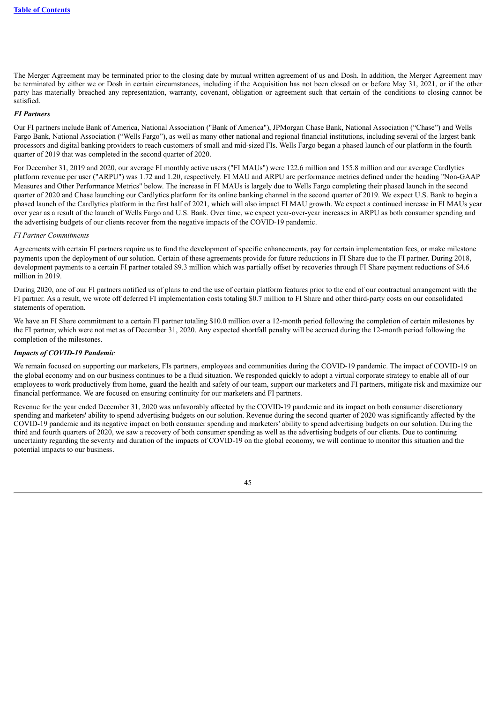The Merger Agreement may be terminated prior to the closing date by mutual written agreement of us and Dosh. In addition, the Merger Agreement may be terminated by either we or Dosh in certain circumstances, including if the Acquisition has not been closed on or before May 31, 2021, or if the other party has materially breached any representation, warranty, covenant, obligation or agreement such that certain of the conditions to closing cannot be satisfied.

## *FI Partners*

Our FI partners include Bank of America, National Association ("Bank of America"), JPMorgan Chase Bank, National Association ("Chase") and Wells Fargo Bank, National Association ("Wells Fargo"), as well as many other national and regional financial institutions, including several of the largest bank processors and digital banking providers to reach customers of small and mid-sized FIs. Wells Fargo began a phased launch of our platform in the fourth quarter of 2019 that was completed in the second quarter of 2020.

For December 31, 2019 and 2020, our average FI monthly active users ("FI MAUs") were 122.6 million and 155.8 million and our average Cardlytics platform revenue per user ("ARPU") was 1.72 and 1.20, respectively. FI MAU and ARPU are performance metrics defined under the heading "Non-GAAP Measures and Other Performance Metrics" below. The increase in FI MAUs is largely due to Wells Fargo completing their phased launch in the second quarter of 2020 and Chase launching our Cardlytics platform for its online banking channel in the second quarter of 2019. We expect U.S. Bank to begin a phased launch of the Cardlytics platform in the first half of 2021, which will also impact FI MAU growth. We expect a continued increase in FI MAUs year over year as a result of the launch of Wells Fargo and U.S. Bank. Over time, we expect year-over-year increases in ARPU as both consumer spending and the advertising budgets of our clients recover from the negative impacts of the COVID-19 pandemic.

### *FI Partner Commitments*

Agreements with certain FI partners require us to fund the development of specific enhancements, pay for certain implementation fees, or make milestone payments upon the deployment of our solution. Certain of these agreements provide for future reductions in FI Share due to the FI partner. During 2018, development payments to a certain FI partner totaled \$9.3 million which was partially offset by recoveries through FI Share payment reductions of \$4.6 million in 2019.

During 2020, one of our FI partners notified us of plans to end the use of certain platform features prior to the end of our contractual arrangement with the FI partner. As a result, we wrote off deferred FI implementation costs totaling \$0.7 million to FI Share and other third-party costs on our consolidated statements of operation.

We have an FI Share commitment to a certain FI partner totaling \$10.0 million over a 12-month period following the completion of certain milestones by the FI partner, which were not met as of December 31, 2020. Any expected shortfall penalty will be accrued during the 12-month period following the completion of the milestones.

## *Impacts of COVID-19 Pandemic*

We remain focused on supporting our marketers, FIs partners, employees and communities during the COVID-19 pandemic. The impact of COVID-19 on the global economy and on our business continues to be a fluid situation. We responded quickly to adopt a virtual corporate strategy to enable all of our employees to work productively from home, guard the health and safety of our team, support our marketers and FI partners, mitigate risk and maximize our financial performance. We are focused on ensuring continuity for our marketers and FI partners.

Revenue for the year ended December 31, 2020 was unfavorably affected by the COVID-19 pandemic and its impact on both consumer discretionary spending and marketers' ability to spend advertising budgets on our solution. Revenue during the second quarter of 2020 was significantly affected by the COVID-19 pandemic and its negative impact on both consumer spending and marketers' ability to spend advertising budgets on our solution. During the third and fourth quarters of 2020, we saw a recovery of both consumer spending as well as the advertising budgets of our clients. Due to continuing uncertainty regarding the severity and duration of the impacts of COVID-19 on the global economy, we will continue to monitor this situation and the potential impacts to our business.

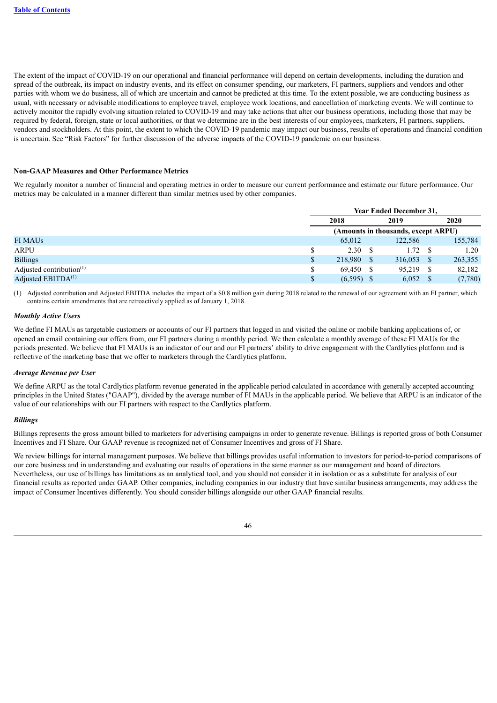The extent of the impact of COVID-19 on our operational and financial performance will depend on certain developments, including the duration and spread of the outbreak, its impact on industry events, and its effect on consumer spending, our marketers, FI partners, suppliers and vendors and other parties with whom we do business, all of which are uncertain and cannot be predicted at this time. To the extent possible, we are conducting business as usual, with necessary or advisable modifications to employee travel, employee work locations, and cancellation of marketing events. We will continue to actively monitor the rapidly evolving situation related to COVID-19 and may take actions that alter our business operations, including those that may be required by federal, foreign, state or local authorities, or that we determine are in the best interests of our employees, marketers, FI partners, suppliers, vendors and stockholders. At this point, the extent to which the COVID-19 pandemic may impact our business, results of operations and financial condition is uncertain. See "Risk Factors" for further discussion of the adverse impacts of the COVID-19 pandemic on our business.

#### **Non-GAAP Measures and Other Performance Metrics**

We regularly monitor a number of financial and operating metrics in order to measure our current performance and estimate our future performance. Our metrics may be calculated in a manner different than similar metrics used by other companies.

|                                |               | <b>Year Ended December 31.</b>      |    |         |    |         |  |  |
|--------------------------------|---------------|-------------------------------------|----|---------|----|---------|--|--|
|                                |               | 2018                                |    | 2019    |    | 2020    |  |  |
|                                |               | (Amounts in thousands, except ARPU) |    |         |    |         |  |  |
| <b>FI MAUs</b>                 |               | 65,012                              |    | 122,586 |    | 155,784 |  |  |
| <b>ARPU</b>                    |               | 2.30                                |    | 1.72    |    | 1.20    |  |  |
| <b>Billings</b>                | <sup>\$</sup> | 218,980                             | S. | 316,053 | -S | 263,355 |  |  |
| Adjusted contribution $(1)$    |               | 69.450                              |    | 95,219  |    | 82,182  |  |  |
| Adjusted EBITDA <sup>(1)</sup> |               | (6, 595)                            |    | 6,052   |    | (7,780) |  |  |

(1) Adjusted contribution and Adjusted EBITDA includes the impact of a \$0.8 million gain during 2018 related to the renewal of our agreement with an FI partner, which contains certain amendments that are retroactively applied as of January 1, 2018.

### *Monthly Active Users*

We define FI MAUs as targetable customers or accounts of our FI partners that logged in and visited the online or mobile banking applications of, or opened an email containing our offers from, our FI partners during a monthly period. We then calculate a monthly average of these FI MAUs for the periods presented. We believe that FI MAUs is an indicator of our and our FI partners' ability to drive engagement with the Cardlytics platform and is reflective of the marketing base that we offer to marketers through the Cardlytics platform.

### *Average Revenue per User*

We define ARPU as the total Cardlytics platform revenue generated in the applicable period calculated in accordance with generally accepted accounting principles in the United States ("GAAP"), divided by the average number of FI MAUs in the applicable period. We believe that ARPU is an indicator of the value of our relationships with our FI partners with respect to the Cardlytics platform.

### *Billings*

Billings represents the gross amount billed to marketers for advertising campaigns in order to generate revenue. Billings is reported gross of both Consumer Incentives and FI Share. Our GAAP revenue is recognized net of Consumer Incentives and gross of FI Share.

We review billings for internal management purposes. We believe that billings provides useful information to investors for period-to-period comparisons of our core business and in understanding and evaluating our results of operations in the same manner as our management and board of directors. Nevertheless, our use of billings has limitations as an analytical tool, and you should not consider it in isolation or as a substitute for analysis of our financial results as reported under GAAP. Other companies, including companies in our industry that have similar business arrangements, may address the impact of Consumer Incentives differently. You should consider billings alongside our other GAAP financial results.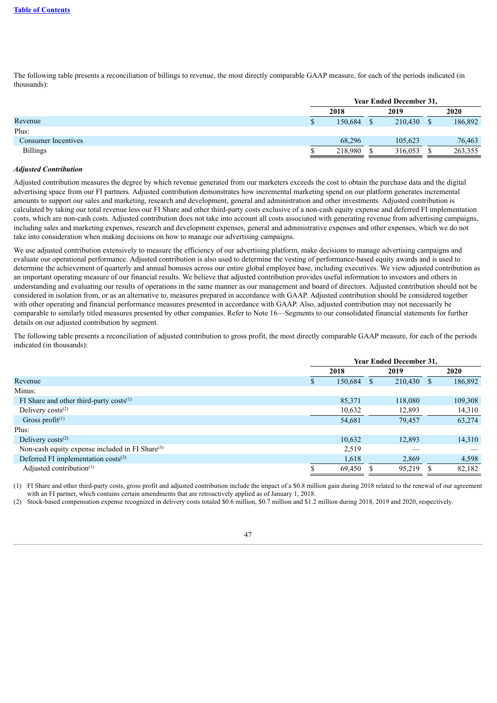The following table presents a reconciliation of billings to revenue, the most directly comparable GAAP measure, for each of the periods indicated (in thousands):

|                            | <b>Year Ended December 31,</b> |         |         |  |  |  |
|----------------------------|--------------------------------|---------|---------|--|--|--|
|                            | 2018                           | 2019    | 2020    |  |  |  |
| Revenue                    | 150.684                        | 210.430 | 186,892 |  |  |  |
| Plus:                      |                                |         |         |  |  |  |
| <b>Consumer Incentives</b> | 68.296                         | 105.623 | 76,463  |  |  |  |
| <b>Billings</b>            | 218,980                        | 316,053 | 263,355 |  |  |  |

### *Adjusted Contribution*

Adjusted contribution measures the degree by which revenue generated from our marketers exceeds the cost to obtain the purchase data and the digital advertising space from our FI partners. Adjusted contribution demonstrates how incremental marketing spend on our platform generates incremental amounts to support our sales and marketing, research and development, general and administration and other investments. Adjusted contribution is calculated by taking our total revenue less our FI Share and other third-party costs exclusive of a non-cash equity expense and deferred FI implementation costs, which are non-cash costs. Adjusted contribution does not take into account all costs associated with generating revenue from advertising campaigns, including sales and marketing expenses, research and development expenses, general and administrative expenses and other expenses, which we do not take into consideration when making decisions on how to manage our advertising campaigns.

We use adjusted contribution extensively to measure the efficiency of our advertising platform, make decisions to manage advertising campaigns and evaluate our operational performance. Adjusted contribution is also used to determine the vesting of performance-based equity awards and is used to determine the achievement of quarterly and annual bonuses across our entire global employee base, including executives. We view adjusted contribution as an important operating measure of our financial results. We believe that adjusted contribution provides useful information to investors and others in understanding and evaluating our results of operations in the same manner as our management and board of directors. Adjusted contribution should not be considered in isolation from, or as an alternative to, measures prepared in accordance with GAAP. Adjusted contribution should be considered together with other operating and financial performance measures presented in accordance with GAAP. Also, adjusted contribution may not necessarily be comparable to similarly titled measures presented by other companies. Refer to Note 16—Segments to our consolidated financial statements for further details on our adjusted contribution by segment.

The following table presents a reconciliation of adjusted contribution to gross profit, the most directly comparable GAAP measure, for each of the periods indicated (in thousands):

|                                                             | <b>Year Ended December 31,</b> |         |    |         |  |             |
|-------------------------------------------------------------|--------------------------------|---------|----|---------|--|-------------|
|                                                             |                                | 2018    |    | 2019    |  | <b>2020</b> |
| Revenue                                                     |                                | 150,684 | S. | 210,430 |  | 186,892     |
| Minus:                                                      |                                |         |    |         |  |             |
| FI Share and other third-party costs $^{(1)}$               |                                | 85,371  |    | 118,080 |  | 109,308     |
| Delivery $costs^{(2)}$                                      |                                | 10,632  |    | 12,893  |  | 14,310      |
| Gross profit $(1)$                                          |                                | 54,681  |    | 79,457  |  | 63,274      |
| Plus:                                                       |                                |         |    |         |  |             |
| Delivery $costs^{(2)}$                                      |                                | 10,632  |    | 12.893  |  | 14,310      |
| Non-cash equity expense included in FI Share <sup>(3)</sup> |                                | 2,519   |    |         |  |             |
| Deferred FI implementation costs <sup>(3)</sup>             |                                | 1,618   |    | 2,869   |  | 4,598       |
| Adjusted contribution <sup>(1)</sup>                        |                                | 69,450  |    | 95,219  |  | 82,182      |

(1) FI Share and other third-party costs, gross profit and adjusted contribution include the impact of a \$0.8 million gain during 2018 related to the renewal of our agreement with an FI partner, which contains certain amendments that are retroactively applied as of January 1, 2018.

Stock-based compensation expense recognized in delivery costs totaled \$0.6 million, \$0.7 million and \$1.2 million during 2018, 2019 and 2020, respectively.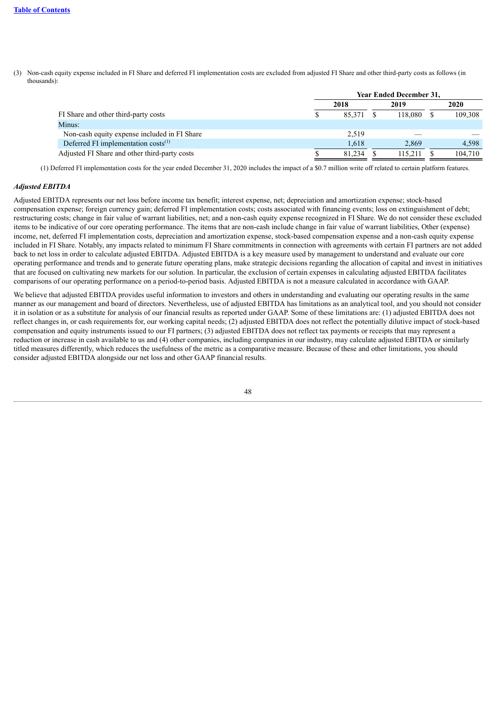(3) Non-cash equity expense included in FI Share and deferred FI implementation costs are excluded from adjusted FI Share and other third-party costs as follows (in thousands):

|                                                 | <b>Year Ended December 31,</b> |        |  |         |  |         |  |  |
|-------------------------------------------------|--------------------------------|--------|--|---------|--|---------|--|--|
|                                                 | 2018                           |        |  | 2019    |  | 2020    |  |  |
| FI Share and other third-party costs            |                                | 85.371 |  | 118.080 |  | 109,308 |  |  |
| Minus:                                          |                                |        |  |         |  |         |  |  |
| Non-cash equity expense included in FI Share    |                                | 2,519  |  |         |  |         |  |  |
| Deferred FI implementation costs <sup>(1)</sup> |                                | 1.618  |  | 2.869   |  | 4,598   |  |  |
| Adjusted FI Share and other third-party costs   |                                | 81.234 |  | 115.211 |  | 104,710 |  |  |

(1) Deferred FI implementation costs for the year ended December 31, 2020 includes the impact of a \$0.7 million write off related to certain platform features.

## *Adjusted EBITDA*

Adjusted EBITDA represents our net loss before income tax benefit; interest expense, net; depreciation and amortization expense; stock-based compensation expense; foreign currency gain; deferred FI implementation costs; costs associated with financing events; loss on extinguishment of debt; restructuring costs; change in fair value of warrant liabilities, net; and a non-cash equity expense recognized in FI Share. We do not consider these excluded items to be indicative of our core operating performance. The items that are non-cash include change in fair value of warrant liabilities, Other (expense) income, net, deferred FI implementation costs, depreciation and amortization expense, stock-based compensation expense and a non-cash equity expense included in FI Share. Notably, any impacts related to minimum FI Share commitments in connection with agreements with certain FI partners are not added back to net loss in order to calculate adjusted EBITDA. Adjusted EBITDA is a key measure used by management to understand and evaluate our core operating performance and trends and to generate future operating plans, make strategic decisions regarding the allocation of capital and invest in initiatives that are focused on cultivating new markets for our solution. In particular, the exclusion of certain expenses in calculating adjusted EBITDA facilitates comparisons of our operating performance on a period-to-period basis. Adjusted EBITDA is not a measure calculated in accordance with GAAP.

We believe that adjusted EBITDA provides useful information to investors and others in understanding and evaluating our operating results in the same manner as our management and board of directors. Nevertheless, use of adjusted EBITDA has limitations as an analytical tool, and you should not consider it in isolation or as a substitute for analysis of our financial results as reported under GAAP. Some of these limitations are: (1) adjusted EBITDA does not reflect changes in, or cash requirements for, our working capital needs; (2) adjusted EBITDA does not reflect the potentially dilutive impact of stock-based compensation and equity instruments issued to our FI partners; (3) adjusted EBITDA does not reflect tax payments or receipts that may represent a reduction or increase in cash available to us and (4) other companies, including companies in our industry, may calculate adjusted EBITDA or similarly titled measures differently, which reduces the usefulness of the metric as a comparative measure. Because of these and other limitations, you should consider adjusted EBITDA alongside our net loss and other GAAP financial results.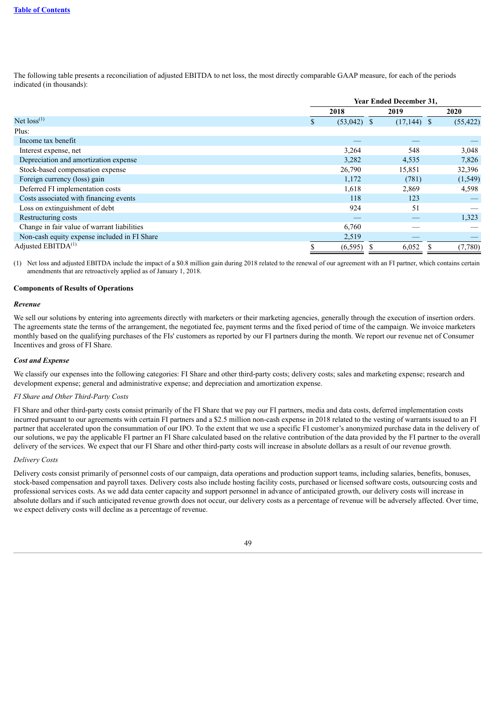The following table presents a reconciliation of adjusted EBITDA to net loss, the most directly comparable GAAP measure, for each of the periods indicated (in thousands):

|                                              |    | <b>Year Ended December 31,</b> |                |           |  |  |  |
|----------------------------------------------|----|--------------------------------|----------------|-----------|--|--|--|
|                                              |    | 2018                           | 2019           | 2020      |  |  |  |
| Net $loss^{(1)}$                             | S. | $(53,042)$ \$                  | $(17, 144)$ \$ | (55, 422) |  |  |  |
| Plus:                                        |    |                                |                |           |  |  |  |
| Income tax benefit                           |    |                                |                |           |  |  |  |
| Interest expense, net                        |    | 3,264                          | 548            | 3,048     |  |  |  |
| Depreciation and amortization expense        |    | 3,282                          | 4,535          | 7,826     |  |  |  |
| Stock-based compensation expense             |    | 26,790                         | 15,851         | 32,396    |  |  |  |
| Foreign currency (loss) gain                 |    | 1,172                          | (781)          | (1, 549)  |  |  |  |
| Deferred FI implementation costs             |    | 1,618                          | 2,869          | 4,598     |  |  |  |
| Costs associated with financing events       |    | 118                            | 123            |           |  |  |  |
| Loss on extinguishment of debt               |    | 924                            | 51             |           |  |  |  |
| Restructuring costs                          |    |                                |                | 1,323     |  |  |  |
| Change in fair value of warrant liabilities  |    | 6,760                          |                |           |  |  |  |
| Non-cash equity expense included in FI Share |    | 2,519                          |                |           |  |  |  |
| Adjusted EBITDA <sup>(1)</sup>               |    | (6, 595)                       | 6,052          | (7,780)   |  |  |  |

(1) Net loss and adjusted EBITDA include the impact of a \$0.8 million gain during 2018 related to the renewal of our agreement with an FI partner, which contains certain amendments that are retroactively applied as of January 1, 2018.

### **Components of Results of Operations**

#### *Revenue*

We sell our solutions by entering into agreements directly with marketers or their marketing agencies, generally through the execution of insertion orders. The agreements state the terms of the arrangement, the negotiated fee, payment terms and the fixed period of time of the campaign. We invoice marketers monthly based on the qualifying purchases of the FIs' customers as reported by our FI partners during the month. We report our revenue net of Consumer Incentives and gross of FI Share.

# *Cost and Expense*

We classify our expenses into the following categories: FI Share and other third-party costs; delivery costs; sales and marketing expense; research and development expense; general and administrative expense; and depreciation and amortization expense.

# *FI Share and Other Third-Party Costs*

FI Share and other third-party costs consist primarily of the FI Share that we pay our FI partners, media and data costs, deferred implementation costs incurred pursuant to our agreements with certain FI partners and a \$2.5 million non-cash expense in 2018 related to the vesting of warrants issued to an FI partner that accelerated upon the consummation of our IPO. To the extent that we use a specific FI customer's anonymized purchase data in the delivery of our solutions, we pay the applicable FI partner an FI Share calculated based on the relative contribution of the data provided by the FI partner to the overall delivery of the services. We expect that our FI Share and other third-party costs will increase in absolute dollars as a result of our revenue growth.

### *Delivery Costs*

Delivery costs consist primarily of personnel costs of our campaign, data operations and production support teams, including salaries, benefits, bonuses, stock-based compensation and payroll taxes. Delivery costs also include hosting facility costs, purchased or licensed software costs, outsourcing costs and professional services costs. As we add data center capacity and support personnel in advance of anticipated growth, our delivery costs will increase in absolute dollars and if such anticipated revenue growth does not occur, our delivery costs as a percentage of revenue will be adversely affected. Over time, we expect delivery costs will decline as a percentage of revenue.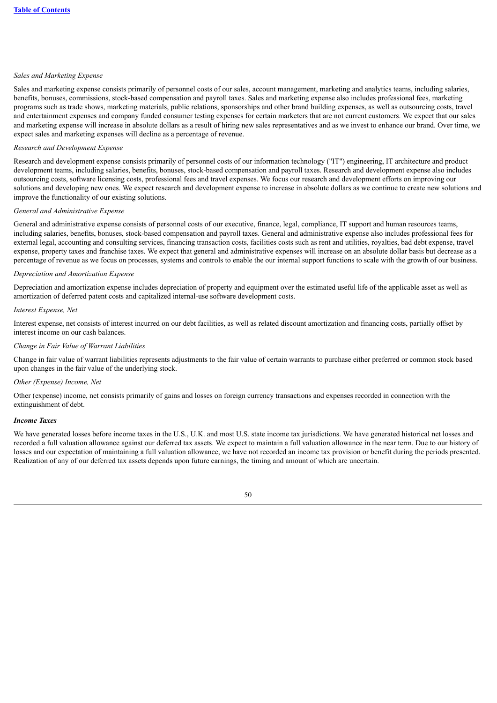### *Sales and Marketing Expense*

Sales and marketing expense consists primarily of personnel costs of our sales, account management, marketing and analytics teams, including salaries, benefits, bonuses, commissions, stock-based compensation and payroll taxes. Sales and marketing expense also includes professional fees, marketing programs such as trade shows, marketing materials, public relations, sponsorships and other brand building expenses, as well as outsourcing costs, travel and entertainment expenses and company funded consumer testing expenses for certain marketers that are not current customers. We expect that our sales and marketing expense will increase in absolute dollars as a result of hiring new sales representatives and as we invest to enhance our brand. Over time, we expect sales and marketing expenses will decline as a percentage of revenue.

## *Research and Development Expense*

Research and development expense consists primarily of personnel costs of our information technology ("IT") engineering, IT architecture and product development teams, including salaries, benefits, bonuses, stock-based compensation and payroll taxes. Research and development expense also includes outsourcing costs, software licensing costs, professional fees and travel expenses. We focus our research and development efforts on improving our solutions and developing new ones. We expect research and development expense to increase in absolute dollars as we continue to create new solutions and improve the functionality of our existing solutions.

#### *General and Administrative Expense*

General and administrative expense consists of personnel costs of our executive, finance, legal, compliance, IT support and human resources teams, including salaries, benefits, bonuses, stock-based compensation and payroll taxes. General and administrative expense also includes professional fees for external legal, accounting and consulting services, financing transaction costs, facilities costs such as rent and utilities, royalties, bad debt expense, travel expense, property taxes and franchise taxes. We expect that general and administrative expenses will increase on an absolute dollar basis but decrease as a percentage of revenue as we focus on processes, systems and controls to enable the our internal support functions to scale with the growth of our business.

### *Depreciation and Amortization Expense*

Depreciation and amortization expense includes depreciation of property and equipment over the estimated useful life of the applicable asset as well as amortization of deferred patent costs and capitalized internal-use software development costs.

## *Interest Expense, Net*

Interest expense, net consists of interest incurred on our debt facilities, as well as related discount amortization and financing costs, partially offset by interest income on our cash balances.

## *Change in Fair Value of Warrant Liabilities*

Change in fair value of warrant liabilities represents adjustments to the fair value of certain warrants to purchase either preferred or common stock based upon changes in the fair value of the underlying stock.

### *Other (Expense) Income, Net*

Other (expense) income, net consists primarily of gains and losses on foreign currency transactions and expenses recorded in connection with the extinguishment of debt.

#### *Income Taxes*

We have generated losses before income taxes in the U.S., U.K. and most U.S. state income tax jurisdictions. We have generated historical net losses and recorded a full valuation allowance against our deferred tax assets. We expect to maintain a full valuation allowance in the near term. Due to our history of losses and our expectation of maintaining a full valuation allowance, we have not recorded an income tax provision or benefit during the periods presented. Realization of any of our deferred tax assets depends upon future earnings, the timing and amount of which are uncertain.

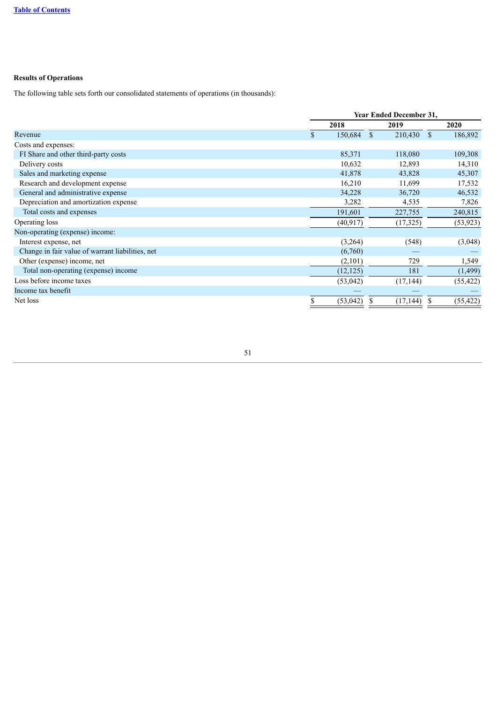# **Results of Operations**

The following table sets forth our consolidated statements of operations (in thousands):

|                                                  | <b>Year Ended December 31,</b> |                         |                         |
|--------------------------------------------------|--------------------------------|-------------------------|-------------------------|
|                                                  | 2018                           | 2019                    | <b>2020</b>             |
| Revenue                                          | \$<br>150,684                  | $\mathbf{s}$<br>210,430 | 186,892<br><sup>S</sup> |
| Costs and expenses:                              |                                |                         |                         |
| FI Share and other third-party costs             | 85,371                         | 118,080                 | 109,308                 |
| Delivery costs                                   | 10,632                         | 12,893                  | 14,310                  |
| Sales and marketing expense                      | 41,878                         | 43,828                  | 45,307                  |
| Research and development expense                 | 16,210                         | 11,699                  | 17,532                  |
| General and administrative expense               | 34,228                         | 36,720                  | 46,532                  |
| Depreciation and amortization expense            | 3,282                          | 4,535                   | 7,826                   |
| Total costs and expenses                         | 191,601                        | 227,755                 | 240,815                 |
| Operating loss                                   | (40, 917)                      | (17, 325)               | (53, 923)               |
| Non-operating (expense) income:                  |                                |                         |                         |
| Interest expense, net                            | (3,264)                        | (548)                   | (3,048)                 |
| Change in fair value of warrant liabilities, net | (6,760)                        |                         |                         |
| Other (expense) income, net                      | (2,101)                        | 729                     | 1,549                   |
| Total non-operating (expense) income             | (12, 125)                      | 181                     | (1, 499)                |
| Loss before income taxes                         | (53,042)                       | (17, 144)               | (55, 422)               |
| Income tax benefit                               |                                |                         |                         |
| Net loss                                         | \$<br>(53, 042)                | (17, 144)<br>S          | (55, 422)               |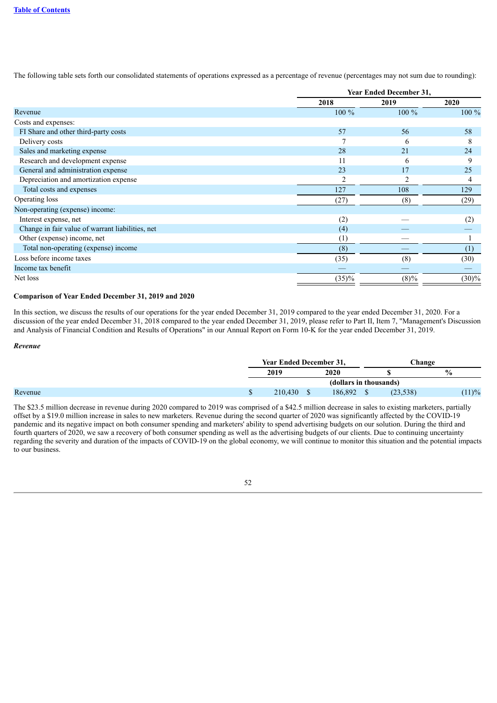The following table sets forth our consolidated statements of operations expressed as a percentage of revenue (percentages may not sum due to rounding):

|                                                  |                | <b>Year Ended December 31,</b> |         |  |  |  |  |
|--------------------------------------------------|----------------|--------------------------------|---------|--|--|--|--|
|                                                  | 2018           | 2019                           | 2020    |  |  |  |  |
| Revenue                                          | 100 %          | 100 %                          | $100\%$ |  |  |  |  |
| Costs and expenses:                              |                |                                |         |  |  |  |  |
| FI Share and other third-party costs             | 57             | 56                             | 58      |  |  |  |  |
| Delivery costs                                   | π              | 6                              | 8       |  |  |  |  |
| Sales and marketing expense                      | 28             | 21                             | 24      |  |  |  |  |
| Research and development expense                 | 11             | 6                              | 9       |  |  |  |  |
| General and administration expense               | 23             | 17                             | 25      |  |  |  |  |
| Depreciation and amortization expense            | $\overline{2}$ | $\overline{2}$                 | 4       |  |  |  |  |
| Total costs and expenses                         | 127            | 108                            | 129     |  |  |  |  |
| Operating loss                                   | (27)           | (8)                            | (29)    |  |  |  |  |
| Non-operating (expense) income:                  |                |                                |         |  |  |  |  |
| Interest expense, net                            | (2)            |                                | (2)     |  |  |  |  |
| Change in fair value of warrant liabilities, net | (4)            |                                |         |  |  |  |  |
| Other (expense) income, net                      | (1)            |                                |         |  |  |  |  |
| Total non-operating (expense) income             | (8)            |                                | (1)     |  |  |  |  |
| Loss before income taxes                         | (35)           | (8)                            | (30)    |  |  |  |  |
| Income tax benefit                               |                |                                |         |  |  |  |  |
| Net loss                                         | (35)%          | $(8)\%$                        | (30)%   |  |  |  |  |
|                                                  |                |                                |         |  |  |  |  |

# **Comparison of Year Ended December 31, 2019 and 2020**

In this section, we discuss the results of our operations for the year ended December 31, 2019 compared to the year ended December 31, 2020. For a discussion of the year ended December 31, 2018 compared to the year ended December 31, 2019, please refer to Part II, Item 7, "Management's Discussion and Analysis of Financial Condition and Results of Operations" in our Annual Report on Form 10-K for the year ended December 31, 2019.

#### *Revenue*

| <b>Year Ended December 31,</b> |         | <b>Change</b> |         |           |                        |
|--------------------------------|---------|---------------|---------|-----------|------------------------|
|                                |         |               | 2020    |           | $\frac{6}{9}$          |
|                                |         |               |         |           |                        |
|                                | 210,430 |               | 186.892 | (23, 538) | 11)%                   |
|                                |         | 2019          |         |           | (dollars in thousands) |

The \$23.5 million decrease in revenue during 2020 compared to 2019 was comprised of a \$42.5 million decrease in sales to existing marketers, partially offset by a \$19.0 million increase in sales to new marketers. Revenue during the second quarter of 2020 was significantly affected by the COVID-19 pandemic and its negative impact on both consumer spending and marketers' ability to spend advertising budgets on our solution. During the third and fourth quarters of 2020, we saw a recovery of both consumer spending as well as the advertising budgets of our clients. Due to continuing uncertainty regarding the severity and duration of the impacts of COVID-19 on the global economy, we will continue to monitor this situation and the potential impacts to our business.

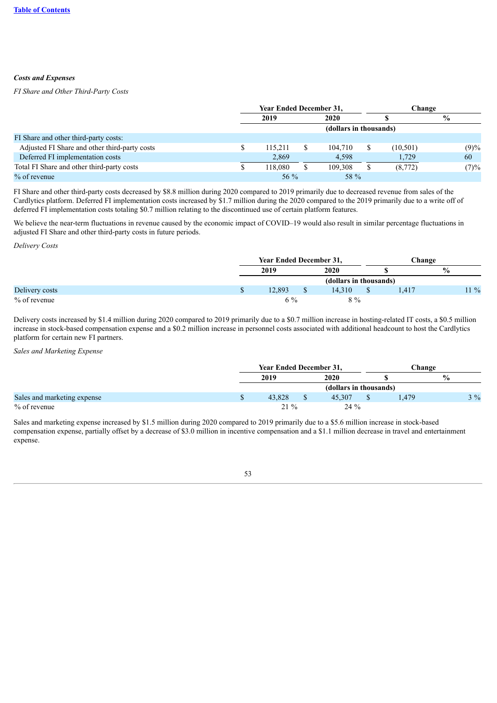# *Costs and Expenses*

*FI Share and Other Third-Party Costs*

|                                               | <b>Year Ended December 31.</b> |  |         |  | Change    |               |  |  |  |
|-----------------------------------------------|--------------------------------|--|---------|--|-----------|---------------|--|--|--|
|                                               | 2019                           |  | 2020    |  |           | $\frac{6}{9}$ |  |  |  |
|                                               | (dollars in thousands)         |  |         |  |           |               |  |  |  |
| FI Share and other third-party costs:         |                                |  |         |  |           |               |  |  |  |
| Adjusted FI Share and other third-party costs | 115.211                        |  | 104.710 |  | (10, 501) | $(9)\%$       |  |  |  |
| Deferred FI implementation costs              | 2,869                          |  | 4,598   |  | 1,729     | 60            |  |  |  |
| Total FI Share and other third-party costs    | 118.080                        |  | 109.308 |  | (8,772)   | (7)%          |  |  |  |
| $\%$ of revenue                               | 56 %                           |  | 58 %    |  |           |               |  |  |  |

FI Share and other third-party costs decreased by \$8.8 million during 2020 compared to 2019 primarily due to decreased revenue from sales of the Cardlytics platform. Deferred FI implementation costs increased by \$1.7 million during the 2020 compared to the 2019 primarily due to a write off of deferred FI implementation costs totaling \$0.7 million relating to the discontinued use of certain platform features.

We believe the near-term fluctuations in revenue caused by the economic impact of COVID–19 would also result in similar percentage fluctuations in adjusted FI Share and other third-party costs in future periods.

*Delivery Costs*

|                | <b>Year Ended December 31,</b> |  |        | Change |      |               |  |  |  |
|----------------|--------------------------------|--|--------|--------|------|---------------|--|--|--|
|                | 2019                           |  | 2020   |        |      | $\frac{0}{0}$ |  |  |  |
|                | (dollars in thousands)         |  |        |        |      |               |  |  |  |
| Delivery costs | 12,893                         |  | 14.310 |        | .417 | $1\%$         |  |  |  |
| $%$ of revenue | 6 %                            |  | $8\%$  |        |      |               |  |  |  |

Delivery costs increased by \$1.4 million during 2020 compared to 2019 primarily due to a \$0.7 million increase in hosting-related IT costs, a \$0.5 million increase in stock-based compensation expense and a \$0.2 million increase in personnel costs associated with additional headcount to host the Cardlytics platform for certain new FI partners.

*Sales and Marketing Expense*

|                             | <b>Year Ended December 31,</b> |  |        | Change |      |               |  |  |  |
|-----------------------------|--------------------------------|--|--------|--------|------|---------------|--|--|--|
|                             | 2019                           |  | 2020   |        |      | $\frac{0}{0}$ |  |  |  |
|                             | (dollars in thousands)         |  |        |        |      |               |  |  |  |
| Sales and marketing expense | 43.828                         |  | 45.307 |        | .479 | $3\%$         |  |  |  |
| $%$ of revenue              | $21\%$                         |  | $24\%$ |        |      |               |  |  |  |

Sales and marketing expense increased by \$1.5 million during 2020 compared to 2019 primarily due to a \$5.6 million increase in stock-based compensation expense, partially offset by a decrease of \$3.0 million in incentive compensation and a \$1.1 million decrease in travel and entertainment expense.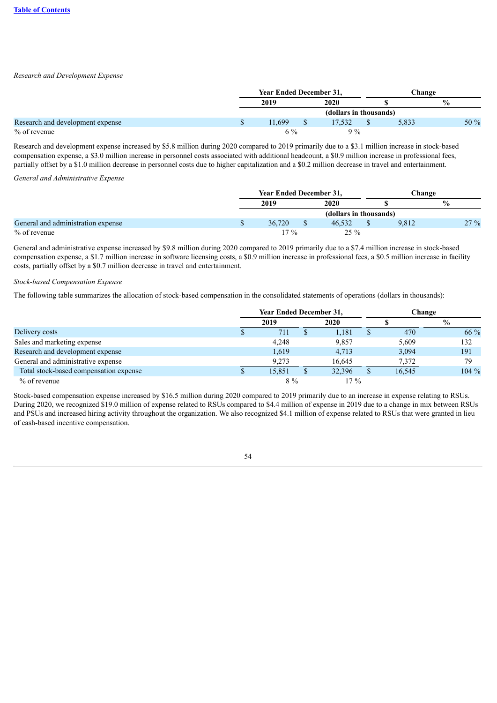## *Research and Development Expense*

|                                  | <b>Year Ended December 31.</b> |  |        |  | Change |               |  |  |  |
|----------------------------------|--------------------------------|--|--------|--|--------|---------------|--|--|--|
|                                  | 2019                           |  | 2020   |  |        | $\frac{0}{0}$ |  |  |  |
|                                  | (dollars in thousands)         |  |        |  |        |               |  |  |  |
| Research and development expense | 11.699                         |  | 17.532 |  | 5,833  | 50 %          |  |  |  |
| $\%$ of revenue                  | $6\%$                          |  | $9\%$  |  |        |               |  |  |  |

Research and development expense increased by \$5.8 million during 2020 compared to 2019 primarily due to a \$3.1 million increase in stock-based compensation expense, a \$3.0 million increase in personnel costs associated with additional headcount, a \$0.9 million increase in professional fees, partially offset by a \$1.0 million decrease in personnel costs due to higher capitalization and a \$0.2 million decrease in travel and entertainment.

*General and Administrative Expense*

|                                    | <b>Year Ended December 31,</b> |  |        |  | Change |               |  |  |  |
|------------------------------------|--------------------------------|--|--------|--|--------|---------------|--|--|--|
|                                    | 2019                           |  | 2020   |  |        | $\frac{6}{6}$ |  |  |  |
|                                    | (dollars in thousands)         |  |        |  |        |               |  |  |  |
| General and administration expense | 36.720                         |  | 46.532 |  | 9.812  | $27\%$        |  |  |  |
| $\%$ of revenue                    | $17\%$                         |  | $25\%$ |  |        |               |  |  |  |

General and administrative expense increased by \$9.8 million during 2020 compared to 2019 primarily due to a \$7.4 million increase in stock-based compensation expense, a \$1.7 million increase in software licensing costs, a \$0.9 million increase in professional fees, a \$0.5 million increase in facility costs, partially offset by a \$0.7 million decrease in travel and entertainment.

### *Stock-based Compensation Expense*

The following table summarizes the allocation of stock-based compensation in the consolidated statements of operations (dollars in thousands):

|                                        | <b>Year Ended December 31.</b> |   |        |  | Change |               |  |  |
|----------------------------------------|--------------------------------|---|--------|--|--------|---------------|--|--|
|                                        | 2019                           |   |        |  |        | $\frac{0}{0}$ |  |  |
| Delivery costs                         | 711                            | D | 1.181  |  | 470    | 66 %          |  |  |
| Sales and marketing expense            | 4,248                          |   | 9,857  |  | 5,609  | 132           |  |  |
| Research and development expense       | 1,619                          |   | 4.713  |  | 3,094  | 191           |  |  |
| General and administrative expense     | 9.273                          |   | 16.645 |  | 7,372  | 79            |  |  |
| Total stock-based compensation expense | 15.851                         |   | 32.396 |  | 16.545 | $104\%$       |  |  |
| $%$ of revenue                         | $8\%$                          |   | $17\%$ |  |        |               |  |  |

Stock-based compensation expense increased by \$16.5 million during 2020 compared to 2019 primarily due to an increase in expense relating to RSUs. During 2020, we recognized \$19.0 million of expense related to RSUs compared to \$4.4 million of expense in 2019 due to a change in mix between RSUs and PSUs and increased hiring activity throughout the organization. We also recognized \$4.1 million of expense related to RSUs that were granted in lieu of cash-based incentive compensation.

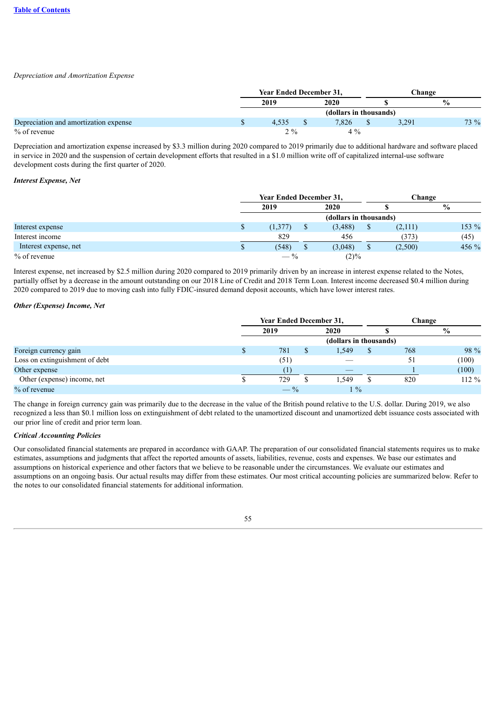### *Depreciation and Amortization Expense*

|                                       | <b>Year Ended December 31,</b> |  |       |  | Change |               |  |  |
|---------------------------------------|--------------------------------|--|-------|--|--------|---------------|--|--|
|                                       | 2019                           |  | 2020  |  |        | $\frac{6}{6}$ |  |  |
|                                       | (dollars in thousands)         |  |       |  |        |               |  |  |
| Depreciation and amortization expense | 4.535                          |  | 7.826 |  | 3,291  | 73 %          |  |  |
| $\%$ of revenue                       | $2\%$                          |  | $4\%$ |  |        |               |  |  |

Depreciation and amortization expense increased by \$3.3 million during 2020 compared to 2019 primarily due to additional hardware and software placed in service in 2020 and the suspension of certain development efforts that resulted in a \$1.0 million write off of capitalized internal-use software development costs during the first quarter of 2020.

# *Interest Expense, Net*

|                       |    | <b>Year Ended December 31,</b> |    |         |  | Change  |               |  |  |  |  |
|-----------------------|----|--------------------------------|----|---------|--|---------|---------------|--|--|--|--|
|                       |    | 2019                           |    | 2020    |  |         | $\frac{0}{0}$ |  |  |  |  |
|                       |    | (dollars in thousands)         |    |         |  |         |               |  |  |  |  |
| Interest expense      | D  | (1,377)                        |    | (3,488) |  | (2,111) | 153 %         |  |  |  |  |
| Interest income       |    | 829                            |    | 456     |  | (373)   | (45)          |  |  |  |  |
| Interest expense, net | ۰Д | (548)                          | ۰D | (3,048) |  | (2,500) | 456 %         |  |  |  |  |
| $%$ of revenue        |    | $- \frac{9}{6}$                |    | $(2)\%$ |  |         |               |  |  |  |  |

Interest expense, net increased by \$2.5 million during 2020 compared to 2019 primarily driven by an increase in interest expense related to the Notes, partially offset by a decrease in the amount outstanding on our 2018 Line of Credit and 2018 Term Loan. Interest income decreased \$0.4 million during 2020 compared to 2019 due to moving cash into fully FDIC-insured demand deposit accounts, which have lower interest rates.

# *Other (Expense) Income, Net*

|                                | <b>Year Ended December 31,</b> |  |               |  | Change |               |  |  |  |
|--------------------------------|--------------------------------|--|---------------|--|--------|---------------|--|--|--|
|                                | 2019                           |  | 2020          |  |        | $\frac{0}{0}$ |  |  |  |
|                                | (dollars in thousands)         |  |               |  |        |               |  |  |  |
| Foreign currency gain          | 781                            |  | 1,549         |  | 768    | 98 %          |  |  |  |
| Loss on extinguishment of debt | (51)                           |  |               |  | 51     | (100)         |  |  |  |
| Other expense                  |                                |  |               |  |        | (100)         |  |  |  |
| Other (expense) income, net    | 729                            |  | 1.549         |  | 820    | $112 \%$      |  |  |  |
| $%$ of revenue                 | $- \frac{9}{6}$                |  | $\frac{0}{0}$ |  |        |               |  |  |  |

The change in foreign currency gain was primarily due to the decrease in the value of the British pound relative to the U.S. dollar. During 2019, we also recognized a less than \$0.1 million loss on extinguishment of debt related to the unamortized discount and unamortized debt issuance costs associated with our prior line of credit and prior term loan.

# *Critical Accounting Policies*

Our consolidated financial statements are prepared in accordance with GAAP. The preparation of our consolidated financial statements requires us to make estimates, assumptions and judgments that affect the reported amounts of assets, liabilities, revenue, costs and expenses. We base our estimates and assumptions on historical experience and other factors that we believe to be reasonable under the circumstances. We evaluate our estimates and assumptions on an ongoing basis. Our actual results may differ from these estimates. Our most critical accounting policies are summarized below. Refer to the notes to our consolidated financial statements for additional information.

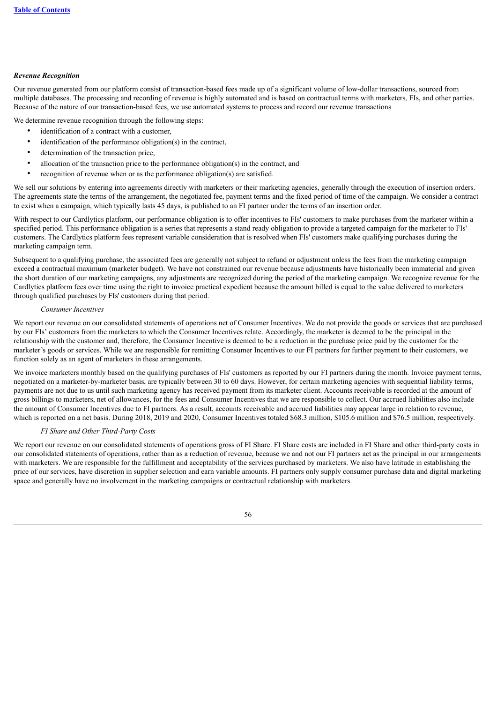### *Revenue Recognition*

Our revenue generated from our platform consist of transaction-based fees made up of a significant volume of low-dollar transactions, sourced from multiple databases. The processing and recording of revenue is highly automated and is based on contractual terms with marketers, FIs, and other parties. Because of the nature of our transaction-based fees, we use automated systems to process and record our revenue transactions

We determine revenue recognition through the following steps:

- identification of a contract with a customer,
- identification of the performance obligation(s) in the contract,
- determination of the transaction price.
- allocation of the transaction price to the performance obligation(s) in the contract, and
- recognition of revenue when or as the performance obligation(s) are satisfied.

We sell our solutions by entering into agreements directly with marketers or their marketing agencies, generally through the execution of insertion orders. The agreements state the terms of the arrangement, the negotiated fee, payment terms and the fixed period of time of the campaign. We consider a contract to exist when a campaign, which typically lasts 45 days, is published to an FI partner under the terms of an insertion order.

With respect to our Cardlytics platform, our performance obligation is to offer incentives to FIs' customers to make purchases from the marketer within a specified period. This performance obligation is a series that represents a stand ready obligation to provide a targeted campaign for the marketer to FIs' customers. The Cardlytics platform fees represent variable consideration that is resolved when FIs' customers make qualifying purchases during the marketing campaign term.

Subsequent to a qualifying purchase, the associated fees are generally not subject to refund or adjustment unless the fees from the marketing campaign exceed a contractual maximum (marketer budget). We have not constrained our revenue because adjustments have historically been immaterial and given the short duration of our marketing campaigns, any adjustments are recognized during the period of the marketing campaign. We recognize revenue for the Cardlytics platform fees over time using the right to invoice practical expedient because the amount billed is equal to the value delivered to marketers through qualified purchases by FIs' customers during that period.

# *Consumer Incentives*

We report our revenue on our consolidated statements of operations net of Consumer Incentives. We do not provide the goods or services that are purchased by our FIs' customers from the marketers to which the Consumer Incentives relate. Accordingly, the marketer is deemed to be the principal in the relationship with the customer and, therefore, the Consumer Incentive is deemed to be a reduction in the purchase price paid by the customer for the marketer's goods or services. While we are responsible for remitting Consumer Incentives to our FI partners for further payment to their customers, we function solely as an agent of marketers in these arrangements.

We invoice marketers monthly based on the qualifying purchases of FIs' customers as reported by our FI partners during the month. Invoice payment terms, negotiated on a marketer-by-marketer basis, are typically between 30 to 60 days. However, for certain marketing agencies with sequential liability terms, payments are not due to us until such marketing agency has received payment from its marketer client. Accounts receivable is recorded at the amount of gross billings to marketers, net of allowances, for the fees and Consumer Incentives that we are responsible to collect. Our accrued liabilities also include the amount of Consumer Incentives due to FI partners. As a result, accounts receivable and accrued liabilities may appear large in relation to revenue, which is reported on a net basis. During 2018, 2019 and 2020, Consumer Incentives totaled \$68.3 million, \$105.6 million and \$76.5 million, respectively.

# *FI Share and Other Third-Party Costs*

We report our revenue on our consolidated statements of operations gross of FI Share. FI Share costs are included in FI Share and other third-party costs in our consolidated statements of operations, rather than as a reduction of revenue, because we and not our FI partners act as the principal in our arrangements with marketers. We are responsible for the fulfillment and acceptability of the services purchased by marketers. We also have latitude in establishing the price of our services, have discretion in supplier selection and earn variable amounts. FI partners only supply consumer purchase data and digital marketing space and generally have no involvement in the marketing campaigns or contractual relationship with marketers.

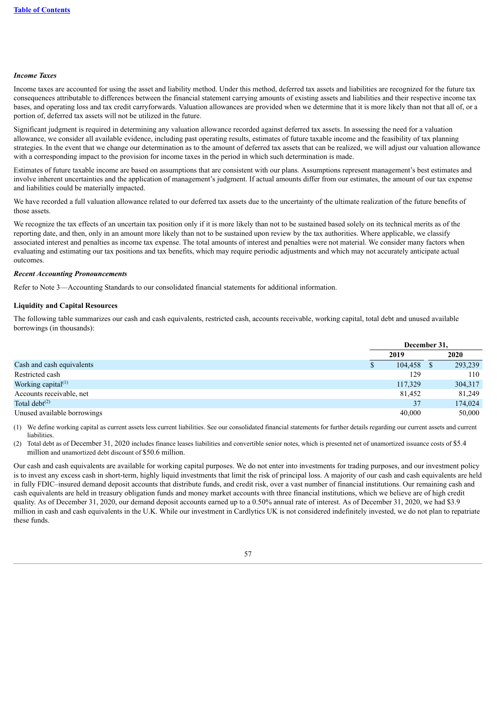### *Income Taxes*

Income taxes are accounted for using the asset and liability method. Under this method, deferred tax assets and liabilities are recognized for the future tax consequences attributable to differences between the financial statement carrying amounts of existing assets and liabilities and their respective income tax bases, and operating loss and tax credit carryforwards. Valuation allowances are provided when we determine that it is more likely than not that all of, or a portion of, deferred tax assets will not be utilized in the future.

Significant judgment is required in determining any valuation allowance recorded against deferred tax assets. In assessing the need for a valuation allowance, we consider all available evidence, including past operating results, estimates of future taxable income and the feasibility of tax planning strategies. In the event that we change our determination as to the amount of deferred tax assets that can be realized, we will adjust our valuation allowance with a corresponding impact to the provision for income taxes in the period in which such determination is made.

Estimates of future taxable income are based on assumptions that are consistent with our plans. Assumptions represent management's best estimates and involve inherent uncertainties and the application of management's judgment. If actual amounts differ from our estimates, the amount of our tax expense and liabilities could be materially impacted.

We have recorded a full valuation allowance related to our deferred tax assets due to the uncertainty of the ultimate realization of the future benefits of those assets.

We recognize the tax effects of an uncertain tax position only if it is more likely than not to be sustained based solely on its technical merits as of the reporting date, and then, only in an amount more likely than not to be sustained upon review by the tax authorities. Where applicable, we classify associated interest and penalties as income tax expense. The total amounts of interest and penalties were not material. We consider many factors when evaluating and estimating our tax positions and tax benefits, which may require periodic adjustments and which may not accurately anticipate actual outcomes.

### *Recent Accounting Pronouncements*

Refer to Note 3—Accounting Standards to our consolidated financial statements for additional information.

### **Liquidity and Capital Resources**

The following table summarizes our cash and cash equivalents, restricted cash, accounts receivable, working capital, total debt and unused available borrowings (in thousands):

|                             | December 31. |  |         |  |  |
|-----------------------------|--------------|--|---------|--|--|
|                             | 2019         |  | 2020    |  |  |
| Cash and cash equivalents   | 104,458      |  | 293,239 |  |  |
| Restricted cash             | 129          |  | 110     |  |  |
| Working capital $(1)$       | 117,329      |  | 304,317 |  |  |
| Accounts receivable, net    | 81,452       |  | 81,249  |  |  |
| Total debt $(2)$            | 37           |  | 174,024 |  |  |
| Unused available borrowings | 40,000       |  | 50,000  |  |  |

(1) We define working capital as current assets less current liabilities. See our consolidated financial statements for further details regarding our current assets and current liabilities.

(2) Total debt as of December 31, 2020 includes finance leases liabilities and convertible senior notes, which is presented net of unamortized issuance costs of \$5.4 million and unamortized debt discount of \$50.6 million.

Our cash and cash equivalents are available for working capital purposes. We do not enter into investments for trading purposes, and our investment policy is to invest any excess cash in short-term, highly liquid investments that limit the risk of principal loss. A majority of our cash and cash equivalents are held in fully FDIC–insured demand deposit accounts that distribute funds, and credit risk, over a vast number of financial institutions. Our remaining cash and cash equivalents are held in treasury obligation funds and money market accounts with three financial institutions, which we believe are of high credit quality. As of December 31, 2020, our demand deposit accounts earned up to a 0.50% annual rate of interest. As of December 31, 2020, we had \$3.9 million in cash and cash equivalents in the U.K. While our investment in Cardlytics UK is not considered indefinitely invested, we do not plan to repatriate these funds.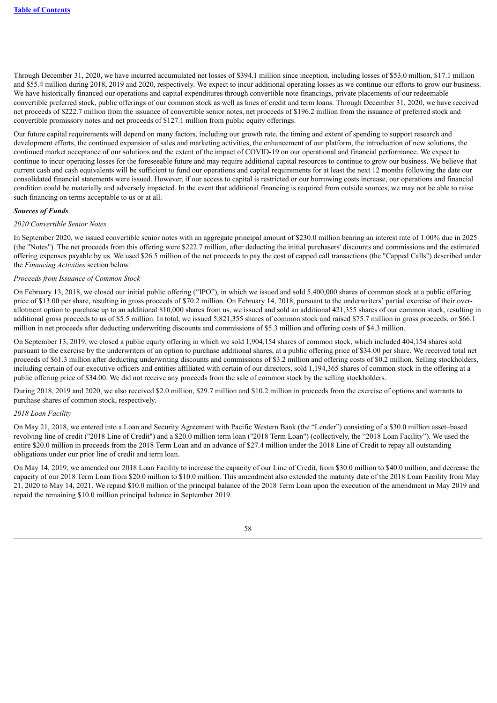Through December 31, 2020, we have incurred accumulated net losses of \$394.1 million since inception, including losses of \$53.0 million, \$17.1 million and \$55.4 million during 2018, 2019 and 2020, respectively. We expect to incur additional operating losses as we continue our efforts to grow our business. We have historically financed our operations and capital expenditures through convertible note financings, private placements of our redeemable convertible preferred stock, public offerings of our common stock as well as lines of credit and term loans. Through December 31, 2020, we have received net proceeds of \$222.7 million from the issuance of convertible senior notes, net proceeds of \$196.2 million from the issuance of preferred stock and convertible promissory notes and net proceeds of \$127.1 million from public equity offerings.

Our future capital requirements will depend on many factors, including our growth rate, the timing and extent of spending to support research and development efforts, the continued expansion of sales and marketing activities, the enhancement of our platform, the introduction of new solutions, the continued market acceptance of our solutions and the extent of the impact of COVID-19 on our operational and financial performance. We expect to continue to incur operating losses for the foreseeable future and may require additional capital resources to continue to grow our business. We believe that current cash and cash equivalents will be sufficient to fund our operations and capital requirements for at least the next 12 months following the date our consolidated financial statements were issued. However, if our access to capital is restricted or our borrowing costs increase, our operations and financial condition could be materially and adversely impacted. In the event that additional financing is required from outside sources, we may not be able to raise such financing on terms acceptable to us or at all.

### *Sources of Funds*

### *2020 Convertible Senior Notes*

In September 2020, we issued convertible senior notes with an aggregate principal amount of \$230.0 million bearing an interest rate of 1.00% due in 2025 (the "Notes"). The net proceeds from this offering were \$222.7 million, after deducting the initial purchasers' discounts and commissions and the estimated offering expenses payable by us. We used \$26.5 million of the net proceeds to pay the cost of capped call transactions (the "Capped Calls") described under the *Financing Activities* section below.

# *Proceeds from Issuance of Common Stock*

On February 13, 2018, we closed our initial public offering ("IPO"), in which we issued and sold 5,400,000 shares of common stock at a public offering price of \$13.00 per share, resulting in gross proceeds of \$70.2 million. On February 14, 2018, pursuant to the underwriters' partial exercise of their overallotment option to purchase up to an additional 810,000 shares from us, we issued and sold an additional 421,355 shares of our common stock, resulting in additional gross proceeds to us of \$5.5 million. In total, we issued 5,821,355 shares of common stock and raised \$75.7 million in gross proceeds, or \$66.1 million in net proceeds after deducting underwriting discounts and commissions of \$5.3 million and offering costs of \$4.3 million.

On September 13, 2019, we closed a public equity offering in which we sold 1,904,154 shares of common stock, which included 404,154 shares sold pursuant to the exercise by the underwriters of an option to purchase additional shares, at a public offering price of \$34.00 per share. We received total net proceeds of \$61.3 million after deducting underwriting discounts and commissions of \$3.2 million and offering costs of \$0.2 million. Selling stockholders, including certain of our executive officers and entities affiliated with certain of our directors, sold 1,194,365 shares of common stock in the offering at a public offering price of \$34.00. We did not receive any proceeds from the sale of common stock by the selling stockholders.

During 2018, 2019 and 2020, we also received \$2.0 million, \$29.7 million and \$10.2 million in proceeds from the exercise of options and warrants to purchase shares of common stock, respectively.

#### *2018 Loan Facility*

On May 21, 2018, we entered into a Loan and Security Agreement with Pacific Western Bank (the "Lender") consisting of a \$30.0 million asset–based revolving line of credit ("2018 Line of Credit") and a \$20.0 million term loan ("2018 Term Loan") (collectively, the "2018 Loan Facility"). We used the entire \$20.0 million in proceeds from the 2018 Term Loan and an advance of \$27.4 million under the 2018 Line of Credit to repay all outstanding obligations under our prior line of credit and term loan.

On May 14, 2019, we amended our 2018 Loan Facility to increase the capacity of our Line of Credit, from \$30.0 million to \$40.0 million, and decrease the capacity of our 2018 Term Loan from \$20.0 million to \$10.0 million. This amendment also extended the maturity date of the 2018 Loan Facility from May 21, 2020 to May 14, 2021. We repaid \$10.0 million of the principal balance of the 2018 Term Loan upon the execution of the amendment in May 2019 and repaid the remaining \$10.0 million principal balance in September 2019.

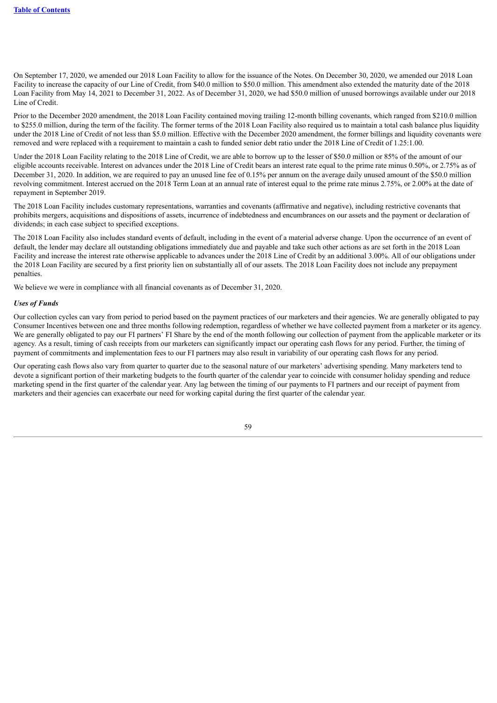On September 17, 2020, we amended our 2018 Loan Facility to allow for the issuance of the Notes. On December 30, 2020, we amended our 2018 Loan Facility to increase the capacity of our Line of Credit, from \$40.0 million to \$50.0 million. This amendment also extended the maturity date of the 2018 Loan Facility from May 14, 2021 to December 31, 2022. As of December 31, 2020, we had \$50.0 million of unused borrowings available under our 2018 Line of Credit.

Prior to the December 2020 amendment, the 2018 Loan Facility contained moving trailing 12-month billing covenants, which ranged from \$210.0 million to \$255.0 million, during the term of the facility. The former terms of the 2018 Loan Facility also required us to maintain a total cash balance plus liquidity under the 2018 Line of Credit of not less than \$5.0 million. Effective with the December 2020 amendment, the former billings and liquidity covenants were removed and were replaced with a requirement to maintain a cash to funded senior debt ratio under the 2018 Line of Credit of 1.25:1.00.

Under the 2018 Loan Facility relating to the 2018 Line of Credit, we are able to borrow up to the lesser of \$50.0 million or 85% of the amount of our eligible accounts receivable. Interest on advances under the 2018 Line of Credit bears an interest rate equal to the prime rate minus 0.50%, or 2.75% as of December 31, 2020. In addition, we are required to pay an unused line fee of 0.15% per annum on the average daily unused amount of the \$50.0 million revolving commitment. Interest accrued on the 2018 Term Loan at an annual rate of interest equal to the prime rate minus 2.75%, or 2.00% at the date of repayment in September 2019.

The 2018 Loan Facility includes customary representations, warranties and covenants (affirmative and negative), including restrictive covenants that prohibits mergers, acquisitions and dispositions of assets, incurrence of indebtedness and encumbrances on our assets and the payment or declaration of dividends; in each case subject to specified exceptions.

The 2018 Loan Facility also includes standard events of default, including in the event of a material adverse change. Upon the occurrence of an event of default, the lender may declare all outstanding obligations immediately due and payable and take such other actions as are set forth in the 2018 Loan Facility and increase the interest rate otherwise applicable to advances under the 2018 Line of Credit by an additional 3.00%. All of our obligations under the 2018 Loan Facility are secured by a first priority lien on substantially all of our assets. The 2018 Loan Facility does not include any prepayment penalties.

We believe we were in compliance with all financial covenants as of December 31, 2020.

#### *Uses of Funds*

Our collection cycles can vary from period to period based on the payment practices of our marketers and their agencies. We are generally obligated to pay Consumer Incentives between one and three months following redemption, regardless of whether we have collected payment from a marketer or its agency. We are generally obligated to pay our FI partners' FI Share by the end of the month following our collection of payment from the applicable marketer or its agency. As a result, timing of cash receipts from our marketers can significantly impact our operating cash flows for any period. Further, the timing of payment of commitments and implementation fees to our FI partners may also result in variability of our operating cash flows for any period.

Our operating cash flows also vary from quarter to quarter due to the seasonal nature of our marketers' advertising spending. Many marketers tend to devote a significant portion of their marketing budgets to the fourth quarter of the calendar year to coincide with consumer holiday spending and reduce marketing spend in the first quarter of the calendar year. Any lag between the timing of our payments to FI partners and our receipt of payment from marketers and their agencies can exacerbate our need for working capital during the first quarter of the calendar year.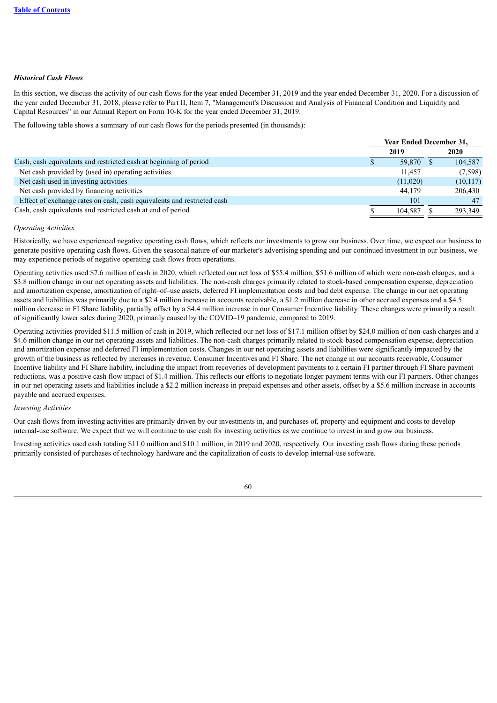# *Historical Cash Flows*

In this section, we discuss the activity of our cash flows for the year ended December 31, 2019 and the year ended December 31, 2020. For a discussion of the year ended December 31, 2018, please refer to Part II, Item 7, "Management's Discussion and Analysis of Financial Condition and Liquidity and Capital Resources" in our Annual Report on Form 10-K for the year ended December 31, 2019.

The following table shows a summary of our cash flows for the periods presented (in thousands):

|                                                                        | <b>Year Ended December 31.</b> |  |           |  |  |
|------------------------------------------------------------------------|--------------------------------|--|-----------|--|--|
|                                                                        | 2019                           |  | 2020      |  |  |
| Cash, cash equivalents and restricted cash at beginning of period      | 59.870                         |  | 104,587   |  |  |
| Net cash provided by (used in) operating activities                    | 11,457                         |  | (7,598)   |  |  |
| Net cash used in investing activities                                  | (11,020)                       |  | (10, 117) |  |  |
| Net cash provided by financing activities                              | 44.179                         |  | 206,430   |  |  |
| Effect of exchange rates on cash, cash equivalents and restricted cash | 101                            |  | 47        |  |  |
| Cash, cash equivalents and restricted cash at end of period            | 104.587                        |  | 293,349   |  |  |

# *Operating Activities*

Historically, we have experienced negative operating cash flows, which reflects our investments to grow our business. Over time, we expect our business to generate positive operating cash flows. Given the seasonal nature of our marketer's advertising spending and our continued investment in our business, we may experience periods of negative operating cash flows from operations.

Operating activities used \$7.6 million of cash in 2020, which reflected our net loss of \$55.4 million, \$51.6 million of which were non-cash charges, and a \$3.8 million change in our net operating assets and liabilities. The non-cash charges primarily related to stock-based compensation expense, depreciation and amortization expense, amortization of right–of–use assets, deferred FI implementation costs and bad debt expense. The change in our net operating assets and liabilities was primarily due to a \$2.4 million increase in accounts receivable, a \$1.2 million decrease in other accrued expenses and a \$4.5 million decrease in FI Share liability, partially offset by a \$4.4 million increase in our Consumer Incentive liability. These changes were primarily a result of significantly lower sales during 2020, primarily caused by the COVID–19 pandemic, compared to 2019.

Operating activities provided \$11.5 million of cash in 2019, which reflected our net loss of \$17.1 million offset by \$24.0 million of non-cash charges and a \$4.6 million change in our net operating assets and liabilities. The non-cash charges primarily related to stock-based compensation expense, depreciation and amortization expense and deferred FI implementation costs. Changes in our net operating assets and liabilities were significantly impacted by the growth of the business as reflected by increases in revenue, Consumer Incentives and FI Share. The net change in our accounts receivable, Consumer Incentive liability and FI Share liability, including the impact from recoveries of development payments to a certain FI partner through FI Share payment reductions, was a positive cash flow impact of \$1.4 million. This reflects our efforts to negotiate longer payment terms with our FI partners. Other changes in our net operating assets and liabilities include a \$2.2 million increase in prepaid expenses and other assets, offset by a \$5.6 million increase in accounts payable and accrued expenses.

## *Investing Activities*

Our cash flows from investing activities are primarily driven by our investments in, and purchases of, property and equipment and costs to develop internal-use software. We expect that we will continue to use cash for investing activities as we continue to invest in and grow our business.

Investing activities used cash totaling \$11.0 million and \$10.1 million, in 2019 and 2020, respectively. Our investing cash flows during these periods primarily consisted of purchases of technology hardware and the capitalization of costs to develop internal-use software.

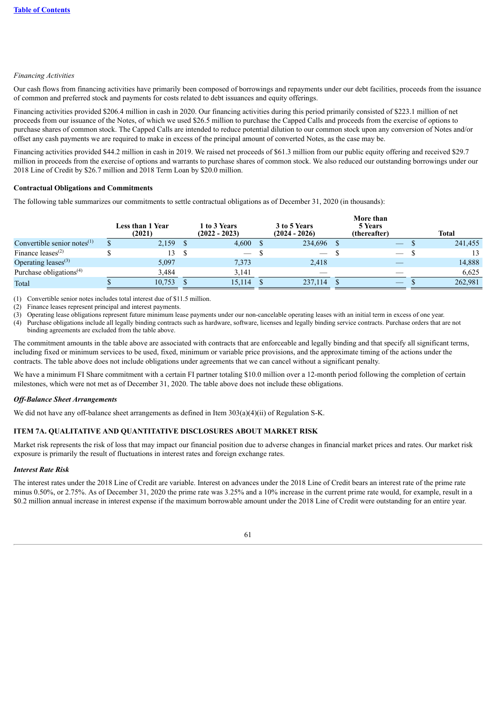### *Financing Activities*

Our cash flows from financing activities have primarily been composed of borrowings and repayments under our debt facilities, proceeds from the issuance of common and preferred stock and payments for costs related to debt issuances and equity offerings.

Financing activities provided \$206.4 million in cash in 2020. Our financing activities during this period primarily consisted of \$223.1 million of net proceeds from our issuance of the Notes, of which we used \$26.5 million to purchase the Capped Calls and proceeds from the exercise of options to purchase shares of common stock. The Capped Calls are intended to reduce potential dilution to our common stock upon any conversion of Notes and/or offset any cash payments we are required to make in excess of the principal amount of converted Notes, as the case may be.

Financing activities provided \$44.2 million in cash in 2019. We raised net proceeds of \$61.3 million from our public equity offering and received \$29.7 million in proceeds from the exercise of options and warrants to purchase shares of common stock. We also reduced our outstanding borrowings under our 2018 Line of Credit by \$26.7 million and 2018 Term Loan by \$20.0 million.

### **Contractual Obligations and Commitments**

The following table summarizes our commitments to settle contractual obligations as of December 31, 2020 (in thousands):

|                                | Less than 1 Year<br>(2021) | <b>1 to 3 Years</b><br>$(2022 - 2023)$ | 3 to 5 Years<br>$(2024 - 2026)$ | More than<br>5 Years<br>(thereafter) | <b>Total</b> |
|--------------------------------|----------------------------|----------------------------------------|---------------------------------|--------------------------------------|--------------|
| Convertible senior notes $(1)$ | 2,159                      | 4,600                                  | 234,696                         |                                      | 241,455      |
| Finance leases $^{(2)}$        | 13                         | $\hspace{0.1mm}-\hspace{0.1mm}$        | $\hspace{0.1mm}-\hspace{0.1mm}$ | $\hspace{0.1mm}-\hspace{0.1mm}$      |              |
| Operating leases $(3)$         | 5,097                      | 7,373                                  | 2,418                           |                                      | 14,888       |
| Purchase obligations $(4)$     | 3.484                      | 3.141                                  |                                 |                                      | 6,625        |
| Total                          | 10,753                     | 15.114                                 | 237.114                         |                                      | 262,981      |

(1) Convertible senior notes includes total interest due of \$11.5 million.

(2) Finance leases represent principal and interest payments.

(3) Operating lease obligations represent future minimum lease payments under our non-cancelable operating leases with an initial term in excess of one year.

(4) Purchase obligations include all legally binding contracts such as hardware, software, licenses and legally binding service contracts. Purchase orders that are not binding agreements are excluded from the table above.

The commitment amounts in the table above are associated with contracts that are enforceable and legally binding and that specify all significant terms, including fixed or minimum services to be used, fixed, minimum or variable price provisions, and the approximate timing of the actions under the contracts. The table above does not include obligations under agreements that we can cancel without a significant penalty.

We have a minimum FI Share commitment with a certain FI partner totaling \$10.0 million over a 12-month period following the completion of certain milestones, which were not met as of December 31, 2020. The table above does not include these obligations.

## *Of -Balance Sheet Arrangements*

We did not have any off-balance sheet arrangements as defined in Item 303(a)(4)(ii) of Regulation S-K.

## **ITEM 7A. QUALITATIVE AND QUANTITATIVE DISCLOSURES ABOUT MARKET RISK**

Market risk represents the risk of loss that may impact our financial position due to adverse changes in financial market prices and rates. Our market risk exposure is primarily the result of fluctuations in interest rates and foreign exchange rates.

# *Interest Rate Risk*

The interest rates under the 2018 Line of Credit are variable. Interest on advances under the 2018 Line of Credit bears an interest rate of the prime rate minus 0.50%, or 2.75%. As of December 31, 2020 the prime rate was 3.25% and a 10% increase in the current prime rate would, for example, result in a \$0.2 million annual increase in interest expense if the maximum borrowable amount under the 2018 Line of Credit were outstanding for an entire year.

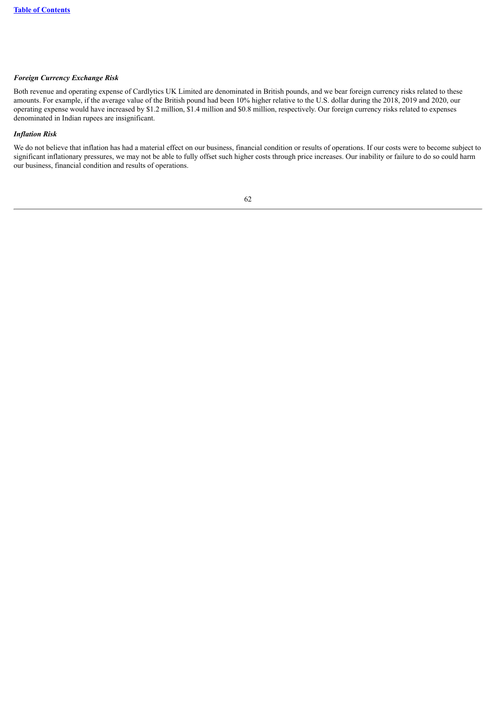# *Foreign Currency Exchange Risk*

Both revenue and operating expense of Cardlytics UK Limited are denominated in British pounds, and we bear foreign currency risks related to these amounts. For example, if the average value of the British pound had been 10% higher relative to the U.S. dollar during the 2018, 2019 and 2020, our operating expense would have increased by \$1.2 million, \$1.4 million and \$0.8 million, respectively. Our foreign currency risks related to expenses denominated in Indian rupees are insignificant.

# *Inflation Risk*

We do not believe that inflation has had a material effect on our business, financial condition or results of operations. If our costs were to become subject to significant inflationary pressures, we may not be able to fully offset such higher costs through price increases. Our inability or failure to do so could harm our business, financial condition and results of operations.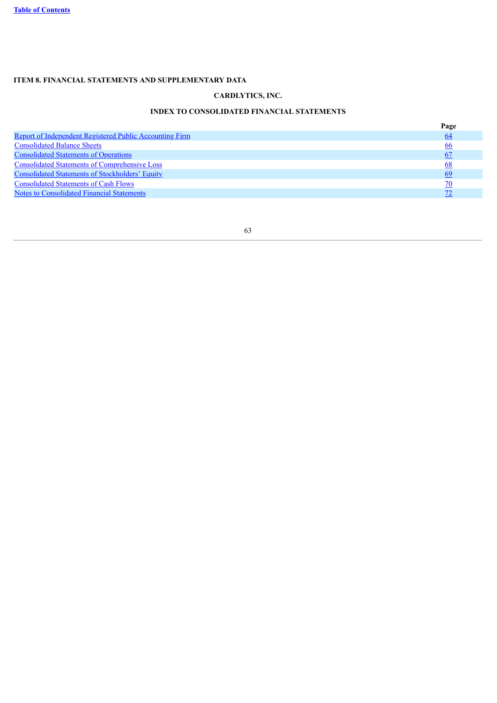# **ITEM 8. FINANCIAL STATEMENTS AND SUPPLEMENTARY DATA**

# **CARDLYTICS, INC.**

# **INDEX TO CONSOLIDATED FINANCIAL STATEMENTS**

<span id="page-63-0"></span>

|                                                                | Page      |
|----------------------------------------------------------------|-----------|
| <b>Report of Independent Registered Public Accounting Firm</b> | 64        |
| <b>Consolidated Balance Sheets</b>                             | <u>66</u> |
| <b>Consolidated Statements of Operations</b>                   | 67        |
| <b>Consolidated Statements of Comprehensive Loss</b>           | 68        |
| <b>Consolidated Statements of Stockholders' Equity</b>         | 69        |
| <b>Consolidated Statements of Cash Flows</b>                   | 70        |
| <b>Notes to Consolidated Financial Statements</b>              |           |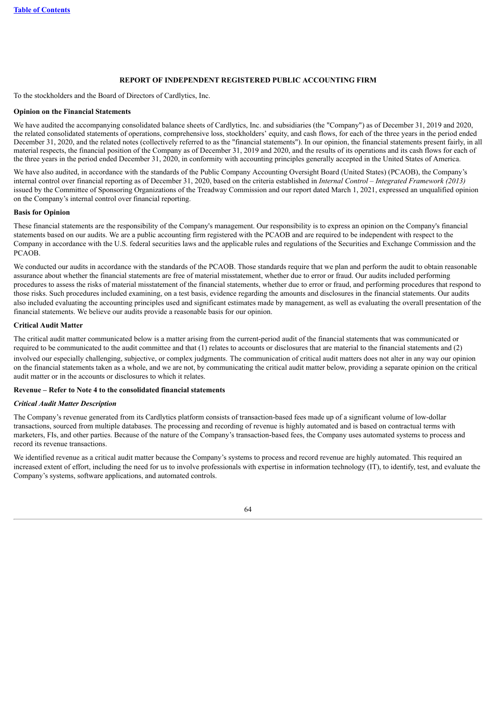# **REPORT OF INDEPENDENT REGISTERED PUBLIC ACCOUNTING FIRM**

To the stockholders and the Board of Directors of Cardlytics, Inc.

#### **Opinion on the Financial Statements**

We have audited the accompanying consolidated balance sheets of Cardlytics, Inc. and subsidiaries (the "Company") as of December 31, 2019 and 2020, the related consolidated statements of operations, comprehensive loss, stockholders' equity, and cash flows, for each of the three years in the period ended December 31, 2020, and the related notes (collectively referred to as the "financial statements"). In our opinion, the financial statements present fairly, in all material respects, the financial position of the Company as of December 31, 2019 and 2020, and the results of its operations and its cash flows for each of the three years in the period ended December 31, 2020, in conformity with accounting principles generally accepted in the United States of America.

We have also audited, in accordance with the standards of the Public Company Accounting Oversight Board (United States) (PCAOB), the Company's internal control over financial reporting as of December 31, 2020, based on the criteria established in *Internal Control – Integrated Framework (2013)* issued by the Committee of Sponsoring Organizations of the Treadway Commission and our report dated March 1, 2021, expressed an unqualified opinion on the Company's internal control over financial reporting.

### **Basis for Opinion**

These financial statements are the responsibility of the Company's management. Our responsibility is to express an opinion on the Company's financial statements based on our audits. We are a public accounting firm registered with the PCAOB and are required to be independent with respect to the Company in accordance with the U.S. federal securities laws and the applicable rules and regulations of the Securities and Exchange Commission and the PCAOB.

We conducted our audits in accordance with the standards of the PCAOB. Those standards require that we plan and perform the audit to obtain reasonable assurance about whether the financial statements are free of material misstatement, whether due to error or fraud. Our audits included performing procedures to assess the risks of material misstatement of the financial statements, whether due to error or fraud, and performing procedures that respond to those risks. Such procedures included examining, on a test basis, evidence regarding the amounts and disclosures in the financial statements. Our audits also included evaluating the accounting principles used and significant estimates made by management, as well as evaluating the overall presentation of the financial statements. We believe our audits provide a reasonable basis for our opinion.

# **Critical Audit Matter**

The critical audit matter communicated below is a matter arising from the current-period audit of the financial statements that was communicated or required to be communicated to the audit committee and that (1) relates to accounts or disclosures that are material to the financial statements and (2)

involved our especially challenging, subjective, or complex judgments. The communication of critical audit matters does not alter in any way our opinion on the financial statements taken as a whole, and we are not, by communicating the critical audit matter below, providing a separate opinion on the critical audit matter or in the accounts or disclosures to which it relates.

# **Revenue – Refer to Note 4 to the consolidated financial statements**

### *Critical Audit Matter Description*

The Company's revenue generated from its Cardlytics platform consists of transaction-based fees made up of a significant volume of low-dollar transactions, sourced from multiple databases. The processing and recording of revenue is highly automated and is based on contractual terms with marketers, FIs, and other parties. Because of the nature of the Company's transaction-based fees, the Company uses automated systems to process and record its revenue transactions.

We identified revenue as a critical audit matter because the Company's systems to process and record revenue are highly automated. This required an increased extent of effort, including the need for us to involve professionals with expertise in information technology (IT), to identify, test, and evaluate the Company's systems, software applications, and automated controls.

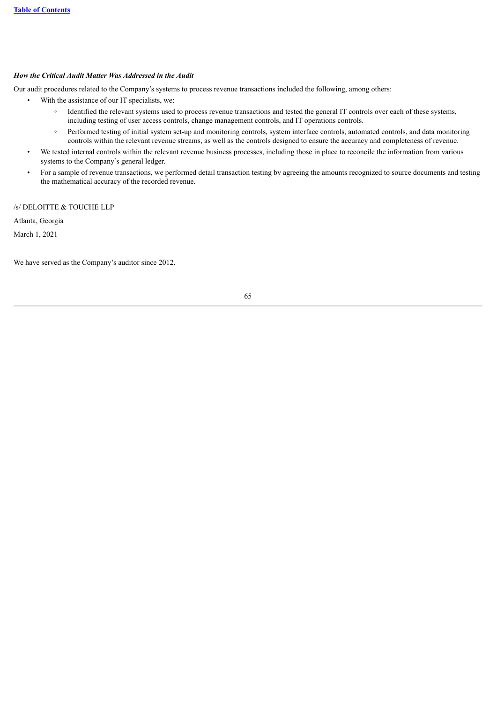# *How the Critical Audit Matter Was Addressed in the Audit*

Our audit procedures related to the Company's systems to process revenue transactions included the following, among others:

- With the assistance of our IT specialists, we:
	- Identified the relevant systems used to process revenue transactions and tested the general IT controls over each of these systems, including testing of user access controls, change management controls, and IT operations controls.
	- Performed testing of initial system set-up and monitoring controls, system interface controls, automated controls, and data monitoring controls within the relevant revenue streams, as well as the controls designed to ensure the accuracy and completeness of revenue.
- We tested internal controls within the relevant revenue business processes, including those in place to reconcile the information from various systems to the Company's general ledger.
- For a sample of revenue transactions, we performed detail transaction testing by agreeing the amounts recognized to source documents and testing the mathematical accuracy of the recorded revenue.

# /s/ DELOITTE & TOUCHE LLP

Atlanta, Georgia March 1, 2021

<span id="page-65-0"></span>We have served as the Company's auditor since 2012.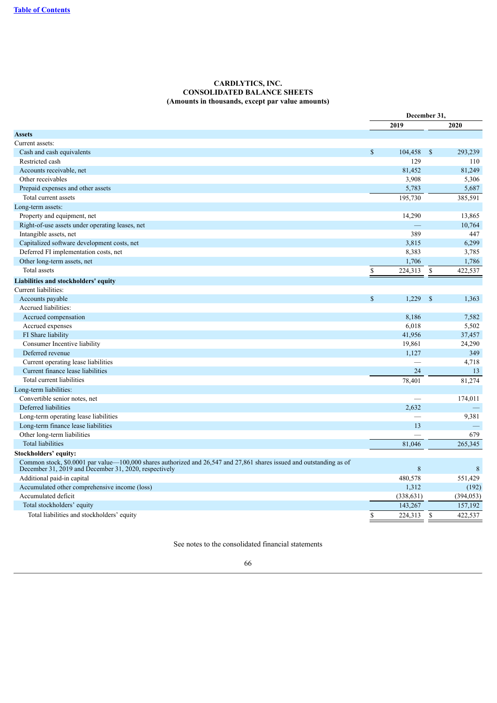# **CARDLYTICS, INC. CONSOLIDATED BALANCE SHEETS (Amounts in thousands, except par value amounts)**

|                                                                                                                                                                               | December 31, |                          |               |            |  |
|-------------------------------------------------------------------------------------------------------------------------------------------------------------------------------|--------------|--------------------------|---------------|------------|--|
|                                                                                                                                                                               |              | 2019                     |               | 2020       |  |
| <b>Assets</b>                                                                                                                                                                 |              |                          |               |            |  |
| Current assets:                                                                                                                                                               |              |                          |               |            |  |
| Cash and cash equivalents                                                                                                                                                     | $\mathbb{S}$ | 104,458                  | $\mathbb{S}$  | 293,239    |  |
| Restricted cash                                                                                                                                                               |              | 129                      |               | 110        |  |
| Accounts receivable, net                                                                                                                                                      |              | 81,452                   |               | 81,249     |  |
| Other receivables                                                                                                                                                             |              | 3,908                    |               | 5,306      |  |
| Prepaid expenses and other assets                                                                                                                                             |              | 5,783                    |               | 5,687      |  |
| Total current assets                                                                                                                                                          |              | 195,730                  |               | 385,591    |  |
| Long-term assets:                                                                                                                                                             |              |                          |               |            |  |
| Property and equipment, net                                                                                                                                                   |              | 14,290                   |               | 13,865     |  |
| Right-of-use assets under operating leases, net                                                                                                                               |              |                          |               | 10,764     |  |
| Intangible assets, net                                                                                                                                                        |              | 389                      |               | 447        |  |
| Capitalized software development costs, net                                                                                                                                   |              | 3,815                    |               | 6,299      |  |
| Deferred FI implementation costs, net                                                                                                                                         |              | 8,383                    |               | 3,785      |  |
| Other long-term assets, net                                                                                                                                                   |              | 1,706                    |               | 1,786      |  |
| Total assets                                                                                                                                                                  | $\mathbb{S}$ | 224,313                  | $\mathbf S$   | 422,537    |  |
| Liabilities and stockholders' equity                                                                                                                                          |              |                          |               |            |  |
| Current liabilities:                                                                                                                                                          |              |                          |               |            |  |
| Accounts payable                                                                                                                                                              | $\mathbb{S}$ | 1,229                    | $\mathcal{S}$ | 1,363      |  |
| Accrued liabilities:                                                                                                                                                          |              |                          |               |            |  |
| Accrued compensation                                                                                                                                                          |              | 8,186                    |               | 7,582      |  |
| Accrued expenses                                                                                                                                                              |              | 6,018                    |               | 5,502      |  |
| FI Share liability                                                                                                                                                            |              | 41,956                   |               | 37,457     |  |
| Consumer Incentive liability                                                                                                                                                  |              | 19,861                   |               | 24,290     |  |
| Deferred revenue                                                                                                                                                              |              | 1,127                    |               | 349        |  |
| Current operating lease liabilities                                                                                                                                           |              | $\overline{\phantom{0}}$ |               | 4,718      |  |
| Current finance lease liabilities                                                                                                                                             |              | 24                       |               | 13         |  |
| Total current liabilities                                                                                                                                                     |              | 78,401                   |               | 81,274     |  |
| Long-term liabilities:                                                                                                                                                        |              |                          |               |            |  |
| Convertible senior notes, net                                                                                                                                                 |              |                          |               | 174,011    |  |
| Deferred liabilities                                                                                                                                                          |              | 2,632                    |               |            |  |
| Long-term operating lease liabilities                                                                                                                                         |              | ÷,                       |               | 9,381      |  |
| Long-term finance lease liabilities                                                                                                                                           |              | 13                       |               |            |  |
| Other long-term liabilities                                                                                                                                                   |              |                          |               | 679        |  |
| <b>Total liabilities</b>                                                                                                                                                      |              | 81,046                   |               | 265,345    |  |
| Stockholders' equity:                                                                                                                                                         |              |                          |               |            |  |
| Common stock, \$0.0001 par value-100,000 shares authorized and 26,547 and 27,861 shares issued and outstanding as of<br>December 31, 2019 and December 31, 2020, respectively |              | 8                        |               | 8          |  |
| Additional paid-in capital                                                                                                                                                    |              | 480,578                  |               | 551,429    |  |
| Accumulated other comprehensive income (loss)                                                                                                                                 |              | 1,312                    |               | (192)      |  |
| Accumulated deficit                                                                                                                                                           |              | (338, 631)               |               | (394, 053) |  |
| Total stockholders' equity                                                                                                                                                    |              | 143,267                  |               | 157,192    |  |
| Total liabilities and stockholders' equity                                                                                                                                    | $\mathbb{S}$ | 224,313                  | $\mathbf S$   | 422,537    |  |
|                                                                                                                                                                               |              |                          |               |            |  |

<span id="page-66-0"></span>See notes to the consolidated financial statements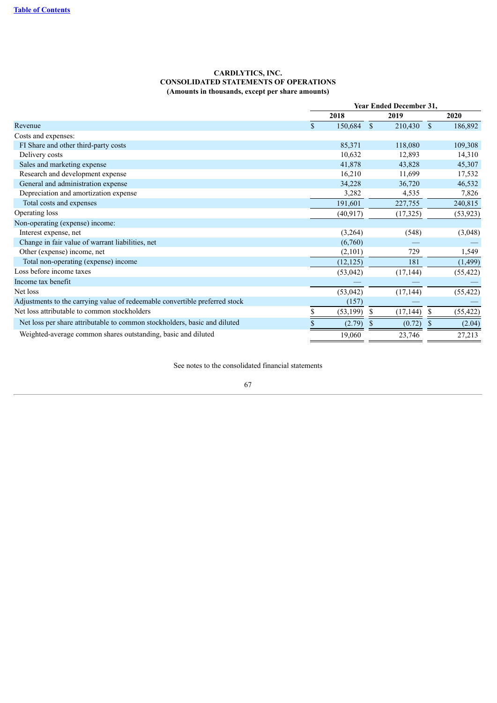# **CARDLYTICS, INC. CONSOLIDATED STATEMENTS OF OPERATIONS (Amounts in thousands, except per share amounts)**

|                                                                             | <b>Year Ended December 31,</b> |           |                    |           |               |           |
|-----------------------------------------------------------------------------|--------------------------------|-----------|--------------------|-----------|---------------|-----------|
|                                                                             |                                | 2018      | 2019               |           |               | 2020      |
| Revenue                                                                     | $\mathbf{s}$                   | 150,684   | $\mathbf{\hat{S}}$ | 210,430   | <sup>\$</sup> | 186,892   |
| Costs and expenses:                                                         |                                |           |                    |           |               |           |
| FI Share and other third-party costs                                        |                                | 85,371    |                    | 118,080   |               | 109,308   |
| Delivery costs                                                              |                                | 10,632    |                    | 12,893    |               | 14,310    |
| Sales and marketing expense                                                 |                                | 41,878    |                    | 43,828    |               | 45,307    |
| Research and development expense                                            |                                | 16,210    |                    | 11,699    |               | 17,532    |
| General and administration expense                                          |                                | 34,228    |                    | 36,720    |               | 46,532    |
| Depreciation and amortization expense                                       |                                | 3,282     |                    | 4,535     |               | 7,826     |
| Total costs and expenses                                                    |                                | 191,601   |                    | 227,755   |               | 240,815   |
| Operating loss                                                              |                                | (40, 917) |                    | (17, 325) |               | (53, 923) |
| Non-operating (expense) income:                                             |                                |           |                    |           |               |           |
| Interest expense, net                                                       |                                | (3,264)   |                    | (548)     |               | (3,048)   |
| Change in fair value of warrant liabilities, net                            |                                | (6,760)   |                    |           |               |           |
| Other (expense) income, net                                                 |                                | (2,101)   |                    | 729       |               | 1,549     |
| Total non-operating (expense) income                                        |                                | (12, 125) |                    | 181       |               | (1, 499)  |
| Loss before income taxes                                                    |                                | (53, 042) |                    | (17, 144) |               | (55, 422) |
| Income tax benefit                                                          |                                |           |                    |           |               |           |
| Net loss                                                                    |                                | (53,042)  |                    | (17, 144) |               | (55, 422) |
| Adjustments to the carrying value of redeemable convertible preferred stock |                                | (157)     |                    |           |               |           |
| Net loss attributable to common stockholders                                |                                | (53, 199) | \$                 | (17, 144) | S             | (55, 422) |
| Net loss per share attributable to common stockholders, basic and diluted   |                                | (2.79)    | S                  | (0.72)    | S             | (2.04)    |
| Weighted-average common shares outstanding, basic and diluted               |                                | 19,060    |                    | 23,746    |               | 27,213    |

<span id="page-67-0"></span>See notes to the consolidated financial statements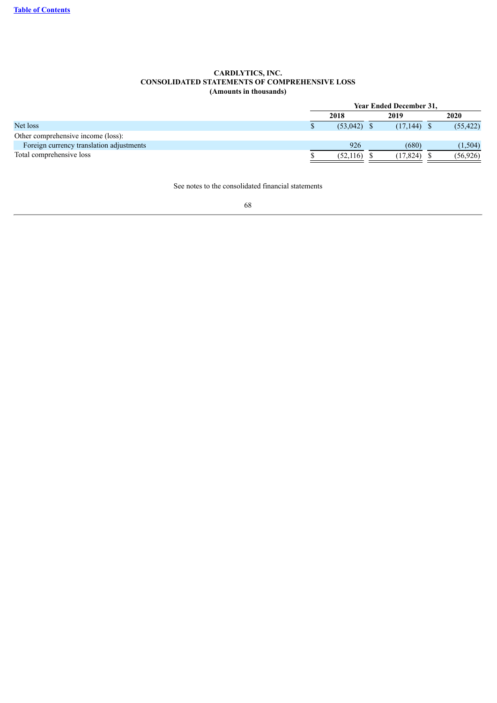# **CARDLYTICS, INC. CONSOLIDATED STATEMENTS OF COMPREHENSIVE LOSS (Amounts in thousands)**

<span id="page-68-0"></span>

|                                          | <b>Year Ended December 31,</b> |           |  |               |  |           |  |
|------------------------------------------|--------------------------------|-----------|--|---------------|--|-----------|--|
|                                          |                                | 2018      |  | 2019          |  | 2020      |  |
| Net loss                                 |                                | (53,042)  |  | $(17.144)$ \$ |  | (55, 422) |  |
| Other comprehensive income (loss):       |                                |           |  |               |  |           |  |
| Foreign currency translation adjustments |                                | 926       |  | (680)         |  | (1,504)   |  |
| Total comprehensive loss                 |                                | (52, 116) |  | (17.824)      |  | (56, 926) |  |

See notes to the consolidated financial statements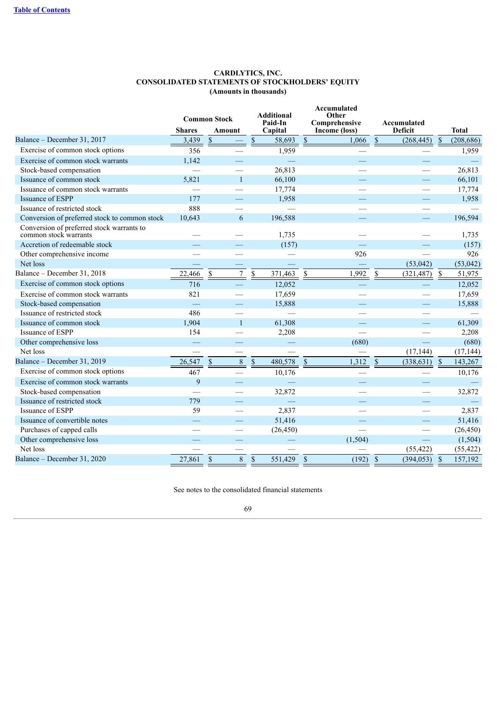# **CARDLYTICS, INC. CONSOLIDATED STATEMENTS OF STOCKHOLDERS' EQUITY (Amounts in thousands)**

|                                                                    | <b>Common Stock</b> |                           |                          | <b>Additional</b><br>Paid-In |           | <b>Accumulated</b><br>Other<br>Comprehensive |               | Accumulated |                |                                   |              |
|--------------------------------------------------------------------|---------------------|---------------------------|--------------------------|------------------------------|-----------|----------------------------------------------|---------------|-------------|----------------|-----------------------------------|--------------|
|                                                                    | <b>Shares</b>       |                           | Amount                   |                              | Capital   |                                              | Income (loss) |             | <b>Deficit</b> |                                   | <b>Total</b> |
| Balance – December 31, 2017                                        | 3,439               | $\sqrt{\ }$               |                          | $\overline{\mathbb{S}}$      | 58,693    | $\sqrt{\ }$                                  | 1,066         | \$          | (268, 445)     | \$                                | (208, 686)   |
| Exercise of common stock options                                   | 356                 |                           |                          |                              | 1,959     |                                              |               |             |                |                                   | 1,959        |
| Exercise of common stock warrants                                  | 1,142               |                           |                          |                              |           |                                              |               |             |                |                                   |              |
| Stock-based compensation                                           |                     |                           |                          |                              | 26,813    |                                              |               |             |                |                                   | 26,813       |
| Issuance of common stock                                           | 5,821               |                           | $\overline{1}$           |                              | 66,100    |                                              |               |             |                |                                   | 66,101       |
| Issuance of common stock warrants                                  |                     |                           |                          |                              | 17,774    |                                              |               |             |                |                                   | 17,774       |
| <b>Issuance of ESPP</b>                                            | 177                 |                           |                          |                              | 1,958     |                                              |               |             |                |                                   | 1,958        |
| Issuance of restricted stock                                       | 888                 |                           |                          |                              |           |                                              |               |             |                |                                   |              |
| Conversion of preferred stock to common stock                      | 10,643              |                           | 6                        |                              | 196,588   |                                              |               |             |                |                                   | 196,594      |
| Conversion of preferred stock warrants to<br>common stock warrants |                     |                           |                          |                              | 1,735     |                                              |               |             |                |                                   | 1,735        |
| Accretion of redeemable stock                                      |                     |                           |                          |                              | (157)     |                                              |               |             |                |                                   | (157)        |
| Other comprehensive income                                         |                     |                           |                          |                              |           |                                              | 926           |             |                |                                   | 926          |
| Net loss                                                           |                     |                           |                          |                              |           |                                              |               |             | (53,042)       |                                   | (53,042)     |
| Balance - December 31, 2018                                        | 22,466              | $\mathbb{S}$              | $\boldsymbol{7}$         | $\mathbb S$                  | 371,463   | $\frac{1}{2}$                                | 1,992         | \$          | (321, 487)     | \$                                | 51,975       |
| Exercise of common stock options                                   | 716                 |                           |                          |                              | 12,052    |                                              |               |             |                |                                   | 12,052       |
| Exercise of common stock warrants                                  | 821                 |                           |                          |                              | 17,659    |                                              |               |             |                |                                   | 17,659       |
| Stock-based compensation                                           | $\equiv$            |                           |                          |                              | 15,888    |                                              |               |             |                |                                   | 15,888       |
| Issuance of restricted stock                                       | 486                 |                           |                          |                              |           |                                              |               |             |                |                                   |              |
| Issuance of common stock                                           | 1,904               |                           | $\overline{1}$           |                              | 61,308    |                                              |               |             |                |                                   | 61,309       |
| Issuance of ESPP                                                   | 154                 |                           |                          |                              | 2,208     |                                              |               |             |                |                                   | 2,208        |
| Other comprehensive loss                                           |                     |                           |                          |                              |           |                                              | (680)         |             |                |                                   | (680)        |
| Net loss                                                           |                     |                           |                          |                              |           |                                              |               |             | (17, 144)      |                                   | (17, 144)    |
| Balance - December 31, 2019                                        | 26,547              | $\frac{1}{2}$             | $\,8\,$                  | $\frac{1}{2}$                | 480,578   | $\frac{1}{2}$                                | 1,312         | \$          | (338, 631)     | $\frac{\mathcal{S}}{\mathcal{S}}$ | 143,267      |
| Exercise of common stock options                                   | 467                 |                           | $\overline{\phantom{0}}$ |                              | 10,176    |                                              |               |             |                |                                   | 10,176       |
| Exercise of common stock warrants                                  | 9                   |                           |                          |                              |           |                                              |               |             |                |                                   |              |
| Stock-based compensation                                           |                     |                           |                          |                              | 32,872    |                                              |               |             |                |                                   | 32,872       |
| Issuance of restricted stock                                       | 779                 |                           |                          |                              |           |                                              |               |             |                |                                   |              |
| <b>Issuance of ESPP</b>                                            | 59                  |                           |                          |                              | 2,837     |                                              |               |             |                |                                   | 2,837        |
| Issuance of convertible notes                                      |                     |                           |                          |                              | 51,416    |                                              |               |             |                |                                   | 51,416       |
| Purchases of capped calls                                          |                     |                           |                          |                              | (26, 450) |                                              |               |             |                |                                   | (26, 450)    |
| Other comprehensive loss                                           |                     |                           |                          |                              |           |                                              | (1, 504)      |             |                |                                   | (1, 504)     |
| Net loss                                                           |                     |                           |                          |                              |           |                                              |               |             | (55, 422)      |                                   | (55, 422)    |
| Balance - December 31, 2020                                        | 27,861              | $\boldsymbol{\mathsf{S}}$ | $\,8\,$                  | $\sqrt{\ }$                  | 551,429   | $\mathcal{S}$                                | $(192)$ \$    |             | (394, 053)     | $\boldsymbol{\mathsf{S}}$         | 157,192      |

<span id="page-69-0"></span>See notes to the consolidated financial statements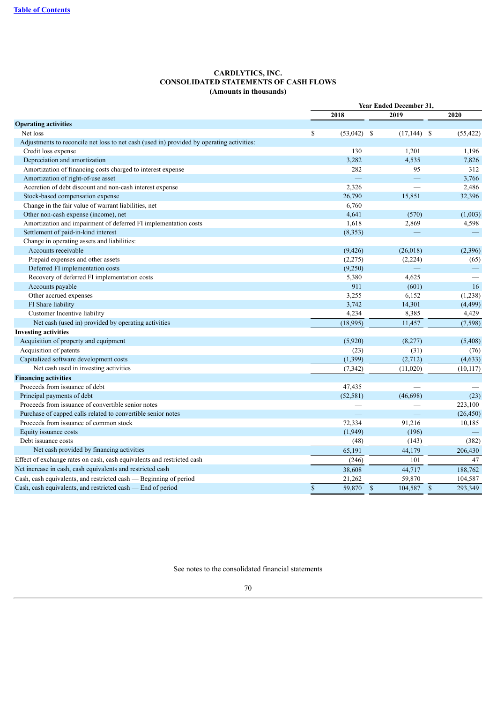## **CARDLYTICS, INC. CONSOLIDATED STATEMENTS OF CASH FLOWS (Amounts in thousands)**

|                                                                                           |             | <b>Year Ended December 31,</b> |             |                          |               |           |  |
|-------------------------------------------------------------------------------------------|-------------|--------------------------------|-------------|--------------------------|---------------|-----------|--|
|                                                                                           |             | 2018                           |             | 2019                     |               | 2020      |  |
| <b>Operating activities</b>                                                               |             |                                |             |                          |               |           |  |
| Net loss                                                                                  | \$          | (53, 042)                      | - \$        | $(17, 144)$ \$           |               | (55, 422) |  |
| Adjustments to reconcile net loss to net cash (used in) provided by operating activities: |             |                                |             |                          |               |           |  |
| Credit loss expense                                                                       |             | 130                            |             | 1,201                    |               | 1,196     |  |
| Depreciation and amortization                                                             |             | 3,282                          |             | 4,535                    |               | 7,826     |  |
| Amortization of financing costs charged to interest expense                               |             | 282                            |             | 95                       |               | 312       |  |
| Amortization of right-of-use asset                                                        |             |                                |             | $\equiv$                 |               | 3,766     |  |
| Accretion of debt discount and non-cash interest expense                                  |             | 2,326                          |             | $\overline{\phantom{0}}$ |               | 2,486     |  |
| Stock-based compensation expense                                                          |             | 26,790                         |             | 15,851                   |               | 32,396    |  |
| Change in the fair value of warrant liabilities, net                                      |             | 6,760                          |             |                          |               |           |  |
| Other non-cash expense (income), net                                                      |             | 4,641                          |             | (570)                    |               | (1,003)   |  |
| Amortization and impairment of deferred FI implementation costs                           |             | 1,618                          |             | 2,869                    |               | 4,598     |  |
| Settlement of paid-in-kind interest                                                       |             | (8,353)                        |             |                          |               |           |  |
| Change in operating assets and liabilities:                                               |             |                                |             |                          |               |           |  |
| Accounts receivable                                                                       |             | (9, 426)                       |             | (26, 018)                |               | (2,396)   |  |
| Prepaid expenses and other assets                                                         |             | (2,275)                        |             | (2,224)                  |               | (65)      |  |
| Deferred FI implementation costs                                                          |             | (9,250)                        |             |                          |               |           |  |
| Recovery of deferred FI implementation costs                                              |             | 5,380                          |             | 4,625                    |               |           |  |
| Accounts payable                                                                          |             | 911                            |             | (601)                    |               | 16        |  |
| Other accrued expenses                                                                    |             | 3,255                          |             | 6,152                    |               | (1,238)   |  |
| FI Share liability                                                                        |             | 3,742                          |             | 14,301                   |               | (4, 499)  |  |
| Customer Incentive liability                                                              |             | 4,234                          |             | 8,385                    |               | 4,429     |  |
| Net cash (used in) provided by operating activities                                       |             | (18,995)                       |             | 11,457                   |               | (7, 598)  |  |
| <b>Investing activities</b>                                                               |             |                                |             |                          |               |           |  |
| Acquisition of property and equipment                                                     |             | (5,920)                        |             | (8,277)                  |               | (5,408)   |  |
| Acquisition of patents                                                                    |             | (23)                           |             | (31)                     |               | (76)      |  |
| Capitalized software development costs                                                    |             | (1,399)                        |             | (2,712)                  |               | (4,633)   |  |
| Net cash used in investing activities                                                     |             | (7, 342)                       |             | (11, 020)                |               | (10, 117) |  |
| <b>Financing activities</b>                                                               |             |                                |             |                          |               |           |  |
| Proceeds from issuance of debt                                                            |             | 47,435                         |             | $\qquad \qquad$          |               |           |  |
| Principal payments of debt                                                                |             | (52, 581)                      |             | (46, 698)                |               | (23)      |  |
| Proceeds from issuance of convertible senior notes                                        |             |                                |             |                          |               | 223,100   |  |
| Purchase of capped calls related to convertible senior notes                              |             | $\equiv$                       |             | $\equiv$                 |               | (26, 450) |  |
| Proceeds from issuance of common stock                                                    |             | 72,334                         |             | 91,216                   |               | 10,185    |  |
| Equity issuance costs                                                                     |             | (1,949)                        |             | (196)                    |               |           |  |
| Debt issuance costs                                                                       |             | (48)                           |             | (143)                    |               | (382)     |  |
| Net cash provided by financing activities                                                 |             | 65,191                         |             | 44,179                   |               | 206,430   |  |
| Effect of exchange rates on cash, cash equivalents and restricted cash                    |             | (246)                          |             | 101                      |               | 47        |  |
| Net increase in cash, cash equivalents and restricted cash                                |             | 38,608                         |             | 44,717                   |               | 188,762   |  |
| Cash, cash equivalents, and restricted cash — Beginning of period                         |             | 21,262                         |             | 59,870                   |               | 104,587   |  |
| Cash, cash equivalents, and restricted cash — End of period                               | $\mathbb S$ | 59,870                         | $\mathbb S$ | 104,587                  | $\mathcal{S}$ | 293,349   |  |
|                                                                                           |             |                                |             |                          |               |           |  |

See notes to the consolidated financial statements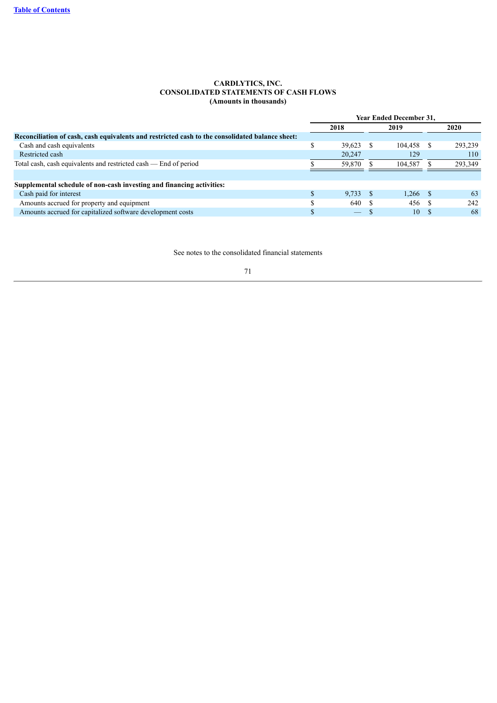# **CARDLYTICS, INC. CONSOLIDATED STATEMENTS OF CASH FLOWS (Amounts in thousands)**

|                                                                                                 | <b>Year Ended December 31,</b> |               |      |            |    |         |
|-------------------------------------------------------------------------------------------------|--------------------------------|---------------|------|------------|----|---------|
|                                                                                                 | 2018                           |               | 2019 |            |    | 2020    |
| Reconciliation of cash, cash equivalents and restricted cash to the consolidated balance sheet: |                                |               |      |            |    |         |
| Cash and cash equivalents                                                                       |                                | 39,623        |      | 104,458    | -S | 293,239 |
| Restricted cash                                                                                 |                                | 20,247        |      | 129        |    | 110     |
| Total cash, cash equivalents and restricted cash — End of period                                |                                | 59,870        |      | 104,587    |    | 293,349 |
|                                                                                                 |                                |               |      |            |    |         |
| Supplemental schedule of non-cash investing and financing activities:                           |                                |               |      |            |    |         |
| Cash paid for interest                                                                          |                                | $9,733$ \$    |      | $1,266$ \$ |    | 63      |
| Amounts accrued for property and equipment                                                      |                                | 640           |      | 456        |    | 242     |
| Amounts accrued for capitalized software development costs                                      |                                | $\frac{1}{2}$ |      | 10         |    | 68      |

<span id="page-71-0"></span>See notes to the consolidated financial statements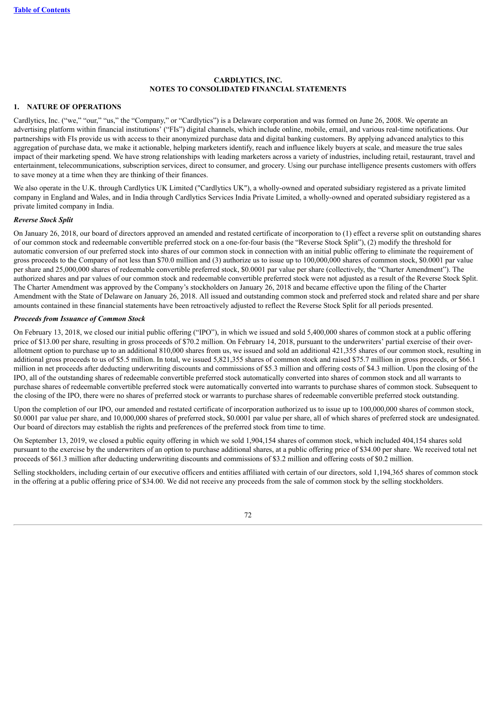# **CARDLYTICS, INC. NOTES TO CONSOLIDATED FINANCIAL STATEMENTS**

# **1. NATURE OF OPERATIONS**

Cardlytics, Inc. ("we," "our," "us," the "Company," or "Cardlytics") is a Delaware corporation and was formed on June 26, 2008. We operate an advertising platform within financial institutions' ("FIs") digital channels, which include online, mobile, email, and various real-time notifications. Our partnerships with FIs provide us with access to their anonymized purchase data and digital banking customers. By applying advanced analytics to this aggregation of purchase data, we make it actionable, helping marketers identify, reach and influence likely buyers at scale, and measure the true sales impact of their marketing spend. We have strong relationships with leading marketers across a variety of industries, including retail, restaurant, travel and entertainment, telecommunications, subscription services, direct to consumer, and grocery. Using our purchase intelligence presents customers with offers to save money at a time when they are thinking of their finances.

We also operate in the U.K. through Cardlytics UK Limited ("Cardlytics UK"), a wholly-owned and operated subsidiary registered as a private limited company in England and Wales, and in India through Cardlytics Services India Private Limited, a wholly-owned and operated subsidiary registered as a private limited company in India.

# *Reverse Stock Split*

On January 26, 2018, our board of directors approved an amended and restated certificate of incorporation to (1) effect a reverse split on outstanding shares of our common stock and redeemable convertible preferred stock on a one-for-four basis (the "Reverse Stock Split"), (2) modify the threshold for automatic conversion of our preferred stock into shares of our common stock in connection with an initial public offering to eliminate the requirement of gross proceeds to the Company of not less than \$70.0 million and (3) authorize us to issue up to 100,000,000 shares of common stock, \$0.0001 par value per share and 25,000,000 shares of redeemable convertible preferred stock, \$0.0001 par value per share (collectively, the "Charter Amendment"). The authorized shares and par values of our common stock and redeemable convertible preferred stock were not adjusted as a result of the Reverse Stock Split. The Charter Amendment was approved by the Company's stockholders on January 26, 2018 and became effective upon the filing of the Charter Amendment with the State of Delaware on January 26, 2018. All issued and outstanding common stock and preferred stock and related share and per share amounts contained in these financial statements have been retroactively adjusted to reflect the Reverse Stock Split for all periods presented.

### *Proceeds from Issuance of Common Stock*

On February 13, 2018, we closed our initial public offering ("IPO"), in which we issued and sold 5,400,000 shares of common stock at a public offering price of \$13.00 per share, resulting in gross proceeds of \$70.2 million. On February 14, 2018, pursuant to the underwriters' partial exercise of their overallotment option to purchase up to an additional 810,000 shares from us, we issued and sold an additional 421,355 shares of our common stock, resulting in additional gross proceeds to us of \$5.5 million. In total, we issued 5,821,355 shares of common stock and raised \$75.7 million in gross proceeds, or \$66.1 million in net proceeds after deducting underwriting discounts and commissions of \$5.3 million and offering costs of \$4.3 million. Upon the closing of the IPO, all of the outstanding shares of redeemable convertible preferred stock automatically converted into shares of common stock and all warrants to purchase shares of redeemable convertible preferred stock were automatically converted into warrants to purchase shares of common stock. Subsequent to the closing of the IPO, there were no shares of preferred stock or warrants to purchase shares of redeemable convertible preferred stock outstanding.

Upon the completion of our IPO, our amended and restated certificate of incorporation authorized us to issue up to 100,000,000 shares of common stock, \$0.0001 par value per share, and 10,000,000 shares of preferred stock, \$0.0001 par value per share, all of which shares of preferred stock are undesignated. Our board of directors may establish the rights and preferences of the preferred stock from time to time.

On September 13, 2019, we closed a public equity offering in which we sold 1,904,154 shares of common stock, which included 404,154 shares sold pursuant to the exercise by the underwriters of an option to purchase additional shares, at a public offering price of \$34.00 per share. We received total net proceeds of \$61.3 million after deducting underwriting discounts and commissions of \$3.2 million and offering costs of \$0.2 million.

Selling stockholders, including certain of our executive officers and entities affiliated with certain of our directors, sold 1,194,365 shares of common stock in the offering at a public offering price of \$34.00. We did not receive any proceeds from the sale of common stock by the selling stockholders.

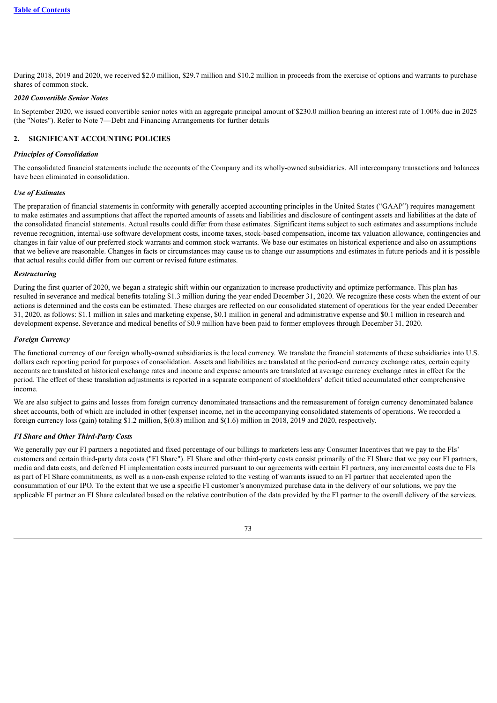During 2018, 2019 and 2020, we received \$2.0 million, \$29.7 million and \$10.2 million in proceeds from the exercise of options and warrants to purchase shares of common stock.

### *2020 Convertible Senior Notes*

In September 2020, we issued convertible senior notes with an aggregate principal amount of \$230.0 million bearing an interest rate of 1.00% due in 2025 (the "Notes"). Refer to Note 7—Debt and Financing Arrangements for further details

# **2. SIGNIFICANT ACCOUNTING POLICIES**

#### *Principles of Consolidation*

The consolidated financial statements include the accounts of the Company and its wholly-owned subsidiaries. All intercompany transactions and balances have been eliminated in consolidation.

# *Use of Estimates*

The preparation of financial statements in conformity with generally accepted accounting principles in the United States ("GAAP") requires management to make estimates and assumptions that affect the reported amounts of assets and liabilities and disclosure of contingent assets and liabilities at the date of the consolidated financial statements. Actual results could differ from these estimates. Significant items subject to such estimates and assumptions include revenue recognition, internal-use software development costs, income taxes, stock-based compensation, income tax valuation allowance, contingencies and changes in fair value of our preferred stock warrants and common stock warrants. We base our estimates on historical experience and also on assumptions that we believe are reasonable. Changes in facts or circumstances may cause us to change our assumptions and estimates in future periods and it is possible that actual results could differ from our current or revised future estimates.

#### *Restructuring*

During the first quarter of 2020, we began a strategic shift within our organization to increase productivity and optimize performance. This plan has resulted in severance and medical benefits totaling \$1.3 million during the year ended December 31, 2020. We recognize these costs when the extent of our actions is determined and the costs can be estimated. These charges are reflected on our consolidated statement of operations for the year ended December 31, 2020, as follows: \$1.1 million in sales and marketing expense, \$0.1 million in general and administrative expense and \$0.1 million in research and development expense. Severance and medical benefits of \$0.9 million have been paid to former employees through December 31, 2020.

#### *Foreign Currency*

The functional currency of our foreign wholly-owned subsidiaries is the local currency. We translate the financial statements of these subsidiaries into U.S. dollars each reporting period for purposes of consolidation. Assets and liabilities are translated at the period-end currency exchange rates, certain equity accounts are translated at historical exchange rates and income and expense amounts are translated at average currency exchange rates in effect for the period. The effect of these translation adjustments is reported in a separate component of stockholders' deficit titled accumulated other comprehensive income.

We are also subject to gains and losses from foreign currency denominated transactions and the remeasurement of foreign currency denominated balance sheet accounts, both of which are included in other (expense) income, net in the accompanying consolidated statements of operations. We recorded a foreign currency loss (gain) totaling \$1.2 million, \$(0.8) million and \$(1.6) million in 2018, 2019 and 2020, respectively.

# *FI Share and Other Third-Party Costs*

We generally pay our FI partners a negotiated and fixed percentage of our billings to marketers less any Consumer Incentives that we pay to the FIs' customers and certain third-party data costs ("FI Share"). FI Share and other third-party costs consist primarily of the FI Share that we pay our FI partners, media and data costs, and deferred FI implementation costs incurred pursuant to our agreements with certain FI partners, any incremental costs due to FIs as part of FI Share commitments, as well as a non-cash expense related to the vesting of warrants issued to an FI partner that accelerated upon the consummation of our IPO. To the extent that we use a specific FI customer's anonymized purchase data in the delivery of our solutions, we pay the applicable FI partner an FI Share calculated based on the relative contribution of the data provided by the FI partner to the overall delivery of the services.

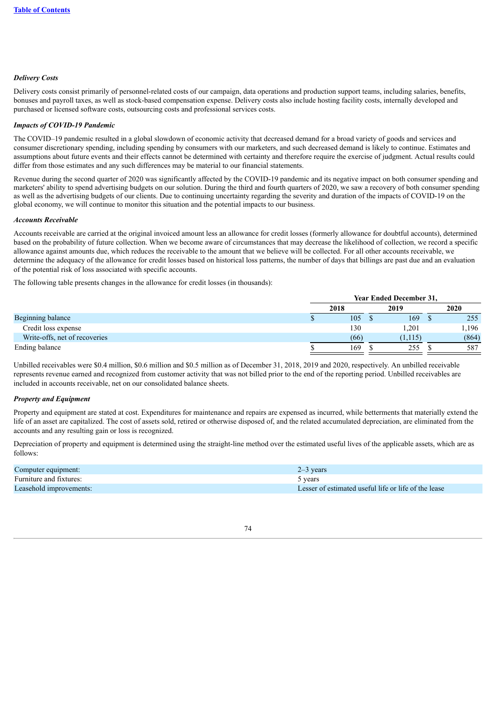# *Delivery Costs*

Delivery costs consist primarily of personnel-related costs of our campaign, data operations and production support teams, including salaries, benefits, bonuses and payroll taxes, as well as stock-based compensation expense. Delivery costs also include hosting facility costs, internally developed and purchased or licensed software costs, outsourcing costs and professional services costs.

#### *Impacts of COVID-19 Pandemic*

The COVID–19 pandemic resulted in a global slowdown of economic activity that decreased demand for a broad variety of goods and services and consumer discretionary spending, including spending by consumers with our marketers, and such decreased demand is likely to continue. Estimates and assumptions about future events and their effects cannot be determined with certainty and therefore require the exercise of judgment. Actual results could differ from those estimates and any such differences may be material to our financial statements.

Revenue during the second quarter of 2020 was significantly affected by the COVID-19 pandemic and its negative impact on both consumer spending and marketers' ability to spend advertising budgets on our solution. During the third and fourth quarters of 2020, we saw a recovery of both consumer spending as well as the advertising budgets of our clients. Due to continuing uncertainty regarding the severity and duration of the impacts of COVID-19 on the global economy, we will continue to monitor this situation and the potential impacts to our business.

#### *Accounts Receivable*

Accounts receivable are carried at the original invoiced amount less an allowance for credit losses (formerly allowance for doubtful accounts), determined based on the probability of future collection. When we become aware of circumstances that may decrease the likelihood of collection, we record a specific allowance against amounts due, which reduces the receivable to the amount that we believe will be collected. For all other accounts receivable, we determine the adequacy of the allowance for credit losses based on historical loss patterns, the number of days that billings are past due and an evaluation of the potential risk of loss associated with specific accounts.

The following table presents changes in the allowance for credit losses (in thousands):

|                               | <b>Year Ended December 31,</b> |  |         |  |       |  |
|-------------------------------|--------------------------------|--|---------|--|-------|--|
|                               | 2018                           |  | 2019    |  | 2020  |  |
| Beginning balance             | 105                            |  | 169     |  | 255   |  |
| Credit loss expense           | 130                            |  | .201    |  | 1,196 |  |
| Write-offs, net of recoveries | (66)                           |  | (1,115) |  | (864) |  |
| Ending balance                | 169                            |  | 255     |  | 587   |  |

Unbilled receivables were \$0.4 million, \$0.6 million and \$0.5 million as of December 31, 2018, 2019 and 2020, respectively. An unbilled receivable represents revenue earned and recognized from customer activity that was not billed prior to the end of the reporting period. Unbilled receivables are included in accounts receivable, net on our consolidated balance sheets.

# *Property and Equipment*

Property and equipment are stated at cost. Expenditures for maintenance and repairs are expensed as incurred, while betterments that materially extend the life of an asset are capitalized. The cost of assets sold, retired or otherwise disposed of, and the related accumulated depreciation, are eliminated from the accounts and any resulting gain or loss is recognized.

Depreciation of property and equipment is determined using the straight-line method over the estimated useful lives of the applicable assets, which are as follows:

| Computer equipment:     | $2-3$ years                                          |
|-------------------------|------------------------------------------------------|
| Furniture and fixtures: | 5 years                                              |
| Leasehold improvements: | Lesser of estimated useful life or life of the lease |

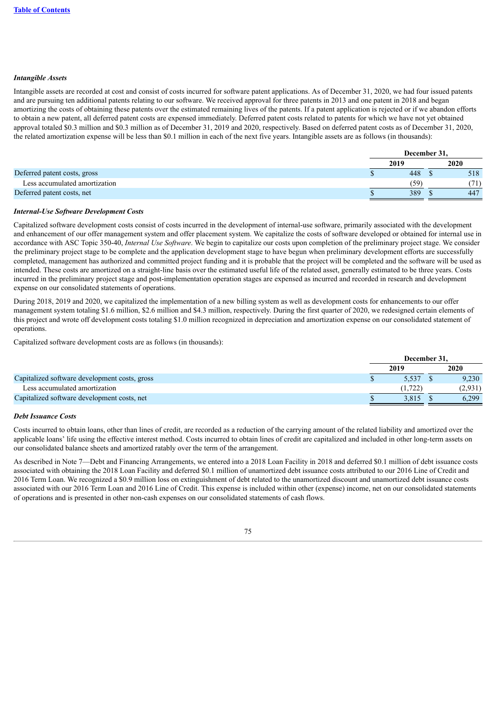# *Intangible Assets*

Intangible assets are recorded at cost and consist of costs incurred for software patent applications. As of December 31, 2020, we had four issued patents and are pursuing ten additional patents relating to our software. We received approval for three patents in 2013 and one patent in 2018 and began amortizing the costs of obtaining these patents over the estimated remaining lives of the patents. If a patent application is rejected or if we abandon efforts to obtain a new patent, all deferred patent costs are expensed immediately. Deferred patent costs related to patents for which we have not yet obtained approval totaled \$0.3 million and \$0.3 million as of December 31, 2019 and 2020, respectively. Based on deferred patent costs as of December 31, 2020, the related amortization expense will be less than \$0.1 million in each of the next five years. Intangible assets are as follows (in thousands):

|                               | December 31, |      |  |  |
|-------------------------------|--------------|------|--|--|
|                               | 2019         | 2020 |  |  |
| Deferred patent costs, gross  | 448          | 518  |  |  |
| Less accumulated amortization | (59)         | 71)  |  |  |
| Deferred patent costs, net    | 389          | 447  |  |  |

### *Internal-Use Software Development Costs*

Capitalized software development costs consist of costs incurred in the development of internal-use software, primarily associated with the development and enhancement of our offer management system and offer placement system. We capitalize the costs of software developed or obtained for internal use in accordance with ASC Topic 350-40, *Internal Use Software*. We begin to capitalize our costs upon completion of the preliminary project stage. We consider the preliminary project stage to be complete and the application development stage to have begun when preliminary development efforts are successfully completed, management has authorized and committed project funding and it is probable that the project will be completed and the software will be used as intended. These costs are amortized on a straight-line basis over the estimated useful life of the related asset, generally estimated to be three years. Costs incurred in the preliminary project stage and post-implementation operation stages are expensed as incurred and recorded in research and development expense on our consolidated statements of operations.

During 2018, 2019 and 2020, we capitalized the implementation of a new billing system as well as development costs for enhancements to our offer management system totaling \$1.6 million, \$2.6 million and \$4.3 million, respectively. During the first quarter of 2020, we redesigned certain elements of this project and wrote off development costs totaling \$1.0 million recognized in depreciation and amortization expense on our consolidated statement of operations.

Capitalized software development costs are as follows (in thousands):

|                                               | December 31. |         |  |         |
|-----------------------------------------------|--------------|---------|--|---------|
|                                               |              | 2019    |  | 2020    |
| Capitalized software development costs, gross |              | 5.537   |  | 9.230   |
| Less accumulated amortization                 |              | (1,722) |  | (2.931) |
| Capitalized software development costs, net   |              | 3.815   |  | 6.299   |

#### *Debt Issuance Costs*

Costs incurred to obtain loans, other than lines of credit, are recorded as a reduction of the carrying amount of the related liability and amortized over the applicable loans' life using the effective interest method. Costs incurred to obtain lines of credit are capitalized and included in other long-term assets on our consolidated balance sheets and amortized ratably over the term of the arrangement.

As described in Note 7—Debt and Financing Arrangements, we entered into a 2018 Loan Facility in 2018 and deferred \$0.1 million of debt issuance costs associated with obtaining the 2018 Loan Facility and deferred \$0.1 million of unamortized debt issuance costs attributed to our 2016 Line of Credit and 2016 Term Loan. We recognized a \$0.9 million loss on extinguishment of debt related to the unamortized discount and unamortized debt issuance costs associated with our 2016 Term Loan and 2016 Line of Credit. This expense is included within other (expense) income, net on our consolidated statements of operations and is presented in other non-cash expenses on our consolidated statements of cash flows.

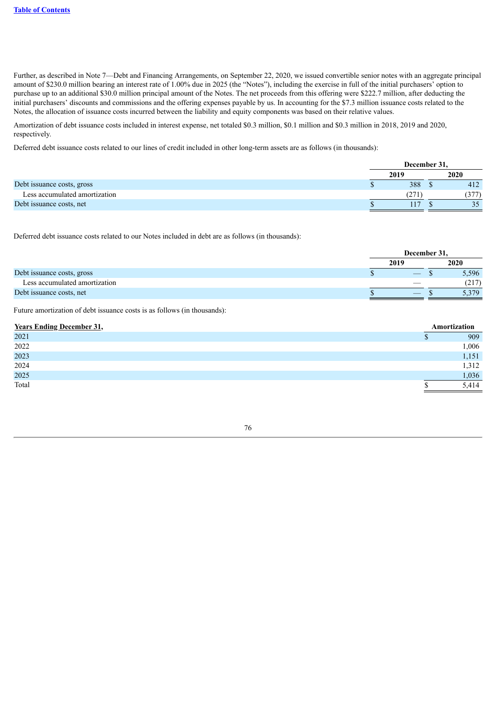Further, as described in Note 7—Debt and Financing Arrangements, on September 22, 2020, we issued convertible senior notes with an aggregate principal amount of \$230.0 million bearing an interest rate of 1.00% due in 2025 (the "Notes"), including the exercise in full of the initial purchasers' option to purchase up to an additional \$30.0 million principal amount of the Notes. The net proceeds from this offering were \$222.7 million, after deducting the initial purchasers' discounts and commissions and the offering expenses payable by us. In accounting for the \$7.3 million issuance costs related to the Notes, the allocation of issuance costs incurred between the liability and equity components was based on their relative values.

Amortization of debt issuance costs included in interest expense, net totaled \$0.3 million, \$0.1 million and \$0.3 million in 2018, 2019 and 2020, respectively.

Deferred debt issuance costs related to our lines of credit included in other long-term assets are as follows (in thousands):

|                               |      | December 31, |      |  |  |
|-------------------------------|------|--------------|------|--|--|
|                               | 2019 |              | 2020 |  |  |
| Debt issuance costs, gross    |      | 388          | 412  |  |  |
| Less accumulated amortization |      | <b>271</b>   |      |  |  |
| Debt issuance costs, net      |      |              | ر. ر |  |  |

Deferred debt issuance costs related to our Notes included in debt are as follows (in thousands):

|                               | December 31, |       |  |  |
|-------------------------------|--------------|-------|--|--|
|                               | 2019         | 2020  |  |  |
| Debt issuance costs, gross    |              | 5,596 |  |  |
| Less accumulated amortization |              | (217) |  |  |
| Debt issuance costs, net      |              | 5,379 |  |  |
|                               |              |       |  |  |

Future amortization of debt issuance costs is as follows (in thousands):

| <b>Years Ending December 31,</b> | Amortization |
|----------------------------------|--------------|
| 2021                             | 909          |
| 2022                             | 1,006        |
| 2023                             | 1,151        |
| 2024                             | 1,312        |
| 2025                             | 1,036        |
| Total                            | 5.414        |

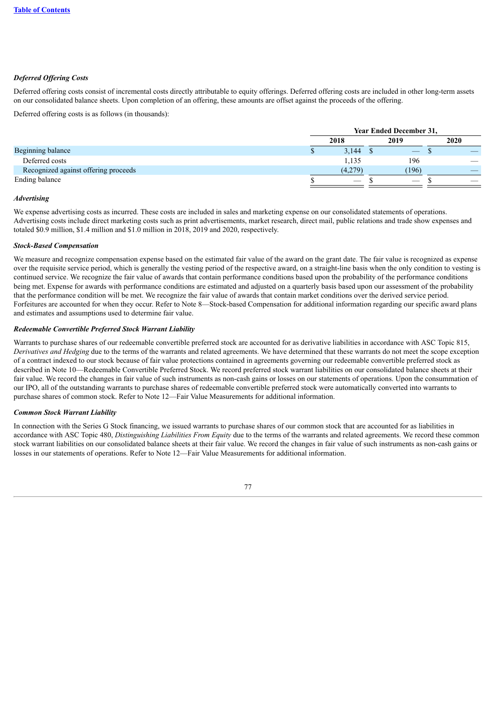# *Deferred Of ering Costs*

Deferred offering costs consist of incremental costs directly attributable to equity offerings. Deferred offering costs are included in other long-term assets on our consolidated balance sheets. Upon completion of an offering, these amounts are offset against the proceeds of the offering.

Deferred offering costs is as follows (in thousands):

|                                      | <b>Year Ended December 31,</b> |                   |  |                   |  |      |
|--------------------------------------|--------------------------------|-------------------|--|-------------------|--|------|
|                                      |                                | 2018              |  | 2019              |  | 2020 |
| Beginning balance                    |                                | 3,144             |  |                   |  |      |
| Deferred costs                       |                                | 1,135             |  | 196               |  |      |
| Recognized against offering proceeds |                                | (4,279)           |  | (196)             |  |      |
| Ending balance                       |                                | $\hspace{0.05cm}$ |  | $\hspace{0.05cm}$ |  |      |

#### *Advertising*

We expense advertising costs as incurred. These costs are included in sales and marketing expense on our consolidated statements of operations. Advertising costs include direct marketing costs such as print advertisements, market research, direct mail, public relations and trade show expenses and totaled \$0.9 million, \$1.4 million and \$1.0 million in 2018, 2019 and 2020, respectively.

#### *Stock-Based Compensation*

We measure and recognize compensation expense based on the estimated fair value of the award on the grant date. The fair value is recognized as expense over the requisite service period, which is generally the vesting period of the respective award, on a straight-line basis when the only condition to vesting is continued service. We recognize the fair value of awards that contain performance conditions based upon the probability of the performance conditions being met. Expense for awards with performance conditions are estimated and adjusted on a quarterly basis based upon our assessment of the probability that the performance condition will be met. We recognize the fair value of awards that contain market conditions over the derived service period. Forfeitures are accounted for when they occur. Refer to Note 8—Stock-based Compensation for additional information regarding our specific award plans and estimates and assumptions used to determine fair value.

#### *Redeemable Convertible Preferred Stock Warrant Liability*

Warrants to purchase shares of our redeemable convertible preferred stock are accounted for as derivative liabilities in accordance with ASC Topic 815. *Derivatives and Hedging* due to the terms of the warrants and related agreements. We have determined that these warrants do not meet the scope exception of a contract indexed to our stock because of fair value protections contained in agreements governing our redeemable convertible preferred stock as described in Note 10—Redeemable Convertible Preferred Stock. We record preferred stock warrant liabilities on our consolidated balance sheets at their fair value. We record the changes in fair value of such instruments as non-cash gains or losses on our statements of operations. Upon the consummation of our IPO, all of the outstanding warrants to purchase shares of redeemable convertible preferred stock were automatically converted into warrants to purchase shares of common stock. Refer to Note 12—Fair Value Measurements for additional information.

# *Common Stock Warrant Liability*

In connection with the Series G Stock financing, we issued warrants to purchase shares of our common stock that are accounted for as liabilities in accordance with ASC Topic 480, *Distinguishing Liabilities From Equity* due to the terms of the warrants and related agreements. We record these common stock warrant liabilities on our consolidated balance sheets at their fair value. We record the changes in fair value of such instruments as non-cash gains or losses in our statements of operations. Refer to Note 12—Fair Value Measurements for additional information.

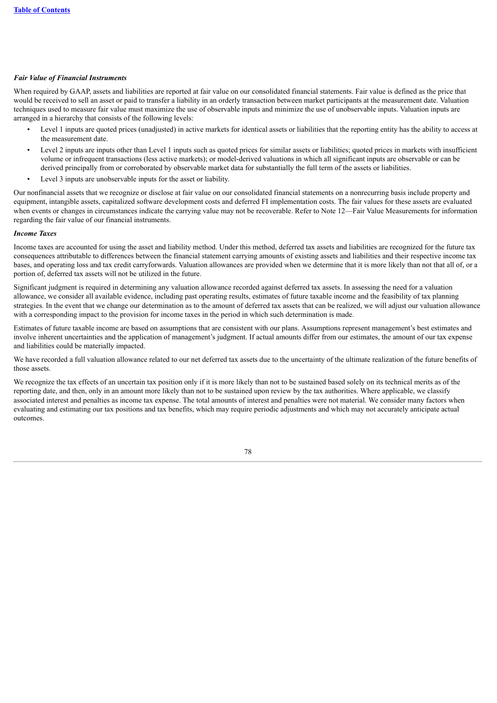# *Fair Value of Financial Instruments*

When required by GAAP, assets and liabilities are reported at fair value on our consolidated financial statements. Fair value is defined as the price that would be received to sell an asset or paid to transfer a liability in an orderly transaction between market participants at the measurement date. Valuation techniques used to measure fair value must maximize the use of observable inputs and minimize the use of unobservable inputs. Valuation inputs are arranged in a hierarchy that consists of the following levels:

- Level 1 inputs are quoted prices (unadjusted) in active markets for identical assets or liabilities that the reporting entity has the ability to access at the measurement date.
- Level 2 inputs are inputs other than Level 1 inputs such as quoted prices for similar assets or liabilities; quoted prices in markets with insufficient volume or infrequent transactions (less active markets); or model-derived valuations in which all significant inputs are observable or can be derived principally from or corroborated by observable market data for substantially the full term of the assets or liabilities.
- Level 3 inputs are unobservable inputs for the asset or liability.

Our nonfinancial assets that we recognize or disclose at fair value on our consolidated financial statements on a nonrecurring basis include property and equipment, intangible assets, capitalized software development costs and deferred FI implementation costs. The fair values for these assets are evaluated when events or changes in circumstances indicate the carrying value may not be recoverable. Refer to Note 12—Fair Value Measurements for information regarding the fair value of our financial instruments.

#### *Income Taxes*

Income taxes are accounted for using the asset and liability method. Under this method, deferred tax assets and liabilities are recognized for the future tax consequences attributable to differences between the financial statement carrying amounts of existing assets and liabilities and their respective income tax bases, and operating loss and tax credit carryforwards. Valuation allowances are provided when we determine that it is more likely than not that all of, or a portion of, deferred tax assets will not be utilized in the future.

Significant judgment is required in determining any valuation allowance recorded against deferred tax assets. In assessing the need for a valuation allowance, we consider all available evidence, including past operating results, estimates of future taxable income and the feasibility of tax planning strategies. In the event that we change our determination as to the amount of deferred tax assets that can be realized, we will adjust our valuation allowance with a corresponding impact to the provision for income taxes in the period in which such determination is made.

Estimates of future taxable income are based on assumptions that are consistent with our plans. Assumptions represent management's best estimates and involve inherent uncertainties and the application of management's judgment. If actual amounts differ from our estimates, the amount of our tax expense and liabilities could be materially impacted.

We have recorded a full valuation allowance related to our net deferred tax assets due to the uncertainty of the ultimate realization of the future benefits of those assets.

We recognize the tax effects of an uncertain tax position only if it is more likely than not to be sustained based solely on its technical merits as of the reporting date, and then, only in an amount more likely than not to be sustained upon review by the tax authorities. Where applicable, we classify associated interest and penalties as income tax expense. The total amounts of interest and penalties were not material. We consider many factors when evaluating and estimating our tax positions and tax benefits, which may require periodic adjustments and which may not accurately anticipate actual outcomes.

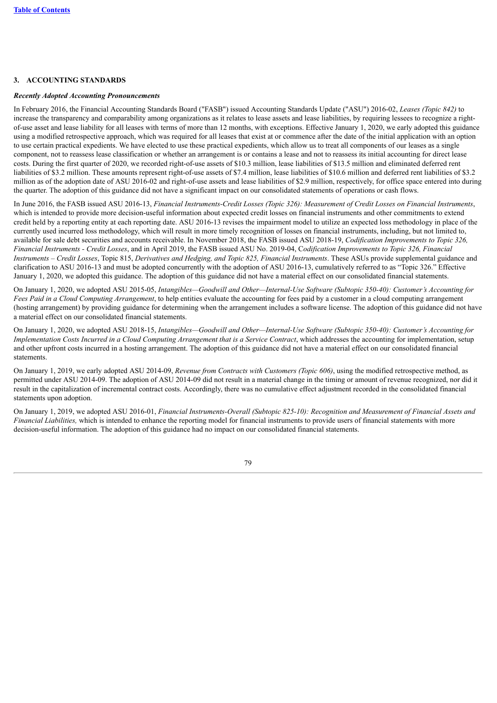# **3. ACCOUNTING STANDARDS**

#### *Recently Adopted Accounting Pronouncements*

In February 2016, the Financial Accounting Standards Board ("FASB") issued Accounting Standards Update ("ASU") 2016-02, *Leases (Topic 842)* to increase the transparency and comparability among organizations as it relates to lease assets and lease liabilities, by requiring lessees to recognize a rightof-use asset and lease liability for all leases with terms of more than 12 months, with exceptions. Effective January 1, 2020, we early adopted this guidance using a modified retrospective approach, which was required for all leases that exist at or commence after the date of the initial application with an option to use certain practical expedients. We have elected to use these practical expedients, which allow us to treat all components of our leases as a single component, not to reassess lease classification or whether an arrangement is or contains a lease and not to reassess its initial accounting for direct lease costs. During the first quarter of 2020, we recorded right-of-use assets of \$10.3 million, lease liabilities of \$13.5 million and eliminated deferred rent liabilities of \$3.2 million. These amounts represent right-of-use assets of \$7.4 million, lease liabilities of \$10.6 million and deferred rent liabilities of \$3.2 million as of the adoption date of ASU 2016-02 and right-of-use assets and lease liabilities of \$2.9 million, respectively, for office space entered into during the quarter. The adoption of this guidance did not have a significant impact on our consolidated statements of operations or cash flows.

In June 2016, the FASB issued ASU 2016-13, Financial Instruments-Credit Losses (Topic 326): Measurement of Credit Losses on Financial Instruments, which is intended to provide more decision-useful information about expected credit losses on financial instruments and other commitments to extend credit held by a reporting entity at each reporting date. ASU 2016-13 revises the impairment model to utilize an expected loss methodology in place of the currently used incurred loss methodology, which will result in more timely recognition of losses on financial instruments, including, but not limited to, available for sale debt securities and accounts receivable. In November 2018, the FASB issued ASU 2018-19, *Codification Improvements to Topic 326, Financial Instruments - Credit Losses*, and in April 2019, the FASB issued ASU No. 2019-04, C*odification Improvements to Topic 326, Financial* Instruments – Credit Losses, Topic 815, Derivatives and Hedging, and Topic 825, Financial Instruments. These ASUs provide supplemental guidance and clarification to ASU 2016-13 and must be adopted concurrently with the adoption of ASU 2016-13, cumulatively referred to as "Topic 326." Effective January 1, 2020, we adopted this guidance. The adoption of this guidance did not have a material effect on our consolidated financial statements.

On January 1, 2020, we adopted ASU 2015-05, *Intangibles—Goodwill and Other—Internal-Use Software (Subtopic 350-40): Customer's Accounting for Fees Paid in a Cloud Computing Arrangement*, to help entities evaluate the accounting for fees paid by a customer in a cloud computing arrangement (hosting arrangement) by providing guidance for determining when the arrangement includes a software license. The adoption of this guidance did not have a material effect on our consolidated financial statements.

On January 1, 2020, we adopted ASU 2018-15, *Intangibles—Goodwill and Other—Internal-Use Software (Subtopic 350-40): Customer's Accounting for* Implementation Costs Incurred in a Cloud Computing Arrangement that is a Service Contract, which addresses the accounting for implementation, setup and other upfront costs incurred in a hosting arrangement. The adoption of this guidance did not have a material effect on our consolidated financial statements.

On January 1, 2019, we early adopted ASU 2014-09, *Revenue from Contracts with Customers (Topic 606)*, using the modified retrospective method, as permitted under ASU 2014-09. The adoption of ASU 2014-09 did not result in a material change in the timing or amount of revenue recognized, nor did it result in the capitalization of incremental contract costs. Accordingly, there was no cumulative effect adjustment recorded in the consolidated financial statements upon adoption.

On January 1, 2019, we adopted ASU 2016-01, *Financial Instruments-Overall (Subtopic 825-10): Recognition and Measurement of Financial Assets and Financial Liabilities,* which is intended to enhance the reporting model for financial instruments to provide users of financial statements with more decision-useful information. The adoption of this guidance had no impact on our consolidated financial statements.

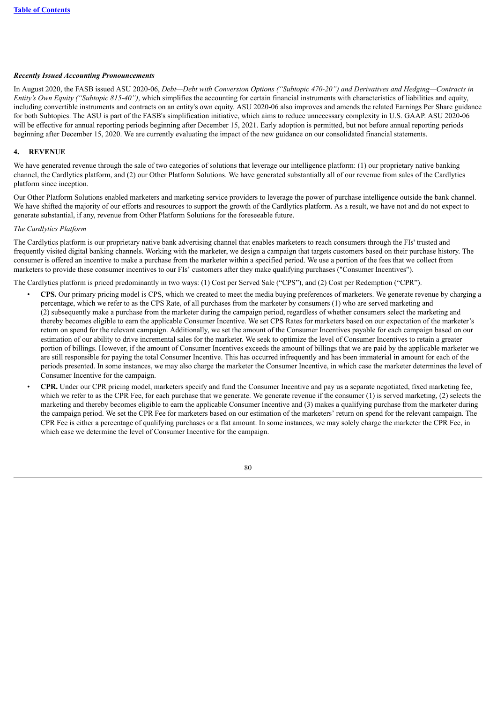#### *Recently Issued Accounting Pronouncements*

In August 2020, the FASB issued ASU 2020-06, *Debt—Debt with Conversion Options ("Subtopic 470-20") and Derivatives and Hedging—Contracts in Entity's Own Equity ("Subtopic 815-40")*, which simplifies the accounting for certain financial instruments with characteristics of liabilities and equity, including convertible instruments and contracts on an entity's own equity. ASU 2020-06 also improves and amends the related Earnings Per Share guidance for both Subtopics. The ASU is part of the FASB's simplification initiative, which aims to reduce unnecessary complexity in U.S. GAAP. ASU 2020-06 will be effective for annual reporting periods beginning after December 15, 2021. Early adoption is permitted, but not before annual reporting periods beginning after December 15, 2020. We are currently evaluating the impact of the new guidance on our consolidated financial statements.

# **4. REVENUE**

We have generated revenue through the sale of two categories of solutions that leverage our intelligence platform: (1) our proprietary native banking channel, the Cardlytics platform, and (2) our Other Platform Solutions. We have generated substantially all of our revenue from sales of the Cardlytics platform since inception.

Our Other Platform Solutions enabled marketers and marketing service providers to leverage the power of purchase intelligence outside the bank channel. We have shifted the majority of our efforts and resources to support the growth of the Cardlytics platform. As a result, we have not and do not expect to generate substantial, if any, revenue from Other Platform Solutions for the foreseeable future.

# *The Cardlytics Platform*

The Cardlytics platform is our proprietary native bank advertising channel that enables marketers to reach consumers through the FIs' trusted and frequently visited digital banking channels. Working with the marketer, we design a campaign that targets customers based on their purchase history. The consumer is offered an incentive to make a purchase from the marketer within a specified period. We use a portion of the fees that we collect from marketers to provide these consumer incentives to our FIs' customers after they make qualifying purchases ("Consumer Incentives").

The Cardlytics platform is priced predominantly in two ways: (1) Cost per Served Sale ("CPS"), and (2) Cost per Redemption ("CPR").

- **CPS.** Our primary pricing model is CPS, which we created to meet the media buying preferences of marketers. We generate revenue by charging a percentage, which we refer to as the CPS Rate, of all purchases from the marketer by consumers (1) who are served marketing and (2) subsequently make a purchase from the marketer during the campaign period, regardless of whether consumers select the marketing and thereby becomes eligible to earn the applicable Consumer Incentive. We set CPS Rates for marketers based on our expectation of the marketer's return on spend for the relevant campaign. Additionally, we set the amount of the Consumer Incentives payable for each campaign based on our estimation of our ability to drive incremental sales for the marketer. We seek to optimize the level of Consumer Incentives to retain a greater portion of billings. However, if the amount of Consumer Incentives exceeds the amount of billings that we are paid by the applicable marketer we are still responsible for paying the total Consumer Incentive. This has occurred infrequently and has been immaterial in amount for each of the periods presented. In some instances, we may also charge the marketer the Consumer Incentive, in which case the marketer determines the level of Consumer Incentive for the campaign.
- **CPR.** Under our CPR pricing model, marketers specify and fund the Consumer Incentive and pay us a separate negotiated, fixed marketing fee, which we refer to as the CPR Fee, for each purchase that we generate. We generate revenue if the consumer (1) is served marketing, (2) selects the marketing and thereby becomes eligible to earn the applicable Consumer Incentive and (3) makes a qualifying purchase from the marketer during the campaign period. We set the CPR Fee for marketers based on our estimation of the marketers' return on spend for the relevant campaign. The CPR Fee is either a percentage of qualifying purchases or a flat amount. In some instances, we may solely charge the marketer the CPR Fee, in which case we determine the level of Consumer Incentive for the campaign.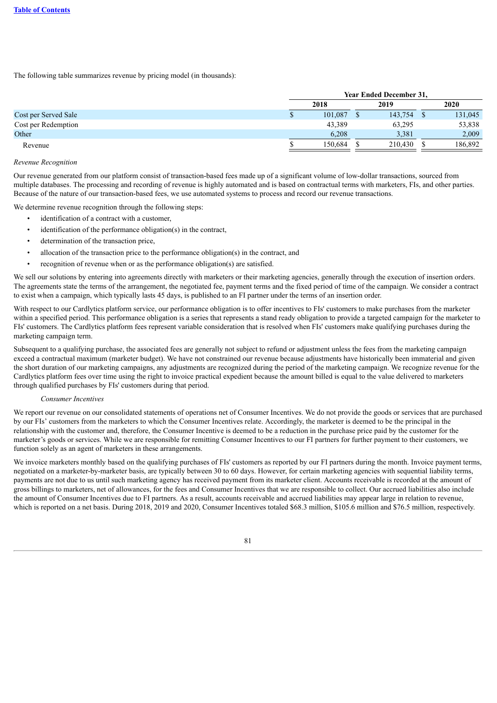The following table summarizes revenue by pricing model (in thousands):

|                      | <b>Year Ended December 31,</b> |      |         |      |         |  |  |
|----------------------|--------------------------------|------|---------|------|---------|--|--|
|                      | 2018                           | 2019 |         | 2020 |         |  |  |
| Cost per Served Sale | 101,087                        |      | 143.754 |      | 131,045 |  |  |
| Cost per Redemption  | 43,389                         |      | 63,295  |      | 53,838  |  |  |
| Other                | 6.208                          |      | 3,381   |      | 2,009   |  |  |
| Revenue              | 150.684                        |      | 210.430 |      | 186.892 |  |  |
|                      |                                |      |         |      |         |  |  |

#### *Revenue Recognition*

Our revenue generated from our platform consist of transaction-based fees made up of a significant volume of low-dollar transactions, sourced from multiple databases. The processing and recording of revenue is highly automated and is based on contractual terms with marketers, FIs, and other parties. Because of the nature of our transaction-based fees, we use automated systems to process and record our revenue transactions.

We determine revenue recognition through the following steps:

- identification of a contract with a customer
- identification of the performance obligation(s) in the contract,
- determination of the transaction price,
- allocation of the transaction price to the performance obligation(s) in the contract, and
- recognition of revenue when or as the performance obligation(s) are satisfied.

We sell our solutions by entering into agreements directly with marketers or their marketing agencies, generally through the execution of insertion orders. The agreements state the terms of the arrangement, the negotiated fee, payment terms and the fixed period of time of the campaign. We consider a contract to exist when a campaign, which typically lasts 45 days, is published to an FI partner under the terms of an insertion order.

With respect to our Cardlytics platform service, our performance obligation is to offer incentives to FIs' customers to make purchases from the marketer within a specified period. This performance obligation is a series that represents a stand ready obligation to provide a targeted campaign for the marketer to FIs' customers. The Cardlytics platform fees represent variable consideration that is resolved when FIs' customers make qualifying purchases during the marketing campaign term.

Subsequent to a qualifying purchase, the associated fees are generally not subject to refund or adjustment unless the fees from the marketing campaign exceed a contractual maximum (marketer budget). We have not constrained our revenue because adjustments have historically been immaterial and given the short duration of our marketing campaigns, any adjustments are recognized during the period of the marketing campaign. We recognize revenue for the Cardlytics platform fees over time using the right to invoice practical expedient because the amount billed is equal to the value delivered to marketers through qualified purchases by FIs' customers during that period.

#### *Consumer Incentives*

We report our revenue on our consolidated statements of operations net of Consumer Incentives. We do not provide the goods or services that are purchased by our FIs' customers from the marketers to which the Consumer Incentives relate. Accordingly, the marketer is deemed to be the principal in the relationship with the customer and, therefore, the Consumer Incentive is deemed to be a reduction in the purchase price paid by the customer for the marketer's goods or services. While we are responsible for remitting Consumer Incentives to our FI partners for further payment to their customers, we function solely as an agent of marketers in these arrangements.

We invoice marketers monthly based on the qualifying purchases of FIs' customers as reported by our FI partners during the month. Invoice payment terms, negotiated on a marketer-by-marketer basis, are typically between 30 to 60 days. However, for certain marketing agencies with sequential liability terms, payments are not due to us until such marketing agency has received payment from its marketer client. Accounts receivable is recorded at the amount of gross billings to marketers, net of allowances, for the fees and Consumer Incentives that we are responsible to collect. Our accrued liabilities also include the amount of Consumer Incentives due to FI partners. As a result, accounts receivable and accrued liabilities may appear large in relation to revenue, which is reported on a net basis. During 2018, 2019 and 2020, Consumer Incentives totaled \$68.3 million, \$105.6 million and \$76.5 million, respectively.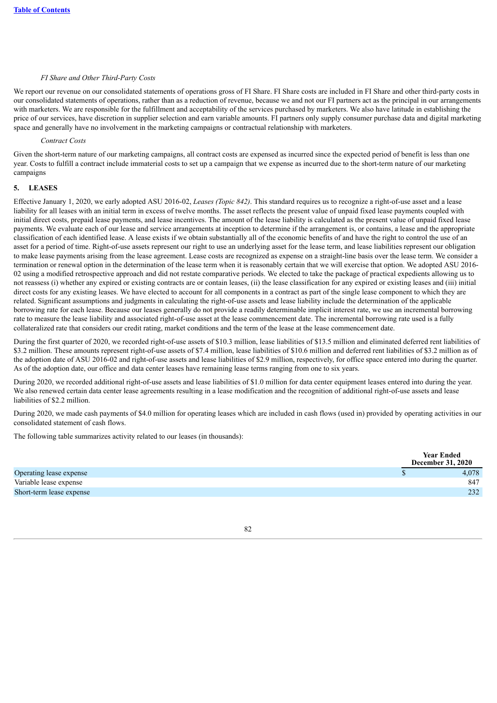# *FI Share and Other Third-Party Costs*

We report our revenue on our consolidated statements of operations gross of FI Share. FI Share costs are included in FI Share and other third-party costs in our consolidated statements of operations, rather than as a reduction of revenue, because we and not our FI partners act as the principal in our arrangements with marketers. We are responsible for the fulfillment and acceptability of the services purchased by marketers. We also have latitude in establishing the price of our services, have discretion in supplier selection and earn variable amounts. FI partners only supply consumer purchase data and digital marketing space and generally have no involvement in the marketing campaigns or contractual relationship with marketers.

# *Contract Costs*

Given the short-term nature of our marketing campaigns, all contract costs are expensed as incurred since the expected period of benefit is less than one year. Costs to fulfill a contract include immaterial costs to set up a campaign that we expense as incurred due to the short-term nature of our marketing campaigns

### **5. LEASES**

Effective January 1, 2020, we early adopted ASU 2016-02, *Leases (Topic 842)*. This standard requires us to recognize a right-of-use asset and a lease liability for all leases with an initial term in excess of twelve months. The asset reflects the present value of unpaid fixed lease payments coupled with initial direct costs, prepaid lease payments, and lease incentives. The amount of the lease liability is calculated as the present value of unpaid fixed lease payments. We evaluate each of our lease and service arrangements at inception to determine if the arrangement is, or contains, a lease and the appropriate classification of each identified lease. A lease exists if we obtain substantially all of the economic benefits of and have the right to control the use of an asset for a period of time. Right-of-use assets represent our right to use an underlying asset for the lease term, and lease liabilities represent our obligation to make lease payments arising from the lease agreement. Lease costs are recognized as expense on a straight-line basis over the lease term. We consider a termination or renewal option in the determination of the lease term when it is reasonably certain that we will exercise that option. We adopted ASU 2016- 02 using a modified retrospective approach and did not restate comparative periods. We elected to take the package of practical expedients allowing us to not reassess (i) whether any expired or existing contracts are or contain leases, (ii) the lease classification for any expired or existing leases and (iii) initial direct costs for any existing leases. We have elected to account for all components in a contract as part of the single lease component to which they are related. Significant assumptions and judgments in calculating the right-of-use assets and lease liability include the determination of the applicable borrowing rate for each lease. Because our leases generally do not provide a readily determinable implicit interest rate, we use an incremental borrowing rate to measure the lease liability and associated right-of-use asset at the lease commencement date. The incremental borrowing rate used is a fully collateralized rate that considers our credit rating, market conditions and the term of the lease at the lease commencement date.

During the first quarter of 2020, we recorded right-of-use assets of \$10.3 million, lease liabilities of \$13.5 million and eliminated deferred rent liabilities of \$3.2 million. These amounts represent right-of-use assets of \$7.4 million, lease liabilities of \$10.6 million and deferred rent liabilities of \$3.2 million as of the adoption date of ASU 2016-02 and right-of-use assets and lease liabilities of \$2.9 million, respectively, for office space entered into during the quarter. As of the adoption date, our office and data center leases have remaining lease terms ranging from one to six years.

During 2020, we recorded additional right-of-use assets and lease liabilities of \$1.0 million for data center equipment leases entered into during the year. We also renewed certain data center lease agreements resulting in a lease modification and the recognition of additional right-of-use assets and lease liabilities of \$2.2 million.

During 2020, we made cash payments of \$4.0 million for operating leases which are included in cash flows (used in) provided by operating activities in our consolidated statement of cash flows.

The following table summarizes activity related to our leases (in thousands):

|                          | <b>Year Ended</b><br><b>December 31, 2020</b> |
|--------------------------|-----------------------------------------------|
| Operating lease expense  | 4,078                                         |
| Variable lease expense   | 847                                           |
| Short-term lease expense | 232                                           |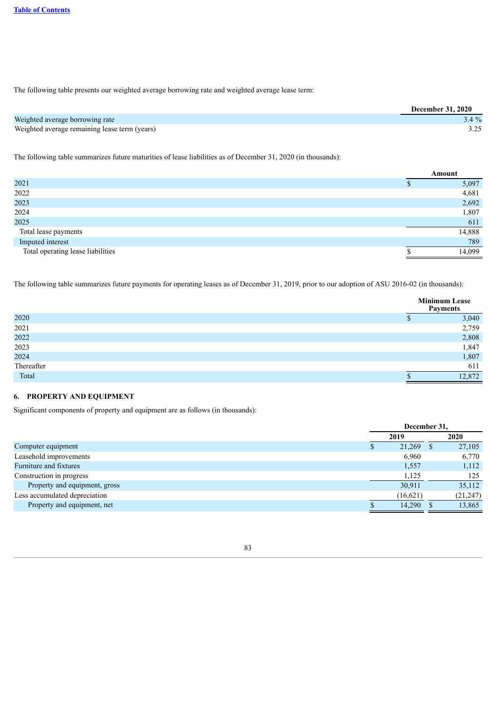The following table presents our weighted average borrowing rate and weighted average lease term:

|                                               | <b>December 31, 2020</b> |
|-----------------------------------------------|--------------------------|
| Weighted average borrowing rate               | $3.4 \%$                 |
| Weighted average remaining lease term (years) |                          |

The following table summarizes future maturities of lease liabilities as of December 31, 2020 (in thousands):

|                                   | Amount |
|-----------------------------------|--------|
| 2021                              | 5,097  |
| 2022                              | 4,681  |
| 2023                              | 2,692  |
| 2024                              | 1,807  |
| 2025                              | 611    |
| Total lease payments              | 14,888 |
| Imputed interest                  | 789    |
| Total operating lease liabilities | 14,099 |

The following table summarizes future payments for operating leases as of December 31, 2019, prior to our adoption of ASU 2016-02 (in thousands):

|            |  | <b>Minimum Lease</b><br><b>Payments</b> |
|------------|--|-----------------------------------------|
| 2020       |  | 3,040                                   |
| 2021       |  | 2,759                                   |
| 2022       |  | 2,808                                   |
| 2023       |  | 1,847                                   |
| 2024       |  | 1,807                                   |
| Thereafter |  | 611                                     |
| Total      |  | 12,872                                  |

# **6. PROPERTY AND EQUIPMENT**

Significant components of property and equipment are as follows (in thousands):

|                               | December 31, |           |  |  |
|-------------------------------|--------------|-----------|--|--|
|                               | 2019         | 2020      |  |  |
| Computer equipment            | 21,269       | 27,105    |  |  |
| Leasehold improvements        | 6,960        | 6,770     |  |  |
| Furniture and fixtures        | 1,557        | 1,112     |  |  |
| Construction in progress      | 1,125        | 125       |  |  |
| Property and equipment, gross | 30,911       | 35,112    |  |  |
| Less accumulated depreciation | (16,621)     | (21, 247) |  |  |
| Property and equipment, net   | 14,290       | 13,865    |  |  |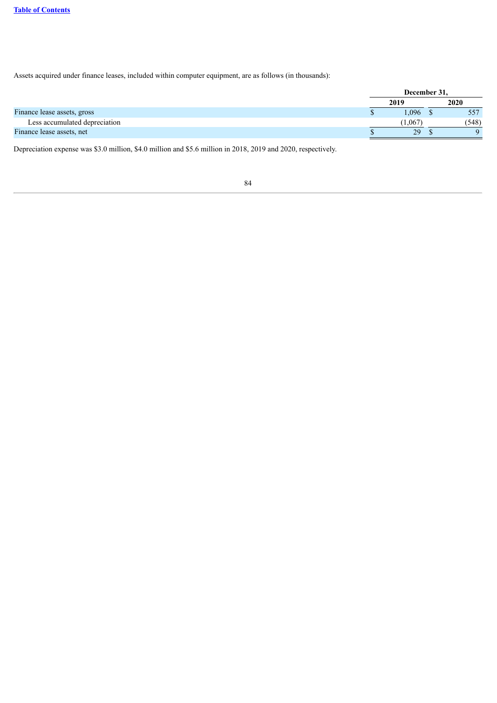Assets acquired under finance leases, included within computer equipment, are as follows (in thousands):

|                               | December 31, |  |       |
|-------------------------------|--------------|--|-------|
|                               | 2019         |  | 2020  |
| Finance lease assets, gross   | .096         |  | 557   |
| Less accumulated depreciation | (1,067)      |  | (548) |
| Finance lease assets, net     | 29           |  |       |

Depreciation expense was \$3.0 million, \$4.0 million and \$5.6 million in 2018, 2019 and 2020, respectively.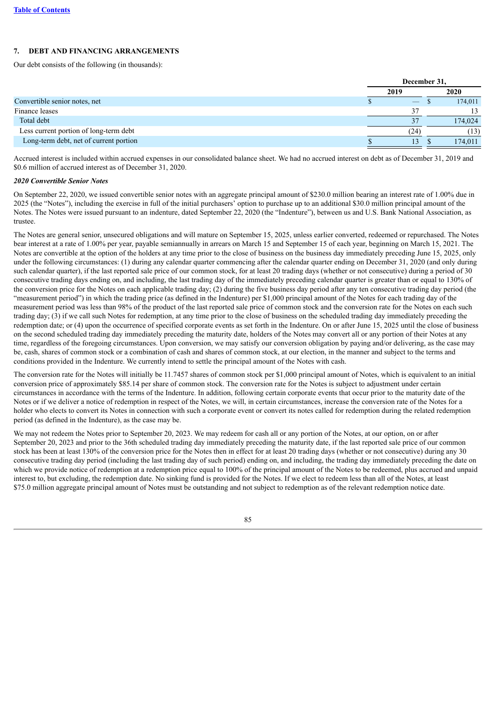# **7. DEBT AND FINANCING ARRANGEMENTS**

Our debt consists of the following (in thousands):

|                                        | December 31, |                          |  |         |
|----------------------------------------|--------------|--------------------------|--|---------|
|                                        |              | 2019                     |  | 2020    |
| Convertible senior notes, net          |              | $\overline{\phantom{0}}$ |  | 174,011 |
| Finance leases                         |              | 37                       |  |         |
| Total debt                             |              |                          |  | 174.024 |
| Less current portion of long-term debt |              | (24)                     |  | (13)    |
| Long-term debt, net of current portion |              | 13                       |  | 174.011 |

Accrued interest is included within accrued expenses in our consolidated balance sheet. We had no accrued interest on debt as of December 31, 2019 and \$0.6 million of accrued interest as of December 31, 2020.

# *2020 Convertible Senior Notes*

On September 22, 2020, we issued convertible senior notes with an aggregate principal amount of \$230.0 million bearing an interest rate of 1.00% due in 2025 (the "Notes"), including the exercise in full of the initial purchasers' option to purchase up to an additional \$30.0 million principal amount of the Notes. The Notes were issued pursuant to an indenture, dated September 22, 2020 (the "Indenture"), between us and U.S. Bank National Association, as trustee.

The Notes are general senior, unsecured obligations and will mature on September 15, 2025, unless earlier converted, redeemed or repurchased. The Notes bear interest at a rate of 1.00% per year, payable semiannually in arrears on March 15 and September 15 of each year, beginning on March 15, 2021. The Notes are convertible at the option of the holders at any time prior to the close of business on the business day immediately preceding June 15, 2025, only under the following circumstances: (1) during any calendar quarter commencing after the calendar quarter ending on December 31, 2020 (and only during such calendar quarter), if the last reported sale price of our common stock, for at least 20 trading days (whether or not consecutive) during a period of 30 consecutive trading days ending on, and including, the last trading day of the immediately preceding calendar quarter is greater than or equal to 130% of the conversion price for the Notes on each applicable trading day; (2) during the five business day period after any ten consecutive trading day period (the "measurement period") in which the trading price (as defined in the Indenture) per \$1,000 principal amount of the Notes for each trading day of the measurement period was less than 98% of the product of the last reported sale price of common stock and the conversion rate for the Notes on each such trading day; (3) if we call such Notes for redemption, at any time prior to the close of business on the scheduled trading day immediately preceding the redemption date; or (4) upon the occurrence of specified corporate events as set forth in the Indenture. On or after June 15, 2025 until the close of business on the second scheduled trading day immediately preceding the maturity date, holders of the Notes may convert all or any portion of their Notes at any time, regardless of the foregoing circumstances. Upon conversion, we may satisfy our conversion obligation by paying and/or delivering, as the case may be, cash, shares of common stock or a combination of cash and shares of common stock, at our election, in the manner and subject to the terms and conditions provided in the Indenture. We currently intend to settle the principal amount of the Notes with cash.

The conversion rate for the Notes will initially be 11.7457 shares of common stock per \$1,000 principal amount of Notes, which is equivalent to an initial conversion price of approximately \$85.14 per share of common stock. The conversion rate for the Notes is subject to adjustment under certain circumstances in accordance with the terms of the Indenture. In addition, following certain corporate events that occur prior to the maturity date of the Notes or if we deliver a notice of redemption in respect of the Notes, we will, in certain circumstances, increase the conversion rate of the Notes for a holder who elects to convert its Notes in connection with such a corporate event or convert its notes called for redemption during the related redemption period (as defined in the Indenture), as the case may be.

We may not redeem the Notes prior to September 20, 2023. We may redeem for cash all or any portion of the Notes, at our option, on or after September 20, 2023 and prior to the 36th scheduled trading day immediately preceding the maturity date, if the last reported sale price of our common stock has been at least 130% of the conversion price for the Notes then in effect for at least 20 trading days (whether or not consecutive) during any 30 consecutive trading day period (including the last trading day of such period) ending on, and including, the trading day immediately preceding the date on which we provide notice of redemption at a redemption price equal to 100% of the principal amount of the Notes to be redeemed, plus accrued and unpaid interest to, but excluding, the redemption date. No sinking fund is provided for the Notes. If we elect to redeem less than all of the Notes, at least \$75.0 million aggregate principal amount of Notes must be outstanding and not subject to redemption as of the relevant redemption notice date.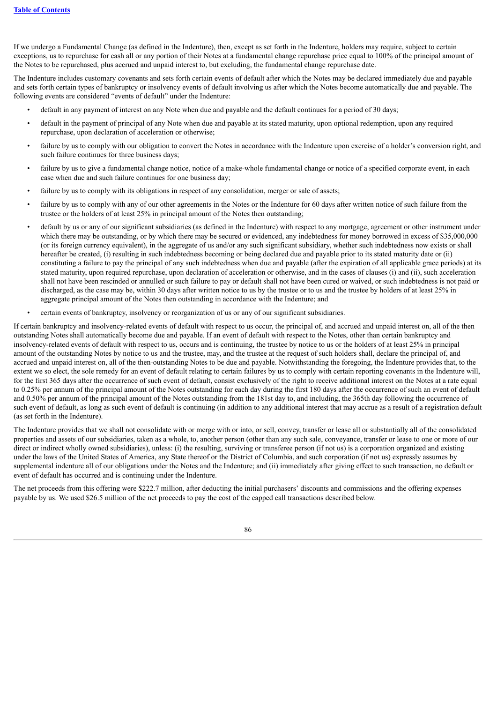If we undergo a Fundamental Change (as defined in the Indenture), then, except as set forth in the Indenture, holders may require, subject to certain exceptions, us to repurchase for cash all or any portion of their Notes at a fundamental change repurchase price equal to 100% of the principal amount of the Notes to be repurchased, plus accrued and unpaid interest to, but excluding, the fundamental change repurchase date.

The Indenture includes customary covenants and sets forth certain events of default after which the Notes may be declared immediately due and payable and sets forth certain types of bankruptcy or insolvency events of default involving us after which the Notes become automatically due and payable. The following events are considered "events of default" under the Indenture:

- default in any payment of interest on any Note when due and payable and the default continues for a period of 30 days;
- default in the payment of principal of any Note when due and payable at its stated maturity, upon optional redemption, upon any required repurchase, upon declaration of acceleration or otherwise;
- failure by us to comply with our obligation to convert the Notes in accordance with the Indenture upon exercise of a holder's conversion right, and such failure continues for three business days;
- failure by us to give a fundamental change notice, notice of a make-whole fundamental change or notice of a specified corporate event, in each case when due and such failure continues for one business day;
- failure by us to comply with its obligations in respect of any consolidation, merger or sale of assets;
- failure by us to comply with any of our other agreements in the Notes or the Indenture for 60 days after written notice of such failure from the trustee or the holders of at least 25% in principal amount of the Notes then outstanding;
- default by us or any of our significant subsidiaries (as defined in the Indenture) with respect to any mortgage, agreement or other instrument under which there may be outstanding, or by which there may be secured or evidenced, any indebtedness for money borrowed in excess of \$35,000,000 (or its foreign currency equivalent), in the aggregate of us and/or any such significant subsidiary, whether such indebtedness now exists or shall hereafter be created, (i) resulting in such indebtedness becoming or being declared due and payable prior to its stated maturity date or (ii) constituting a failure to pay the principal of any such indebtedness when due and payable (after the expiration of all applicable grace periods) at its stated maturity, upon required repurchase, upon declaration of acceleration or otherwise, and in the cases of clauses (i) and (ii), such acceleration shall not have been rescinded or annulled or such failure to pay or default shall not have been cured or waived, or such indebtedness is not paid or discharged, as the case may be, within 30 days after written notice to us by the trustee or to us and the trustee by holders of at least 25% in aggregate principal amount of the Notes then outstanding in accordance with the Indenture; and
- certain events of bankruptcy, insolvency or reorganization of us or any of our significant subsidiaries.

If certain bankruptcy and insolvency-related events of default with respect to us occur, the principal of, and accrued and unpaid interest on, all of the then outstanding Notes shall automatically become due and payable. If an event of default with respect to the Notes, other than certain bankruptcy and insolvency-related events of default with respect to us, occurs and is continuing, the trustee by notice to us or the holders of at least 25% in principal amount of the outstanding Notes by notice to us and the trustee, may, and the trustee at the request of such holders shall, declare the principal of, and accrued and unpaid interest on, all of the then-outstanding Notes to be due and payable. Notwithstanding the foregoing, the Indenture provides that, to the extent we so elect, the sole remedy for an event of default relating to certain failures by us to comply with certain reporting covenants in the Indenture will, for the first 365 days after the occurrence of such event of default, consist exclusively of the right to receive additional interest on the Notes at a rate equal to 0.25% per annum of the principal amount of the Notes outstanding for each day during the first 180 days after the occurrence of such an event of default and 0.50% per annum of the principal amount of the Notes outstanding from the 181st day to, and including, the 365th day following the occurrence of such event of default, as long as such event of default is continuing (in addition to any additional interest that may accrue as a result of a registration default (as set forth in the Indenture).

The Indenture provides that we shall not consolidate with or merge with or into, or sell, convey, transfer or lease all or substantially all of the consolidated properties and assets of our subsidiaries, taken as a whole, to, another person (other than any such sale, conveyance, transfer or lease to one or more of our direct or indirect wholly owned subsidiaries), unless: (i) the resulting, surviving or transferee person (if not us) is a corporation organized and existing under the laws of the United States of America, any State thereof or the District of Columbia, and such corporation (if not us) expressly assumes by supplemental indenture all of our obligations under the Notes and the Indenture; and (ii) immediately after giving effect to such transaction, no default or event of default has occurred and is continuing under the Indenture.

The net proceeds from this offering were \$222.7 million, after deducting the initial purchasers' discounts and commissions and the offering expenses payable by us. We used \$26.5 million of the net proceeds to pay the cost of the capped call transactions described below.

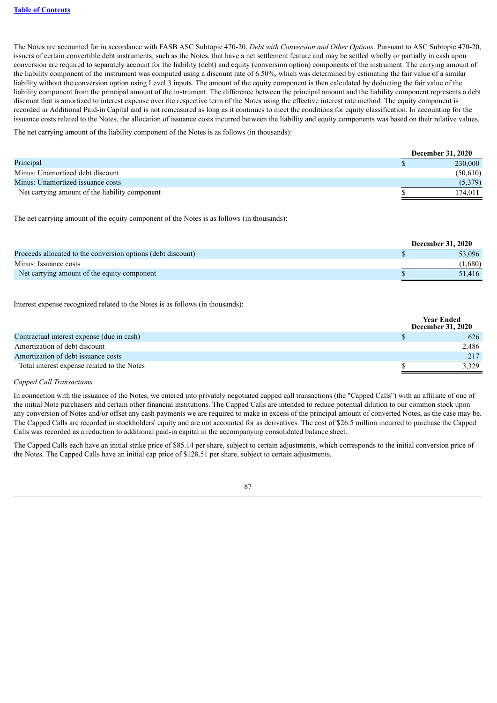The Notes are accounted for in accordance with FASB ASC Subtopic 470-20, *Debt with Conversion and Other Options*. Pursuant to ASC Subtopic 470-20, issuers of certain convertible debt instruments, such as the Notes, that have a net settlement feature and may be settled wholly or partially in cash upon conversion are required to separately account for the liability (debt) and equity (conversion option) components of the instrument. The carrying amount of the liability component of the instrument was computed using a discount rate of 6.50%, which was determined by estimating the fair value of a similar liability without the conversion option using Level 3 inputs. The amount of the equity component is then calculated by deducting the fair value of the liability component from the principal amount of the instrument. The difference between the principal amount and the liability component represents a debt discount that is amortized to interest expense over the respective term of the Notes using the effective interest rate method. The equity component is recorded in Additional Paid-in Capital and is not remeasured as long as it continues to meet the conditions for equity classification. In accounting for the issuance costs related to the Notes, the allocation of issuance costs incurred between the liability and equity components was based on their relative values.

The net carrying amount of the liability component of the Notes is as follows (in thousands):

|                                                |  | <b>December 31, 2020</b> |
|------------------------------------------------|--|--------------------------|
| Principal                                      |  | 230,000                  |
| Minus: Unamortized debt discount               |  | (50,610)                 |
| Minus: Unamortized issuance costs              |  | (5,379)                  |
| Net carrying amount of the liability component |  | 174.011                  |

The net carrying amount of the equity component of the Notes is as follows (in thousands):

|                                                              | <b>December 31, 2020</b> |
|--------------------------------------------------------------|--------------------------|
| Proceeds allocated to the conversion options (debt discount) | 53,096                   |
| Minus: Issuance costs                                        | (1,680)                  |
| Net carrying amount of the equity component                  | 51.416                   |
|                                                              |                          |

Interest expense recognized related to the Notes is as follows (in thousands):

|                                             | <b>Year Ended</b><br><b>December 31, 2020</b> |
|---------------------------------------------|-----------------------------------------------|
| Contractual interest expense (due in cash)  | 626                                           |
| Amortization of debt discount               | 2,486                                         |
| Amortization of debt issuance costs         | 217                                           |
| Total interest expense related to the Notes | 3.329                                         |

### *Capped Call Transactions*

In connection with the issuance of the Notes, we entered into privately negotiated capped call transactions (the "Capped Calls") with an affiliate of one of the initial Note purchasers and certain other financial institutions. The Capped Calls are intended to reduce potential dilution to our common stock upon any conversion of Notes and/or offset any cash payments we are required to make in excess of the principal amount of converted Notes, as the case may be. The Capped Calls are recorded in stockholders' equity and are not accounted for as derivatives. The cost of \$26.5 million incurred to purchase the Capped Calls was recorded as a reduction to additional paid-in capital in the accompanying consolidated balance sheet.

The Capped Calls each have an initial strike price of \$85.14 per share, subject to certain adjustments, which corresponds to the initial conversion price of the Notes. The Capped Calls have an initial cap price of \$128.51 per share, subject to certain adjustments.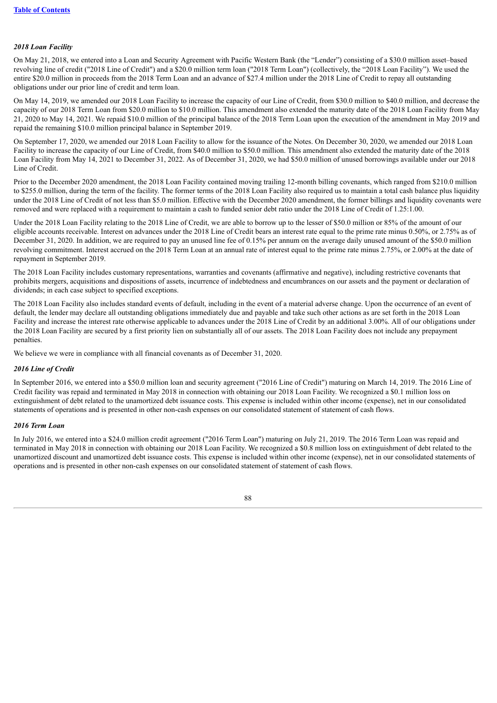# *2018 Loan Facility*

On May 21, 2018, we entered into a Loan and Security Agreement with Pacific Western Bank (the "Lender") consisting of a \$30.0 million asset–based revolving line of credit ("2018 Line of Credit") and a \$20.0 million term loan ("2018 Term Loan") (collectively, the "2018 Loan Facility"). We used the entire \$20.0 million in proceeds from the 2018 Term Loan and an advance of \$27.4 million under the 2018 Line of Credit to repay all outstanding obligations under our prior line of credit and term loan.

On May 14, 2019, we amended our 2018 Loan Facility to increase the capacity of our Line of Credit, from \$30.0 million to \$40.0 million, and decrease the capacity of our 2018 Term Loan from \$20.0 million to \$10.0 million. This amendment also extended the maturity date of the 2018 Loan Facility from May 21, 2020 to May 14, 2021. We repaid \$10.0 million of the principal balance of the 2018 Term Loan upon the execution of the amendment in May 2019 and repaid the remaining \$10.0 million principal balance in September 2019.

On September 17, 2020, we amended our 2018 Loan Facility to allow for the issuance of the Notes. On December 30, 2020, we amended our 2018 Loan Facility to increase the capacity of our Line of Credit, from \$40.0 million to \$50.0 million. This amendment also extended the maturity date of the 2018 Loan Facility from May 14, 2021 to December 31, 2022. As of December 31, 2020, we had \$50.0 million of unused borrowings available under our 2018 Line of Credit.

Prior to the December 2020 amendment, the 2018 Loan Facility contained moving trailing 12-month billing covenants, which ranged from \$210.0 million to \$255.0 million, during the term of the facility. The former terms of the 2018 Loan Facility also required us to maintain a total cash balance plus liquidity under the 2018 Line of Credit of not less than \$5.0 million. Effective with the December 2020 amendment, the former billings and liquidity covenants were removed and were replaced with a requirement to maintain a cash to funded senior debt ratio under the 2018 Line of Credit of 1.25:1.00.

Under the 2018 Loan Facility relating to the 2018 Line of Credit, we are able to borrow up to the lesser of \$50.0 million or 85% of the amount of our eligible accounts receivable. Interest on advances under the 2018 Line of Credit bears an interest rate equal to the prime rate minus 0.50%, or 2.75% as of December 31, 2020. In addition, we are required to pay an unused line fee of 0.15% per annum on the average daily unused amount of the \$50.0 million revolving commitment. Interest accrued on the 2018 Term Loan at an annual rate of interest equal to the prime rate minus 2.75%, or 2.00% at the date of repayment in September 2019.

The 2018 Loan Facility includes customary representations, warranties and covenants (affirmative and negative), including restrictive covenants that prohibits mergers, acquisitions and dispositions of assets, incurrence of indebtedness and encumbrances on our assets and the payment or declaration of dividends; in each case subject to specified exceptions.

The 2018 Loan Facility also includes standard events of default, including in the event of a material adverse change. Upon the occurrence of an event of default, the lender may declare all outstanding obligations immediately due and payable and take such other actions as are set forth in the 2018 Loan Facility and increase the interest rate otherwise applicable to advances under the 2018 Line of Credit by an additional 3.00%. All of our obligations under the 2018 Loan Facility are secured by a first priority lien on substantially all of our assets. The 2018 Loan Facility does not include any prepayment penalties.

We believe we were in compliance with all financial covenants as of December 31, 2020.

# *2016 Line of Credit*

In September 2016, we entered into a \$50.0 million loan and security agreement ("2016 Line of Credit") maturing on March 14, 2019. The 2016 Line of Credit facility was repaid and terminated in May 2018 in connection with obtaining our 2018 Loan Facility. We recognized a \$0.1 million loss on extinguishment of debt related to the unamortized debt issuance costs. This expense is included within other income (expense), net in our consolidated statements of operations and is presented in other non-cash expenses on our consolidated statement of statement of cash flows.

# *2016 Term Loan*

In July 2016, we entered into a \$24.0 million credit agreement ("2016 Term Loan") maturing on July 21, 2019. The 2016 Term Loan was repaid and terminated in May 2018 in connection with obtaining our 2018 Loan Facility. We recognized a \$0.8 million loss on extinguishment of debt related to the unamortized discount and unamortized debt issuance costs. This expense is included within other income (expense), net in our consolidated statements of operations and is presented in other non-cash expenses on our consolidated statement of statement of cash flows.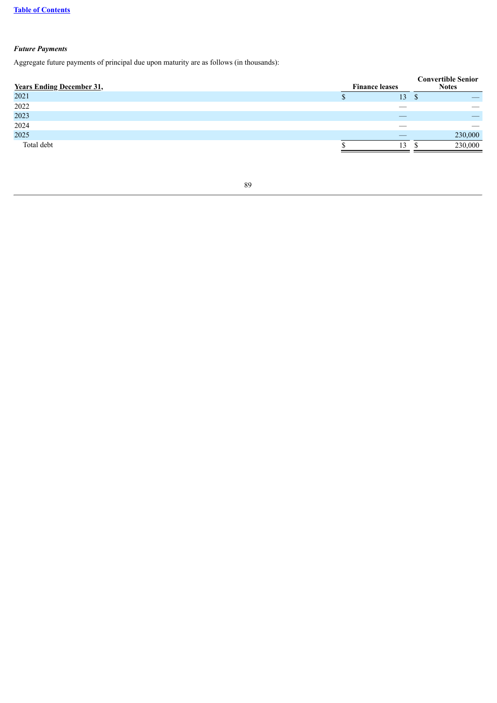# *Future Payments*

Aggregate future payments of principal due upon maturity are as follows (in thousands):

| <b>Years Ending December 31,</b> | <b>Finance leases</b> | <b>Convertible Senior</b><br><b>Notes</b> |  |  |
|----------------------------------|-----------------------|-------------------------------------------|--|--|
| 2021                             | 13                    |                                           |  |  |
| 2022                             |                       | __                                        |  |  |
| 2023                             |                       |                                           |  |  |
| 2024                             |                       |                                           |  |  |
| 2025                             |                       | 230,000                                   |  |  |
| Total debt                       | 3                     | 230,000                                   |  |  |
|                                  |                       |                                           |  |  |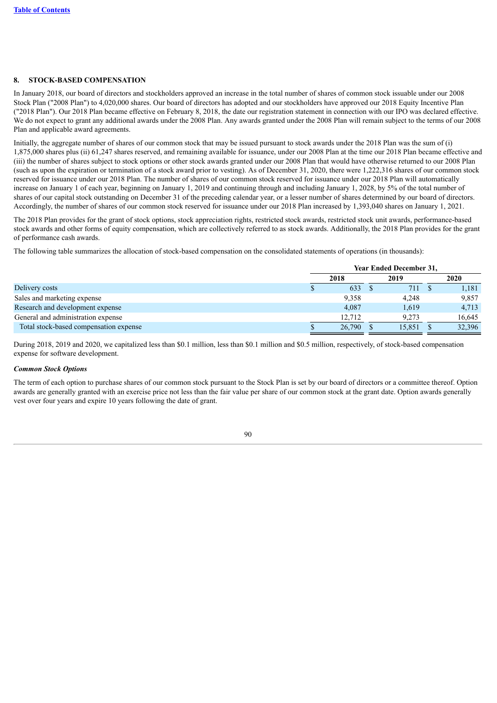# **8. STOCK-BASED COMPENSATION**

In January 2018, our board of directors and stockholders approved an increase in the total number of shares of common stock issuable under our 2008 Stock Plan ("2008 Plan") to 4,020,000 shares. Our board of directors has adopted and our stockholders have approved our 2018 Equity Incentive Plan ("2018 Plan"). Our 2018 Plan became effective on February 8, 2018, the date our registration statement in connection with our IPO was declared effective. We do not expect to grant any additional awards under the 2008 Plan. Any awards granted under the 2008 Plan will remain subject to the terms of our 2008 Plan and applicable award agreements.

Initially, the aggregate number of shares of our common stock that may be issued pursuant to stock awards under the 2018 Plan was the sum of (i) 1,875,000 shares plus (ii) 61,247 shares reserved, and remaining available for issuance, under our 2008 Plan at the time our 2018 Plan became effective and (iii) the number of shares subject to stock options or other stock awards granted under our 2008 Plan that would have otherwise returned to our 2008 Plan (such as upon the expiration or termination of a stock award prior to vesting). As of December 31, 2020, there were 1,222,316 shares of our common stock reserved for issuance under our 2018 Plan. The number of shares of our common stock reserved for issuance under our 2018 Plan will automatically increase on January 1 of each year, beginning on January 1, 2019 and continuing through and including January 1, 2028, by 5% of the total number of shares of our capital stock outstanding on December 31 of the preceding calendar year, or a lesser number of shares determined by our board of directors. Accordingly, the number of shares of our common stock reserved for issuance under our 2018 Plan increased by 1,393,040 shares on January 1, 2021.

The 2018 Plan provides for the grant of stock options, stock appreciation rights, restricted stock awards, restricted stock unit awards, performance-based stock awards and other forms of equity compensation, which are collectively referred to as stock awards. Additionally, the 2018 Plan provides for the grant of performance cash awards.

The following table summarizes the allocation of stock-based compensation on the consolidated statements of operations (in thousands):

|                                        | <b>Year Ended December 31,</b> |  |        |  |        |  |
|----------------------------------------|--------------------------------|--|--------|--|--------|--|
|                                        | 2018                           |  | 2019   |  | 2020   |  |
| Delivery costs                         | 633                            |  | 711    |  | 1,181  |  |
| Sales and marketing expense            | 9.358                          |  | 4.248  |  | 9,857  |  |
| Research and development expense       | 4,087                          |  | 1,619  |  | 4,713  |  |
| General and administration expense     | 12.712                         |  | 9.273  |  | 16,645 |  |
| Total stock-based compensation expense | 26,790                         |  | 15,851 |  | 32,396 |  |

During 2018, 2019 and 2020, we capitalized less than \$0.1 million, less than \$0.1 million and \$0.5 million, respectively, of stock-based compensation expense for software development.

#### *Common Stock Options*

The term of each option to purchase shares of our common stock pursuant to the Stock Plan is set by our board of directors or a committee thereof. Option awards are generally granted with an exercise price not less than the fair value per share of our common stock at the grant date. Option awards generally vest over four years and expire 10 years following the date of grant.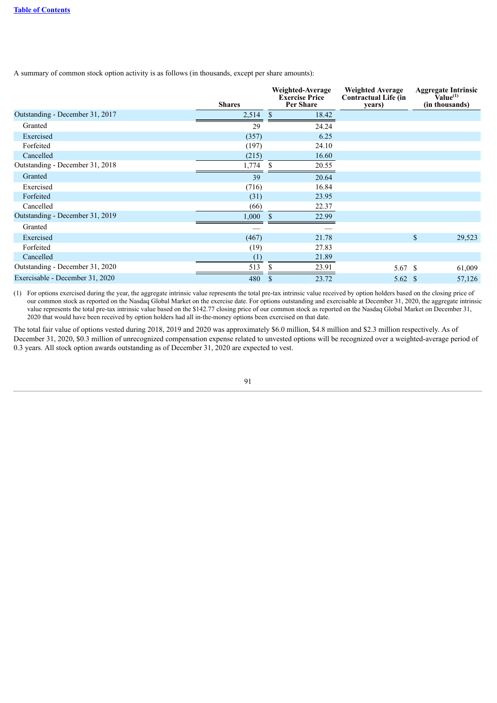A summary of common stock option activity is as follows (in thousands, except per share amounts):

|                                 | <b>Shares</b> |              | Weighted-Average<br><b>Exercise Price</b><br><b>Per Share</b> | <b>Weighted Average</b><br>Contractual Life (in<br>years) | <b>Aggregate Intrinsic</b><br>$\overline{\text{Value}}^{(1)}$<br>(in thousands) |
|---------------------------------|---------------|--------------|---------------------------------------------------------------|-----------------------------------------------------------|---------------------------------------------------------------------------------|
| Outstanding - December 31, 2017 | 2,514         | $\mathbb{S}$ | 18.42                                                         |                                                           |                                                                                 |
| Granted                         | 29            |              | 24.24                                                         |                                                           |                                                                                 |
| Exercised                       | (357)         |              | 6.25                                                          |                                                           |                                                                                 |
| Forfeited                       | (197)         |              | 24.10                                                         |                                                           |                                                                                 |
| Cancelled                       | (215)         |              | 16.60                                                         |                                                           |                                                                                 |
| Outstanding - December 31, 2018 | 1,774         | S.           | 20.55                                                         |                                                           |                                                                                 |
| Granted                         | 39            |              | 20.64                                                         |                                                           |                                                                                 |
| Exercised                       | (716)         |              | 16.84                                                         |                                                           |                                                                                 |
| Forfeited                       | (31)          |              | 23.95                                                         |                                                           |                                                                                 |
| Cancelled                       | (66)          |              | 22.37                                                         |                                                           |                                                                                 |
| Outstanding - December 31, 2019 | 1,000         | S.           | 22.99                                                         |                                                           |                                                                                 |
| Granted                         |               |              |                                                               |                                                           |                                                                                 |
| Exercised                       | (467)         |              | 21.78                                                         |                                                           | \$<br>29,523                                                                    |
| Forfeited                       | (19)          |              | 27.83                                                         |                                                           |                                                                                 |
| Cancelled                       | (1)           |              | 21.89                                                         |                                                           |                                                                                 |
| Outstanding - December 31, 2020 | 513           | \$.          | 23.91                                                         | 5.67 \$                                                   | 61,009                                                                          |
| Exercisable - December 31, 2020 | 480           | S            | 23.72                                                         | 5.62 $\sqrt{ }$                                           | 57,126                                                                          |

(1) For options exercised during the year, the aggregate intrinsic value represents the total pre-tax intrinsic value received by option holders based on the closing price of our common stock as reported on the Nasdaq Global Market on the exercise date. For options outstanding and exercisable at December 31, 2020, the aggregate intrinsic value represents the total pre-tax intrinsic value based on the \$142.77 closing price of our common stock as reported on the Nasdaq Global Market on December 31, 2020 that would have been received by option holders had all in-the-money options been exercised on that date.

The total fair value of options vested during 2018, 2019 and 2020 was approximately \$6.0 million, \$4.8 million and \$2.3 million respectively. As of December 31, 2020, \$0.3 million of unrecognized compensation expense related to unvested options will be recognized over a weighted-average period of 0.3 years. All stock option awards outstanding as of December 31, 2020 are expected to vest.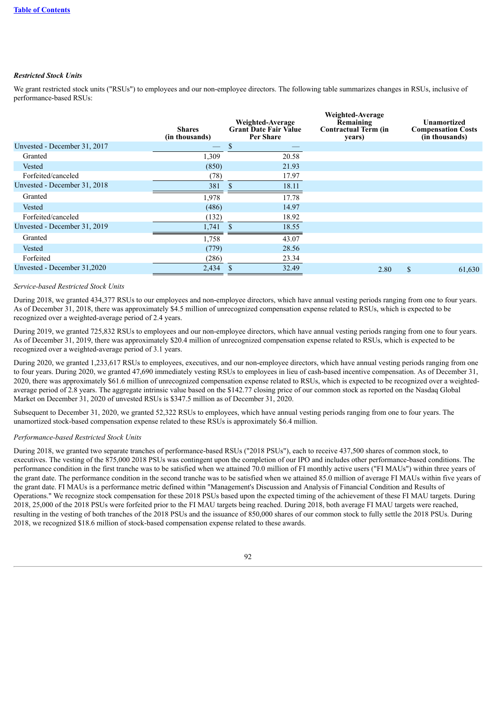# *Restricted Stock Units*

We grant restricted stock units ("RSUs") to employees and our non-employee directors. The following table summarizes changes in RSUs, inclusive of performance-based RSUs:

|                              | <b>Shares</b><br>(in thousands) | Weighted-Average<br><b>Grant Date Fair Value</b><br><b>Per Share</b> | Weighted-Average<br>Remaining<br><b>Contractual Term (in</b><br>years) | Unamortized<br><b>Compensation Costs</b><br>(in thousands) |
|------------------------------|---------------------------------|----------------------------------------------------------------------|------------------------------------------------------------------------|------------------------------------------------------------|
| Unvested - December 31, 2017 |                                 | S                                                                    |                                                                        |                                                            |
| Granted                      | 1,309                           | 20.58                                                                |                                                                        |                                                            |
| Vested                       | (850)                           | 21.93                                                                |                                                                        |                                                            |
| Forfeited/canceled           | (78)                            | 17.97                                                                |                                                                        |                                                            |
| Unvested - December 31, 2018 | 381                             | 18.11                                                                |                                                                        |                                                            |
| Granted                      | 1,978                           | 17.78                                                                |                                                                        |                                                            |
| <b>Vested</b>                | (486)                           | 14.97                                                                |                                                                        |                                                            |
| Forfeited/canceled           | (132)                           | 18.92                                                                |                                                                        |                                                            |
| Unvested - December 31, 2019 | 1,741                           | 18.55                                                                |                                                                        |                                                            |
| Granted                      | 1,758                           | 43.07                                                                |                                                                        |                                                            |
| <b>Vested</b>                | (779)                           | 28.56                                                                |                                                                        |                                                            |
| Forfeited                    | (286)                           | 23.34                                                                |                                                                        |                                                            |
| Unvested - December 31,2020  | 2,434                           | 32.49                                                                | 2.80                                                                   | \$<br>61,630                                               |

#### *Service-based Restricted Stock Units*

During 2018, we granted 434,377 RSUs to our employees and non-employee directors, which have annual vesting periods ranging from one to four years. As of December 31, 2018, there was approximately \$4.5 million of unrecognized compensation expense related to RSUs, which is expected to be recognized over a weighted-average period of 2.4 years.

During 2019, we granted 725,832 RSUs to employees and our non-employee directors, which have annual vesting periods ranging from one to four years. As of December 31, 2019, there was approximately \$20.4 million of unrecognized compensation expense related to RSUs, which is expected to be recognized over a weighted-average period of 3.1 years.

During 2020, we granted 1,233,617 RSUs to employees, executives, and our non-employee directors, which have annual vesting periods ranging from one to four years. During 2020, we granted 47,690 immediately vesting RSUs to employees in lieu of cash-based incentive compensation. As of December 31, 2020, there was approximately \$61.6 million of unrecognized compensation expense related to RSUs, which is expected to be recognized over a weightedaverage period of 2.8 years. The aggregate intrinsic value based on the \$142.77 closing price of our common stock as reported on the Nasdaq Global Market on December 31, 2020 of unvested RSUs is \$347.5 million as of December 31, 2020.

Subsequent to December 31, 2020, we granted 52,322 RSUs to employees, which have annual vesting periods ranging from one to four years. The unamortized stock-based compensation expense related to these RSUs is approximately \$6.4 million.

#### *Performance-based Restricted Stock Units*

During 2018, we granted two separate tranches of performance-based RSUs ("2018 PSUs"), each to receive 437,500 shares of common stock, to executives. The vesting of the 875,000 2018 PSUs was contingent upon the completion of our IPO and includes other performance-based conditions. The performance condition in the first tranche was to be satisfied when we attained 70.0 million of FI monthly active users ("FI MAUs") within three years of the grant date. The performance condition in the second tranche was to be satisfied when we attained 85.0 million of average FI MAUs within five years of the grant date. FI MAUs is a performance metric defined within "Management's Discussion and Analysis of Financial Condition and Results of Operations." We recognize stock compensation for these 2018 PSUs based upon the expected timing of the achievement of these FI MAU targets. During 2018, 25,000 of the 2018 PSUs were forfeited prior to the FI MAU targets being reached. During 2018, both average FI MAU targets were reached, resulting in the vesting of both tranches of the 2018 PSUs and the issuance of 850,000 shares of our common stock to fully settle the 2018 PSUs. During 2018, we recognized \$18.6 million of stock-based compensation expense related to these awards.

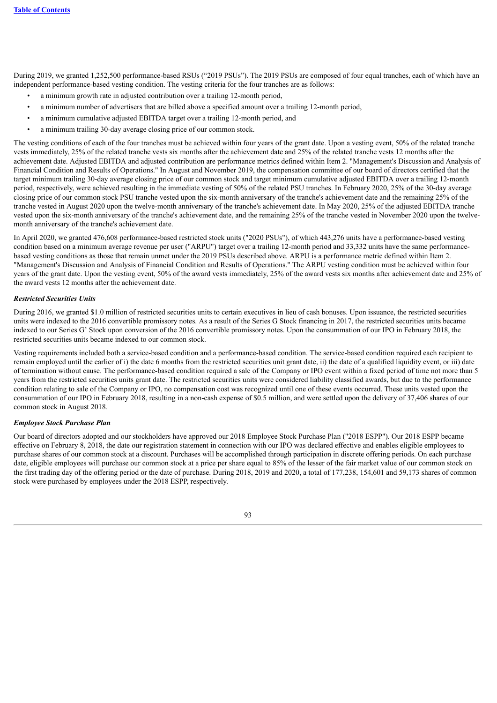During 2019, we granted 1,252,500 performance-based RSUs ("2019 PSUs"). The 2019 PSUs are composed of four equal tranches, each of which have an independent performance-based vesting condition. The vesting criteria for the four tranches are as follows:

- a minimum growth rate in adjusted contribution over a trailing 12-month period,
- a minimum number of advertisers that are billed above a specified amount over a trailing 12-month period,
- a minimum cumulative adjusted EBITDA target over a trailing 12-month period, and
- a minimum trailing 30-day average closing price of our common stock.

The vesting conditions of each of the four tranches must be achieved within four years of the grant date. Upon a vesting event, 50% of the related tranche vests immediately, 25% of the related tranche vests six months after the achievement date and 25% of the related tranche vests 12 months after the achievement date. Adjusted EBITDA and adjusted contribution are performance metrics defined within Item 2. "Management's Discussion and Analysis of Financial Condition and Results of Operations." In August and November 2019, the compensation committee of our board of directors certified that the target minimum trailing 30-day average closing price of our common stock and target minimum cumulative adjusted EBITDA over a trailing 12-month period, respectively, were achieved resulting in the immediate vesting of 50% of the related PSU tranches. In February 2020, 25% of the 30-day average closing price of our common stock PSU tranche vested upon the six-month anniversary of the tranche's achievement date and the remaining 25% of the tranche vested in August 2020 upon the twelve-month anniversary of the tranche's achievement date. In May 2020, 25% of the adjusted EBITDA tranche vested upon the six-month anniversary of the tranche's achievement date, and the remaining 25% of the tranche vested in November 2020 upon the twelvemonth anniversary of the tranche's achievement date.

In April 2020, we granted 476,608 performance-based restricted stock units ("2020 PSUs"), of which 443,276 units have a performance-based vesting condition based on a minimum average revenue per user ("ARPU") target over a trailing 12-month period and 33,332 units have the same performancebased vesting conditions as those that remain unmet under the 2019 PSUs described above. ARPU is a performance metric defined within Item 2. "Management's Discussion and Analysis of Financial Condition and Results of Operations." The ARPU vesting condition must be achieved within four years of the grant date. Upon the vesting event, 50% of the award vests immediately, 25% of the award vests six months after achievement date and 25% of the award vests 12 months after the achievement date.

# *Restricted Securities Units*

During 2016, we granted \$1.0 million of restricted securities units to certain executives in lieu of cash bonuses. Upon issuance, the restricted securities units were indexed to the 2016 convertible promissory notes. As a result of the Series G Stock financing in 2017, the restricted securities units became indexed to our Series G' Stock upon conversion of the 2016 convertible promissory notes. Upon the consummation of our IPO in February 2018, the restricted securities units became indexed to our common stock.

Vesting requirements included both a service-based condition and a performance-based condition. The service-based condition required each recipient to remain employed until the earlier of i) the date 6 months from the restricted securities unit grant date, ii) the date of a qualified liquidity event, or iii) date of termination without cause. The performance-based condition required a sale of the Company or IPO event within a fixed period of time not more than 5 years from the restricted securities units grant date. The restricted securities units were considered liability classified awards, but due to the performance condition relating to sale of the Company or IPO, no compensation cost was recognized until one of these events occurred. These units vested upon the consummation of our IPO in February 2018, resulting in a non-cash expense of \$0.5 million, and were settled upon the delivery of 37,406 shares of our common stock in August 2018.

# *Employee Stock Purchase Plan*

Our board of directors adopted and our stockholders have approved our 2018 Employee Stock Purchase Plan ("2018 ESPP"). Our 2018 ESPP became effective on February 8, 2018, the date our registration statement in connection with our IPO was declared effective and enables eligible employees to purchase shares of our common stock at a discount. Purchases will be accomplished through participation in discrete offering periods. On each purchase date, eligible employees will purchase our common stock at a price per share equal to 85% of the lesser of the fair market value of our common stock on the first trading day of the offering period or the date of purchase. During 2018, 2019 and 2020, a total of 177,238, 154,601 and 59,173 shares of common stock were purchased by employees under the 2018 ESPP, respectively.

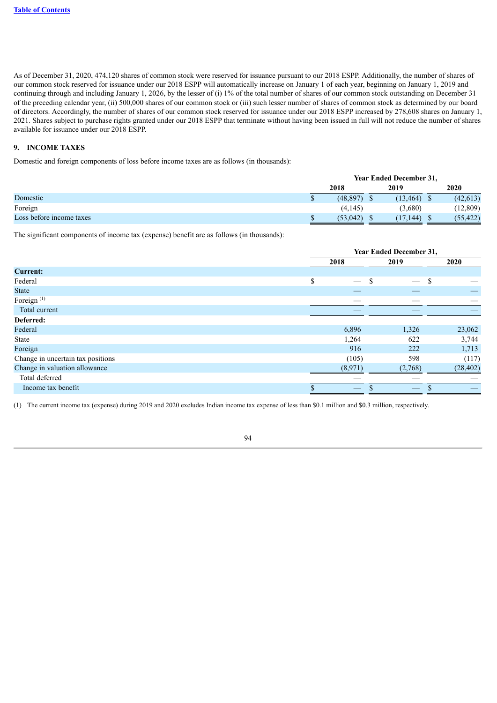As of December 31, 2020, 474,120 shares of common stock were reserved for issuance pursuant to our 2018 ESPP. Additionally, the number of shares of our common stock reserved for issuance under our 2018 ESPP will automatically increase on January 1 of each year, beginning on January 1, 2019 and continuing through and including January 1, 2026, by the lesser of (i) 1% of the total number of shares of our common stock outstanding on December 31 of the preceding calendar year, (ii) 500,000 shares of our common stock or (iii) such lesser number of shares of common stock as determined by our board of directors. Accordingly, the number of shares of our common stock reserved for issuance under our 2018 ESPP increased by 278,608 shares on January 1, 2021. Shares subject to purchase rights granted under our 2018 ESPP that terminate without having been issued in full will not reduce the number of shares available for issuance under our 2018 ESPP.

# **9. INCOME TAXES**

Domestic and foreign components of loss before income taxes are as follows (in thousands):

|                          | <b>Year Ended December 31,</b> |  |          |  |           |
|--------------------------|--------------------------------|--|----------|--|-----------|
|                          | 2018                           |  | 2019     |  | 2020      |
| Domestic                 | (48, 897)                      |  | (13.464) |  | (42, 613) |
| Foreign                  | (4,145)                        |  | (3,680)  |  | (12, 809) |
| Loss before income taxes | (53, 042)                      |  | (17.144) |  | (55, 422) |

The significant components of income tax (expense) benefit are as follows (in thousands):

|                                   | <b>Year Ended December 31,</b>     |                               |               |  |
|-----------------------------------|------------------------------------|-------------------------------|---------------|--|
|                                   | 2018                               | 2019                          | 2020          |  |
| <b>Current:</b>                   |                                    |                               |               |  |
| Federal                           | <sup>\$</sup><br>$\hspace{0.05cm}$ | S<br>$\overline{\phantom{0}}$ | <sup>\$</sup> |  |
| <b>State</b>                      |                                    |                               |               |  |
| Foreign <sup>(1)</sup>            |                                    |                               |               |  |
| Total current                     |                                    |                               |               |  |
| Deferred:                         |                                    |                               |               |  |
| Federal                           | 6,896                              | 1,326                         | 23,062        |  |
| State                             | 1,264                              | 622                           | 3,744         |  |
| Foreign                           | 916                                | 222                           | 1,713         |  |
| Change in uncertain tax positions | (105)                              | 598                           | (117)         |  |
| Change in valuation allowance     | (8,971)                            | (2,768)                       | (28, 402)     |  |
| Total deferred                    |                                    |                               |               |  |
| Income tax benefit                | _                                  | —                             |               |  |

(1) The current income tax (expense) during 2019 and 2020 excludes Indian income tax expense of less than \$0.1 million and \$0.3 million, respectively.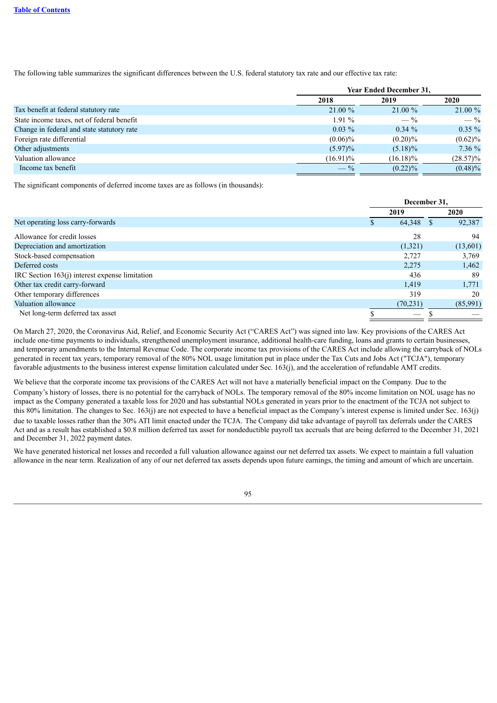The following table summarizes the significant differences between the U.S. federal statutory tax rate and our effective tax rate:

|                                            |                 | <b>Year Ended December 31,</b> |             |  |  |  |
|--------------------------------------------|-----------------|--------------------------------|-------------|--|--|--|
|                                            | 2018            | 2019                           | 2020        |  |  |  |
| Tax benefit at federal statutory rate      | $21.00\%$       | $21.00 \%$                     | 21.00 %     |  |  |  |
| State income taxes, net of federal benefit | $1.91\%$        | $-$ %                          | $-$ %       |  |  |  |
| Change in federal and state statutory rate | $0.03\%$        | $0.34\%$                       | $0.35 \%$   |  |  |  |
| Foreign rate differential                  | $(0.06)\%$      | $(0.20)\%$                     | $(0.62)\%$  |  |  |  |
| Other adjustments                          | $(5.97)\%$      | $(5.18)\%$                     | $7.36\%$    |  |  |  |
| Valuation allowance                        | $(16.91)\%$     | $(16.18)\%$                    | $(28.57)\%$ |  |  |  |
| Income tax benefit                         | $- \frac{9}{6}$ | $(0.22)\%$                     | $(0.48)\%$  |  |  |  |

The significant components of deferred income taxes are as follows (in thousands):

|                                                  |           | December 31, |
|--------------------------------------------------|-----------|--------------|
|                                                  | 2019      | 2020         |
| Net operating loss carry-forwards                | 64,348    | 92,387       |
| Allowance for credit losses                      | 28        | 94           |
| Depreciation and amortization                    | (1,321)   | (13,601)     |
| Stock-based compensation                         | 2,727     | 3,769        |
| Deferred costs                                   | 2,275     | 1,462        |
| IRC Section $163(j)$ interest expense limitation | 436       | 89           |
| Other tax credit carry-forward                   | 1,419     | 1,771        |
| Other temporary differences                      | 319       | 20           |
| Valuation allowance                              | (70, 231) | (85,991)     |
| Net long-term deferred tax asset                 |           |              |

On March 27, 2020, the Coronavirus Aid, Relief, and Economic Security Act ("CARES Act") was signed into law. Key provisions of the CARES Act include one-time payments to individuals, strengthened unemployment insurance, additional health-care funding, loans and grants to certain businesses, and temporary amendments to the Internal Revenue Code. The corporate income tax provisions of the CARES Act include allowing the carryback of NOLs generated in recent tax years, temporary removal of the 80% NOL usage limitation put in place under the Tax Cuts and Jobs Act ("TCJA"), temporary favorable adjustments to the business interest expense limitation calculated under Sec. 163(j), and the acceleration of refundable AMT credits.

We believe that the corporate income tax provisions of the CARES Act will not have a materially beneficial impact on the Company. Due to the Company's history of losses, there is no potential for the carryback of NOLs. The temporary removal of the 80% income limitation on NOL usage has no impact as the Company generated a taxable loss for 2020 and has substantial NOLs generated in years prior to the enactment of the TCJA not subject to this 80% limitation. The changes to Sec. 163(j) are not expected to have a beneficial impact as the Company's interest expense is limited under Sec. 163(j) due to taxable losses rather than the 30% ATI limit enacted under the TCJA. The Company did take advantage of payroll tax deferrals under the CARES Act and as a result has established a \$0.8 million deferred tax asset for nondeductible payroll tax accruals that are being deferred to the December 31, 2021 and December 31, 2022 payment dates.

We have generated historical net losses and recorded a full valuation allowance against our net deferred tax assets. We expect to maintain a full valuation allowance in the near term. Realization of any of our net deferred tax assets depends upon future earnings, the timing and amount of which are uncertain.

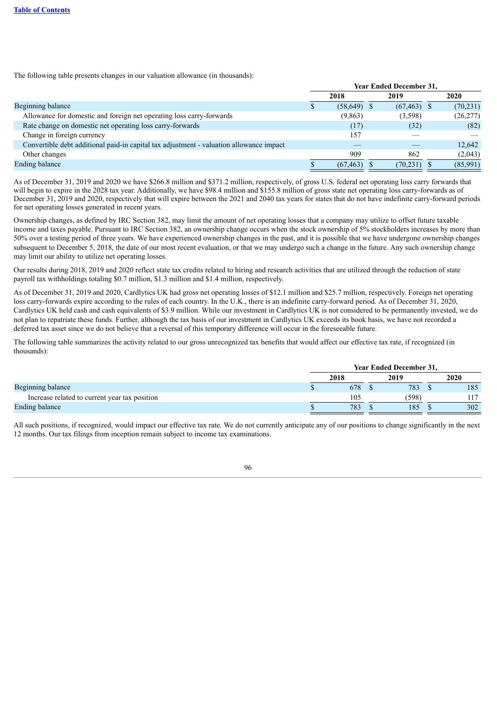The following table presents changes in our valuation allowance (in thousands):

|                                                                                         | <b>Year Ended December 31,</b> |           |  |                |  |           |
|-----------------------------------------------------------------------------------------|--------------------------------|-----------|--|----------------|--|-----------|
|                                                                                         |                                | 2018      |  | 2019           |  | 2020      |
| Beginning balance                                                                       |                                | (58, 649) |  | $(67, 463)$ \$ |  | (70, 231) |
| Allowance for domestic and foreign net operating loss carry-forwards                    |                                | (9,863)   |  | (3,598)        |  | (26, 277) |
| Rate change on domestic net operating loss carry-forwards                               |                                | (17)      |  | (32)           |  | (82)      |
| Change in foreign currency                                                              |                                | 157       |  |                |  |           |
| Convertible debt additional paid-in capital tax adjustment - valuation allowance impact |                                |           |  |                |  | 12,642    |
| Other changes                                                                           |                                | 909       |  | 862            |  | (2,043)   |
| Ending balance                                                                          |                                | (67, 463) |  | (70, 231)      |  | (85,991)  |

As of December 31, 2019 and 2020 we have \$266.8 million and \$371.2 million, respectively, of gross U.S. federal net operating loss carry forwards that will begin to expire in the 2028 tax year. Additionally, we have \$98.4 million and \$155.8 million of gross state net operating loss carry-forwards as of December 31, 2019 and 2020, respectively that will expire between the 2021 and 2040 tax years for states that do not have indefinite carry-forward periods for net operating losses generated in recent years.

Ownership changes, as defined by IRC Section 382, may limit the amount of net operating losses that a company may utilize to offset future taxable income and taxes payable. Pursuant to IRC Section 382, an ownership change occurs when the stock ownership of 5% stockholders increases by more than 50% over a testing period of three years. We have experienced ownership changes in the past, and it is possible that we have undergone ownership changes subsequent to December 5, 2018, the date of our most recent evaluation, or that we may undergo such a change in the future. Any such ownership change may limit our ability to utilize net operating losses.

Our results during 2018, 2019 and 2020 reflect state tax credits related to hiring and research activities that are utilized through the reduction of state payroll tax withholdings totaling \$0.7 million, \$1.3 million and \$1.4 million, respectively.

As of December 31, 2019 and 2020, Cardlytics UK had gross net operating losses of \$12.1 million and \$25.7 million, respectively. Foreign net operating loss carry-forwards expire according to the rules of each country. In the U.K., there is an indefinite carry-forward period. As of December 31, 2020, Cardlytics UK held cash and cash equivalents of \$3.9 million. While our investment in Cardlytics UK is not considered to be permanently invested, we do not plan to repatriate these funds. Further, although the tax basis of our investment in Cardlytics UK exceeds its book basis, we have not recorded a deferred tax asset since we do not believe that a reversal of this temporary difference will occur in the foreseeable future.

The following table summarizes the activity related to our gross unrecognized tax benefits that would affect our effective tax rate, if recognized (in thousands):

|                                               | <b>Year Ended December 31,</b> |      |  |       |  |      |
|-----------------------------------------------|--------------------------------|------|--|-------|--|------|
|                                               |                                | 2018 |  | 2019  |  | 2020 |
| Beginning balance                             |                                | 678  |  | 783   |  | 185  |
| Increase related to current year tax position |                                | 105  |  | (598) |  | 117  |
| Ending balance                                |                                | 783  |  | 185   |  | 302  |

All such positions, if recognized, would impact our effective tax rate. We do not currently anticipate any of our positions to change significantly in the next 12 months. Our tax filings from inception remain subject to income tax examinations.

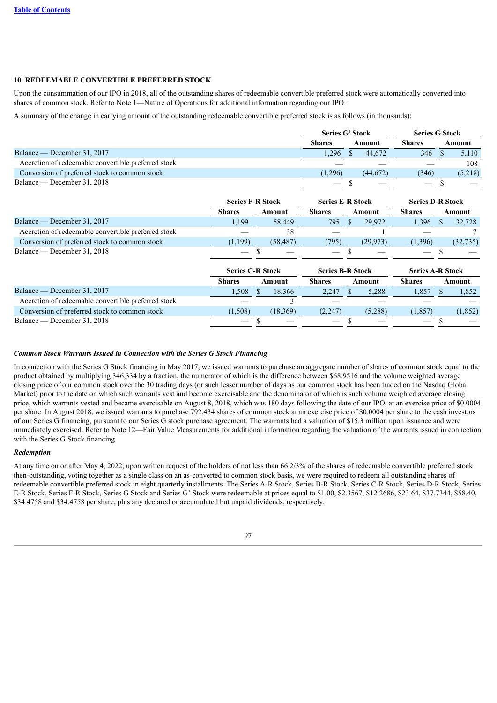# **10. REDEEMABLE CONVERTIBLE PREFERRED STOCK**

Upon the consummation of our IPO in 2018, all of the outstanding shares of redeemable convertible preferred stock were automatically converted into shares of common stock. Refer to Note 1—Nature of Operations for additional information regarding our IPO.

A summary of the change in carrying amount of the outstanding redeemable convertible preferred stock is as follows (in thousands):

|                                                     |                         |                         |                         | <b>Series G' Stock</b> | <b>Series G Stock</b>   |                        |  |  |
|-----------------------------------------------------|-------------------------|-------------------------|-------------------------|------------------------|-------------------------|------------------------|--|--|
|                                                     |                         |                         | <b>Shares</b>           | Amount                 | <b>Shares</b>           | Amount                 |  |  |
| Balance — December 31, 2017                         |                         |                         | 1,296                   | \$<br>44,672           | 346                     | <sup>\$</sup><br>5,110 |  |  |
| Accretion of redeemable convertible preferred stock |                         |                         |                         |                        |                         | 108                    |  |  |
| Conversion of preferred stock to common stock       |                         |                         | (1,296)                 | (44, 672)              | (346)                   | (5,218)                |  |  |
| Balance — December 31, 2018                         |                         |                         |                         |                        |                         |                        |  |  |
|                                                     |                         |                         |                         |                        |                         |                        |  |  |
|                                                     |                         | <b>Series F-R Stock</b> | <b>Series E-R Stock</b> |                        | <b>Series D-R Stock</b> |                        |  |  |
|                                                     | <b>Shares</b>           | Amount                  | <b>Shares</b>           | Amount                 | <b>Shares</b>           | Amount                 |  |  |
| Balance — December 31, 2017                         | 1,199                   | 58,449                  | 795                     | 29,972                 | 1,396                   | 32,728                 |  |  |
| Accretion of redeemable convertible preferred stock |                         | 38                      |                         |                        |                         |                        |  |  |
| Conversion of preferred stock to common stock       | (1,199)                 | (58, 487)               | (795)                   | (29, 973)              | (1,396)                 | (32, 735)              |  |  |
| Balance — December 31, 2018                         |                         |                         |                         |                        |                         |                        |  |  |
|                                                     |                         |                         |                         |                        |                         |                        |  |  |
|                                                     | <b>Series C-R Stock</b> |                         | <b>Series B-R Stock</b> |                        | <b>Series A-R Stock</b> |                        |  |  |
|                                                     | <b>Shares</b>           | Amount                  | <b>Shares</b>           | Amount                 | <b>Shares</b>           | Amount                 |  |  |
| Balance — December 31, 2017                         | 1,508                   | 18,366                  | 2,247                   | 5,288<br>\$.           | 1,857                   | 1,852<br>\$.           |  |  |
| Accretion of redeemable convertible preferred stock |                         |                         |                         |                        |                         |                        |  |  |
| Conversion of preferred stock to common stock       | (1,508)                 | (18,369)                | (2,247)                 | (5,288)                | (1, 857)                | (1, 852)               |  |  |
| Balance — December 31, 2018                         |                         |                         |                         |                        |                         |                        |  |  |
|                                                     |                         |                         |                         |                        |                         |                        |  |  |

### *Common Stock Warrants Issued in Connection with the Series G Stock Financing*

In connection with the Series G Stock financing in May 2017, we issued warrants to purchase an aggregate number of shares of common stock equal to the product obtained by multiplying 346,334 by a fraction, the numerator of which is the difference between \$68.9516 and the volume weighted average closing price of our common stock over the 30 trading days (or such lesser number of days as our common stock has been traded on the Nasdaq Global Market) prior to the date on which such warrants vest and become exercisable and the denominator of which is such volume weighted average closing price, which warrants vested and became exercisable on August 8, 2018, which was 180 days following the date of our IPO, at an exercise price of \$0.0004 per share. In August 2018, we issued warrants to purchase 792,434 shares of common stock at an exercise price of \$0.0004 per share to the cash investors of our Series G financing, pursuant to our Series G stock purchase agreement. The warrants had a valuation of \$15.3 million upon issuance and were immediately exercised. Refer to Note 12—Fair Value Measurements for additional information regarding the valuation of the warrants issued in connection with the Series G Stock financing.

#### *Redemption*

At any time on or after May 4, 2022, upon written request of the holders of not less than 66 2/3% of the shares of redeemable convertible preferred stock then-outstanding, voting together as a single class on an as-converted to common stock basis, we were required to redeem all outstanding shares of redeemable convertible preferred stock in eight quarterly installments. The Series A-R Stock, Series B-R Stock, Series C-R Stock, Series D-R Stock, Series E-R Stock, Series F-R Stock, Series G Stock and Series G' Stock were redeemable at prices equal to \$1.00, \$2.3567, \$12.2686, \$23.64, \$37.7344, \$58.40, \$34.4758 and \$34.4758 per share, plus any declared or accumulated but unpaid dividends, respectively.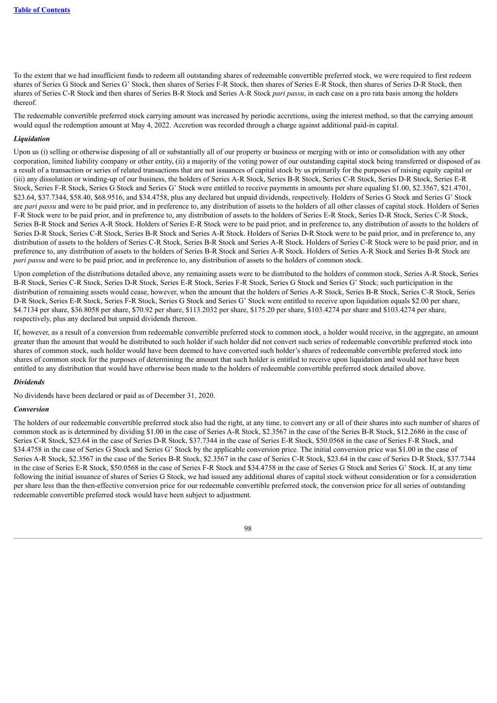To the extent that we had insufficient funds to redeem all outstanding shares of redeemable convertible preferred stock, we were required to first redeem shares of Series G Stock and Series G' Stock, then shares of Series F-R Stock, then shares of Series E-R Stock, then shares of Series D-R Stock, then shares of Series C-R Stock and then shares of Series B-R Stock and Series A-R Stock *pari passu*, in each case on a pro rata basis among the holders thereof.

The redeemable convertible preferred stock carrying amount was increased by periodic accretions, using the interest method, so that the carrying amount would equal the redemption amount at May 4, 2022. Accretion was recorded through a charge against additional paid-in capital.

# *Liquidation*

Upon us (i) selling or otherwise disposing of all or substantially all of our property or business or merging with or into or consolidation with any other corporation, limited liability company or other entity, (ii) a majority of the voting power of our outstanding capital stock being transferred or disposed of as a result of a transaction or series of related transactions that are not issuances of capital stock by us primarily for the purposes of raising equity capital or (iii) any dissolution or winding-up of our business, the holders of Series A-R Stock, Series B-R Stock, Series C-R Stock, Series D-R Stock, Series E-R Stock, Series F-R Stock, Series G Stock and Series G' Stock were entitled to receive payments in amounts per share equaling \$1.00, \$2.3567, \$21.4701, \$23.64, \$37.7344, \$58.40, \$68.9516, and \$34.4758, plus any declared but unpaid dividends, respectively. Holders of Series G Stock and Series G' Stock are *pari passu* and were to be paid prior, and in preference to, any distribution of assets to the holders of all other classes of capital stock. Holders of Series F-R Stock were to be paid prior, and in preference to, any distribution of assets to the holders of Series E-R Stock, Series D-R Stock, Series C-R Stock, Series B-R Stock and Series A-R Stock. Holders of Series E-R Stock were to be paid prior, and in preference to, any distribution of assets to the holders of Series D-R Stock, Series C-R Stock, Series B-R Stock and Series A-R Stock. Holders of Series D-R Stock were to be paid prior, and in preference to, any distribution of assets to the holders of Series C-R Stock, Series B-R Stock and Series A-R Stock. Holders of Series C-R Stock were to be paid prior, and in preference to, any distribution of assets to the holders of Series B-R Stock and Series A-R Stock. Holders of Series A-R Stock and Series B-R Stock are *pari passu* and were to be paid prior, and in preference to, any distribution of assets to the holders of common stock.

Upon completion of the distributions detailed above, any remaining assets were to be distributed to the holders of common stock, Series A-R Stock, Series B-R Stock, Series C-R Stock, Series D-R Stock, Series E-R Stock, Series F-R Stock, Series G Stock and Series G' Stock; such participation in the distribution of remaining assets would cease, however, when the amount that the holders of Series A-R Stock, Series B-R Stock, Series C-R Stock, Series D-R Stock, Series E-R Stock, Series F-R Stock, Series G Stock and Series G' Stock were entitled to receive upon liquidation equals \$2.00 per share, \$4.7134 per share, \$36.8058 per share, \$70.92 per share, \$113.2032 per share, \$175.20 per share, \$103.4274 per share and \$103.4274 per share, respectively, plus any declared but unpaid dividends thereon.

If, however, as a result of a conversion from redeemable convertible preferred stock to common stock, a holder would receive, in the aggregate, an amount greater than the amount that would be distributed to such holder if such holder did not convert such series of redeemable convertible preferred stock into shares of common stock, such holder would have been deemed to have converted such holder's shares of redeemable convertible preferred stock into shares of common stock for the purposes of determining the amount that such holder is entitled to receive upon liquidation and would not have been entitled to any distribution that would have otherwise been made to the holders of redeemable convertible preferred stock detailed above.

# *Dividends*

No dividends have been declared or paid as of December 31, 2020.

#### *Conversion*

The holders of our redeemable convertible preferred stock also had the right, at any time, to convert any or all of their shares into such number of shares of common stock as is determined by dividing \$1.00 in the case of Series A-R Stock, \$2.3567 in the case of the Series B-R Stock, \$12.2686 in the case of Series C-R Stock, \$23.64 in the case of Series D-R Stock, \$37.7344 in the case of Series E-R Stock, \$50.0568 in the case of Series F-R Stock, and \$34.4758 in the case of Series G Stock and Series G' Stock by the applicable conversion price. The initial conversion price was \$1.00 in the case of Series A-R Stock, \$2.3567 in the case of the Series B-R Stock, \$2.3567 in the case of Series C-R Stock, \$23.64 in the case of Series D-R Stock, \$37.7344 in the case of Series E-R Stock, \$50.0568 in the case of Series F-R Stock and \$34.4758 in the case of Series G Stock and Series G' Stock. If, at any time following the initial issuance of shares of Series G Stock, we had issued any additional shares of capital stock without consideration or for a consideration per share less than the then-effective conversion price for our redeemable convertible preferred stock, the conversion price for all series of outstanding redeemable convertible preferred stock would have been subject to adjustment.

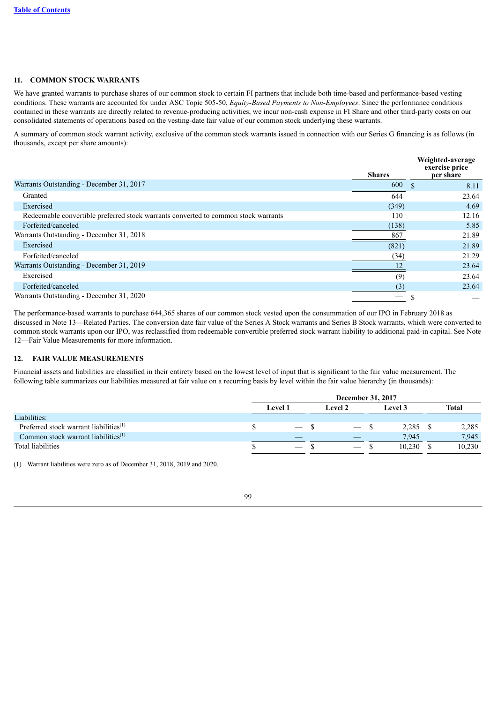# **11. COMMON STOCK WARRANTS**

We have granted warrants to purchase shares of our common stock to certain FI partners that include both time-based and performance-based vesting conditions. These warrants are accounted for under ASC Topic 505-50, *Equity-Based Payments to Non-Employees*. Since the performance conditions contained in these warrants are directly related to revenue-producing activities, we incur non-cash expense in FI Share and other third-party costs on our consolidated statements of operations based on the vesting-date fair value of our common stock underlying these warrants.

A summary of common stock warrant activity, exclusive of the common stock warrants issued in connection with our Series G financing is as follows (in thousands, except per share amounts):

|                                                                                    | <b>Shares</b> | Weighted-average<br>exercise price<br>per share |
|------------------------------------------------------------------------------------|---------------|-------------------------------------------------|
| Warrants Outstanding - December 31, 2017                                           | 600           | 8.11                                            |
| Granted                                                                            | 644           | 23.64                                           |
| Exercised                                                                          | (349)         | 4.69                                            |
| Redeemable convertible preferred stock warrants converted to common stock warrants | 110           | 12.16                                           |
| Forfeited/canceled                                                                 | (138)         | 5.85                                            |
| Warrants Outstanding - December 31, 2018                                           | 867           | 21.89                                           |
| Exercised                                                                          | (821)         | 21.89                                           |
| Forfeited/canceled                                                                 | (34)          | 21.29                                           |
| Warrants Outstanding - December 31, 2019                                           |               | 23.64                                           |
| Exercised                                                                          | (9)           | 23.64                                           |
| Forfeited/canceled                                                                 | (3)           | 23.64                                           |
| Warrants Outstanding - December 31, 2020                                           |               |                                                 |

The performance-based warrants to purchase 644,365 shares of our common stock vested upon the consummation of our IPO in February 2018 as discussed in Note 13—Related Parties. The conversion date fair value of the Series A Stock warrants and Series B Stock warrants, which were converted to common stock warrants upon our IPO, was reclassified from redeemable convertible preferred stock warrant liability to additional paid-in capital. See Note 12—Fair Value Measurements for more information.

# **12. FAIR VALUE MEASUREMENTS**

Financial assets and liabilities are classified in their entirety based on the lowest level of input that is significant to the fair value measurement. The following table summarizes our liabilities measured at fair value on a recurring basis by level within the fair value hierarchy (in thousands):

|                                           | December 31, 2017 |                   |  |                                 |  |                |              |
|-------------------------------------------|-------------------|-------------------|--|---------------------------------|--|----------------|--------------|
|                                           |                   | <b>Level 1</b>    |  | Level 2                         |  | <b>Level 3</b> | <b>Total</b> |
| Liabilities:                              |                   |                   |  |                                 |  |                |              |
| Preferred stock warrant liabilities $(1)$ |                   | $\hspace{0.05cm}$ |  | $\overline{\phantom{0}}$        |  | 2,285          | 2,285        |
| Common stock warrant liabilities $(1)$    |                   |                   |  |                                 |  | 7.945          | 7.945        |
| Total liabilities                         |                   |                   |  | $\hspace{0.1mm}-\hspace{0.1mm}$ |  | 10.230         | 10,230       |

(1) Warrant liabilities were zero as of December 31, 2018, 2019 and 2020.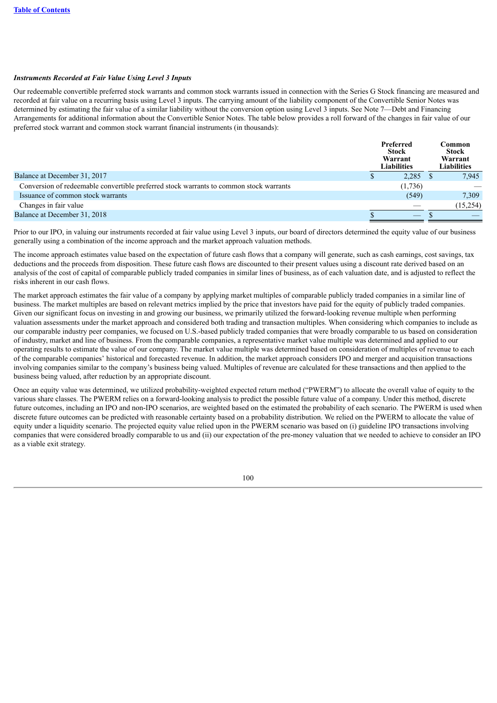### *Instruments Recorded at Fair Value Using Level 3 Inputs*

Our redeemable convertible preferred stock warrants and common stock warrants issued in connection with the Series G Stock financing are measured and recorded at fair value on a recurring basis using Level 3 inputs. The carrying amount of the liability component of the Convertible Senior Notes was determined by estimating the fair value of a similar liability without the conversion option using Level 3 inputs. See Note 7—Debt and Financing Arrangements for additional information about the Convertible Senior Notes. The table below provides a roll forward of the changes in fair value of our preferred stock warrant and common stock warrant financial instruments (in thousands):

|                                                                                        | Preferred<br>Stock<br>Warrant<br><b>Liabilities</b> | Common<br>Stock<br>Warrant<br>Liabilities |
|----------------------------------------------------------------------------------------|-----------------------------------------------------|-------------------------------------------|
| Balance at December 31, 2017                                                           | $2,285$ \$                                          | 7,945                                     |
| Conversion of redeemable convertible preferred stock warrants to common stock warrants | (1,736)                                             |                                           |
| Issuance of common stock warrants                                                      | (549)                                               | 7,309                                     |
| Changes in fair value                                                                  |                                                     | (15,254)                                  |
| Balance at December 31, 2018                                                           |                                                     |                                           |

Prior to our IPO, in valuing our instruments recorded at fair value using Level 3 inputs, our board of directors determined the equity value of our business generally using a combination of the income approach and the market approach valuation methods.

The income approach estimates value based on the expectation of future cash flows that a company will generate, such as cash earnings, cost savings, tax deductions and the proceeds from disposition. These future cash flows are discounted to their present values using a discount rate derived based on an analysis of the cost of capital of comparable publicly traded companies in similar lines of business, as of each valuation date, and is adjusted to reflect the risks inherent in our cash flows.

The market approach estimates the fair value of a company by applying market multiples of comparable publicly traded companies in a similar line of business. The market multiples are based on relevant metrics implied by the price that investors have paid for the equity of publicly traded companies. Given our significant focus on investing in and growing our business, we primarily utilized the forward-looking revenue multiple when performing valuation assessments under the market approach and considered both trading and transaction multiples. When considering which companies to include as our comparable industry peer companies, we focused on U.S.-based publicly traded companies that were broadly comparable to us based on consideration of industry, market and line of business. From the comparable companies, a representative market value multiple was determined and applied to our operating results to estimate the value of our company. The market value multiple was determined based on consideration of multiples of revenue to each of the comparable companies' historical and forecasted revenue. In addition, the market approach considers IPO and merger and acquisition transactions involving companies similar to the company's business being valued. Multiples of revenue are calculated for these transactions and then applied to the business being valued, after reduction by an appropriate discount.

Once an equity value was determined, we utilized probability-weighted expected return method ("PWERM") to allocate the overall value of equity to the various share classes. The PWERM relies on a forward-looking analysis to predict the possible future value of a company. Under this method, discrete future outcomes, including an IPO and non-IPO scenarios, are weighted based on the estimated the probability of each scenario. The PWERM is used when discrete future outcomes can be predicted with reasonable certainty based on a probability distribution. We relied on the PWERM to allocate the value of equity under a liquidity scenario. The projected equity value relied upon in the PWERM scenario was based on (i) guideline IPO transactions involving companies that were considered broadly comparable to us and (ii) our expectation of the pre-money valuation that we needed to achieve to consider an IPO as a viable exit strategy.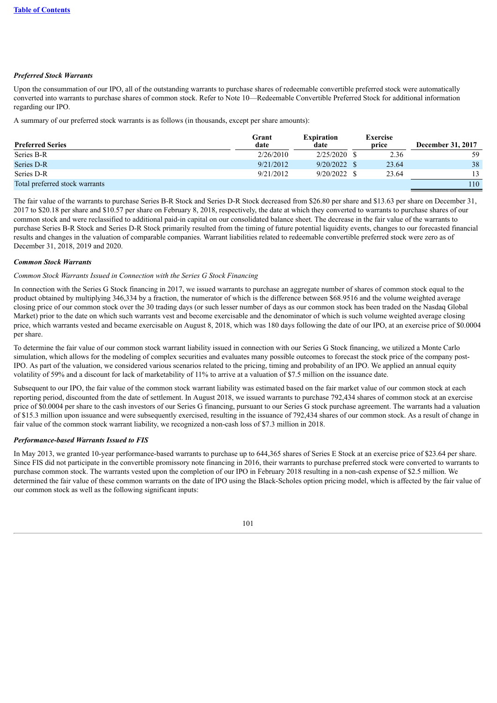# *Preferred Stock Warrants*

Upon the consummation of our IPO, all of the outstanding warrants to purchase shares of redeemable convertible preferred stock were automatically converted into warrants to purchase shares of common stock. Refer to Note 10—Redeemable Convertible Preferred Stock for additional information regarding our IPO.

A summary of our preferred stock warrants is as follows (in thousands, except per share amounts):

| <b>Preferred Series</b>        | Grant<br>date | <b>Expiration</b><br>date | <b>Exercise</b><br>price | <b>December 31, 2017</b> |
|--------------------------------|---------------|---------------------------|--------------------------|--------------------------|
| Series B-R                     | 2/26/2010     | $2/25/2020$ \$            | 2.36                     | 59                       |
| Series D-R                     | 9/21/2012     | $9/20/2022$ \$            | 23.64                    | 38                       |
| Series D-R                     | 9/21/2012     | $9/20/2022$ \$            | 23.64                    | 13                       |
| Total preferred stock warrants |               |                           |                          | 110                      |

The fair value of the warrants to purchase Series B-R Stock and Series D-R Stock decreased from \$26.80 per share and \$13.63 per share on December 31, 2017 to \$20.18 per share and \$10.57 per share on February 8, 2018, respectively, the date at which they converted to warrants to purchase shares of our common stock and were reclassified to additional paid-in capital on our consolidated balance sheet. The decrease in the fair value of the warrants to purchase Series B-R Stock and Series D-R Stock primarily resulted from the timing of future potential liquidity events, changes to our forecasted financial results and changes in the valuation of comparable companies. Warrant liabilities related to redeemable convertible preferred stock were zero as of December 31, 2018, 2019 and 2020.

### *Common Stock Warrants*

#### *Common Stock Warrants Issued in Connection with the Series G Stock Financing*

In connection with the Series G Stock financing in 2017, we issued warrants to purchase an aggregate number of shares of common stock equal to the product obtained by multiplying 346,334 by a fraction, the numerator of which is the difference between \$68.9516 and the volume weighted average closing price of our common stock over the 30 trading days (or such lesser number of days as our common stock has been traded on the Nasdaq Global Market) prior to the date on which such warrants vest and become exercisable and the denominator of which is such volume weighted average closing price, which warrants vested and became exercisable on August 8, 2018, which was 180 days following the date of our IPO, at an exercise price of \$0.0004 per share.

To determine the fair value of our common stock warrant liability issued in connection with our Series G Stock financing, we utilized a Monte Carlo simulation, which allows for the modeling of complex securities and evaluates many possible outcomes to forecast the stock price of the company post-IPO. As part of the valuation, we considered various scenarios related to the pricing, timing and probability of an IPO. We applied an annual equity volatility of 59% and a discount for lack of marketability of 11% to arrive at a valuation of \$7.5 million on the issuance date.

Subsequent to our IPO, the fair value of the common stock warrant liability was estimated based on the fair market value of our common stock at each reporting period, discounted from the date of settlement. In August 2018, we issued warrants to purchase 792,434 shares of common stock at an exercise price of \$0.0004 per share to the cash investors of our Series G financing, pursuant to our Series G stock purchase agreement. The warrants had a valuation of \$15.3 million upon issuance and were subsequently exercised, resulting in the issuance of 792,434 shares of our common stock. As a result of change in fair value of the common stock warrant liability, we recognized a non-cash loss of \$7.3 million in 2018.

# *Performance-based Warrants Issued to FIS*

In May 2013, we granted 10-year performance-based warrants to purchase up to 644,365 shares of Series E Stock at an exercise price of \$23.64 per share. Since FIS did not participate in the convertible promissory note financing in 2016, their warrants to purchase preferred stock were converted to warrants to purchase common stock. The warrants vested upon the completion of our IPO in February 2018 resulting in a non-cash expense of \$2.5 million. We determined the fair value of these common warrants on the date of IPO using the Black-Scholes option pricing model, which is affected by the fair value of our common stock as well as the following significant inputs: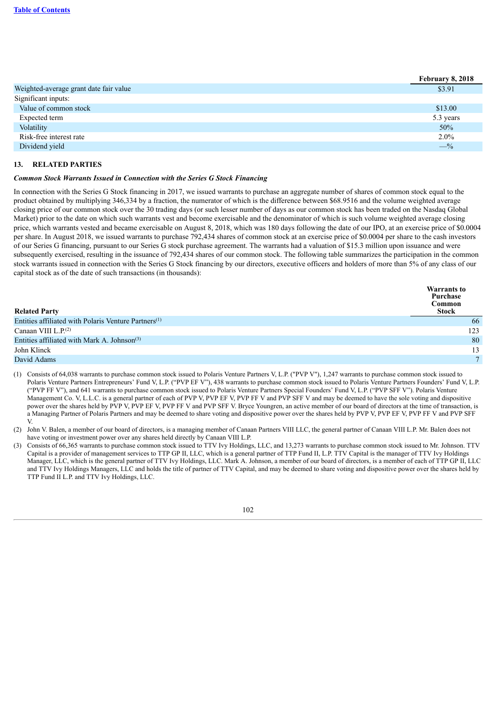|                                        | <b>February 8, 2018</b> |
|----------------------------------------|-------------------------|
| Weighted-average grant date fair value | \$3.91                  |
| Significant inputs:                    |                         |
| Value of common stock                  | \$13.00                 |
| Expected term                          | 5.3 years               |
| Volatility                             | 50%                     |
| Risk-free interest rate                | $2.0\%$                 |
| Dividend yield                         | $-$ %                   |

### **13. RELATED PARTIES**

#### *Common Stock Warrants Issued in Connection with the Series G Stock Financing*

In connection with the Series G Stock financing in 2017, we issued warrants to purchase an aggregate number of shares of common stock equal to the product obtained by multiplying 346,334 by a fraction, the numerator of which is the difference between \$68.9516 and the volume weighted average closing price of our common stock over the 30 trading days (or such lesser number of days as our common stock has been traded on the Nasdaq Global Market) prior to the date on which such warrants vest and become exercisable and the denominator of which is such volume weighted average closing price, which warrants vested and became exercisable on August 8, 2018, which was 180 days following the date of our IPO, at an exercise price of \$0.0004 per share. In August 2018, we issued warrants to purchase 792,434 shares of common stock at an exercise price of \$0.0004 per share to the cash investors of our Series G financing, pursuant to our Series G stock purchase agreement. The warrants had a valuation of \$15.3 million upon issuance and were subsequently exercised, resulting in the issuance of 792,434 shares of our common stock. The following table summarizes the participation in the common stock warrants issued in connection with the Series G Stock financing by our directors, executive officers and holders of more than 5% of any class of our capital stock as of the date of such transactions (in thousands):

| <b>Related Party</b>                                             | <b>Warrants to</b><br>Purchase<br>Common<br><b>Stock</b> |
|------------------------------------------------------------------|----------------------------------------------------------|
| Entities affiliated with Polaris Venture Partners <sup>(1)</sup> | 66                                                       |
| Canaan VIII $L.P(2)$                                             | 123                                                      |
| Entities affiliated with Mark A. Johnson <sup>(3)</sup>          | 80                                                       |
| John Klinck                                                      | 13                                                       |
| David Adams                                                      |                                                          |

(1) Consists of 64,038 warrants to purchase common stock issued to Polaris Venture Partners V, L.P. ("PVP V"), 1,247 warrants to purchase common stock issued to Polaris Venture Partners Entrepreneurs' Fund V, L.P. ("PVP EF V"), 438 warrants to purchase common stock issued to Polaris Venture Partners Founders' Fund V, L.P. ("PVP FF V"), and 641 warrants to purchase common stock issued to Polaris Venture Partners Special Founders' Fund V, L.P. ("PVP SFF V"). Polaris Venture Management Co. V, L.L.C. is a general partner of each of PVP V, PVP EF V, PVP FF V and PVP SFF V and may be deemed to have the sole voting and dispositive power over the shares held by PVP V, PVP EF V, PVP FF V and PVP SFF V. Bryce Youngren, an active member of our board of directors at the time of transaction, is a Managing Partner of Polaris Partners and may be deemed to share voting and dispositive power over the shares held by PVP V, PVP EF V, PVP FF V and PVP SFF V.

(2) John V. Balen, a member of our board of directors, is a managing member of Canaan Partners VIII LLC, the general partner of Canaan VIII L.P. Mr. Balen does not have voting or investment power over any shares held directly by Canaan VIII L.P.

(3) Consists of 66,365 warrants to purchase common stock issued to TTV Ivy Holdings, LLC, and 13,273 warrants to purchase common stock issued to Mr. Johnson. TTV Capital is a provider of management services to TTP GP II, LLC, which is a general partner of TTP Fund II, L.P. TTV Capital is the manager of TTV Ivy Holdings Manager, LLC, which is the general partner of TTV Ivy Holdings, LLC. Mark A. Johnson, a member of our board of directors, is a member of each of TTP GP II, LLC and TTV Ivy Holdings Managers, LLC and holds the title of partner of TTV Capital, and may be deemed to share voting and dispositive power over the shares held by TTP Fund II L.P. and TTV Ivy Holdings, LLC.

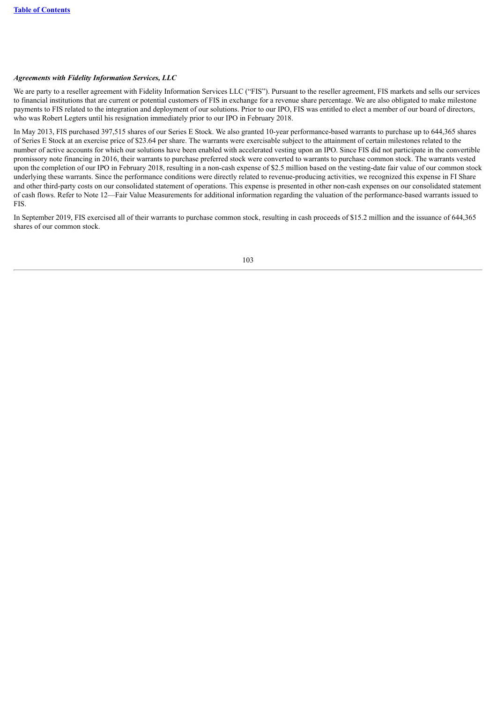# *Agreements with Fidelity Information Services, LLC*

We are party to a reseller agreement with Fidelity Information Services LLC ("FIS"). Pursuant to the reseller agreement, FIS markets and sells our services to financial institutions that are current or potential customers of FIS in exchange for a revenue share percentage. We are also obligated to make milestone payments to FIS related to the integration and deployment of our solutions. Prior to our IPO, FIS was entitled to elect a member of our board of directors, who was Robert Legters until his resignation immediately prior to our IPO in February 2018.

In May 2013, FIS purchased 397,515 shares of our Series E Stock. We also granted 10-year performance-based warrants to purchase up to 644,365 shares of Series E Stock at an exercise price of \$23.64 per share. The warrants were exercisable subject to the attainment of certain milestones related to the number of active accounts for which our solutions have been enabled with accelerated vesting upon an IPO. Since FIS did not participate in the convertible promissory note financing in 2016, their warrants to purchase preferred stock were converted to warrants to purchase common stock. The warrants vested upon the completion of our IPO in February 2018, resulting in a non-cash expense of \$2.5 million based on the vesting-date fair value of our common stock underlying these warrants. Since the performance conditions were directly related to revenue-producing activities, we recognized this expense in FI Share and other third-party costs on our consolidated statement of operations. This expense is presented in other non-cash expenses on our consolidated statement of cash flows. Refer to Note 12—Fair Value Measurements for additional information regarding the valuation of the performance-based warrants issued to FIS.

In September 2019, FIS exercised all of their warrants to purchase common stock, resulting in cash proceeds of \$15.2 million and the issuance of 644,365 shares of our common stock.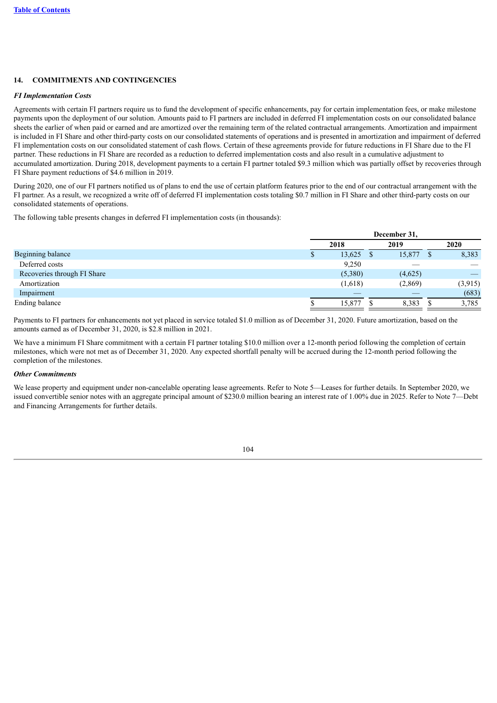# **14. COMMITMENTS AND CONTINGENCIES**

#### *FI Implementation Costs*

Agreements with certain FI partners require us to fund the development of specific enhancements, pay for certain implementation fees, or make milestone payments upon the deployment of our solution. Amounts paid to FI partners are included in deferred FI implementation costs on our consolidated balance sheets the earlier of when paid or earned and are amortized over the remaining term of the related contractual arrangements. Amortization and impairment is included in FI Share and other third-party costs on our consolidated statements of operations and is presented in amortization and impairment of deferred FI implementation costs on our consolidated statement of cash flows. Certain of these agreements provide for future reductions in FI Share due to the FI partner. These reductions in FI Share are recorded as a reduction to deferred implementation costs and also result in a cumulative adjustment to accumulated amortization. During 2018, development payments to a certain FI partner totaled \$9.3 million which was partially offset by recoveries through FI Share payment reductions of \$4.6 million in 2019.

During 2020, one of our FI partners notified us of plans to end the use of certain platform features prior to the end of our contractual arrangement with the FI partner. As a result, we recognized a write off of deferred FI implementation costs totaling \$0.7 million in FI Share and other third-party costs on our consolidated statements of operations.

The following table presents changes in deferred FI implementation costs (in thousands):

|                             | December 31, |         |  |         |  |         |  |
|-----------------------------|--------------|---------|--|---------|--|---------|--|
|                             |              | 2018    |  | 2019    |  | 2020    |  |
| Beginning balance           | Φ            | 13,625  |  | 15,877  |  | 8,383   |  |
| Deferred costs              |              | 9,250   |  |         |  |         |  |
| Recoveries through FI Share |              | (5,380) |  | (4,625) |  |         |  |
| Amortization                |              | (1,618) |  | (2,869) |  | (3,915) |  |
| Impairment                  |              |         |  |         |  | (683)   |  |
| Ending balance              |              | 15,877  |  | 8,383   |  | 3,785   |  |

Payments to FI partners for enhancements not yet placed in service totaled \$1.0 million as of December 31, 2020. Future amortization, based on the amounts earned as of December 31, 2020, is \$2.8 million in 2021.

We have a minimum FI Share commitment with a certain FI partner totaling \$10.0 million over a 12-month period following the completion of certain milestones, which were not met as of December 31, 2020. Any expected shortfall penalty will be accrued during the 12-month period following the completion of the milestones.

#### *Other Commitments*

We lease property and equipment under non-cancelable operating lease agreements. Refer to Note 5—Leases for further details. In September 2020, we issued convertible senior notes with an aggregate principal amount of \$230.0 million bearing an interest rate of 1.00% due in 2025. Refer to Note 7—Debt and Financing Arrangements for further details.

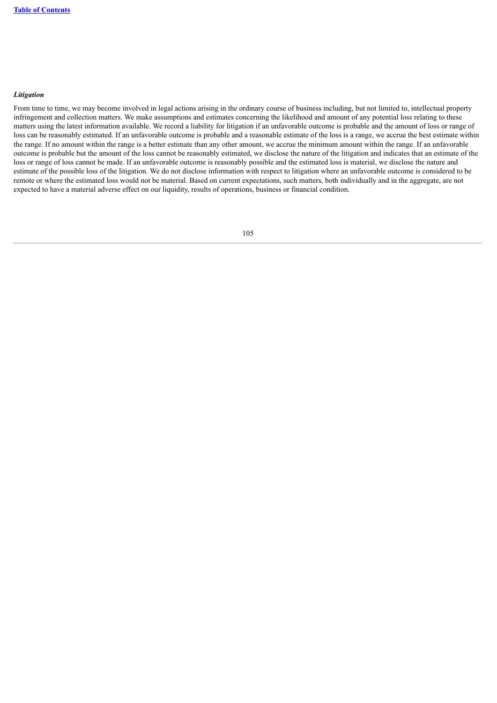# *Litigation*

From time to time, we may become involved in legal actions arising in the ordinary course of business including, but not limited to, intellectual property infringement and collection matters. We make assumptions and estimates concerning the likelihood and amount of any potential loss relating to these matters using the latest information available. We record a liability for litigation if an unfavorable outcome is probable and the amount of loss or range of loss can be reasonably estimated. If an unfavorable outcome is probable and a reasonable estimate of the loss is a range, we accrue the best estimate within the range. If no amount within the range is a better estimate than any other amount, we accrue the minimum amount within the range. If an unfavorable outcome is probable but the amount of the loss cannot be reasonably estimated, we disclose the nature of the litigation and indicates that an estimate of the loss or range of loss cannot be made. If an unfavorable outcome is reasonably possible and the estimated loss is material, we disclose the nature and estimate of the possible loss of the litigation. We do not disclose information with respect to litigation where an unfavorable outcome is considered to be remote or where the estimated loss would not be material. Based on current expectations, such matters, both individually and in the aggregate, are not expected to have a material adverse effect on our liquidity, results of operations, business or financial condition.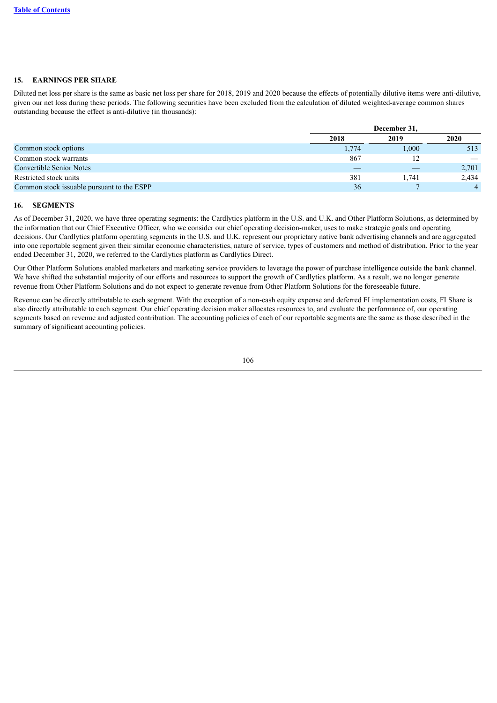# **15. EARNINGS PER SHARE**

Diluted net loss per share is the same as basic net loss per share for 2018, 2019 and 2020 because the effects of potentially dilutive items were anti-dilutive, given our net loss during these periods. The following securities have been excluded from the calculation of diluted weighted-average common shares outstanding because the effect is anti-dilutive (in thousands):

|                                            |       | December 31, |                |  |  |  |
|--------------------------------------------|-------|--------------|----------------|--|--|--|
|                                            | 2018  | 2019         | 2020           |  |  |  |
| Common stock options                       | 1,774 | 000.         | 513            |  |  |  |
| Common stock warrants                      | 867   | 12           |                |  |  |  |
| <b>Convertible Senior Notes</b>            |       |              | 2,701          |  |  |  |
| Restricted stock units                     | 381   | .741         | 2,434          |  |  |  |
| Common stock issuable pursuant to the ESPP | 36    |              | $\overline{4}$ |  |  |  |

#### **16. SEGMENTS**

As of December 31, 2020, we have three operating segments: the Cardlytics platform in the U.S. and U.K. and Other Platform Solutions, as determined by the information that our Chief Executive Officer, who we consider our chief operating decision-maker, uses to make strategic goals and operating decisions. Our Cardlytics platform operating segments in the U.S. and U.K. represent our proprietary native bank advertising channels and are aggregated into one reportable segment given their similar economic characteristics, nature of service, types of customers and method of distribution. Prior to the year ended December 31, 2020, we referred to the Cardlytics platform as Cardlytics Direct.

Our Other Platform Solutions enabled marketers and marketing service providers to leverage the power of purchase intelligence outside the bank channel. We have shifted the substantial majority of our efforts and resources to support the growth of Cardlytics platform. As a result, we no longer generate revenue from Other Platform Solutions and do not expect to generate revenue from Other Platform Solutions for the foreseeable future.

Revenue can be directly attributable to each segment. With the exception of a non-cash equity expense and deferred FI implementation costs, FI Share is also directly attributable to each segment. Our chief operating decision maker allocates resources to, and evaluate the performance of, our operating segments based on revenue and adjusted contribution. The accounting policies of each of our reportable segments are the same as those described in the summary of significant accounting policies.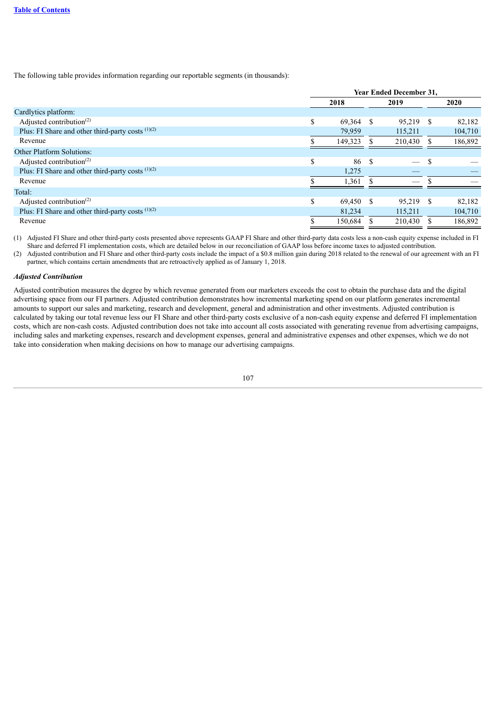The following table provides information regarding our reportable segments (in thousands):

| <b>Year Ended December 31,</b> |         |     |                          |      |         |  |
|--------------------------------|---------|-----|--------------------------|------|---------|--|
|                                | 2018    |     | 2019                     |      | 2020    |  |
|                                |         |     |                          |      |         |  |
| \$                             | 69,364  | -S  | 95,219                   | - \$ | 82,182  |  |
|                                | 79,959  |     | 115,211                  |      | 104,710 |  |
|                                | 149,323 |     | 210.430                  |      | 186,892 |  |
|                                |         |     |                          |      |         |  |
| \$                             | 86      |     | $\overline{\phantom{0}}$ |      |         |  |
|                                | 1,275   |     |                          |      |         |  |
|                                | 1,361   |     |                          |      |         |  |
|                                |         |     |                          |      |         |  |
| \$                             | 69,450  | \$. | 95,219                   | -S   | 82,182  |  |
|                                | 81,234  |     | 115,211                  |      | 104,710 |  |
|                                | 150,684 |     | 210.430                  |      | 186,892 |  |
|                                |         |     | - \$                     |      |         |  |

(1) Adjusted FI Share and other third-party costs presented above represents GAAP FI Share and other third-party data costs less a non-cash equity expense included in FI Share and deferred FI implementation costs, which are detailed below in our reconciliation of GAAP loss before income taxes to adjusted contribution.

(2) Adjusted contribution and FI Share and other third-party costs include the impact of a \$0.8 million gain during 2018 related to the renewal of our agreement with an FI partner, which contains certain amendments that are retroactively applied as of January 1, 2018.

#### *Adjusted Contribution*

Adjusted contribution measures the degree by which revenue generated from our marketers exceeds the cost to obtain the purchase data and the digital advertising space from our FI partners. Adjusted contribution demonstrates how incremental marketing spend on our platform generates incremental amounts to support our sales and marketing, research and development, general and administration and other investments. Adjusted contribution is calculated by taking our total revenue less our FI Share and other third-party costs exclusive of a non-cash equity expense and deferred FI implementation costs, which are non-cash costs. Adjusted contribution does not take into account all costs associated with generating revenue from advertising campaigns, including sales and marketing expenses, research and development expenses, general and administrative expenses and other expenses, which we do not take into consideration when making decisions on how to manage our advertising campaigns.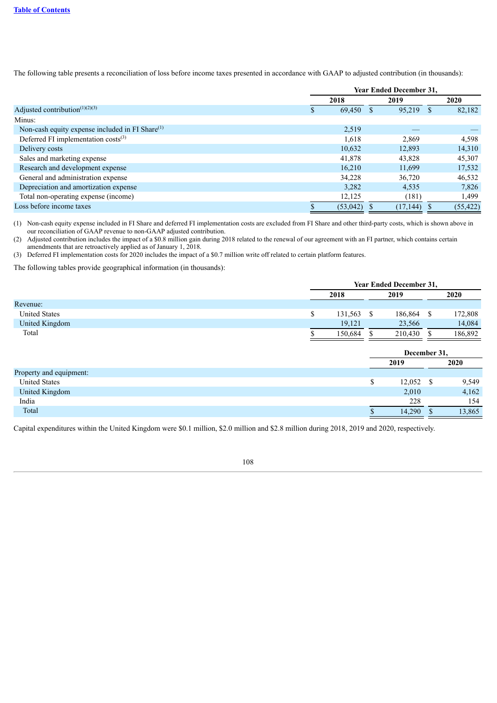The following table presents a reconciliation of loss before income taxes presented in accordance with GAAP to adjusted contribution (in thousands):

|                                                             | <b>Year Ended December 31,</b> |          |     |           |  |           |
|-------------------------------------------------------------|--------------------------------|----------|-----|-----------|--|-----------|
|                                                             |                                | 2018     |     | 2019      |  | 2020      |
| Adjusted contribution $(1)(2)(3)$                           |                                | 69,450   | \$. | 95,219    |  | 82,182    |
| Minus:                                                      |                                |          |     |           |  |           |
| Non-cash equity expense included in FI Share <sup>(1)</sup> |                                | 2,519    |     |           |  |           |
| Deferred FI implementation costs <sup>(3)</sup>             |                                | 1,618    |     | 2.869     |  | 4,598     |
| Delivery costs                                              |                                | 10,632   |     | 12,893    |  | 14,310    |
| Sales and marketing expense                                 |                                | 41.878   |     | 43,828    |  | 45,307    |
| Research and development expense                            |                                | 16,210   |     | 11.699    |  | 17,532    |
| General and administration expense                          |                                | 34.228   |     | 36,720    |  | 46,532    |
| Depreciation and amortization expense                       |                                | 3,282    |     | 4,535     |  | 7,826     |
| Total non-operating expense (income)                        |                                | 12,125   |     | (181)     |  | 1,499     |
| Loss before income taxes                                    |                                | (53,042) |     | (17, 144) |  | (55, 422) |

(1) Non-cash equity expense included in FI Share and deferred FI implementation costs are excluded from FI Share and other third-party costs, which is shown above in our reconciliation of GAAP revenue to non-GAAP adjusted contribution.

(2) Adjusted contribution includes the impact of a \$0.8 million gain during 2018 related to the renewal of our agreement with an FI partner, which contains certain amendments that are retroactively applied as of January 1, 2018.

(3) Deferred FI implementation costs for 2020 includes the impact of a \$0.7 million write off related to certain platform features.

The following tables provide geographical information (in thousands):

| <b>Year Ended December 31,</b> |  |         |         |
|--------------------------------|--|---------|---------|
| 2018                           |  | 2019    | 2020    |
|                                |  |         |         |
| 131,563                        |  | 186.864 | 172,808 |
| 19.121                         |  | 23,566  | 14,084  |
| 150,684                        |  | 210,430 | 186,892 |
|                                |  |         |         |

|                           | December 31, |  |        |
|---------------------------|--------------|--|--------|
| 2019                      |              |  | 2020   |
| Property and equipment:   |              |  |        |
| <b>United States</b><br>Ъ | $12,052$ \$  |  | 9,549  |
| United Kingdom            | 2,010        |  | 4,162  |
| India                     | 228          |  | 154    |
| Total                     | 14,290       |  | 13,865 |

Capital expenditures within the United Kingdom were \$0.1 million, \$2.0 million and \$2.8 million during 2018, 2019 and 2020, respectively.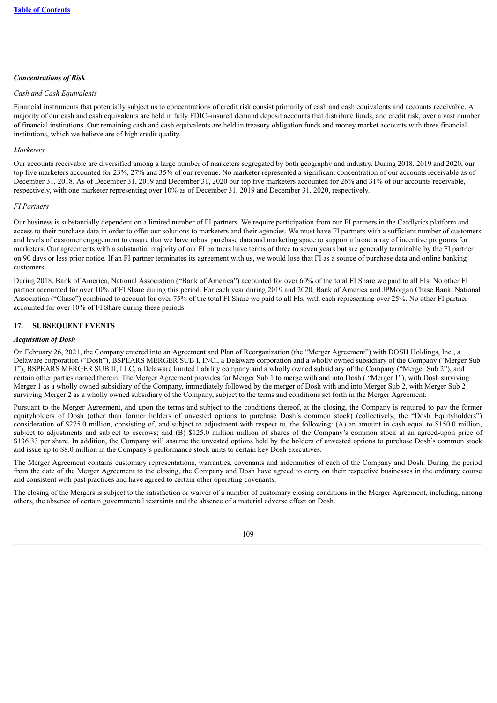#### *Concentrations of Risk*

#### *Cash and Cash Equivalents*

Financial instruments that potentially subject us to concentrations of credit risk consist primarily of cash and cash equivalents and accounts receivable. A majority of our cash and cash equivalents are held in fully FDIC–insured demand deposit accounts that distribute funds, and credit risk, over a vast number of financial institutions. Our remaining cash and cash equivalents are held in treasury obligation funds and money market accounts with three financial institutions, which we believe are of high credit quality.

#### *Marketers*

Our accounts receivable are diversified among a large number of marketers segregated by both geography and industry. During 2018, 2019 and 2020, our top five marketers accounted for 23%, 27% and 35% of our revenue. No marketer represented a significant concentration of our accounts receivable as of December 31, 2018. As of December 31, 2019 and December 31, 2020 our top five marketers accounted for 26% and 31% of our accounts receivable, respectively, with one marketer representing over 10% as of December 31, 2019 and December 31, 2020, respectively.

#### *FI Partners*

Our business is substantially dependent on a limited number of FI partners. We require participation from our FI partners in the Cardlytics platform and access to their purchase data in order to offer our solutions to marketers and their agencies. We must have FI partners with a sufficient number of customers and levels of customer engagement to ensure that we have robust purchase data and marketing space to support a broad array of incentive programs for marketers. Our agreements with a substantial majority of our FI partners have terms of three to seven years but are generally terminable by the FI partner on 90 days or less prior notice. If an FI partner terminates its agreement with us, we would lose that FI as a source of purchase data and online banking customers.

During 2018, Bank of America, National Association ("Bank of America") accounted for over 60% of the total FI Share we paid to all FIs. No other FI partner accounted for over 10% of FI Share during this period. For each year during 2019 and 2020, Bank of America and JPMorgan Chase Bank, National Association ("Chase") combined to account for over 75% of the total FI Share we paid to all FIs, with each representing over 25%. No other FI partner accounted for over 10% of FI Share during these periods.

#### **17. SUBSEQUENT EVENTS**

#### *Acquisition of Dosh*

On February 26, 2021, the Company entered into an Agreement and Plan of Reorganization (the "Merger Agreement") with DOSH Holdings, Inc., a Delaware corporation ("Dosh"), BSPEARS MERGER SUB I, INC., a Delaware corporation and a wholly owned subsidiary of the Company ("Merger Sub 1"), BSPEARS MERGER SUB II, LLC, a Delaware limited liability company and a wholly owned subsidiary of the Company ("Merger Sub 2"), and certain other parties named therein. The Merger Agreement provides for Merger Sub 1 to merge with and into Dosh ( "Merger 1"), with Dosh surviving Merger 1 as a wholly owned subsidiary of the Company, immediately followed by the merger of Dosh with and into Merger Sub 2, with Merger Sub 2 surviving Merger 2 as a wholly owned subsidiary of the Company, subject to the terms and conditions set forth in the Merger Agreement.

Pursuant to the Merger Agreement, and upon the terms and subject to the conditions thereof, at the closing, the Company is required to pay the former equityholders of Dosh (other than former holders of unvested options to purchase Dosh's common stock) (collectively, the "Dosh Equityholders") consideration of \$275.0 million, consisting of, and subject to adjustment with respect to, the following: (A) an amount in cash equal to \$150.0 million, subject to adjustments and subject to escrows; and (B) \$125.0 million million of shares of the Company's common stock at an agreed-upon price of \$136.33 per share. In addition, the Company will assume the unvested options held by the holders of unvested options to purchase Dosh's common stock and issue up to \$8.0 million in the Company's performance stock units to certain key Dosh executives.

The Merger Agreement contains customary representations, warranties, covenants and indemnities of each of the Company and Dosh. During the period from the date of the Merger Agreement to the closing, the Company and Dosh have agreed to carry on their respective businesses in the ordinary course and consistent with past practices and have agreed to certain other operating covenants.

The closing of the Mergers is subject to the satisfaction or waiver of a number of customary closing conditions in the Merger Agreement, including, among others, the absence of certain governmental restraints and the absence of a material adverse effect on Dosh.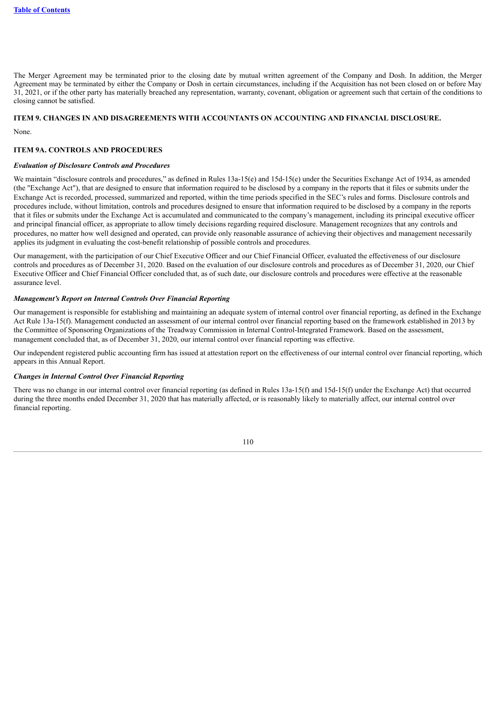The Merger Agreement may be terminated prior to the closing date by mutual written agreement of the Company and Dosh. In addition, the Merger Agreement may be terminated by either the Company or Dosh in certain circumstances, including if the Acquisition has not been closed on or before May 31, 2021, or if the other party has materially breached any representation, warranty, covenant, obligation or agreement such that certain of the conditions to closing cannot be satisfied.

# **ITEM 9. CHANGES IN AND DISAGREEMENTS WITH ACCOUNTANTS ON ACCOUNTING AND FINANCIAL DISCLOSURE.**

None.

#### **ITEM 9A. CONTROLS AND PROCEDURES**

#### *Evaluation of Disclosure Controls and Procedures*

We maintain "disclosure controls and procedures," as defined in Rules 13a-15(e) and 15d-15(e) under the Securities Exchange Act of 1934, as amended (the "Exchange Act"), that are designed to ensure that information required to be disclosed by a company in the reports that it files or submits under the Exchange Act is recorded, processed, summarized and reported, within the time periods specified in the SEC's rules and forms. Disclosure controls and procedures include, without limitation, controls and procedures designed to ensure that information required to be disclosed by a company in the reports that it files or submits under the Exchange Act is accumulated and communicated to the company's management, including its principal executive officer and principal financial officer, as appropriate to allow timely decisions regarding required disclosure. Management recognizes that any controls and procedures, no matter how well designed and operated, can provide only reasonable assurance of achieving their objectives and management necessarily applies its judgment in evaluating the cost-benefit relationship of possible controls and procedures.

Our management, with the participation of our Chief Executive Officer and our Chief Financial Officer, evaluated the effectiveness of our disclosure controls and procedures as of December 31, 2020. Based on the evaluation of our disclosure controls and procedures as of December 31, 2020, our Chief Executive Officer and Chief Financial Officer concluded that, as of such date, our disclosure controls and procedures were effective at the reasonable assurance level.

#### *Management's Report on Internal Controls Over Financial Reporting*

Our management is responsible for establishing and maintaining an adequate system of internal control over financial reporting, as defined in the Exchange Act Rule 13a-15(f). Management conducted an assessment of our internal control over financial reporting based on the framework established in 2013 by the Committee of Sponsoring Organizations of the Treadway Commission in Internal Control-Integrated Framework. Based on the assessment, management concluded that, as of December 31, 2020, our internal control over financial reporting was effective.

Our independent registered public accounting firm has issued at attestation report on the effectiveness of our internal control over financial reporting, which appears in this Annual Report.

#### *Changes in Internal Control Over Financial Reporting*

There was no change in our internal control over financial reporting (as defined in Rules 13a-15(f) and 15d-15(f) under the Exchange Act) that occurred during the three months ended December 31, 2020 that has materially affected, or is reasonably likely to materially affect, our internal control over financial reporting.

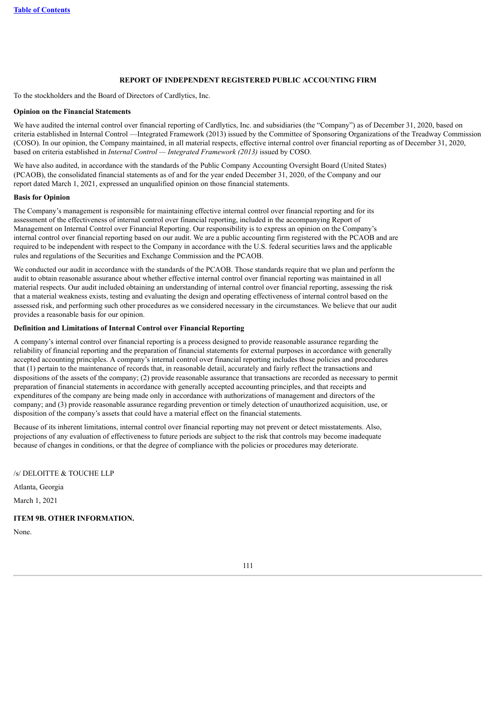# **REPORT OF INDEPENDENT REGISTERED PUBLIC ACCOUNTING FIRM**

To the stockholders and the Board of Directors of Cardlytics, Inc.

#### **Opinion on the Financial Statements**

We have audited the internal control over financial reporting of Cardlytics, Inc. and subsidiaries (the "Company") as of December 31, 2020, based on criteria established in Internal Control —Integrated Framework (2013) issued by the Committee of Sponsoring Organizations of the Treadway Commission (COSO). In our opinion, the Company maintained, in all material respects, effective internal control over financial reporting as of December 31, 2020, based on criteria established in *Internal Control — Integrated Framework (2013)* issued by COSO.

We have also audited, in accordance with the standards of the Public Company Accounting Oversight Board (United States) (PCAOB), the consolidated financial statements as of and for the year ended December 31, 2020, of the Company and our report dated March 1, 2021, expressed an unqualified opinion on those financial statements.

# **Basis for Opinion**

The Company's management is responsible for maintaining effective internal control over financial reporting and for its assessment of the effectiveness of internal control over financial reporting, included in the accompanying Report of Management on Internal Control over Financial Reporting. Our responsibility is to express an opinion on the Company's internal control over financial reporting based on our audit. We are a public accounting firm registered with the PCAOB and are required to be independent with respect to the Company in accordance with the U.S. federal securities laws and the applicable rules and regulations of the Securities and Exchange Commission and the PCAOB.

We conducted our audit in accordance with the standards of the PCAOB. Those standards require that we plan and perform the audit to obtain reasonable assurance about whether effective internal control over financial reporting was maintained in all material respects. Our audit included obtaining an understanding of internal control over financial reporting, assessing the risk that a material weakness exists, testing and evaluating the design and operating effectiveness of internal control based on the assessed risk, and performing such other procedures as we considered necessary in the circumstances. We believe that our audit provides a reasonable basis for our opinion.

#### **Definition and Limitations of Internal Control over Financial Reporting**

A company's internal control over financial reporting is a process designed to provide reasonable assurance regarding the reliability of financial reporting and the preparation of financial statements for external purposes in accordance with generally accepted accounting principles. A company's internal control over financial reporting includes those policies and procedures that (1) pertain to the maintenance of records that, in reasonable detail, accurately and fairly reflect the transactions and dispositions of the assets of the company; (2) provide reasonable assurance that transactions are recorded as necessary to permit preparation of financial statements in accordance with generally accepted accounting principles, and that receipts and expenditures of the company are being made only in accordance with authorizations of management and directors of the company; and (3) provide reasonable assurance regarding prevention or timely detection of unauthorized acquisition, use, or disposition of the company's assets that could have a material effect on the financial statements.

Because of its inherent limitations, internal control over financial reporting may not prevent or detect misstatements. Also, projections of any evaluation of effectiveness to future periods are subject to the risk that controls may become inadequate because of changes in conditions, or that the degree of compliance with the policies or procedures may deteriorate.

/s/ DELOITTE & TOUCHE LLP

Atlanta, Georgia March 1, 2021

# **ITEM 9B. OTHER INFORMATION.**

None.

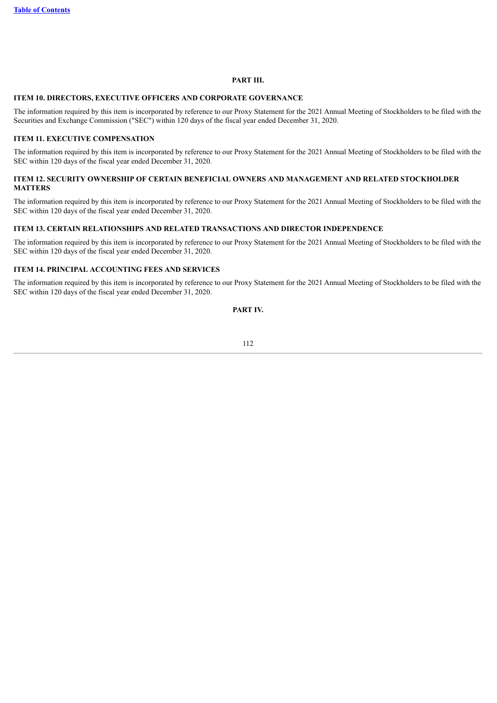### **PART III.**

# **ITEM 10. DIRECTORS, EXECUTIVE OFFICERS AND CORPORATE GOVERNANCE**

The information required by this item is incorporated by reference to our Proxy Statement for the 2021 Annual Meeting of Stockholders to be filed with the Securities and Exchange Commission ("SEC") within 120 days of the fiscal year ended December 31, 2020.

#### **ITEM 11. EXECUTIVE COMPENSATION**

The information required by this item is incorporated by reference to our Proxy Statement for the 2021 Annual Meeting of Stockholders to be filed with the SEC within 120 days of the fiscal year ended December 31, 2020.

# **ITEM 12. SECURITY OWNERSHIP OF CERTAIN BENEFICIAL OWNERS AND MANAGEMENT AND RELATED STOCKHOLDER MATTERS**

The information required by this item is incorporated by reference to our Proxy Statement for the 2021 Annual Meeting of Stockholders to be filed with the SEC within 120 days of the fiscal year ended December 31, 2020.

# **ITEM 13. CERTAIN RELATIONSHIPS AND RELATED TRANSACTIONS AND DIRECTOR INDEPENDENCE**

The information required by this item is incorporated by reference to our Proxy Statement for the 2021 Annual Meeting of Stockholders to be filed with the SEC within 120 days of the fiscal year ended December 31, 2020.

# **ITEM 14. PRINCIPAL ACCOUNTING FEES AND SERVICES**

The information required by this item is incorporated by reference to our Proxy Statement for the 2021 Annual Meeting of Stockholders to be filed with the SEC within 120 days of the fiscal year ended December 31, 2020.

**PART IV.**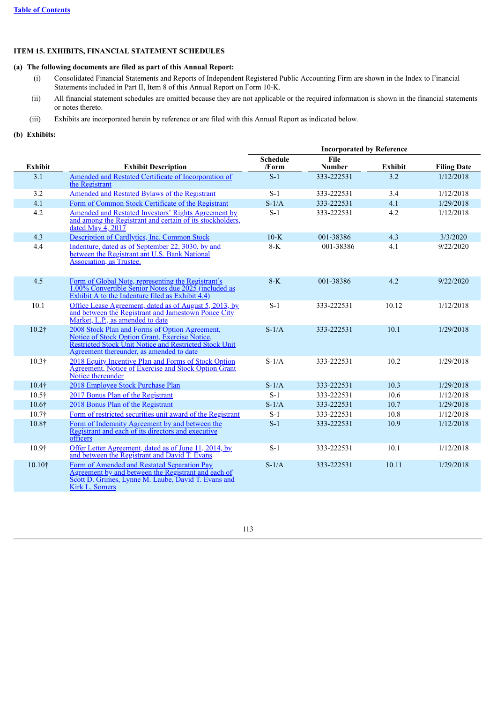# **ITEM 15. EXHIBITS, FINANCIAL STATEMENT SCHEDULES**

# **(a) The following documents are filed as part of this Annual Report:**

- (i) Consolidated Financial Statements and Reports of Independent Registered Public Accounting Firm are shown in the Index to Financial Statements included in Part II, Item 8 of this Annual Report on Form 10-K.
- (ii) All financial statement schedules are omitted because they are not applicable or the required information is shown in the financial statements or notes thereto.
- (iii) Exhibits are incorporated herein by reference or are filed with this Annual Report as indicated below.

# **(b) Exhibits:**

|                   |                                                                                                                                                                                                        |                 | <b>Incorporated by Reference</b> |         |                    |
|-------------------|--------------------------------------------------------------------------------------------------------------------------------------------------------------------------------------------------------|-----------------|----------------------------------|---------|--------------------|
|                   |                                                                                                                                                                                                        | <b>Schedule</b> | File                             |         |                    |
| <b>Exhibit</b>    | <b>Exhibit Description</b>                                                                                                                                                                             | /Form           | Number                           | Exhibit | <b>Filing Date</b> |
| 3.1               | Amended and Restated Certificate of Incorporation of<br>the Registrant                                                                                                                                 | $S-1$           | 333-222531                       | 3.2     | 1/12/2018          |
| 3.2               | Amended and Restated Bylaws of the Registrant                                                                                                                                                          | $S-1$           | 333-222531                       | 3.4     | 1/12/2018          |
| 4.1               | Form of Common Stock Certificate of the Registrant                                                                                                                                                     | $S-1/A$         | 333-222531                       | 4.1     | 1/29/2018          |
| 4.2               | <b>Amended and Restated Investors' Rights Agreement by</b><br>and among the Registrant and certain of its stockholders,<br>dated May $\overline{4,2017}$                                               | $S-1$           | 333-222531                       | 4.2     | 1/12/2018          |
| 4.3               | Description of Cardlytics, Inc. Common Stock                                                                                                                                                           | $10-K$          | 001-38386                        | 4.3     | 3/3/2020           |
| 4.4               | Indenture, dated as of September 22, 3030, by and<br>between the Registrant ant U.S. Bank National<br>Association, as Trustee.                                                                         | $8-K$           | 001-38386                        | 4.1     | 9/22/2020          |
| 4.5               | Form of Global Note, representing the Registrant's<br>1.00% Convertible Senior Notes due 2025 (included as<br>Exhibit A to the Indenture filed as Exhibit $\hat{A}$ . 4)                               | $8-K$           | 001-38386                        | 4.2     | 9/22/2020          |
| 10.1              | Office Lease Agreement, dated as of August 5, 2013, by<br>and between the Registrant and Jamestown Ponce City<br>Market, L.P., as amended to date                                                      | $S-1$           | 333-222531                       | 10.12   | 1/12/2018          |
| $10.2\dagger$     | 2008 Stock Plan and Forms of Option Agreement,<br>Notice of Stock Option Grant, Exercise Notice,<br>Restricted Stock Unit Notice and Restricted Stock Unit<br>Agreement thereunder, as amended to date | $S-1/A$         | 333-222531                       | 10.1    | 1/29/2018          |
| $10.3\dagger$     | 2018 Equity Incentive Plan and Forms of Stock Option<br>Agreement, Notice of Exercise and Stock Option Grant<br>Notice thereunder                                                                      | $S-1/A$         | 333-222531                       | 10.2    | 1/29/2018          |
| 10.4 <sup>†</sup> | 2018 Employee Stock Purchase Plan                                                                                                                                                                      | $S-1/A$         | 333-222531                       | 10.3    | 1/29/2018          |
| $10.5\dagger$     | 2017 Bonus Plan of the Registrant                                                                                                                                                                      | $S-1$           | 333-222531                       | 10.6    | 1/12/2018          |
| $10.6\dagger$     | 2018 Bonus Plan of the Registrant                                                                                                                                                                      | $S-1/A$         | 333-222531                       | 10.7    | 1/29/2018          |
| 10.7 <sup>†</sup> | Form of restricted securities unit award of the Registrant                                                                                                                                             | $S-1$           | 333-222531                       | 10.8    | 1/12/2018          |
| 10.8†             | Form of Indemnity Agreement by and between the<br>Registrant and each of its directors and executive<br>officers                                                                                       | $S-1$           | 333-222531                       | 10.9    | 1/12/2018          |
| 10.9†             | Offer Letter Agreement, dated as of June 11, 2014, by<br>and between the Registrant and David T. Evans                                                                                                 | $S-1$           | 333-222531                       | 10.1    | 1/12/2018          |
| $10.10\dagger$    | Form of Amended and Restated Separation Pay<br>Agreement by and between the Registrant and each of<br>Scott D. Grimes, Lynne M. Laube, David T. Evans and<br>Kirk L. Somers                            | $S-1/A$         | 333-222531                       | 10.11   | 1/29/2018          |

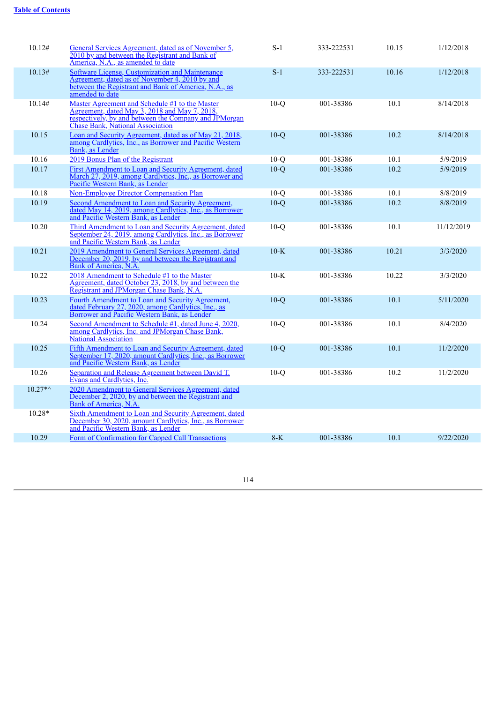| 10.12#    | General Services Agreement, dated as of November 5,<br>2010 by and between the Registrant and Bank of<br>America, N.A., as amended to date                                                   | $S-1$  | 333-222531 | 10.15 | 1/12/2018  |
|-----------|----------------------------------------------------------------------------------------------------------------------------------------------------------------------------------------------|--------|------------|-------|------------|
| 10.13#    | Software License, Customization and Maintenance<br>Agreement, dated as of November 4, 2010 by and<br>between the Registrant and Bank of America, N.A., as<br>amended to date                 | $S-1$  | 333-222531 | 10.16 | 1/12/2018  |
| 10.14#    | Master Agreement and Schedule #1 to the Master<br>Agreement, dated May 3, 2018 and May 7, 2018,<br>respectively, by and between the Company and JPMorgan<br>Chase Bank, National Association | $10-Q$ | 001-38386  | 10.1  | 8/14/2018  |
| 10.15     | Loan and Security Agreement, dated as of May 21, 2018,<br>among Cardlytics, Inc., as Borrower and Pacific Western<br>Bank, as Lender                                                         | $10-Q$ | 001-38386  | 10.2  | 8/14/2018  |
| 10.16     | 2019 Bonus Plan of the Registrant                                                                                                                                                            | $10-Q$ | 001-38386  | 10.1  | 5/9/2019   |
| 10.17     | First Amendment to Loan and Security Agreement, dated<br>March 27, 2019, among Cardlytics, Inc., as Borrower and<br>Pacific Western Bank, as Lender                                          | $10-Q$ | 001-38386  | 10.2  | 5/9/2019   |
| 10.18     | <b>Non-Employee Director Compensation Plan</b>                                                                                                                                               | $10-o$ | 001-38386  | 10.1  | 8/8/2019   |
| 10.19     | Second Amendment to Loan and Security Agreement,<br>dated May 14, 2019, among Cardlytics, Inc., as Borrower<br>and Pacific Western Bank, as Lender                                           | $10-Q$ | 001-38386  | 10.2  | 8/8/2019   |
| 10.20     | Third Amendment to Loan and Security Agreement, dated<br>September 24, 2019, among Cardlytics, Inc., as Borrower<br>and Pacific Western Bank, as Lender                                      | $10-Q$ | 001-38386  | 10.1  | 11/12/2019 |
| 10.21     | 2019 Amendment to General Services Agreement, dated<br>December 20, 2019, by and between the Registrant and<br>Bank of America, N.A.                                                         | $10-K$ | 001-38386  | 10.21 | 3/3/2020   |
| 10.22     | 2018 Amendment to Schedule #1 to the Master<br>Agreement, dated October 23, 2018, by and between the<br>Registrant and JPMorgan Chase Bank, N.A.                                             | $10-K$ | 001-38386  | 10.22 | 3/3/2020   |
| 10.23     | Fourth Amendment to Loan and Security Agreement,<br>dated February 27, 2020, among Cardlytics, Inc., as<br>Borrower and Pacific Western Bank, as Lender                                      | $10-o$ | 001-38386  | 10.1  | 5/11/2020  |
| 10.24     | Second Amendment to Schedule #1, dated June 4, 2020,<br>among Cardlytics, Inc. and JPMorgan Chase Bank,<br>National Association                                                              | $10-Q$ | 001-38386  | 10.1  | 8/4/2020   |
| 10.25     | Fifth Amendment to Loan and Security Agreement, dated<br>September 17, 2020, amount Cardlytics, Inc., as Borrower<br>and Pacific Western Bank, as Lender                                     | $10-Q$ | 001-38386  | 10.1  | 11/2/2020  |
| 10.26     | Separation and Release Agreement between David T.<br>Evans and Cardlytics, Inc.                                                                                                              | $10-Q$ | 001-38386  | 10.2  | 11/2/2020  |
| $10.27**$ | 2020 Amendment to General Services Agreement, dated<br>December 2, 2020, by and between the Registrant and<br>Bank of America, N.A.                                                          |        |            |       |            |
| $10.28*$  | <b>Sixth Amendment to Loan and Security Agreement, dated</b><br>December 30, 2020, amount Cardlytics, Inc., as Borrower<br>and Pacific Western Bank, as Lender                               |        |            |       |            |
| 10.29     | Form of Confirmation for Capped Call Transactions                                                                                                                                            | $8-K$  | 001-38386  | 10.1  | 9/22/2020  |
|           |                                                                                                                                                                                              |        |            |       |            |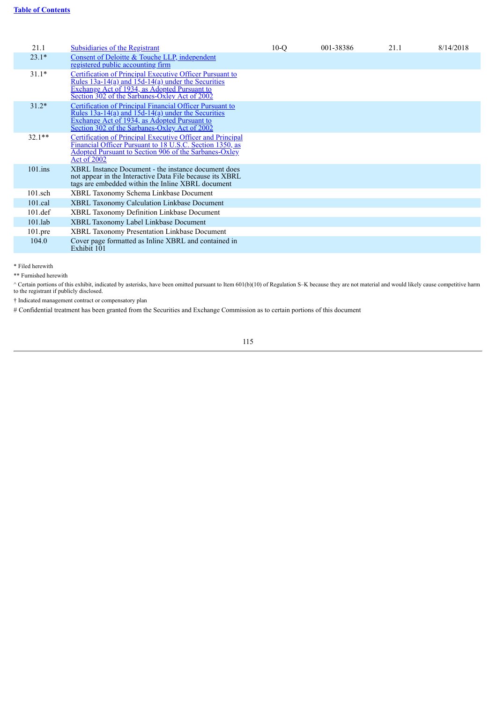| 21.1       | Subsidiaries of the Registrant                                                                                                                                                                                             | $10$ -O | 001-38386 | 21.1 | 8/14/2018 |
|------------|----------------------------------------------------------------------------------------------------------------------------------------------------------------------------------------------------------------------------|---------|-----------|------|-----------|
| $23.1*$    | Consent of Deloitte & Touche LLP, independent<br>registered public accounting firm                                                                                                                                         |         |           |      |           |
| $31.1*$    | <b>Certification of Principal Executive Officer Pursuant to</b><br>Rules $13a-14(a)$ and $15d-14(a)$ under the Securities<br>Exchange Act of 1934, as Adopted Pursuant to<br>Section 302 of the Sarbanes-Oxley Act of 2002 |         |           |      |           |
| $31.2*$    | Certification of Principal Financial Officer Pursuant to<br>Rules $13a-14(a)$ and $15d-14(a)$ under the Securities<br>Exchange Act of 1934, as Adopted Pursuant to<br>Section 302 of the Sarbanes-Oxley Act of 2002        |         |           |      |           |
| $32.1**$   | <b>Certification of Principal Executive Officer and Principal</b><br>Financial Officer Pursuant to 18 U.S.C. Section 1350, as<br>Adopted Pursuant to Section 906 of the Sarbanes-Oxley<br><b>Act of 2002</b>               |         |           |      |           |
| $101$ ins  | XBRL Instance Document - the instance document does<br>not appear in the Interactive Data File because its XBRL<br>tags are embedded within the Inline XBRL document                                                       |         |           |      |           |
| $101$ .sch | XBRL Taxonomy Schema Linkbase Document                                                                                                                                                                                     |         |           |      |           |
| $101$ cal  | XBRL Taxonomy Calculation Linkbase Document                                                                                                                                                                                |         |           |      |           |
| $101.$ def | XBRL Taxonomy Definition Linkbase Document                                                                                                                                                                                 |         |           |      |           |
| $101$ .lab | XBRL Taxonomy Label Linkbase Document                                                                                                                                                                                      |         |           |      |           |
| $101$ .pre | XBRL Taxonomy Presentation Linkbase Document                                                                                                                                                                               |         |           |      |           |
| 104.0      | Cover page formatted as Inline XBRL and contained in<br>Exhibit 101                                                                                                                                                        |         |           |      |           |

\* Filed herewith

\*\* Furnished herewith

 $^{\circ}$  Certain portions of this exhibit, indicated by asterisks, have been omitted pursuant to Item 601(b)(10) of Regulation S–K because they are not material and would likely cause competitive harm to the registrant if publicly disclosed.

† Indicated management contract or compensatory plan

# Confidential treatment has been granted from the Securities and Exchange Commission as to certain portions of this document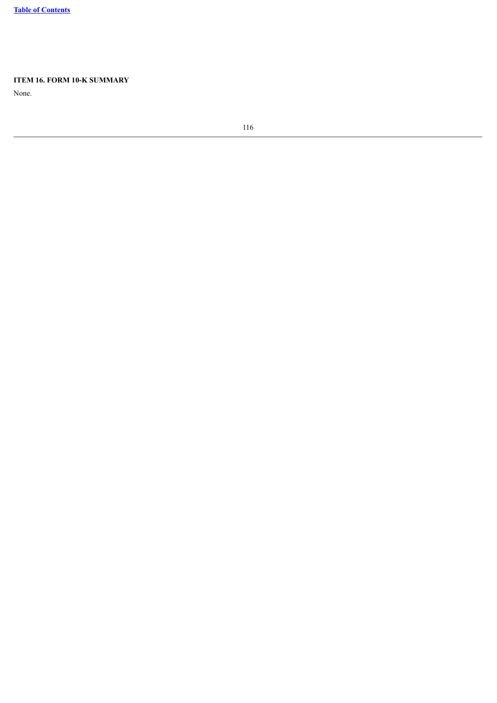# **ITEM 16. FORM 10-K SUMMARY**

None.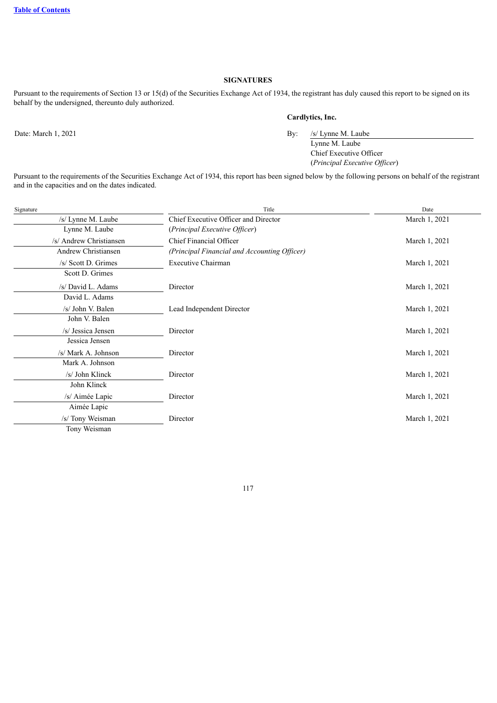# **SIGNATURES**

Pursuant to the requirements of Section 13 or 15(d) of the Securities Exchange Act of 1934, the registrant has duly caused this report to be signed on its behalf by the undersigned, thereunto duly authorized.

**Cardlytics, Inc.**

Date: March 1, 2021 By: /s/ Lynne M. Laube

Lynne M. Laube Chief Executive Officer (*Principal Executive Of icer*)

Pursuant to the requirements of the Securities Exchange Act of 1934, this report has been signed below by the following persons on behalf of the registrant and in the capacities and on the dates indicated.

| Signature               | Title                                        | Date          |
|-------------------------|----------------------------------------------|---------------|
| /s/ Lynne M. Laube      | Chief Executive Officer and Director         | March 1, 2021 |
| Lynne M. Laube          | (Principal Executive Officer)                |               |
| /s/ Andrew Christiansen | Chief Financial Officer                      | March 1, 2021 |
| Andrew Christiansen     | (Principal Financial and Accounting Officer) |               |
| /s/ Scott D. Grimes     | <b>Executive Chairman</b>                    | March 1, 2021 |
| Scott D. Grimes         |                                              |               |
| /s/ David L. Adams      | Director                                     | March 1, 2021 |
| David L. Adams          |                                              |               |
| /s/ John V. Balen       | Lead Independent Director                    | March 1, 2021 |
| John V. Balen           |                                              |               |
| /s/ Jessica Jensen      | Director                                     | March 1, 2021 |
| Jessica Jensen          |                                              |               |
| /s/ Mark A. Johnson     | Director                                     | March 1, 2021 |
| Mark A. Johnson         |                                              |               |
| /s/ John Klinck         | Director                                     | March 1, 2021 |
| John Klinck             |                                              |               |
| /s/ Aimée Lapic         | Director                                     | March 1, 2021 |
| Aimée Lapic             |                                              |               |
| /s/ Tony Weisman        | Director                                     | March 1, 2021 |
| Tony Weisman            |                                              |               |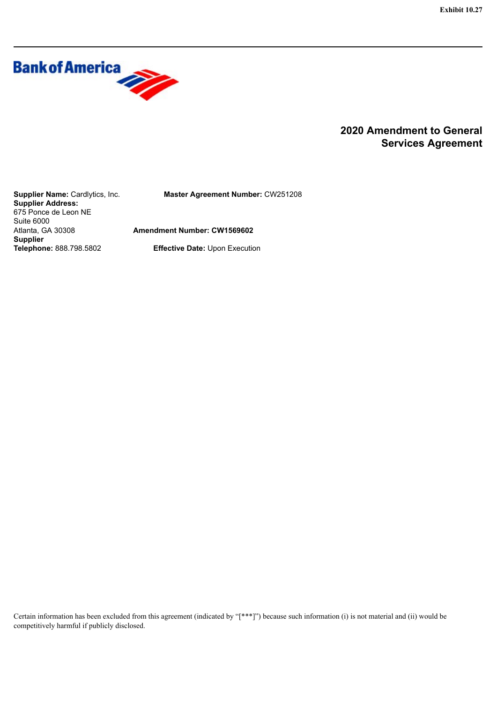<span id="page-118-0"></span>

# **2020 Amendment to General Services Agreement**

**Supplier Address:** 675 Ponce de Leon NE Suite 6000<br>Atlanta, GA 30308 **Supplier**

**Supplier Name:** Cardlytics, Inc. **Master Agreement Number:** CW251208

**Amendment Number: CW1569602** 

**Telephone:** 888.798.5802 **Effective Date:** Upon Execution

Certain information has been excluded from this agreement (indicated by "[\*\*\*]") because such information (i) is not material and (ii) would be competitively harmful if publicly disclosed.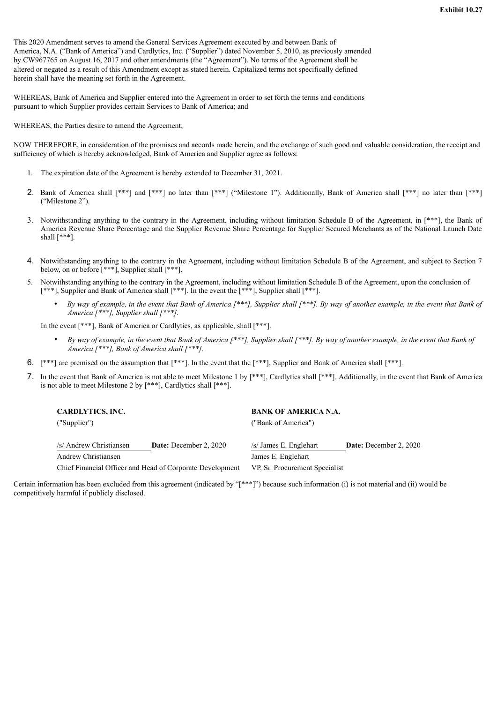This 2020 Amendment serves to amend the General Services Agreement executed by and between Bank of America, N.A. ("Bank of America") and Cardlytics, Inc. ("Supplier") dated November 5, 2010, as previously amended by CW967765 on August 16, 2017 and other amendments (the "Agreement"). No terms of the Agreement shall be altered or negated as a result of this Amendment except as stated herein. Capitalized terms not specifically defined herein shall have the meaning set forth in the Agreement.

WHEREAS, Bank of America and Supplier entered into the Agreement in order to set forth the terms and conditions pursuant to which Supplier provides certain Services to Bank of America; and

WHEREAS, the Parties desire to amend the Agreement;

NOW THEREFORE, in consideration of the promises and accords made herein, and the exchange of such good and valuable consideration, the receipt and sufficiency of which is hereby acknowledged, Bank of America and Supplier agree as follows:

- 1. The expiration date of the Agreement is hereby extended to December 31, 2021.
- 2. Bank of America shall [\*\*\*] and [\*\*\*] no later than [\*\*\*] ("Milestone 1"). Additionally, Bank of America shall [\*\*\*] no later than [\*\*\*] ("Milestone 2").
- 3. Notwithstanding anything to the contrary in the Agreement, including without limitation Schedule B of the Agreement, in [\*\*\*], the Bank of America Revenue Share Percentage and the Supplier Revenue Share Percentage for Supplier Secured Merchants as of the National Launch Date shall [\*\*\*].
- 4. Notwithstanding anything to the contrary in the Agreement, including without limitation Schedule B of the Agreement, and subject to Section 7 below, on or before [\*\*\*], Supplier shall [\*\*\*].
- 5. Notwithstanding anything to the contrary in the Agreement, including without limitation Schedule B of the Agreement, upon the conclusion of [\*\*\*], Supplier and Bank of America shall [\*\*\*]. In the event the [\*\*\*], Supplier shall [\*\*\*].
	- By way of example, in the event that Bank of America [\*\*\*], Supplier shall [\*\*\*]. By way of another example, in the event that Bank of *America [\*\*\*], Supplier shall [\*\*\*].*

In the event [\*\*\*], Bank of America or Cardlytics, as applicable, shall [\*\*\*].

- By way of example, in the event that Bank of America [\*\*\*], Supplier shall [\*\*\*]. By way of another example, in the event that Bank of *America [\*\*\*], Bank of America shall [\*\*\*].*
- 6. [\*\*\*] are premised on the assumption that [\*\*\*]. In the event that the [\*\*\*], Supplier and Bank of America shall [\*\*\*].
- 7. In the event that Bank of America is not able to meet Milestone 1 by [\*\*\*], Cardlytics shall [\*\*\*]. Additionally, in the event that Bank of America is not able to meet Milestone 2 by [\*\*\*], Cardlytics shall [\*\*\*].

| <b>CARDLYTICS, INC.</b> |                                                           | <b>BANK OF AMERICA N.A.</b>    |                        |
|-------------------------|-----------------------------------------------------------|--------------------------------|------------------------|
| ("Supplier")            |                                                           | ("Bank of America")            |                        |
| /s/ Andrew Christiansen | Date: December 2, 2020                                    | /s/ James E. Englehart         | Date: December 2, 2020 |
| Andrew Christiansen     |                                                           | James E. Englehart             |                        |
|                         | Chief Financial Officer and Head of Corporate Development | VP, Sr. Procurement Specialist |                        |

Certain information has been excluded from this agreement (indicated by " $[***]$ ") because such information (i) is not material and (ii) would be competitively harmful if publicly disclosed.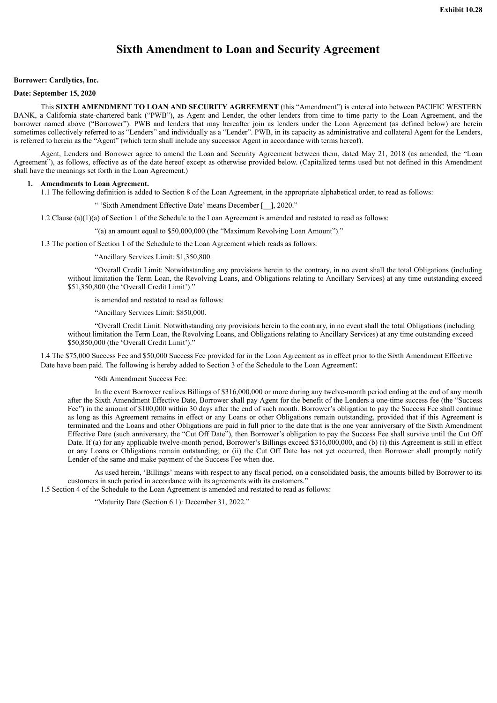# **Sixth Amendment to Loan and Security Agreement**

#### <span id="page-120-0"></span>**Borrower: Cardlytics, Inc.**

#### **Date: September 15, 2020**

This **SIXTH AMENDMENT TO LOAN AND SECURITY AGREEMENT** (this "Amendment") is entered into between PACIFIC WESTERN BANK, a California state-chartered bank ("PWB"), as Agent and Lender, the other lenders from time to time party to the Loan Agreement, and the borrower named above ("Borrower"). PWB and lenders that may hereafter join as lenders under the Loan Agreement (as defined below) are herein sometimes collectively referred to as "Lenders" and individually as a "Lender". PWB, in its capacity as administrative and collateral Agent for the Lenders, is referred to herein as the "Agent" (which term shall include any successor Agent in accordance with terms hereof).

Agent, Lenders and Borrower agree to amend the Loan and Security Agreement between them, dated May 21, 2018 (as amended, the "Loan Agreement"), as follows, effective as of the date hereof except as otherwise provided below. (Capitalized terms used but not defined in this Amendment shall have the meanings set forth in the Loan Agreement.)

#### **1. Amendments to Loan Agreement.**

1.1 The following definition is added to Section 8 of the Loan Agreement, in the appropriate alphabetical order, to read as follows:

" 'Sixth Amendment Effective Date' means December [\_\_], 2020."

1.2 Clause (a)(1)(a) of Section 1 of the Schedule to the Loan Agreement is amended and restated to read as follows:

"(a) an amount equal to \$50,000,000 (the "Maximum Revolving Loan Amount")."

1.3 The portion of Section 1 of the Schedule to the Loan Agreement which reads as follows:

#### "Ancillary Services Limit: \$1,350,800.

"Overall Credit Limit: Notwithstanding any provisions herein to the contrary, in no event shall the total Obligations (including without limitation the Term Loan, the Revolving Loans, and Obligations relating to Ancillary Services) at any time outstanding exceed \$51,350,800 (the 'Overall Credit Limit')."

is amended and restated to read as follows:

"Ancillary Services Limit: \$850,000.

"Overall Credit Limit: Notwithstanding any provisions herein to the contrary, in no event shall the total Obligations (including without limitation the Term Loan, the Revolving Loans, and Obligations relating to Ancillary Services) at any time outstanding exceed \$50,850,000 (the 'Overall Credit Limit')."

1.4 The \$75,000 Success Fee and \$50,000 Success Fee provided for in the Loan Agreement as in effect prior to the Sixth Amendment Effective Date have been paid. The following is hereby added to Section 3 of the Schedule to the Loan Agreement:

"6th Amendment Success Fee:

In the event Borrower realizes Billings of \$316,000,000 or more during any twelve-month period ending at the end of any month after the Sixth Amendment Effective Date, Borrower shall pay Agent for the benefit of the Lenders a one-time success fee (the "Success Fee") in the amount of \$100,000 within 30 days after the end of such month. Borrower's obligation to pay the Success Fee shall continue as long as this Agreement remains in effect or any Loans or other Obligations remain outstanding, provided that if this Agreement is terminated and the Loans and other Obligations are paid in full prior to the date that is the one year anniversary of the Sixth Amendment Effective Date (such anniversary, the "Cut Off Date"), then Borrower's obligation to pay the Success Fee shall survive until the Cut Off Date. If (a) for any applicable twelve-month period, Borrower's Billings exceed \$316,000,000, and (b) (i) this Agreement is still in effect or any Loans or Obligations remain outstanding; or (ii) the Cut Off Date has not yet occurred, then Borrower shall promptly notify Lender of the same and make payment of the Success Fee when due.

As used herein, 'Billings' means with respect to any fiscal period, on a consolidated basis, the amounts billed by Borrower to its customers in such period in accordance with its agreements with its customers."

1.5 Section 4 of the Schedule to the Loan Agreement is amended and restated to read as follows:

"Maturity Date (Section 6.1): December 31, 2022."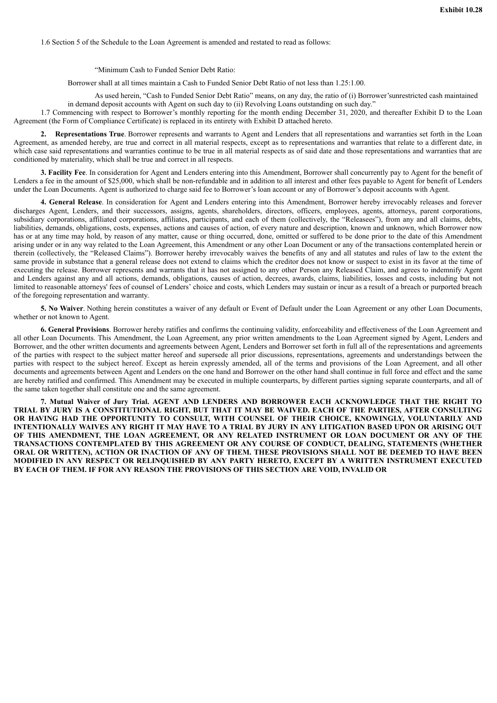1.6 Section 5 of the Schedule to the Loan Agreement is amended and restated to read as follows:

"Minimum Cash to Funded Senior Debt Ratio:

Borrower shall at all times maintain a Cash to Funded Senior Debt Ratio of not less than 1.25:1.00

As used herein, "Cash to Funded Senior Debt Ratio" means, on any day, the ratio of (i) Borrower'sunrestricted cash maintained in demand deposit accounts with Agent on such day to (ii) Revolving Loans outstanding on such day."

1.7 Commencing with respect to Borrower's monthly reporting for the month ending December 31, 2020, and thereafter Exhibit D to the Loan Agreement (the Form of Compliance Certificate) is replaced in its entirety with Exhibit D attached hereto.

**2. Representations True**. Borrower represents and warrants to Agent and Lenders that all representations and warranties set forth in the Loan Agreement, as amended hereby, are true and correct in all material respects, except as to representations and warranties that relate to a different date, in which case said representations and warranties continue to be true in all material respects as of said date and those representations and warranties that are conditioned by materiality, which shall be true and correct in all respects.

**3. Facility Fee**. In consideration for Agent and Lenders entering into this Amendment, Borrower shall concurrently pay to Agent for the benefit of Lenders a fee in the amount of \$25,000, which shall be non-refundable and in addition to all interest and other fees payable to Agent for benefit of Lenders under the Loan Documents. Agent is authorized to charge said fee to Borrower's loan account or any of Borrower's deposit accounts with Agent.

**4. General Release**. In consideration for Agent and Lenders entering into this Amendment, Borrower hereby irrevocably releases and forever discharges Agent, Lenders, and their successors, assigns, agents, shareholders, directors, officers, employees, agents, attorneys, parent corporations, subsidiary corporations, affiliated corporations, affiliates, participants, and each of them (collectively, the "Releasees"), from any and all claims, debts, liabilities, demands, obligations, costs, expenses, actions and causes of action, of every nature and description, known and unknown, which Borrower now has or at any time may hold, by reason of any matter, cause or thing occurred, done, omitted or suffered to be done prior to the date of this Amendment arising under or in any way related to the Loan Agreement, this Amendment or any other Loan Document or any of the transactions contemplated herein or therein (collectively, the "Released Claims"). Borrower hereby irrevocably waives the benefits of any and all statutes and rules of law to the extent the same provide in substance that a general release does not extend to claims which the creditor does not know or suspect to exist in its favor at the time of executing the release. Borrower represents and warrants that it has not assigned to any other Person any Released Claim, and agrees to indemnify Agent and Lenders against any and all actions, demands, obligations, causes of action, decrees, awards, claims, liabilities, losses and costs, including but not limited to reasonable attorneys' fees of counsel of Lenders' choice and costs, which Lenders may sustain or incur as a result of a breach or purported breach of the foregoing representation and warranty.

**5. No Waiver**. Nothing herein constitutes a waiver of any default or Event of Default under the Loan Agreement or any other Loan Documents, whether or not known to Agent.

**6. General Provisions**. Borrower hereby ratifies and confirms the continuing validity, enforceability and effectiveness of the Loan Agreement and all other Loan Documents. This Amendment, the Loan Agreement, any prior written amendments to the Loan Agreement signed by Agent, Lenders and Borrower, and the other written documents and agreements between Agent, Lenders and Borrower set forth in full all of the representations and agreements of the parties with respect to the subject matter hereof and supersede all prior discussions, representations, agreements and understandings between the parties with respect to the subject hereof. Except as herein expressly amended, all of the terms and provisions of the Loan Agreement, and all other documents and agreements between Agent and Lenders on the one hand and Borrower on the other hand shall continue in full force and effect and the same are hereby ratified and confirmed. This Amendment may be executed in multiple counterparts, by different parties signing separate counterparts, and all of the same taken together shall constitute one and the same agreement.

**7. Mutual Waiver of Jury Trial. AGENT AND LENDERS AND BORROWER EACH ACKNOWLEDGE THAT THE RIGHT TO** TRIAL BY JURY IS A CONSTITUTIONAL RIGHT, BUT THAT IT MAY BE WAIVED. EACH OF THE PARTIES, AFTER CONSULTING **OR HAVING HAD THE OPPORTUNITY TO CONSULT, WITH COUNSEL OF THEIR CHOICE, KNOWINGLY, VOLUNTARILY AND** INTENTIONALLY WAIVES ANY RIGHT IT MAY HAVE TO A TRIAL BY JURY IN ANY LITIGATION BASED UPON OR ARISING OUT **OF THIS AMENDMENT, THE LOAN AGREEMENT, OR ANY RELATED INSTRUMENT OR LOAN DOCUMENT OR ANY OF THE TRANSACTIONS CONTEMPLATED BY THIS AGREEMENT OR ANY COURSE OF CONDUCT, DEALING, STATEMENTS (WHETHER** ORAL OR WRITTEN), ACTION OR INACTION OF ANY OF THEM. THESE PROVISIONS SHALL NOT BE DEEMED TO HAVE BEEN **MODIFIED IN ANY RESPECT OR RELINQUISHED BY ANY PARTY HERETO, EXCEPT BY A WRITTEN INSTRUMENT EXECUTED BY EACH OF THEM. IF FOR ANY REASON THE PROVISIONS OF THIS SECTION ARE VOID, INVALID OR**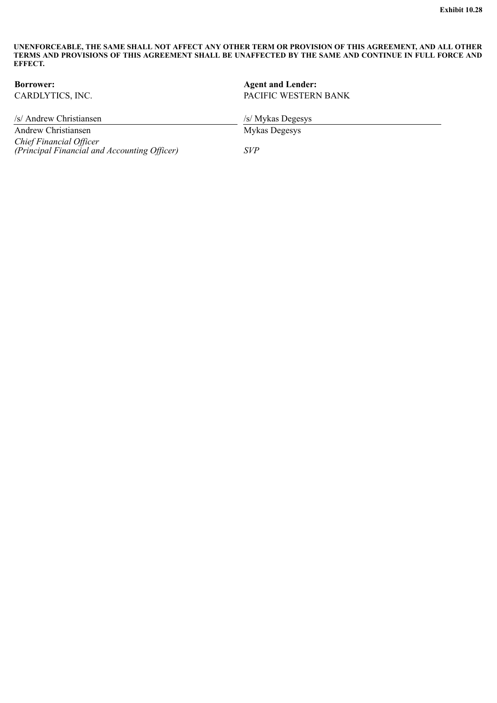#### **UNENFORCEABLE, THE SAME SHALL NOT AFFECT ANY OTHER TERM OR PROVISION OF THIS AGREEMENT, AND ALL OTHER** TERMS AND PROVISIONS OF THIS AGREEMENT SHALL BE UNAFFECTED BY THE SAME AND CONTINUE IN FULL FORCE AND **EFFECT.**

**Borrower: Agent and Lender:** CARDLYTICS, INC. PACIFIC WESTERN BANK

/s/ Andrew Christiansen /s/ Mykas Degesys

Andrew Christiansen Mykas Degesys *Chief Financial Officer (Principal Financial and Accounting Officer) SVP*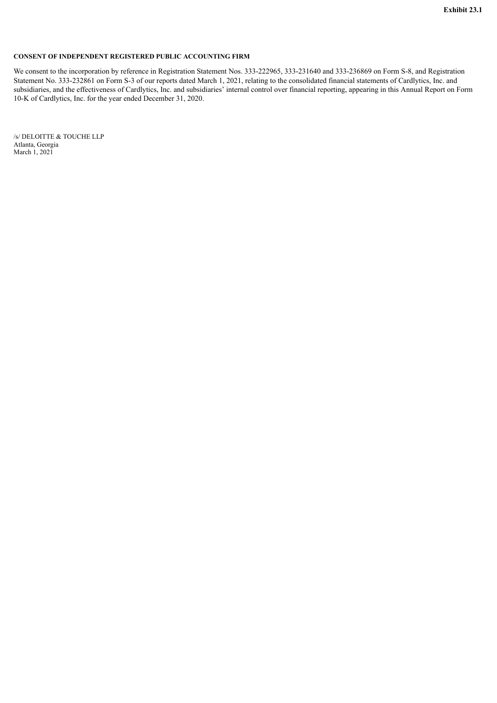#### <span id="page-123-0"></span>**CONSENT OF INDEPENDENT REGISTERED PUBLIC ACCOUNTING FIRM**

We consent to the incorporation by reference in Registration Statement Nos. 333-222965, 333-231640 and 333-236869 on Form S-8, and Registration Statement No. 333-232861 on Form S-3 of our reports dated March 1, 2021, relating to the consolidated financial statements of Cardlytics, Inc. and subsidiaries, and the effectiveness of Cardlytics, Inc. and subsidiaries' internal control over financial reporting, appearing in this Annual Report on Form 10-K of Cardlytics, Inc. for the year ended December 31, 2020.

/s/ DELOITTE & TOUCHE LLP Atlanta, Georgia March 1, 2021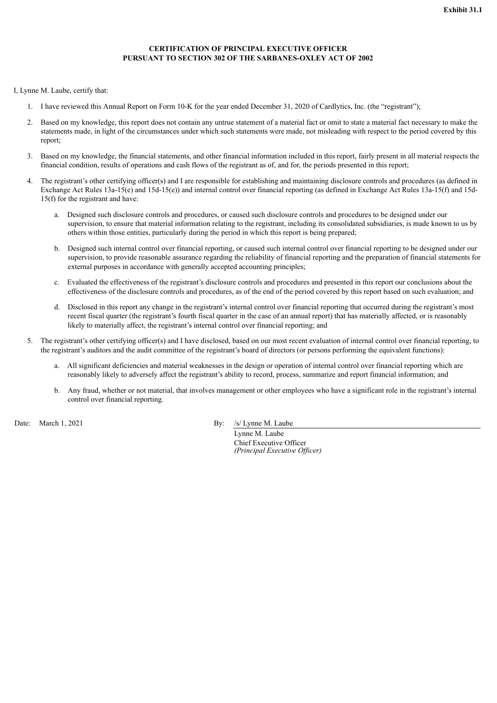# **CERTIFICATION OF PRINCIPAL EXECUTIVE OFFICER PURSUANT TO SECTION 302 OF THE SARBANES-OXLEY ACT OF 2002**

<span id="page-124-0"></span>I, Lynne M. Laube, certify that:

- 1. I have reviewed this Annual Report on Form 10-K for the year ended December 31, 2020 of Cardlytics, Inc. (the "registrant");
- 2. Based on my knowledge, this report does not contain any untrue statement of a material fact or omit to state a material fact necessary to make the statements made, in light of the circumstances under which such statements were made, not misleading with respect to the period covered by this report;
- 3. Based on my knowledge, the financial statements, and other financial information included in this report, fairly present in all material respects the financial condition, results of operations and cash flows of the registrant as of, and for, the periods presented in this report;
- 4. The registrant's other certifying officer(s) and I are responsible for establishing and maintaining disclosure controls and procedures (as defined in Exchange Act Rules 13a-15(e) and 15d-15(e)) and internal control over financial reporting (as defined in Exchange Act Rules 13a-15(f) and 15d-15(f) for the registrant and have:
	- a. Designed such disclosure controls and procedures, or caused such disclosure controls and procedures to be designed under our supervision, to ensure that material information relating to the registrant, including its consolidated subsidiaries, is made known to us by others within those entities, particularly during the period in which this report is being prepared;
	- b. Designed such internal control over financial reporting, or caused such internal control over financial reporting to be designed under our supervision, to provide reasonable assurance regarding the reliability of financial reporting and the preparation of financial statements for external purposes in accordance with generally accepted accounting principles;
	- c. Evaluated the effectiveness of the registrant's disclosure controls and procedures and presented in this report our conclusions about the effectiveness of the disclosure controls and procedures, as of the end of the period covered by this report based on such evaluation; and
	- d. Disclosed in this report any change in the registrant's internal control over financial reporting that occurred during the registrant's most recent fiscal quarter (the registrant's fourth fiscal quarter in the case of an annual report) that has materially affected, or is reasonably likely to materially affect, the registrant's internal control over financial reporting; and
- 5. The registrant's other certifying officer(s) and I have disclosed, based on our most recent evaluation of internal control over financial reporting, to the registrant's auditors and the audit committee of the registrant's board of directors (or persons performing the equivalent functions):
	- a. All significant deficiencies and material weaknesses in the design or operation of internal control over financial reporting which are reasonably likely to adversely affect the registrant's ability to record, process, summarize and report financial information; and
	- b. Any fraud, whether or not material, that involves management or other employees who have a significant role in the registrant's internal control over financial reporting.

Date: March 1, 2021 By: /s/ Lynne M. Laube

Lynne M. Laube Chief Executive Officer *(Principal Executive Of icer)*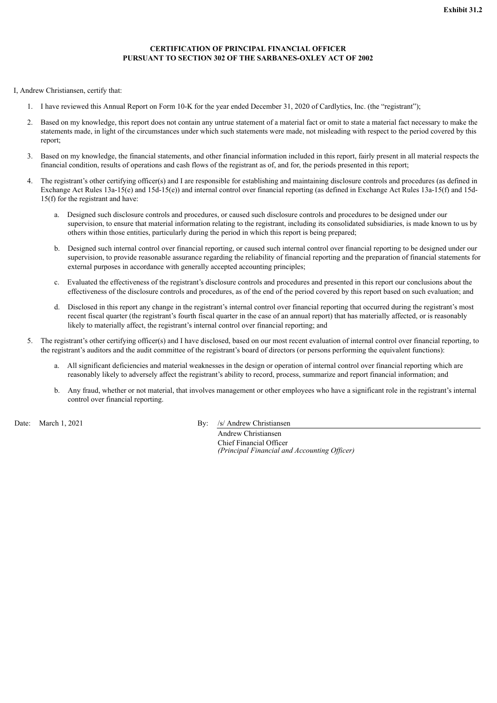# **CERTIFICATION OF PRINCIPAL FINANCIAL OFFICER PURSUANT TO SECTION 302 OF THE SARBANES-OXLEY ACT OF 2002**

<span id="page-125-0"></span>I, Andrew Christiansen, certify that:

- 1. I have reviewed this Annual Report on Form 10-K for the year ended December 31, 2020 of Cardlytics, Inc. (the "registrant");
- 2. Based on my knowledge, this report does not contain any untrue statement of a material fact or omit to state a material fact necessary to make the statements made, in light of the circumstances under which such statements were made, not misleading with respect to the period covered by this report;
- 3. Based on my knowledge, the financial statements, and other financial information included in this report, fairly present in all material respects the financial condition, results of operations and cash flows of the registrant as of, and for, the periods presented in this report;
- 4. The registrant's other certifying officer(s) and I are responsible for establishing and maintaining disclosure controls and procedures (as defined in Exchange Act Rules 13a-15(e) and 15d-15(e)) and internal control over financial reporting (as defined in Exchange Act Rules 13a-15(f) and 15d-15(f) for the registrant and have:
	- a. Designed such disclosure controls and procedures, or caused such disclosure controls and procedures to be designed under our supervision, to ensure that material information relating to the registrant, including its consolidated subsidiaries, is made known to us by others within those entities, particularly during the period in which this report is being prepared;
	- b. Designed such internal control over financial reporting, or caused such internal control over financial reporting to be designed under our supervision, to provide reasonable assurance regarding the reliability of financial reporting and the preparation of financial statements for external purposes in accordance with generally accepted accounting principles;
	- c. Evaluated the effectiveness of the registrant's disclosure controls and procedures and presented in this report our conclusions about the effectiveness of the disclosure controls and procedures, as of the end of the period covered by this report based on such evaluation; and
	- d. Disclosed in this report any change in the registrant's internal control over financial reporting that occurred during the registrant's most recent fiscal quarter (the registrant's fourth fiscal quarter in the case of an annual report) that has materially affected, or is reasonably likely to materially affect, the registrant's internal control over financial reporting; and
- 5. The registrant's other certifying officer(s) and I have disclosed, based on our most recent evaluation of internal control over financial reporting, to the registrant's auditors and the audit committee of the registrant's board of directors (or persons performing the equivalent functions):
	- a. All significant deficiencies and material weaknesses in the design or operation of internal control over financial reporting which are reasonably likely to adversely affect the registrant's ability to record, process, summarize and report financial information; and
	- b. Any fraud, whether or not material, that involves management or other employees who have a significant role in the registrant's internal control over financial reporting.

Date: March 1, 2021 By: /s/ Andrew Christiansen

Andrew Christiansen Chief Financial Officer *(Principal Financial and Accounting Of icer)*